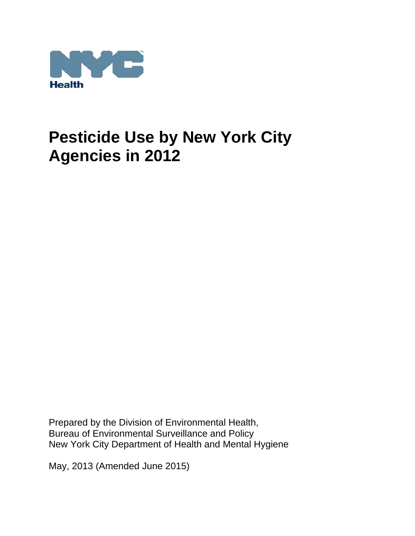

Prepared by the Division of Environmental Health, Bureau of Environmental Surveillance and Policy New York City Department of Health and Mental Hygiene

May, 2013 (Amended June 2015)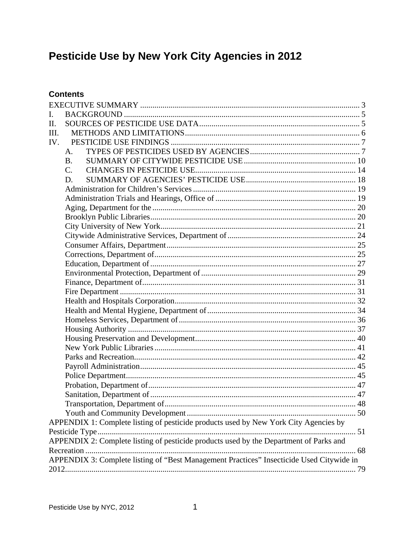## **Contents**

| L.   |                                                                                          |  |
|------|------------------------------------------------------------------------------------------|--|
| Π.   |                                                                                          |  |
| III. |                                                                                          |  |
| IV.  |                                                                                          |  |
|      | $A_{\cdot}$                                                                              |  |
|      | <b>B.</b>                                                                                |  |
|      | $C_{\cdot}$                                                                              |  |
|      | D.                                                                                       |  |
|      |                                                                                          |  |
|      |                                                                                          |  |
|      |                                                                                          |  |
|      |                                                                                          |  |
|      |                                                                                          |  |
|      |                                                                                          |  |
|      |                                                                                          |  |
|      |                                                                                          |  |
|      |                                                                                          |  |
|      |                                                                                          |  |
|      |                                                                                          |  |
|      |                                                                                          |  |
|      |                                                                                          |  |
|      |                                                                                          |  |
|      |                                                                                          |  |
|      |                                                                                          |  |
|      |                                                                                          |  |
|      |                                                                                          |  |
|      |                                                                                          |  |
|      |                                                                                          |  |
|      |                                                                                          |  |
|      |                                                                                          |  |
|      |                                                                                          |  |
|      |                                                                                          |  |
|      |                                                                                          |  |
|      | APPENDIX 1: Complete listing of pesticide products used by New York City Agencies by     |  |
|      |                                                                                          |  |
|      | APPENDIX 2: Complete listing of pesticide products used by the Department of Parks and   |  |
|      |                                                                                          |  |
|      | APPENDIX 3: Complete listing of "Best Management Practices" Insecticide Used Citywide in |  |
|      |                                                                                          |  |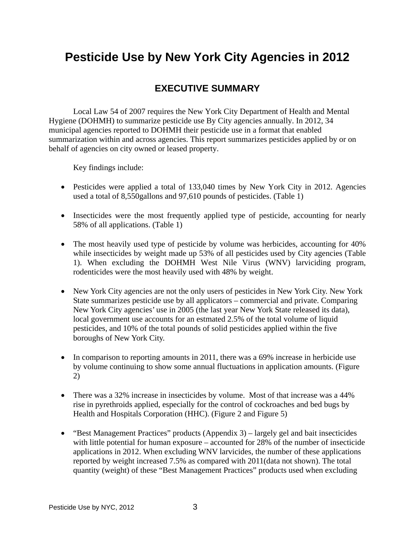## **EXECUTIVE SUMMARY**

Local Law 54 of 2007 requires the New York City Department of Health and Mental Hygiene (DOHMH) to summarize pesticide use By City agencies annually. In 2012, 34 municipal agencies reported to DOHMH their pesticide use in a format that enabled summarization within and across agencies. This report summarizes pesticides applied by or on behalf of agencies on city owned or leased property.

Key findings include:

- Pesticides were applied a total of 133,040 times by New York City in 2012. Agencies used a total of 8,550gallons and 97,610 pounds of pesticides. (Table 1)
- Insecticides were the most frequently applied type of pesticide, accounting for nearly 58% of all applications. (Table 1)
- The most heavily used type of pesticide by volume was herbicides, accounting for 40% while insecticides by weight made up 53% of all pesticides used by City agencies (Table 1). When excluding the DOHMH West Nile Virus (WNV) larviciding program, rodenticides were the most heavily used with 48% by weight.
- New York City agencies are not the only users of pesticides in New York City. New York State summarizes pesticide use by all applicators – commercial and private. Comparing New York City agencies' use in 2005 (the last year New York State released its data), local government use accounts for an estmated 2.5% of the total volume of liquid pesticides, and 10% of the total pounds of solid pesticides applied within the five boroughs of New York City.
- $\bullet$  In comparison to reporting amounts in 2011, there was a 69% increase in herbicide use by volume continuing to show some annual fluctuations in application amounts. (Figure 2)
- There was a 32% increase in insecticides by volume. Most of that increase was a 44% rise in pyrethroids applied, especially for the control of cockroaches and bed bugs by Health and Hospitals Corporation (HHC). (Figure 2 and Figure 5)
- $\bullet$  "Best Management Practices" products (Appendix 3) largely gel and bait insecticides with little potential for human exposure – accounted for 28% of the number of insecticide applications in 2012. When excluding WNV larvicides, the number of these applications reported by weight increased 7.5% as compared with 2011(data not shown). The total quantity (weight) of these "Best Management Practices" products used when excluding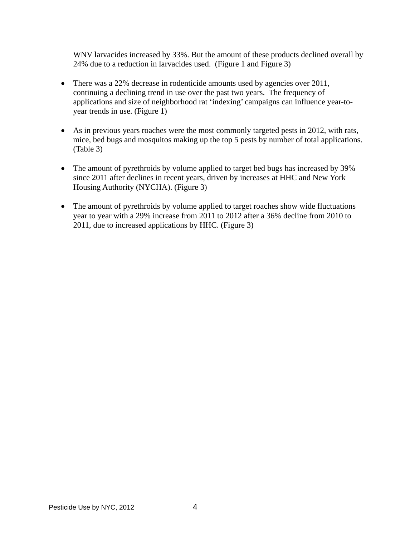WNV larvacides increased by 33%. But the amount of these products declined overall by 24% due to a reduction in larvacides used. (Figure 1 and Figure 3)

- There was a 22% decrease in rodenticide amounts used by agencies over 2011, continuing a declining trend in use over the past two years. The frequency of applications and size of neighborhood rat 'indexing' campaigns can influence year-toyear trends in use. (Figure 1)
- As in previous years roaches were the most commonly targeted pests in 2012, with rats, mice, bed bugs and mosquitos making up the top 5 pests by number of total applications. (Table 3)
- The amount of pyrethroids by volume applied to target bed bugs has increased by 39% since 2011 after declines in recent years, driven by increases at HHC and New York Housing Authority (NYCHA). (Figure 3)
- The amount of pyrethroids by volume applied to target roaches show wide fluctuations year to year with a 29% increase from 2011 to 2012 after a 36% decline from 2010 to 2011, due to increased applications by HHC. (Figure 3)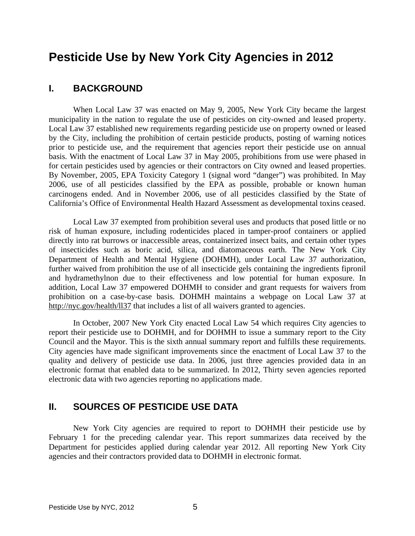## **I. BACKGROUND**

 When Local Law 37 was enacted on May 9, 2005, New York City became the largest municipality in the nation to regulate the use of pesticides on city-owned and leased property. Local Law 37 established new requirements regarding pesticide use on property owned or leased by the City, including the prohibition of certain pesticide products, posting of warning notices prior to pesticide use, and the requirement that agencies report their pesticide use on annual basis. With the enactment of Local Law 37 in May 2005, prohibitions from use were phased in for certain pesticides used by agencies or their contractors on City owned and leased properties. By November, 2005, EPA Toxicity Category 1 (signal word "danger") was prohibited. In May 2006, use of all pesticides classified by the EPA as possible, probable or known human carcinogens ended. And in November 2006, use of all pesticides classified by the State of California's Office of Environmental Health Hazard Assessment as developmental toxins ceased.

 Local Law 37 exempted from prohibition several uses and products that posed little or no risk of human exposure, including rodenticides placed in tamper-proof containers or applied directly into rat burrows or inaccessible areas, containerized insect baits, and certain other types of insecticides such as boric acid, silica, and diatomaceous earth. The New York City Department of Health and Mental Hygiene (DOHMH), under Local Law 37 authorization, further waived from prohibition the use of all insecticide gels containing the ingredients fipronil and hydramethylnon due to their effectiveness and low potential for human exposure. In addition, Local Law 37 empowered DOHMH to consider and grant requests for waivers from prohibition on a case-by-case basis. DOHMH maintains a webpage on Local Law 37 at http://nyc.gov/health/ll37 that includes a list of all waivers granted to agencies.

 In October, 2007 New York City enacted Local Law 54 which requires City agencies to report their pesticide use to DOHMH, and for DOHMH to issue a summary report to the City Council and the Mayor. This is the sixth annual summary report and fulfills these requirements. City agencies have made significant improvements since the enactment of Local Law 37 to the quality and delivery of pesticide use data. In 2006, just three agencies provided data in an electronic format that enabled data to be summarized. In 2012, Thirty seven agencies reported electronic data with two agencies reporting no applications made.

## **II. SOURCES OF PESTICIDE USE DATA**

 New York City agencies are required to report to DOHMH their pesticide use by February 1 for the preceding calendar year. This report summarizes data received by the Department for pesticides applied during calendar year 2012. All reporting New York City agencies and their contractors provided data to DOHMH in electronic format.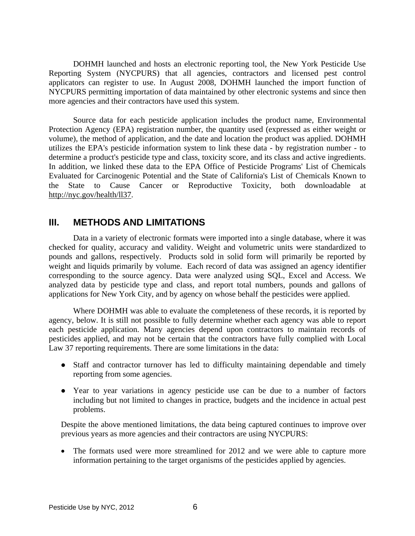DOHMH launched and hosts an electronic reporting tool, the New York Pesticide Use Reporting System (NYCPURS) that all agencies, contractors and licensed pest control applicators can register to use. In August 2008, DOHMH launched the import function of NYCPURS permitting importation of data maintained by other electronic systems and since then more agencies and their contractors have used this system.

 Source data for each pesticide application includes the product name, Environmental Protection Agency (EPA) registration number, the quantity used (expressed as either weight or volume), the method of application, and the date and location the product was applied. DOHMH utilizes the EPA's pesticide information system to link these data - by registration number - to determine a product's pesticide type and class, toxicity score, and its class and active ingredients. In addition, we linked these data to the EPA Office of Pesticide Programs' List of Chemicals Evaluated for Carcinogenic Potential and the State of California's List of Chemicals Known to the State to Cause Cancer or Reproductive Toxicity, both downloadable at http://nyc.gov/health/ll37.

## **III. METHODS AND LIMITATIONS**

 Data in a variety of electronic formats were imported into a single database, where it was checked for quality, accuracy and validity. Weight and volumetric units were standardized to pounds and gallons, respectively. Products sold in solid form will primarily be reported by weight and liquids primarily by volume. Each record of data was assigned an agency identifier corresponding to the source agency. Data were analyzed using SQL, Excel and Access. We analyzed data by pesticide type and class, and report total numbers, pounds and gallons of applications for New York City, and by agency on whose behalf the pesticides were applied.

 Where DOHMH was able to evaluate the completeness of these records, it is reported by agency, below. It is still not possible to fully determine whether each agency was able to report each pesticide application. Many agencies depend upon contractors to maintain records of pesticides applied, and may not be certain that the contractors have fully complied with Local Law 37 reporting requirements. There are some limitations in the data:

- Staff and contractor turnover has led to difficulty maintaining dependable and timely reporting from some agencies.
- Year to year variations in agency pesticide use can be due to a number of factors including but not limited to changes in practice, budgets and the incidence in actual pest problems.

Despite the above mentioned limitations, the data being captured continues to improve over previous years as more agencies and their contractors are using NYCPURS:

• The formats used were more streamlined for 2012 and we were able to capture more information pertaining to the target organisms of the pesticides applied by agencies.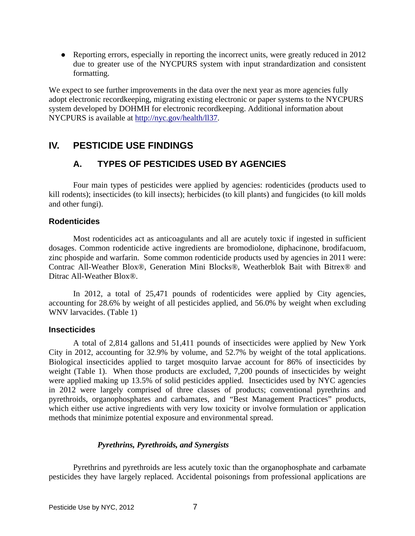• Reporting errors, especially in reporting the incorrect units, were greatly reduced in 2012 due to greater use of the NYCPURS system with input strandardization and consistent formatting.

We expect to see further improvements in the data over the next year as more agencies fully adopt electronic recordkeeping, migrating existing electronic or paper systems to the NYCPURS system developed by DOHMH for electronic recordkeeping. Additional information about NYCPURS is available at http://nyc.gov/health/ll37.

## **IV. PESTICIDE USE FINDINGS**

## **A. TYPES OF PESTICIDES USED BY AGENCIES**

 Four main types of pesticides were applied by agencies: rodenticides (products used to kill rodents); insecticides (to kill insects); herbicides (to kill plants) and fungicides (to kill molds and other fungi).

## **Rodenticides**

 Most rodenticides act as anticoagulants and all are acutely toxic if ingested in sufficient dosages. Common rodenticide active ingredients are bromodiolone, diphacinone, brodifacuom, zinc phospide and warfarin. Some common rodenticide products used by agencies in 2011 were: Contrac All-Weather Blox®, Generation Mini Blocks®, Weatherblok Bait with Bitrex® and Ditrac All-Weather Blox®.

 In 2012, a total of 25,471 pounds of rodenticides were applied by City agencies, accounting for 28.6% by weight of all pesticides applied, and 56.0% by weight when excluding WNV larvacides. (Table 1)

#### **Insecticides**

 A total of 2,814 gallons and 51,411 pounds of insecticides were applied by New York City in 2012, accounting for 32.9% by volume, and 52.7% by weight of the total applications. Biological insecticides applied to target mosquito larvae account for 86% of insecticides by weight (Table 1). When those products are excluded, 7,200 pounds of insecticides by weight were applied making up 13.5% of solid pesticides applied. Insecticides used by NYC agencies in 2012 were largely comprised of three classes of products; conventional pyrethrins and pyrethroids, organophosphates and carbamates, and "Best Management Practices" products, which either use active ingredients with very low toxicity or involve formulation or application methods that minimize potential exposure and environmental spread.

#### *Pyrethrins, Pyrethroids, and Synergists*

 Pyrethrins and pyrethroids are less acutely toxic than the organophosphate and carbamate pesticides they have largely replaced. Accidental poisonings from professional applications are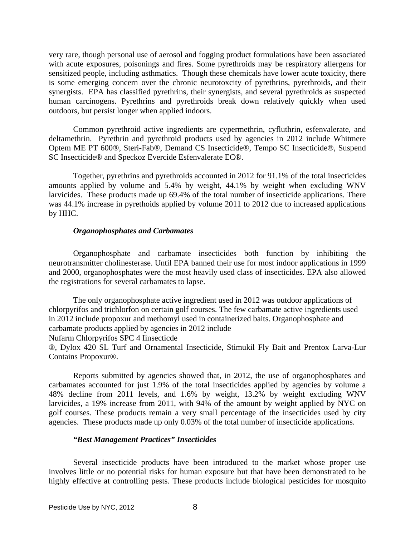very rare, though personal use of aerosol and fogging product formulations have been associated with acute exposures, poisonings and fires. Some pyrethroids may be respiratory allergens for sensitized people, including asthmatics. Though these chemicals have lower acute toxicity, there is some emerging concern over the chronic neurotoxcity of pyrethrins, pyrethroids, and their synergists. EPA has classified pyrethrins, their synergists, and several pyrethroids as suspected human carcinogens. Pyrethrins and pyrethroids break down relatively quickly when used outdoors, but persist longer when applied indoors.

 Common pyrethroid active ingredients are cypermethrin, cyfluthrin, esfenvalerate, and deltamethrin. Pyrethrin and pyrethroid products used by agencies in 2012 include Whitmere Optem ME PT 600®, Steri-Fab®, Demand CS Insecticide®, Tempo SC Insecticide®, Suspend SC Insecticide® and Speckoz Evercide Esfenvalerate EC®.

 Together, pyrethrins and pyrethroids accounted in 2012 for 91.1% of the total insecticides amounts applied by volume and 5.4% by weight, 44.1% by weight when excluding WNV larvicides. These products made up 69.4% of the total number of insecticide applications. There was 44.1% increase in pyrethoids applied by volume 2011 to 2012 due to increased applications by HHC.

#### *Organophosphates and Carbamates*

 Organophosphate and carbamate insecticides both function by inhibiting the neurotransmitter cholinesterase. Until EPA banned their use for most indoor applications in 1999 and 2000, organophosphates were the most heavily used class of insecticides. EPA also allowed the registrations for several carbamates to lapse.

 The only organophosphate active ingredient used in 2012 was outdoor applications of chlorpyrifos and trichlorfon on certain golf courses. The few carbamate active ingredients used in 2012 include propoxur and methomyl used in containerized baits. Organophosphate and carbamate products applied by agencies in 2012 include

Nufarm Chlorpyrifos SPC 4 Iinsecticde

®, Dylox 420 SL Turf and Ornamental Insecticide, Stimukil Fly Bait and Prentox Larva-Lur Contains Propoxur®.

 Reports submitted by agencies showed that, in 2012, the use of organophosphates and carbamates accounted for just 1.9% of the total insecticides applied by agencies by volume a 48% decline from 2011 levels, and 1.6% by weight, 13.2% by weight excluding WNV larvicides, a 19% increase from 2011, with 94% of the amount by weight applied by NYC on golf courses. These products remain a very small percentage of the insecticides used by city agencies. These products made up only 0.03% of the total number of insecticide applications.

#### *"Best Management Practices" Insecticides*

 Several insecticide products have been introduced to the market whose proper use involves little or no potential risks for human exposure but that have been demonstrated to be highly effective at controlling pests. These products include biological pesticides for mosquito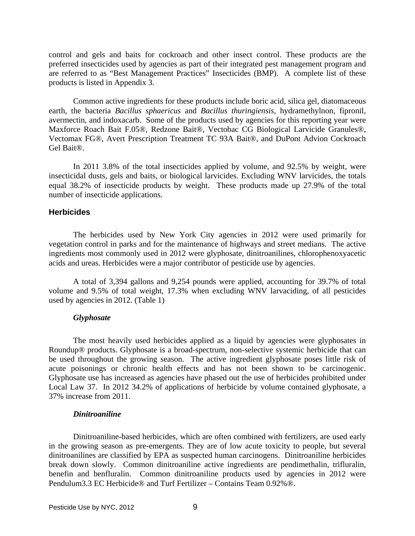control and gels and baits for cockroach and other insect control. These products are the preferred insecticides used by agencies as part of their integrated pest management program and are referred to as "Best Management Practices" Insecticides (BMP). A complete list of these products is listed in Appendix 3.

 Common active ingredients for these products include boric acid, silica gel, diatomaceous earth, the bacteria *Bacillus sphaericus* and *Bacillus thuringiensis*, hydramethylnon, fipronil, avermectin, and indoxacarb. Some of the products used by agencies for this reporting year were Maxforce Roach Bait F.05®, Redzone Bait®, Vectobac CG Biological Larvicide Granules®, Vectomax FG®, Avert Prescription Treatment TC 93A Bait®, and DuPont Advion Cockroach Gel Bait®.

 In 2011 3.8% of the total insecticides applied by volume, and 92.5% by weight, were insecticidal dusts, gels and baits, or biological larvicides. Excluding WNV larvicides, the totals equal 38.2% of insecticide products by weight. These products made up 27.9% of the total number of insecticide applications.

#### **Herbicides**

The herbicides used by New York City agencies in 2012 were used primarily for vegetation control in parks and for the maintenance of highways and street medians. The active ingredients most commonly used in 2012 were glyphosate, dinitroanilines, chlorophenoxyacetic acids and ureas. Herbicides were a major contributor of pesticide use by agencies.

 A total of 3,394 gallons and 9,254 pounds were applied, accounting for 39.7% of total volume and 9.5% of total weight, 17.3% when excluding WNV larvaciding, of all pesticides used by agencies in 2012. (Table 1)

#### *Glyphosate*

 The most heavily used herbicides applied as a liquid by agencies were glyphosates in Roundup® products. Glyphosate is a broad-spectrum, non-selective systemic herbicide that can be used throughout the growing season. The active ingredient glyphosate poses little risk of acute poisonings or chronic health effects and has not been shown to be carcinogenic. Glyphosate use has increased as agencies have phased out the use of herbicides prohibited under Local Law 37. In 2012 34.2% of applications of herbicide by volume contained glyphosate, a 37% increase from 2011.

#### *Dinitroaniline*

 Dinitroaniline-based herbicides, which are often combined with fertilizers, are used early in the growing season as pre-emergents. They are of low acute toxicity to people, but several dinitroanilines are classified by EPA as suspected human carcinogens. Dinitroaniline herbicides break down slowly. Common dinitroaniline active ingredients are pendimethalin, trifluralin, benefin and benfluralin. Common dinitroaniline products used by agencies in 2012 were Pendulum3.3 EC Herbicide® and Turf Fertilizer – Contains Team 0.92%®.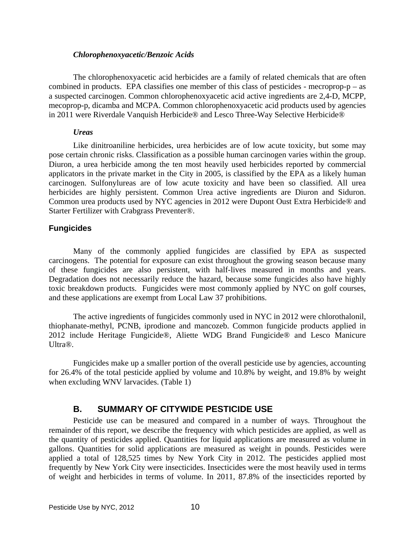#### *Chlorophenoxyacetic/Benzoic Acids*

 The chlorophenoxyacetic acid herbicides are a family of related chemicals that are often combined in products. EPA classifies one member of this class of pesticides - mecroprop- $p - as$ a suspected carcinogen. Common chlorophenoxyacetic acid active ingredients are 2,4-D, MCPP, mecoprop-p, dicamba and MCPA. Common chlorophenoxyacetic acid products used by agencies in 2011 were Riverdale Vanquish Herbicide® and Lesco Three-Way Selective Herbicide®

#### *Ureas*

 Like dinitroaniline herbicides, urea herbicides are of low acute toxicity, but some may pose certain chronic risks. Classification as a possible human carcinogen varies within the group. Diuron, a urea herbicide among the ten most heavily used herbicides reported by commercial applicators in the private market in the City in 2005, is classified by the EPA as a likely human carcinogen. Sulfonylureas are of low acute toxicity and have been so classified. All urea herbicides are highly persistent. Common Urea active ingredients are Diuron and Siduron. Common urea products used by NYC agencies in 2012 were Dupont Oust Extra Herbicide® and Starter Fertilizer with Crabgrass Preventer®.

## **Fungicides**

 Many of the commonly applied fungicides are classified by EPA as suspected carcinogens. The potential for exposure can exist throughout the growing season because many of these fungicides are also persistent, with half-lives measured in months and years. Degradation does not necessarily reduce the hazard, because some fungicides also have highly toxic breakdown products. Fungicides were most commonly applied by NYC on golf courses, and these applications are exempt from Local Law 37 prohibitions.

 The active ingredients of fungicides commonly used in NYC in 2012 were chlorothalonil, thiophanate-methyl, PCNB, iprodione and mancozeb. Common fungicide products applied in 2012 include Heritage Fungicide®, Aliette WDG Brand Fungicide® and Lesco Manicure Ultra®.

 Fungicides make up a smaller portion of the overall pesticide use by agencies, accounting for 26.4% of the total pesticide applied by volume and 10.8% by weight, and 19.8% by weight when excluding WNV larvacides. (Table 1)

## **B. SUMMARY OF CITYWIDE PESTICIDE USE**

 Pesticide use can be measured and compared in a number of ways. Throughout the remainder of this report, we describe the frequency with which pesticides are applied, as well as the quantity of pesticides applied. Quantities for liquid applications are measured as volume in gallons. Quantities for solid applications are measured as weight in pounds. Pesticides were applied a total of 128,525 times by New York City in 2012. The pesticides applied most frequently by New York City were insecticides. Insecticides were the most heavily used in terms of weight and herbicides in terms of volume. In 2011, 87.8% of the insecticides reported by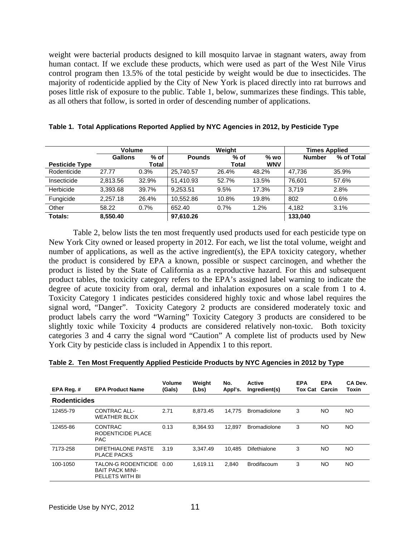weight were bacterial products designed to kill mosquito larvae in stagnant waters, away from human contact. If we exclude these products, which were used as part of the West Nile Virus control program then 13.5% of the total pesticide by weight would be due to insecticides. The majority of rodenticide applied by the City of New York is placed directly into rat burrows and poses little risk of exposure to the public. Table 1, below, summarizes these findings. This table, as all others that follow, is sorted in order of descending number of applications.

|                       | <b>Volume</b>  |        |               | Weight       | <b>Times Applied</b> |               |            |
|-----------------------|----------------|--------|---------------|--------------|----------------------|---------------|------------|
|                       | <b>Gallons</b> | $%$ of | <b>Pounds</b> | $%$ of       | $%$ wo               | <b>Number</b> | % of Total |
| <b>Pesticide Type</b> |                | Total  |               | <b>Total</b> | <b>WNV</b>           |               |            |
| Rodenticide           | 27.77          | 0.3%   | 25,740.57     | 26.4%        | 48.2%                | 47.736        | 35.9%      |
| Insecticide           | 2.813.56       | 32.9%  | 51.410.93     | 52.7%        | 13.5%                | 76.601        | 57.6%      |
| Herbicide             | 3.393.68       | 39.7%  | 9.253.51      | 9.5%         | 17.3%                | 3.719         | 2.8%       |
| Fungicide             | 2.257.18       | 26.4%  | 10.552.86     | 10.8%        | 19.8%                | 802           | 0.6%       |
| Other                 | 58.22          | 0.7%   | 652.40        | 0.7%         | 1.2%                 | 4.182         | 3.1%       |
| Totals:               | 8,550.40       |        | 97,610.26     |              |                      | 133,040       |            |

|  | Table 1.  Total Applications Reported Applied by NYC Agencies in 2012, by Pesticide Type |  |  |  |  |  |  |  |
|--|------------------------------------------------------------------------------------------|--|--|--|--|--|--|--|
|--|------------------------------------------------------------------------------------------|--|--|--|--|--|--|--|

 Table 2, below lists the ten most frequently used products used for each pesticide type on New York City owned or leased property in 2012. For each, we list the total volume, weight and number of applications, as well as the active ingredient(s), the EPA toxicity category, whether the product is considered by EPA a known, possible or suspect carcinogen, and whether the product is listed by the State of California as a reproductive hazard. For this and subsequent product tables, the toxicity category refers to the EPA's assigned label warning to indicate the degree of acute toxicity from oral, dermal and inhalation exposures on a scale from 1 to 4. Toxicity Category 1 indicates pesticides considered highly toxic and whose label requires the signal word, "Danger". Toxicity Category 2 products are considered moderately toxic and product labels carry the word "Warning" Toxicity Category 3 products are considered to be slightly toxic while Toxicity 4 products are considered relatively non-toxic. Both toxicity categories 3 and 4 carry the signal word "Caution" A complete list of products used by New York City by pesticide class is included in Appendix 1 to this report.

| EPA Reg. #          | <b>EPA Product Name</b>                                          | Volume<br>(Gals) | Weight<br>(Lbs) | No.<br>Appl's. | Active<br>Ingredient(s) | <b>EPA</b><br><b>Tox Cat Carcin</b> | <b>EPA</b> | CA Dev.<br>Toxin |
|---------------------|------------------------------------------------------------------|------------------|-----------------|----------------|-------------------------|-------------------------------------|------------|------------------|
| <b>Rodenticides</b> |                                                                  |                  |                 |                |                         |                                     |            |                  |
| 12455-79            | CONTRAC ALL-<br><b>WEATHER BLOX</b>                              | 2.71             | 8.873.45        | 14.775         | <b>Bromadiolone</b>     | 3                                   | NO.        | <b>NO</b>        |
| 12455-86            | <b>CONTRAC</b><br>RODENTICIDE PLACE<br><b>PAC</b>                | 0.13             | 8.364.93        | 12.897         | <b>Bromadiolone</b>     | 3                                   | NO.        | <b>NO</b>        |
| 7173-258            | DIFETHIALONE PASTE<br><b>PLACE PACKS</b>                         | 3.19             | 3.347.49        | 10.485         | <b>Difethialone</b>     | 3                                   | NO.        | NO.              |
| 100-1050            | TALON-G RODENTICIDE<br><b>BAIT PACK MINI-</b><br>PELLETS WITH BI | 0.00             | 1.619.11        | 2.840          | <b>Brodifacoum</b>      | 3                                   | NO.        | NO.              |

|  |  |  |  |  | Table 2.  Ten Most Frequently Applied Pesticide Products by NYC Agencies in 2012 by Type |
|--|--|--|--|--|------------------------------------------------------------------------------------------|
|--|--|--|--|--|------------------------------------------------------------------------------------------|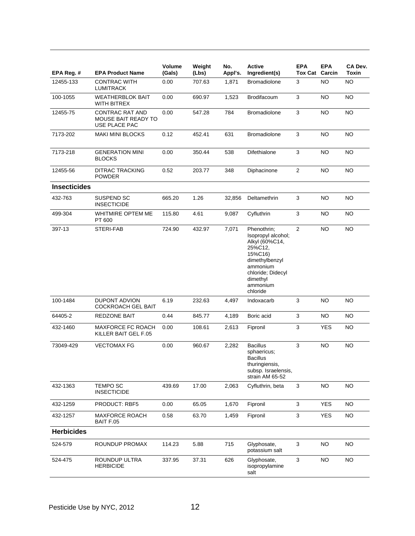| EPA Reg. #          | <b>EPA Product Name</b>                                 | <b>Volume</b><br>(Gals) | Weight<br>(Lbs) | No.<br>Appl's. | Active<br>Ingredient(s)                                                                                                                                          | <b>EPA</b><br><b>Tox Cat Carcin</b> | <b>EPA</b> | CA Dev.<br>Toxin |
|---------------------|---------------------------------------------------------|-------------------------|-----------------|----------------|------------------------------------------------------------------------------------------------------------------------------------------------------------------|-------------------------------------|------------|------------------|
| 12455-133           | <b>CONTRAC WITH</b><br>LUMITRACK                        | 0.00                    | 707.63          | 1,871          | <b>Bromadiolone</b>                                                                                                                                              | 3                                   | <b>NO</b>  | <b>NO</b>        |
| 100-1055            | <b>WEATHERBLOK BAIT</b><br>WITH BITREX                  | 0.00                    | 690.97          | 1,523          | Brodifacoum                                                                                                                                                      | 3                                   | NO.        | NO.              |
| 12455-75            | CONTRAC RAT AND<br>MOUSE BAIT READY TO<br>USE PLACE PAC | 0.00                    | 547.28          | 784            | <b>Bromadiolone</b>                                                                                                                                              | 3                                   | NO         | NO.              |
| 7173-202            | <b>MAKI MINI BLOCKS</b>                                 | 0.12                    | 452.41          | 631            | <b>Bromadiolone</b>                                                                                                                                              | 3                                   | NO         | NO.              |
| 7173-218            | <b>GENERATION MINI</b><br><b>BLOCKS</b>                 | 0.00                    | 350.44          | 538            | Difethialone                                                                                                                                                     | 3                                   | NO.        | <b>NO</b>        |
| 12455-56            | DITRAC TRACKING<br>POWDER                               | 0.52                    | 203.77          | 348            | Diphacinone                                                                                                                                                      | $\overline{2}$                      | NO.        | <b>NO</b>        |
| <b>Insecticides</b> |                                                         |                         |                 |                |                                                                                                                                                                  |                                     |            |                  |
| 432-763             | SUSPEND SC<br><b>INSECTICIDE</b>                        | 665.20                  | 1.26            | 32,856         | Deltamethrin                                                                                                                                                     | 3                                   | <b>NO</b>  | NO.              |
| 499-304             | WHITMIRE OPTEM ME<br>PT 600                             | 115.80                  | 4.61            | 9,087          | Cyfluthrin                                                                                                                                                       | 3                                   | <b>NO</b>  | NO.              |
| 397-13              | STERI-FAB                                               | 724.90                  | 432.97          | 7,071          | Phenothrin:<br>Isopropyl alcohol;<br>Alkyl (60%C14,<br>25%C12,<br>15%C16)<br>dimethylbenzyl<br>ammonium<br>chloride; Didecyl<br>dimethyl<br>ammonium<br>chloride | $\overline{2}$                      | <b>NO</b>  | <b>NO</b>        |
| 100-1484            | <b>DUPONT ADVION</b><br>COCKROACH GEL BAIT              | 6.19                    | 232.63          | 4,497          | Indoxacarb                                                                                                                                                       | 3                                   | NO.        | NO.              |
| 64405-2             | REDZONE BAIT                                            | 0.44                    | 845.77          | 4,189          | Boric acid                                                                                                                                                       | 3                                   | NO         | NO               |
| 432-1460            | MAXFORCE FC ROACH<br>KILLER BAIT GEL F.05               | 0.00                    | 108.61          | 2,613          | Fipronil                                                                                                                                                         | 3                                   | <b>YES</b> | NO.              |
| 73049-429           | <b>VECTOMAX FG</b>                                      | 0.00                    | 960.67          | 2,282          | <b>Bacillus</b><br>sphaericus;<br><b>Bacillus</b><br>thuringiensis,<br>subsp. Israelensis,<br>strain AM 65-52                                                    | 3                                   | <b>NO</b>  | <b>NO</b>        |
| 432-1363            | <b>TEMPO SC</b><br><b>INSECTICIDE</b>                   | 439.69                  | 17.00           | 2,063          | Cyfluthrin, beta                                                                                                                                                 | 3                                   | NO.        | <b>NO</b>        |
| 432-1259            | PRODUCT: RBF5                                           | 0.00                    | 65.05           | 1,670          | Fipronil                                                                                                                                                         | 3                                   | <b>YES</b> | <b>NO</b>        |
| 432-1257            | <b>MAXFORCE ROACH</b><br>BAIT F.05                      | 0.58                    | 63.70           | 1,459          | Fipronil                                                                                                                                                         | 3                                   | <b>YES</b> | <b>NO</b>        |
| <b>Herbicides</b>   |                                                         |                         |                 |                |                                                                                                                                                                  |                                     |            |                  |
| 524-579             | ROUNDUP PROMAX                                          | 114.23                  | 5.88            | 715            | Glyphosate,<br>potassium salt                                                                                                                                    | 3                                   | <b>NO</b>  | <b>NO</b>        |
| 524-475             | ROUNDUP ULTRA<br><b>HERBICIDE</b>                       | 337.95                  | 37.31           | 626            | Glyphosate,<br>isopropylamine<br>salt                                                                                                                            | 3                                   | NO         | NO.              |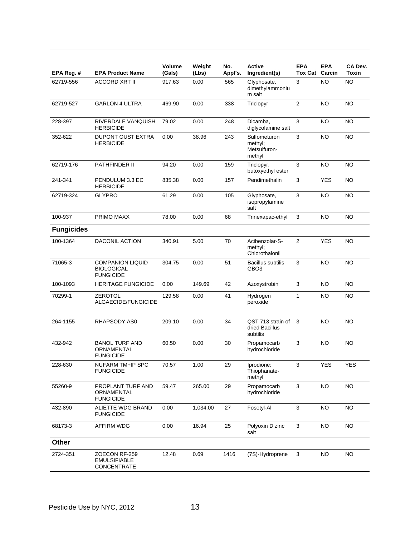| EPA Reg. #        | <b>EPA Product Name</b>                                          | <b>Volume</b><br>(Gals) | Weight<br>(Lbs) | No.<br>Appl's. | <b>Active</b><br>Ingredient(s)                    | <b>EPA</b><br><b>Tox Cat</b> | <b>EPA</b><br>Carcin | CA Dev.<br>Toxin |
|-------------------|------------------------------------------------------------------|-------------------------|-----------------|----------------|---------------------------------------------------|------------------------------|----------------------|------------------|
| 62719-556         | <b>ACCORD XRT II</b>                                             | 917.63                  | 0.00            | 565            | Glyphosate,<br>dimethylammoniu<br>m salt          | 3                            | <b>NO</b>            | <b>NO</b>        |
| 62719-527         | <b>GARLON 4 ULTRA</b>                                            | 469.90                  | 0.00            | 338            | Triclopyr                                         | 2                            | <b>NO</b>            | <b>NO</b>        |
| 228-397           | RIVERDALE VANQUISH<br><b>HERBICIDE</b>                           | 79.02                   | 0.00            | 248            | Dicamba,<br>diglycolamine salt                    | 3                            | NO                   | <b>NO</b>        |
| 352-622           | <b>DUPONT OUST EXTRA</b><br><b>HERBICIDE</b>                     | 0.00                    | 38.96           | 243            | Sulfometuron<br>methyl;<br>Metsulfuron-<br>methyl | $\mathbf{3}$                 | <b>NO</b>            | <b>NO</b>        |
| 62719-176         | PATHFINDER II                                                    | 94.20                   | 0.00            | 159            | Triclopyr,<br>butoxyethyl ester                   | 3                            | <b>NO</b>            | <b>NO</b>        |
| 241-341           | PENDULUM 3.3 EC<br><b>HERBICIDE</b>                              | 835.38                  | 0.00            | 157            | Pendimethalin                                     | 3                            | <b>YES</b>           | <b>NO</b>        |
| 62719-324         | <b>GLYPRO</b>                                                    | 61.29                   | 0.00            | 105            | Glyphosate,<br>isopropylamine<br>salt             | 3                            | NO                   | <b>NO</b>        |
| 100-937           | PRIMO MAXX                                                       | 78.00                   | 0.00            | 68             | Trinexapac-ethyl                                  | 3                            | NO.                  | NO.              |
| <b>Fungicides</b> |                                                                  |                         |                 |                |                                                   |                              |                      |                  |
| 100-1364          | <b>DACONIL ACTION</b>                                            | 340.91                  | 5.00            | 70             | Acibenzolar-S-<br>methyl;<br>Chlorothalonil       | $\overline{2}$               | <b>YES</b>           | <b>NO</b>        |
| 71065-3           | <b>COMPANION LIQUID</b><br><b>BIOLOGICAL</b><br><b>FUNGICIDE</b> | 304.75                  | 0.00            | 51             | <b>Bacillus subtilis</b><br>GBO <sub>3</sub>      | 3                            | <b>NO</b>            | <b>NO</b>        |
| 100-1093          | <b>HERITAGE FUNGICIDE</b>                                        | 0.00                    | 149.69          | 42             | Azoxystrobin                                      | 3                            | <b>NO</b>            | <b>NO</b>        |
| 70299-1           | <b>ZEROTOL</b><br>ALGAECIDE/FUNGICIDE                            | 129.58                  | 0.00            | 41             | Hydrogen<br>peroxide                              | $\mathbf{1}$                 | <b>NO</b>            | <b>NO</b>        |
| 264-1155          | RHAPSODY AS0                                                     | 209.10                  | 0.00            | 34             | QST 713 strain of<br>dried Bacillus<br>subtilis   | 3                            | <b>NO</b>            | <b>NO</b>        |
| 432-942           | <b>BANOL TURF AND</b><br>ORNAMENTAL<br><b>FUNGICIDE</b>          | 60.50                   | 0.00            | 30             | Propamocarb<br>hydrochloride                      | 3                            | <b>NO</b>            | <b>NO</b>        |
| 228-630           | NUFARM TM+IP SPC<br><b>FUNGICIDE</b>                             | 70.57                   | 1.00            | 29             | Iprodione;<br>Thiophanate-<br>methyl              | 3                            | YES                  | <b>YES</b>       |
| 55260-9           | PROPLANT TURF AND<br>ORNAMENTAL<br><b>FUNGICIDE</b>              | 59.47                   | 265.00          | 29             | Propamocarb<br>hydrochloride                      | 3                            | <b>NO</b>            | <b>NO</b>        |
| 432-890           | ALIETTE WDG BRAND<br><b>FUNGICIDE</b>                            | 0.00                    | 1,034.00        | 27             | Fosetyl-Al                                        | $\mathbf{3}$                 | <b>NO</b>            | <b>NO</b>        |
| 68173-3           | <b>AFFIRM WDG</b>                                                | 0.00                    | 16.94           | 25             | Polyoxin D zinc<br>salt                           | 3                            | NO.                  | <b>NO</b>        |
| Other             |                                                                  |                         |                 |                |                                                   |                              |                      |                  |
| 2724-351          | ZOECON RF-259<br><b>EMULSIFIABLE</b><br>CONCENTRATE              | 12.48                   | 0.69            | 1416           | (7S)-Hydroprene                                   | $\mathbf{3}$                 | <b>NO</b>            | <b>NO</b>        |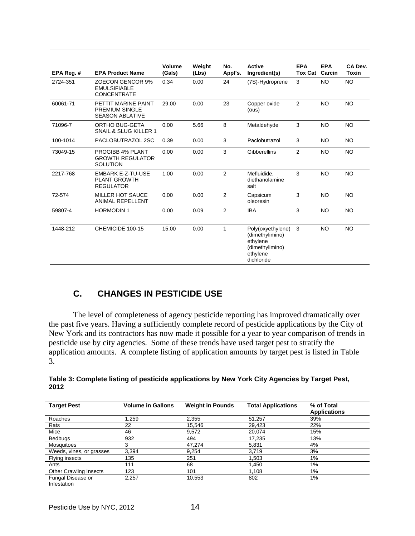| EPA Reg. # | <b>EPA Product Name</b>                                                | Volume<br>(Gals) | Weight<br>(Lbs) | No.<br>Appl's. | <b>Active</b><br>Ingredient(s)                                                                | <b>EPA</b><br><b>Tox Cat</b> | <b>EPA</b><br>Carcin | CA Dev.<br>Toxin |
|------------|------------------------------------------------------------------------|------------------|-----------------|----------------|-----------------------------------------------------------------------------------------------|------------------------------|----------------------|------------------|
| 2724-351   | <b>ZOECON GENCOR 9%</b><br><b>EMULSIFIABLE</b><br><b>CONCENTRATE</b>   | 0.34             | 0.00            | 24             | (7S)-Hydroprene                                                                               | 3                            | <b>NO</b>            | NO               |
| 60061-71   | PETTIT MARINE PAINT<br><b>PREMIUM SINGLE</b><br><b>SEASON ABLATIVE</b> | 29.00            | 0.00            | 23             | Copper oxide<br>(ous)                                                                         | 2                            | <b>NO</b>            | <b>NO</b>        |
| 71096-7    | ORTHO BUG-GETA<br>SNAIL & SLUG KILLER 1                                | 0.00             | 5.66            | 8              | Metaldehyde                                                                                   | 3                            | <b>NO</b>            | <b>NO</b>        |
| 100-1014   | PACLOBUTRAZOL 2SC                                                      | 0.39             | 0.00            | 3              | Paclobutrazol                                                                                 | 3                            | <b>NO</b>            | <b>NO</b>        |
| 73049-15   | PROGIBB 4% PLANT<br><b>GROWTH REGULATOR</b><br><b>SOLUTION</b>         | 0.00             | 0.00            | 3              | <b>Gibberellins</b>                                                                           | 2                            | <b>NO</b>            | <b>NO</b>        |
| 2217-768   | <b>EMBARK E-Z-TU-USE</b><br><b>PLANT GROWTH</b><br><b>REGULATOR</b>    | 1.00             | 0.00            | 2              | Mefluidide,<br>diethanolamine<br>salt                                                         | 3                            | <b>NO</b>            | <b>NO</b>        |
| 72-574     | <b>MILLER HOT SAUCE</b><br><b>ANIMAL REPELLENT</b>                     | 0.00             | 0.00            | $\overline{2}$ | Capsicum<br>oleoresin                                                                         | 3                            | <b>NO</b>            | <b>NO</b>        |
| 59807-4    | <b>HORMODIN1</b>                                                       | 0.00             | 0.09            | 2              | <b>IBA</b>                                                                                    | 3                            | <b>NO</b>            | <b>NO</b>        |
| 1448-212   | CHEMICIDE 100-15                                                       | 15.00            | 0.00            | 1              | Poly(oxyethylene)<br>(dimethylimino)<br>ethylene<br>(dimethylimino)<br>ethylene<br>dichloride | 3                            | <b>NO</b>            | <b>NO</b>        |

## **C. CHANGES IN PESTICIDE USE**

 The level of completeness of agency pesticide reporting has improved dramatically over the past five years. Having a sufficiently complete record of pesticide applications by the City of New York and its contractors has now made it possible for a year to year comparison of trends in pesticide use by city agencies. Some of these trends have used target pest to stratify the application amounts. A complete listing of application amounts by target pest is listed in Table 3.

| Table 3: Complete listing of pesticide applications by New York City Agencies by Target Pest, |
|-----------------------------------------------------------------------------------------------|
| 2012                                                                                          |
|                                                                                               |

| <b>Target Pest</b>               | <b>Volume in Gallons</b> | <b>Weight in Pounds</b> | <b>Total Applications</b> | % of Total<br><b>Applications</b> |
|----------------------------------|--------------------------|-------------------------|---------------------------|-----------------------------------|
| Roaches                          | 1.259                    | 2,355                   | 51,257                    | 39%                               |
| Rats                             | 22                       | 15,546                  | 29,423                    | 22%                               |
| Mice                             | 46                       | 9,572                   | 20.074                    | 15%                               |
| Bedbugs                          | 932                      | 494                     | 17,235                    | 13%                               |
| <b>Mosquitoes</b>                | 3                        | 47,274                  | 5,831                     | 4%                                |
| Weeds, vines, or grasses         | 3,394                    | 9,254                   | 3.719                     | 3%                                |
| Flying insects                   | 135                      | 251                     | 1.503                     | 1%                                |
| Ants                             | 111                      | 68                      | 1.450                     | 1%                                |
| <b>Other Crawling Insects</b>    | 123                      | 101                     | 1,108                     | 1%                                |
| Fungal Disease or<br>Infestation | 2,257                    | 10,553                  | 802                       | 1%                                |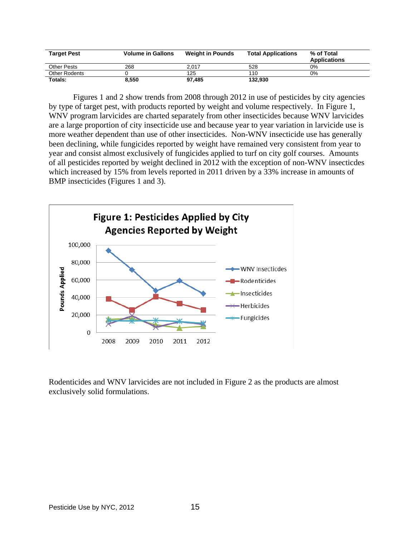| <b>Target Pest</b> | <b>Volume in Gallons</b> | <b>Weight in Pounds</b> | <b>Total Applications</b> | % of Total<br><b>Applications</b> |
|--------------------|--------------------------|-------------------------|---------------------------|-----------------------------------|
| Other Pests        | 268                      | 2.017                   | 528                       | 0%                                |
| Other Rodents      |                          | 125                     | 110                       | 0%                                |
| Totals:            | 8,550                    | 97.485                  | 132.930                   |                                   |

Figures 1 and 2 show trends from 2008 through 2012 in use of pesticides by city agencies by type of target pest, with products reported by weight and volume respectively. In Figure 1, WNV program larvicides are charted separately from other insecticides because WNV larvicides are a large proportion of city insecticide use and because year to year variation in larvicide use is more weather dependent than use of other insecticides. Non-WNV insecticide use has generally been declining, while fungicides reported by weight have remained very consistent from year to year and consist almost exclusively of fungicides applied to turf on city golf courses. Amounts of all pesticides reported by weight declined in 2012 with the exception of non-WNV insecticdes which increased by 15% from levels reported in 2011 driven by a 33% increase in amounts of BMP insecticides (Figures 1 and 3).



Rodenticides and WNV larvicides are not included in Figure 2 as the products are almost exclusively solid formulations.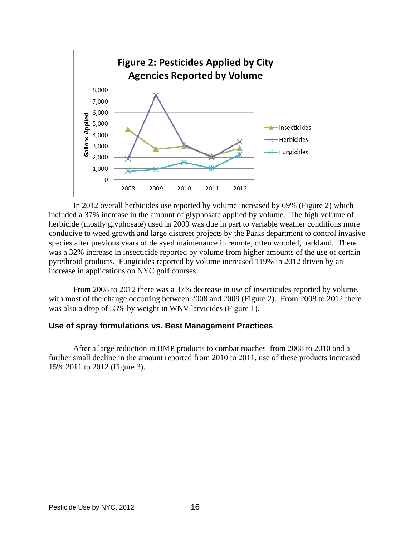

In 2012 overall herbicides use reported by volume increased by 69% (Figure 2) which included a 37% increase in the amount of glyphosate applied by volume. The high volume of herbicide (mostly glyphosate) used in 2009 was due in part to variable weather conditions more conducive to weed growth and large discreet projects by the Parks department to control invasive species after previous years of delayed maintenance in remote, often wooded, parkland. There was a 32% increase in insecticide reported by volume from higher amounts of the use of certain pyrethroid products. Fungicides reported by volume increased 119% in 2012 driven by an increase in applications on NYC golf courses.

From 2008 to 2012 there was a 37% decrease in use of insecticides reported by volume, with most of the change occurring between 2008 and 2009 (Figure 2). From 2008 to 2012 there was also a drop of 53% by weight in WNV larvicides (Figure 1).

#### **Use of spray formulations vs. Best Management Practices**

After a large reduction in BMP products to combat roaches from 2008 to 2010 and a further small decline in the amount reported from 2010 to 2011, use of these products increased 15% 2011 to 2012 (Figure 3).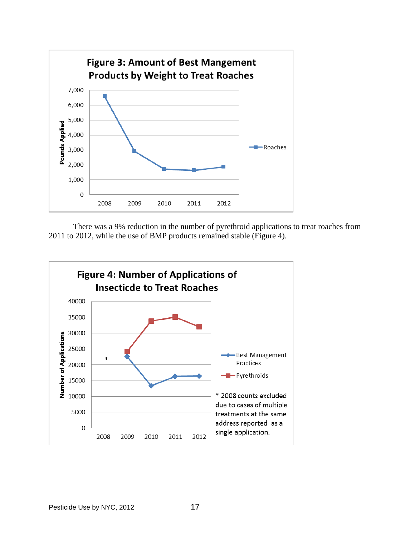

There was a 9% reduction in the number of pyrethroid applications to treat roaches from 2011 to 2012, while the use of BMP products remained stable (Figure 4).

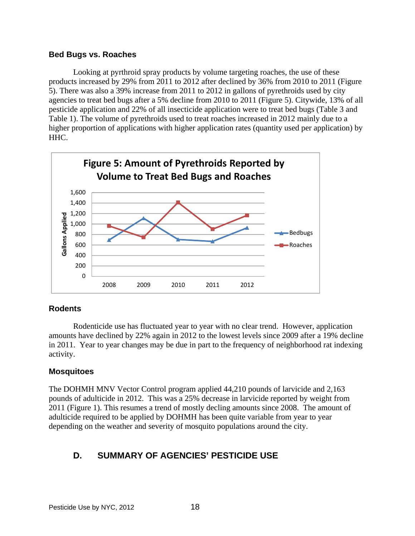## **Bed Bugs vs. Roaches**

Looking at pyrthroid spray products by volume targeting roaches, the use of these products increased by 29% from 2011 to 2012 after declined by 36% from 2010 to 2011 (Figure 5). There was also a 39% increase from 2011 to 2012 in gallons of pyrethroids used by city agencies to treat bed bugs after a 5% decline from 2010 to 2011 (Figure 5). Citywide, 13% of all pesticide application and 22% of all insecticide application were to treat bed bugs (Table 3 and Table 1). The volume of pyrethroids used to treat roaches increased in 2012 mainly due to a higher proportion of applications with higher application rates (quantity used per application) by HHC.



## **Rodents**

 Rodenticide use has fluctuated year to year with no clear trend. However, application amounts have declined by 22% again in 2012 to the lowest levels since 2009 after a 19% decline in 2011. Year to year changes may be due in part to the frequency of neighborhood rat indexing activity.

## **Mosquitoes**

The DOHMH MNV Vector Control program applied 44,210 pounds of larvicide and 2,163 pounds of adulticide in 2012. This was a 25% decrease in larvicide reported by weight from 2011 (Figure 1). This resumes a trend of mostly decling amounts since 2008. The amount of adulticide required to be applied by DOHMH has been quite variable from year to year depending on the weather and severity of mosquito populations around the city.

## **D. SUMMARY OF AGENCIES' PESTICIDE USE**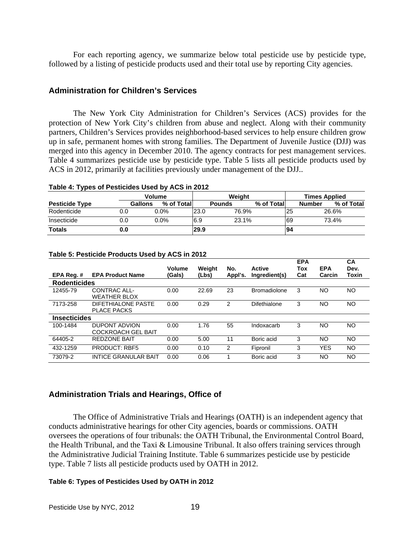For each reporting agency, we summarize below total pesticide use by pesticide type, followed by a listing of pesticide products used and their total use by reporting City agencies.

## **Administration for Children's Services**

The New York City Administration for Children's Services (ACS) provides for the protection of New York City's children from abuse and neglect. Along with their community partners, Children's Services provides neighborhood-based services to help ensure children grow up in safe, permanent homes with strong families. The Department of Juvenile Justice (DJJ) was merged into this agency in December 2010. The agency contracts for pest management services. Table 4 summarizes pesticide use by pesticide type. Table 5 lists all pesticide products used by ACS in 2012, primarily at facilities previously under management of the DJJ..

|                       |     | <b>Volume</b>                | Weight |               |            |     | <b>Times Applied</b>        |  |  |
|-----------------------|-----|------------------------------|--------|---------------|------------|-----|-----------------------------|--|--|
| <b>Pesticide Type</b> |     | <b>Gallons</b><br>% of Total |        | <b>Pounds</b> | % of Total |     | % of Total<br><b>Number</b> |  |  |
| Rodenticide           | 0.0 | $0.0\%$                      | 123.0  | 76.9%         |            | 125 | 26.6%                       |  |  |
| Insecticide           | 0.0 | $0.0\%$                      | 6.9    | 23.1%         |            | 69  | 73.4%                       |  |  |
| <b>Totals</b>         | 0.0 |                              | 29.9   |               |            | 94  |                             |  |  |

#### **Table 4: Types of Pesticides Used by ACS in 2012**

| EPA Reg.#           | <b>EPA Product Name</b>                           | Volume<br>(Gals) | Weight<br>(Lbs) | No.<br>Appl's. | <b>Active</b><br>Ingredient(s) | <b>EPA</b><br>Tox<br>Cat | <b>EPA</b><br>Carcin | CA<br>Dev.<br>Toxin |
|---------------------|---------------------------------------------------|------------------|-----------------|----------------|--------------------------------|--------------------------|----------------------|---------------------|
| <b>Rodenticides</b> |                                                   |                  |                 |                |                                |                          |                      |                     |
| 12455-79            | CONTRAC ALL-<br><b>WEATHER BLOX</b>               | 0.00             | 22.69           | 23             | <b>Bromadiolone</b>            | 3                        | NΟ                   | NO                  |
| 7173-258            | DIFETHIALONE PASTE<br><b>PLACE PACKS</b>          | 0.00             | 0.29            | 2              | Difethialone                   | 3                        | NΟ                   | NO                  |
| <b>Insecticides</b> |                                                   |                  |                 |                |                                |                          |                      |                     |
| 100-1484            | <b>DUPONT ADVION</b><br><b>COCKROACH GEL BAIT</b> | 0.00             | 1.76            | 55             | Indoxacarb                     | 3                        | NO                   | NO                  |
| 64405-2             | <b>REDZONE BAIT</b>                               | 0.00             | 5.00            | 11             | Boric acid                     | 3                        | NΟ                   | NO                  |
| 432-1259            | <b>PRODUCT: RBF5</b>                              | 0.00             | 0.10            | 2              | Fipronil                       | 3                        | <b>YES</b>           | NO.                 |
| 73079-2             | <b>INTICE GRANULAR BAIT</b>                       | 0.00             | 0.06            |                | Boric acid                     | 3                        | NO                   | NO                  |

#### **Table 5: Pesticide Products Used by ACS in 2012**

#### **Administration Trials and Hearings, Office of**

The Office of Administrative Trials and Hearings (OATH) is an independent agency that conducts administrative hearings for other City agencies, boards or commissions. OATH oversees the operations of four tribunals: the OATH Tribunal, the Environmental Control Board, the Health Tribunal, and the Taxi & Limousine Tribunal. It also offers training services through the Administrative Judicial Training Institute. Table 6 summarizes pesticide use by pesticide type. Table 7 lists all pesticide products used by OATH in 2012.

#### **Table 6: Types of Pesticides Used by OATH in 2012**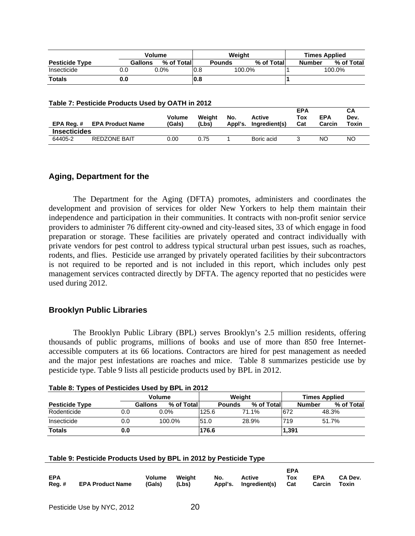|                       |     | Volume                 | Weiaht |               |            |  | <b>Times Applied</b> |            |  |
|-----------------------|-----|------------------------|--------|---------------|------------|--|----------------------|------------|--|
| <b>Pesticide Type</b> |     | % of Totall<br>Gallons |        | <b>Pounds</b> | % of Total |  | <b>Number</b>        | % of Total |  |
| Insecticide           |     | 0.0%                   | 0.8    | 100.0%        |            |  |                      | 100.0%     |  |
| <b>Totals</b>         | 0.0 |                        | 0.8    |               |            |  |                      |            |  |

#### **Table 7: Pesticide Products Used by OATH in 2012**

| EPA Req. #          | <b>EPA Product Name</b> | <b>Volume</b><br>(Gals) | Weight<br>(Lbs) | No.<br>Appl's. | <b>Active</b><br>Ingredient(s) | <b>EPA</b><br>Tox<br>Cat | <b>EPA</b><br>Carcin | CА<br>Dev.<br>Toxin |
|---------------------|-------------------------|-------------------------|-----------------|----------------|--------------------------------|--------------------------|----------------------|---------------------|
| <b>Insecticides</b> |                         |                         |                 |                |                                |                          |                      |                     |
| 64405-2             | <b>REDZONE BAIT</b>     | 0.00                    | 0.75            |                | Boric acid                     |                          | NΟ                   | NO                  |

#### **Aging, Department for the**

 The Department for the Aging (DFTA) promotes, administers and coordinates the development and provision of services for older New Yorkers to help them maintain their independence and participation in their communities. It contracts with non-profit senior service providers to administer 76 different city-owned and city-leased sites, 33 of which engage in food preparation or storage. These facilities are privately operated and contract individually with private vendors for pest control to address typical structural urban pest issues, such as roaches, rodents, and flies. Pesticide use arranged by privately operated facilities by their subcontractors is not required to be reported and is not included in this report, which includes only pest management services contracted directly by DFTA. The agency reported that no pesticides were used during 2012.

#### **Brooklyn Public Libraries**

The Brooklyn Public Library (BPL) serves Brooklyn's 2.5 million residents, offering thousands of public programs, millions of books and use of more than 850 free Internetaccessible computers at its 66 locations. Contractors are hired for pest management as needed and the major pest infestations are roaches and mice. Table 8 summarizes pesticide use by pesticide type. Table 9 lists all pesticide products used by BPL in 2012.

| - -                   |     |         |         |            |        |               |       |                      |       |               |       |            |
|-----------------------|-----|---------|---------|------------|--------|---------------|-------|----------------------|-------|---------------|-------|------------|
|                       |     | Volume  |         |            | Weight |               |       | <b>Times Applied</b> |       |               |       |            |
| <b>Pesticide Type</b> |     | Gallons |         | % of Total |        | <b>Pounds</b> |       | % of Totall          |       | <b>Number</b> |       | % of Total |
| Rodenticide           | 0.0 |         | $0.0\%$ |            | 125.6  |               | 71.1% |                      | 672   |               | 48.3% |            |
| Insecticide           | 0.0 |         | 100.0%  |            | 51.0   |               | 28.9% |                      | 719   |               | 51.7% |            |
| <b>Totals</b>         | 0.0 |         |         |            | 176.6  |               |       |                      | 1,391 |               |       |            |

#### **Table 8: Types of Pesticides Used by BPL in 2012**

#### **Table 9: Pesticide Products Used by BPL in 2012 by Pesticide Type**

|            |                                      |               |     |                           | <b>EPA</b> |              |         |
|------------|--------------------------------------|---------------|-----|---------------------------|------------|--------------|---------|
| <b>EPA</b> |                                      | Volume Weight | No. | Active                    | <b>Tox</b> | <b>EPA</b>   | CA Dev. |
|            | Reg. # EPA Product Name (Gals) (Lbs) |               |     | Appl's. Ingredient(s) Cat |            | Carcin Toxin |         |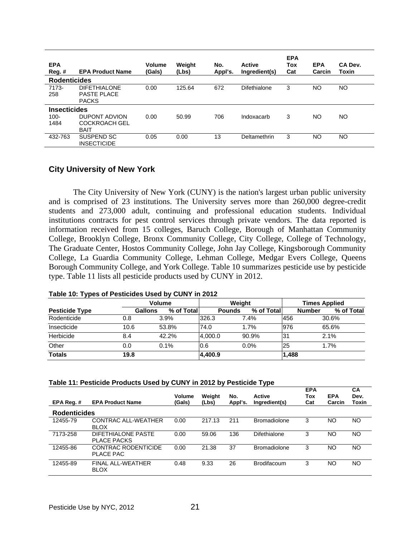| <b>EPA</b><br>Reg. # | <b>EPA Product Name</b>                                   | Volume<br>(Gals) | Weight<br>(Lbs) | No.<br>Appl's. | <b>Active</b><br>Ingredient(s) | <b>EPA</b><br>Tox<br>Cat | <b>EPA</b><br>Carcin | CA Dev.<br>Toxin |
|----------------------|-----------------------------------------------------------|------------------|-----------------|----------------|--------------------------------|--------------------------|----------------------|------------------|
| <b>Rodenticides</b>  |                                                           |                  |                 |                |                                |                          |                      |                  |
| 7173-<br>258         | <b>DIFETHIALONE</b><br><b>PASTE PLACE</b><br><b>PACKS</b> | 0.00             | 125.64          | 672            | Difethialone                   | 3                        | <b>NO</b>            | NO.              |
| <b>Insecticides</b>  |                                                           |                  |                 |                |                                |                          |                      |                  |
| $100 -$              | <b>DUPONT ADVION</b>                                      | 0.00             | 50.99           | 706            | Indoxacarb                     | 3                        | NO                   | NO.              |
| 1484                 | <b>COCKROACH GEL</b>                                      |                  |                 |                |                                |                          |                      |                  |
|                      | <b>BAIT</b>                                               |                  |                 |                |                                |                          |                      |                  |
| 432-763              | SUSPEND SC<br><b>INSECTICIDE</b>                          | 0.05             | 0.00            | 13             | Deltamethrin                   | 3                        | NO                   | NO.              |

## **City University of New York**

The City University of New York (CUNY) is the nation's largest urban public university and is comprised of 23 institutions. The University serves more than 260,000 degree-credit students and 273,000 adult, continuing and professional education students. Individual institutions contracts for pest control services through private vendors. The data reported is information received from 15 colleges, Baruch College, Borough of Manhattan Community College, Brooklyn College, Bronx Community College, City College, College of Technology, The Graduate Center, Hostos Community College, John Jay College, Kingsborough Community College, La Guardia Community College, Lehman College, Medgar Evers College, Queens Borough Community College, and York College. Table 10 summarizes pesticide use by pesticide type. Table 11 lists all pesticide products used by CUNY in 2012.

|                       |         | <b>Volume</b> |               | Weight     | <b>Times Applied</b> |                             |  |
|-----------------------|---------|---------------|---------------|------------|----------------------|-----------------------------|--|
| <b>Pesticide Type</b> | Gallons | % of Total    | <b>Pounds</b> | % of Total |                      | % of Total<br><b>Number</b> |  |
| Rodenticide           | 0.8     | $3.9\%$       | 326.3         | 7.4%       | 456                  | 30.6%                       |  |
| Insecticide           | 10.6    | 53.8%         | 74.0          | 1.7%       | 976                  | 65.6%                       |  |
| Herbicide             | 8.4     | 42.2%         | 4.000.0       | 90.9%      | 31                   | 2.1%                        |  |
| Other                 | 0.0     | 0.1%          | 0.6           | 0.0%       | 25                   | 1.7%                        |  |
| <b>Totals</b>         | 19.8    |               | 4,400.9       |            | 1,488                |                             |  |

#### **Table 10: Types of Pesticides Used by CUNY in 2012**

#### **Table 11: Pesticide Products Used by CUNY in 2012 by Pesticide Type**

| EPA Reg.#           | <b>EPA Product Name</b>                  | <b>Volume</b><br>(Gals) | Weight<br>(Lbs) | No.<br>Appl's. | Active<br>Ingredient(s) | <b>EPA</b><br>Tox<br>Cat | <b>EPA</b><br>Carcin | СA<br>Dev.<br>Toxin |
|---------------------|------------------------------------------|-------------------------|-----------------|----------------|-------------------------|--------------------------|----------------------|---------------------|
| <b>Rodenticides</b> |                                          |                         |                 |                |                         |                          |                      |                     |
| 12455-79            | CONTRAC ALL-WEATHER<br><b>BLOX</b>       | 0.00                    | 217.13          | 211            | <b>Bromadiolone</b>     | 3                        | NO                   | NO.                 |
| 7173-258            | DIFETHIALONE PASTE<br><b>PLACE PACKS</b> | 0.00                    | 59.06           | 136            | Difethialone            | 3                        | NO                   | NO.                 |
| 12455-86            | CONTRAC RODENTICIDE<br>PLACE PAC         | 0.00                    | 21.38           | 37             | <b>Bromadiolone</b>     | 3                        | NO                   | NO.                 |
| 12455-89            | FINAL ALL-WEATHER<br><b>BLOX</b>         | 0.48                    | 9.33            | 26             | <b>Brodifacoum</b>      | 3                        | NO                   | NO.                 |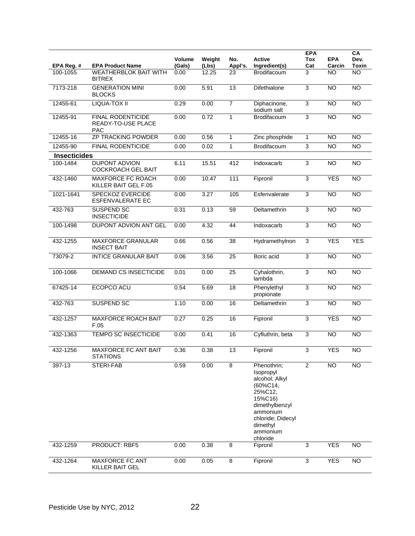| EPA Reg. #          | <b>EPA Product Name</b>                                             | Volume<br>(Gals) | Weight<br>(Lbs) | No.<br>Appl's.  | Active<br>Ingredient(s)                                                                                                                                             | <b>EPA</b><br>Tox<br>Cat | <b>EPA</b><br>Carcin | CA<br>Dev.<br><b>Toxin</b> |
|---------------------|---------------------------------------------------------------------|------------------|-----------------|-----------------|---------------------------------------------------------------------------------------------------------------------------------------------------------------------|--------------------------|----------------------|----------------------------|
| 100-1055            | <b>WEATHERBLOK BAIT WITH</b><br><b>BITREX</b>                       | 0.00             | 12.25           | 23              | <b>Brodifacoum</b>                                                                                                                                                  | 3                        | NO                   | <b>NO</b>                  |
| 7173-218            | <b>GENERATION MINI</b><br><b>BLOCKS</b>                             | 0.00             | 5.91            | 13              | Difethialone                                                                                                                                                        | 3                        | <b>NO</b>            | NO                         |
| 12455-61            | LIQUA-TOX II                                                        | 0.29             | 0.00            | $\overline{7}$  | Diphacinone,<br>sodium salt                                                                                                                                         | $\overline{3}$           | $\overline{NO}$      | $\overline{NO}$            |
| 12455-91            | <b>FINAL RODENTICIDE</b><br><b>READY-TO-USE PLACE</b><br><b>PAC</b> | 0.00             | 0.72            | $\mathbf{1}$    | Brodifacoum                                                                                                                                                         | 3                        | N <sub>O</sub>       | <b>NO</b>                  |
| 12455-16            | <b>ZP TRACKING POWDER</b>                                           | 0.00             | 0.56            | 1               | Zinc phosphide                                                                                                                                                      | 1                        | <b>NO</b>            | <b>NO</b>                  |
| 12455-90            | FINAL RODENTICIDE                                                   | 0.00             | 0.02            | $\mathbf{1}$    | Brodifacoum                                                                                                                                                         | $\overline{3}$           | <b>NO</b>            | <b>NO</b>                  |
| <b>Insecticides</b> |                                                                     |                  |                 |                 |                                                                                                                                                                     |                          |                      |                            |
| 100-1484            | <b>DUPONT ADVION</b><br><b>COCKROACH GEL BAIT</b>                   | 6.11             | 15.51           | 412             | Indoxacarb                                                                                                                                                          | 3                        | <b>NO</b>            | <b>NO</b>                  |
| 432-1460            | <b>MAXFORCE FC ROACH</b><br>KILLER BAIT GEL F.05                    | 0.00             | 10.47           | 111             | Fipronil                                                                                                                                                            | $\overline{3}$           | <b>YES</b>           | <b>NO</b>                  |
| 1021-1641           | <b>SPECKOZ EVERCIDE</b><br><b>ESFENVALERATE EC</b>                  | 0.00             | 3.27            | 105             | Esfenvalerate                                                                                                                                                       | 3                        | NO                   | N <sub>O</sub>             |
| 432-763             | SUSPEND SC<br><b>INSECTICIDE</b>                                    | 0.31             | 0.13            | 59              | Deltamethrin                                                                                                                                                        | 3                        | <b>NO</b>            | N <sub>O</sub>             |
| 100-1498            | <b>DUPONT ADVION ANT GEL</b>                                        | 0.00             | 4.32            | 44              | Indoxacarb                                                                                                                                                          | 3                        | <b>NO</b>            | <b>NO</b>                  |
| 432-1255            | <b>MAXFORCE GRANULAR</b><br><b>INSECT BAIT</b>                      | 0.66             | 0.56            | 38              | Hydramethylnon                                                                                                                                                      | 3                        | <b>YES</b>           | <b>YES</b>                 |
| 73079-2             | <b>INTICE GRANULAR BAIT</b>                                         | 0.06             | 3.56            | 25              | Boric acid                                                                                                                                                          | 3                        | N <sub>O</sub>       | $\overline{NO}$            |
| 100-1066            | DEMAND CS INSECTICIDE                                               | 0.01             | 0.00            | 25              | Cyhalothrin,<br>lambda                                                                                                                                              | $\overline{3}$           | <b>NO</b>            | <b>NO</b>                  |
| 67425-14            | ECOPCO ACU                                                          | 0.54             | 5.69            | $\overline{18}$ | Phenylethyl<br>propionate                                                                                                                                           | 3                        | N <sub>O</sub>       | $\overline{NO}$            |
| 432-763             | <b>SUSPEND SC</b>                                                   | 1.10             | 0.00            | 16              | Deltamethrin                                                                                                                                                        | 3                        | N <sub>O</sub>       | N <sub>O</sub>             |
| 432-1257            | <b>MAXFORCE ROACH BAIT</b><br>F.05                                  | 0.27             | 0.25            | 16              | Fipronil                                                                                                                                                            | $\overline{3}$           | <b>YES</b>           | <b>NO</b>                  |
| 432-1363            | TEMPO SC INSECTICIDE                                                | 0.00             | 0.41            | 16              | Cyfluthrin, beta                                                                                                                                                    | 3                        | <b>NO</b>            | <b>NO</b>                  |
| 432-1256            | <b>MAXFORCE FC ANT BAIT</b><br><b>STATIONS</b>                      | 0.36             | 0.38            | 13              | Fipronil                                                                                                                                                            | 3                        | <b>YES</b>           | $\overline{NO}$            |
| 397-13              | STERI-FAB                                                           | 0.59             | 0.00            | 8               | Phenothrin;<br>Isopropyl<br>alcohol; Alkyl<br>(60%C14,<br>25%C12,<br>15%C16)<br>dimethylbenzyl<br>ammonium<br>chloride; Didecyl<br>dimethyl<br>ammonium<br>chloride | $\overline{2}$           | <b>NO</b>            | <b>NO</b>                  |
| 432-1259            | PRODUCT: RBF5                                                       | 0.00             | 0.38            | 8               | Fipronil                                                                                                                                                            | 3                        | <b>YES</b>           | <b>NO</b>                  |
| 432-1264            | MAXFORCE FC ANT<br>KILLER BAIT GEL                                  | 0.00             | 0.05            | 8               | Fipronil                                                                                                                                                            | 3                        | <b>YES</b>           | <b>NO</b>                  |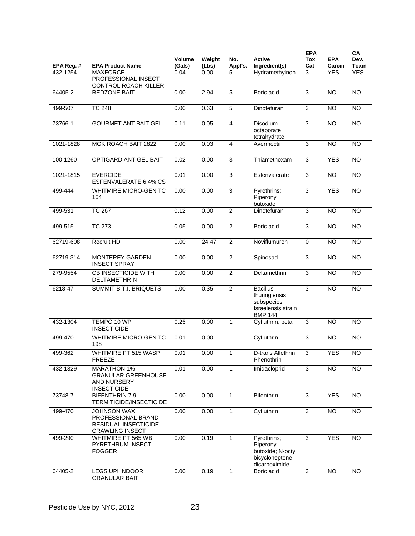| EPA Reg. # | No.<br><b>Active</b><br><b>Volume</b><br>Weight<br>Ingredient(s)<br><b>EPA Product Name</b><br>(Gals)<br>Appl's.<br>(Lbs) |      |       | <b>EPA</b><br>Tox<br>Cat | <b>EPA</b><br>Carcin                                                                   | CA<br>Dev.<br><b>Toxin</b> |                 |                 |
|------------|---------------------------------------------------------------------------------------------------------------------------|------|-------|--------------------------|----------------------------------------------------------------------------------------|----------------------------|-----------------|-----------------|
| 432-1254   | <b>MAXFORCE</b><br>PROFESSIONAL INSECT<br>CONTROL ROACH KILLER                                                            | 0.04 | 0.00  | 5                        | Hydramethylnon                                                                         | 3                          | <b>YES</b>      | <b>YES</b>      |
| 64405-2    | <b>REDZONE BAIT</b>                                                                                                       | 0.00 | 2.94  | $\overline{5}$           | Boric acid                                                                             | 3                          | $\overline{NO}$ | $\overline{NO}$ |
| 499-507    | <b>TC 248</b>                                                                                                             | 0.00 | 0.63  | $\overline{5}$           | Dinotefuran                                                                            | 3                          | $\overline{NO}$ | $\overline{NO}$ |
| 73766-1    | <b>GOURMET ANT BAIT GEL</b>                                                                                               | 0.11 | 0.05  | $\overline{\mathbf{4}}$  | Disodium<br>octaborate<br>tetrahydrate                                                 | 3                          | $\overline{NO}$ | $\overline{NO}$ |
| 1021-1828  | MGK ROACH BAIT 2822                                                                                                       | 0.00 | 0.03  | 4                        | Avermectin                                                                             | 3                          | $\overline{NO}$ | $\overline{NO}$ |
| 100-1260   | OPTIGARD ANT GEL BAIT                                                                                                     | 0.02 | 0.00  | 3                        | Thiamethoxam                                                                           | 3                          | <b>YES</b>      | <b>NO</b>       |
| 1021-1815  | <b>EVERCIDE</b><br>ESFENVALERATE 6.4% CS                                                                                  | 0.01 | 0.00  | $\overline{3}$           | Esfenvalerate                                                                          | $\mathsf 3$                | <b>NO</b>       | $\overline{NO}$ |
| 499-444    | <b>WHITMIRE MICRO-GEN TC</b><br>164                                                                                       | 0.00 | 0.00  | 3                        | Pyrethrins;<br>Piperonyl<br>butoxide                                                   | 3                          | <b>YES</b>      | $\overline{NO}$ |
| 499-531    | <b>TC 267</b>                                                                                                             | 0.12 | 0.00  | $\overline{2}$           | Dinotefuran                                                                            | 3                          | <b>NO</b>       | <b>NO</b>       |
| 499-515    | <b>TC 273</b>                                                                                                             | 0.05 | 0.00  | $\overline{2}$           | Boric acid                                                                             | 3                          | $\overline{NO}$ | N <sub>O</sub>  |
| 62719-608  | Recruit HD                                                                                                                | 0.00 | 24.47 | $\overline{2}$           | Noviflumuron                                                                           | $\mathbf 0$                | <b>NO</b>       | <b>NO</b>       |
| 62719-314  | MONTEREY GARDEN<br><b>INSECT SPRAY</b>                                                                                    | 0.00 | 0.00  | $\overline{2}$           | Spinosad                                                                               | 3                          | <b>NO</b>       | $\overline{NO}$ |
| 279-9554   | <b>CB INSECTICIDE WITH</b><br>DELTAMETHRIN                                                                                | 0.00 | 0.00  | $\overline{2}$           | Deltamethrin                                                                           | $\overline{3}$             | <b>NO</b>       | $\overline{NO}$ |
| 6218-47    | SUMMIT B.T.I. BRIQUETS                                                                                                    | 0.00 | 0.35  | $\overline{2}$           | <b>Bacillus</b><br>thuringiensis<br>subspecies<br>Israelensis strain<br><b>BMP 144</b> | 3                          | <b>NO</b>       | <b>NO</b>       |
| 432-1304   | TEMPO 10 WP<br><b>INSECTICIDE</b>                                                                                         | 0.25 | 0.00  | $\mathbf{1}$             | Cyfluthrin, beta                                                                       | 3                          | <b>NO</b>       | <b>NO</b>       |
| 499-470    | <b>WHITMIRE MICRO-GEN TC</b><br>198                                                                                       | 0.01 | 0.00  | 1                        | Cyfluthrin                                                                             | 3                          | <b>NO</b>       | $\overline{NO}$ |
| 499-362    | WHITMIRE PT 515 WASP<br><b>FREEZE</b>                                                                                     | 0.01 | 0.00  | 1                        | D-trans Allethrin;<br>Phenothrin                                                       | 3                          | <b>YES</b>      | $\overline{NO}$ |
| 432-1329   | <b>MARATHON 1%</b><br><b>GRANULAR GREENHOUSE</b><br><b>AND NURSERY</b><br><b>INSECTICIDE</b>                              | 0.01 | 0.00  | 1                        | Imidacloprid                                                                           | 3                          | $\overline{NO}$ | $\overline{NO}$ |
| 73748-7    | <b>BIFENTHRIN 7.9</b><br>TERMITICIDE/INSECTICIDE                                                                          | 0.00 | 0.00  | 1                        | Bifenthrin                                                                             | 3                          | <b>YES</b>      | $\overline{NO}$ |
| 499-470    | <b>JOHNSON WAX</b><br>PROFESSIONAL BRAND<br>RESIDUAL INSECTICIDE<br><b>CRAWLING INSECT</b>                                | 0.00 | 0.00  | 1                        | Cyfluthrin                                                                             | $\ensuremath{\mathsf{3}}$  | <b>NO</b>       | $\overline{NO}$ |
| 499-290    | WHITMIRE PT 565 WB<br>PYRETHRUM INSECT<br><b>FOGGER</b>                                                                   | 0.00 | 0.19  | 1                        | Pyrethrins;<br>Piperonyl<br>butoxide; N-octyl<br>bicycloheptene<br>dicarboximide       | $\mathsf 3$                | <b>YES</b>      | <b>NO</b>       |
| 64405-2    | LEGS UP! INDOOR<br><b>GRANULAR BAIT</b>                                                                                   | 0.00 | 0.19  | 1                        | Boric acid                                                                             | 3                          | <b>NO</b>       | $\overline{NO}$ |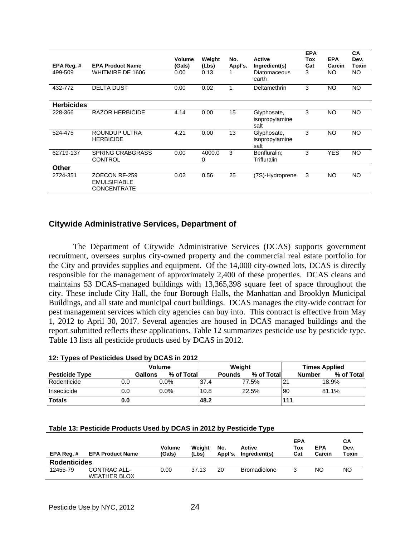|                   |                                                     | Volume | Weight      | No.     | <b>Active</b>                         | <b>EPA</b><br>Tox | <b>EPA</b> | CA<br>Dev. |
|-------------------|-----------------------------------------------------|--------|-------------|---------|---------------------------------------|-------------------|------------|------------|
| EPA Reg.#         | <b>EPA Product Name</b>                             | (Gals) | (Lbs)       | Appl's. | Ingredient(s)                         | Cat               | Carcin     | Toxin      |
| 499-509           | WHITMIRE DE 1606                                    | 0.00   | 0.13        |         | <b>Diatomaceous</b><br>earth          | 3                 | <b>NO</b>  | NO.        |
| 432-772           | <b>DELTA DUST</b>                                   | 0.00   | 0.02        | 1       | Deltamethrin                          | 3                 | <b>NO</b>  | <b>NO</b>  |
| <b>Herbicides</b> |                                                     |        |             |         |                                       |                   |            |            |
| 228-366           | <b>RAZOR HERBICIDE</b>                              | 4.14   | 0.00        | 15      | Glyphosate,<br>isopropylamine<br>salt | 3                 | <b>NO</b>  | <b>NO</b>  |
| 524-475           | ROUNDUP ULTRA<br><b>HERBICIDE</b>                   | 4.21   | 0.00        | 13      | Glyphosate,<br>isopropylamine<br>salt | 3                 | <b>NO</b>  | <b>NO</b>  |
| 62719-137         | <b>SPRING CRABGRASS</b><br><b>CONTROL</b>           | 0.00   | 4000.0<br>0 | 3       | Benfluralin;<br>Trifluralin           | 3                 | <b>YES</b> | <b>NO</b>  |
| Other             |                                                     |        |             |         |                                       |                   |            |            |
| 2724-351          | ZOECON RF-259<br><b>EMULSIFIABLE</b><br>CONCENTRATE | 0.02   | 0.56        | 25      | (7S)-Hydroprene                       | 3                 | <b>NO</b>  | NO.        |

#### **Citywide Administrative Services, Department of**

 The Department of Citywide Administrative Services (DCAS) supports government recruitment, oversees surplus city-owned property and the commercial real estate portfolio for the City and provides supplies and equipment. Of the 14,000 city-owned lots, DCAS is directly responsible for the management of approximately 2,400 of these properties. DCAS cleans and maintains 53 DCAS-managed buildings with 13,365,398 square feet of space throughout the city. These include City Hall, the four Borough Halls, the Manhattan and Brooklyn Municipal Buildings, and all state and municipal court buildings. DCAS manages the city-wide contract for pest management services which city agencies can buy into. This contract is effective from May 1, 2012 to April 30, 2017. Several agencies are housed in DCAS managed buildings and the report submitted reflects these applications. Table 12 summarizes pesticide use by pesticide type. Table 13 lists all pesticide products used by DCAS in 2012.

#### **12: Types of Pesticides Used by DCAS in 2012**

|                       |     | <b>Volume</b> |            |      | Weight        |            |                | <b>Times Applied</b> |            |  |
|-----------------------|-----|---------------|------------|------|---------------|------------|----------------|----------------------|------------|--|
| <b>Pesticide Type</b> |     | Gallons       | % of Total |      | <b>Pounds</b> | % of Total |                | <b>Number</b>        | % of Total |  |
| Rodenticide           | 0.0 |               | $0.0\%$    | 37.4 |               | 77.5%      | 2 <sup>1</sup> |                      | 18.9%      |  |
| Insecticide           | 0.0 |               | $0.0\%$    | 10.8 |               | 22.5%      | 90             |                      | 81.1%      |  |
| <b>Totals</b>         | 0.0 |               |            | 48.2 |               |            | 111            |                      |            |  |

#### **Table 13: Pesticide Products Used by DCAS in 2012 by Pesticide Type**

| EPA Reg.#           | <b>EPA Product Name</b>             | <b>Volume</b><br>(Gals) | Weiaht<br>(Lbs) | No.<br>Appl's. | Active<br>Ingredient(s) | <b>EPA</b><br>Tox<br>Cat | <b>EPA</b><br>Carcin | CА<br>Dev.<br>Toxin |
|---------------------|-------------------------------------|-------------------------|-----------------|----------------|-------------------------|--------------------------|----------------------|---------------------|
| <b>Rodenticides</b> |                                     |                         |                 |                |                         |                          |                      |                     |
| 12455-79            | CONTRAC ALL-<br><b>WEATHER BLOX</b> | 0.00                    | 37.13           | 20             | Bromadiolone            |                          | NΟ                   | NO                  |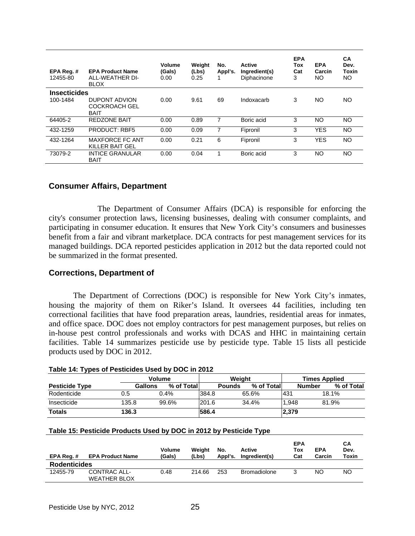| EPA Reg. #<br>12455-80 | <b>EPA Product Name</b><br>ALL-WEATHER DI-<br><b>BLOX</b>   | Volume<br>(Gals)<br>0.00 | Weight<br>(Lbs)<br>0.25 | No.<br>Appl's. | Active<br>Ingredient(s)<br>Diphacinone | <b>EPA</b><br>Tox<br>Cat<br>3 | <b>EPA</b><br>Carcin<br>NO | СA<br>Dev.<br>Toxin<br>NO |
|------------------------|-------------------------------------------------------------|--------------------------|-------------------------|----------------|----------------------------------------|-------------------------------|----------------------------|---------------------------|
| <b>Insecticides</b>    |                                                             |                          |                         |                |                                        |                               |                            |                           |
| 100-1484               | <b>DUPONT ADVION</b><br><b>COCKROACH GEL</b><br><b>BAIT</b> | 0.00                     | 9.61                    | 69             | Indoxacarb                             | 3                             | NO                         | NO.                       |
| 64405-2                | <b>REDZONE BAIT</b>                                         | 0.00                     | 0.89                    | 7              | Boric acid                             | 3                             | NO                         | NO.                       |
| 432-1259               | <b>PRODUCT: RBF5</b>                                        | 0.00                     | 0.09                    | 7              | Fipronil                               | 3                             | <b>YES</b>                 | NO.                       |
| 432-1264               | MAXFORCE FC ANT<br>KILLER BAIT GEL                          | 0.00                     | 0.21                    | 6              | Fipronil                               | 3                             | <b>YES</b>                 | <b>NO</b>                 |
| 73079-2                | <b>INTICE GRANULAR</b><br><b>BAIT</b>                       | 0.00                     | 0.04                    | 1              | Boric acid                             | 3                             | NO                         | NO.                       |

#### **Consumer Affairs, Department**

 The Department of Consumer Affairs (DCA) is responsible for enforcing the city's consumer protection laws, licensing businesses, dealing with consumer complaints, and participating in consumer education. It ensures that New York City's consumers and businesses benefit from a fair and vibrant marketplace. DCA contracts for pest management services for its managed buildings. DCA reported pesticides application in 2012 but the data reported could not be summarized in the format presented.

#### **Corrections, Department of**

 The Department of Corrections (DOC) is responsible for New York City's inmates, housing the majority of them on Riker's Island. It oversees 44 facilities, including ten correctional facilities that have food preparation areas, laundries, residential areas for inmates, and office space. DOC does not employ contractors for pest management purposes, but relies on in-house pest control professionals and works with DCAS and HHC in maintaining certain facilities. Table 14 summarizes pesticide use by pesticide type. Table 15 lists all pesticide products used by DOC in 2012.

#### **Table 14: Types of Pesticides Used by DOC in 2012**

|                       |         | <b>Volume</b> |       |               | Weight     |       | <b>Times Applied</b>        |  |  |
|-----------------------|---------|---------------|-------|---------------|------------|-------|-----------------------------|--|--|
| <b>Pesticide Type</b> | Gallons | % of Total    |       | <b>Pounds</b> | % of Total |       | % of Total<br><b>Number</b> |  |  |
| Rodenticide           | 0.5     | 0.4%          | 384.8 |               | 65.6%      | 1431  | 18.1%                       |  |  |
| Insecticide           | 135.8   | 99.6%         | 201.6 |               | 34.4%      | 1.948 | 81.9%                       |  |  |
| <b>Totals</b>         | 136.3   |               | 586.4 |               |            | 2,379 |                             |  |  |

#### **Table 15: Pesticide Products Used by DOC in 2012 by Pesticide Type**

| EPA Reg.#           | <b>EPA Product Name</b> | Volume<br>(Gals) | Weiaht<br>(Lbs) | No.<br>Appl's. | Active<br>Ingredient(s) | <b>EPA</b><br>Tox<br>Cat | <b>EPA</b><br>Carcin | CА<br>Dev.<br>Toxin |
|---------------------|-------------------------|------------------|-----------------|----------------|-------------------------|--------------------------|----------------------|---------------------|
| <b>Rodenticides</b> |                         |                  |                 |                |                         |                          |                      |                     |
| 12455-79            | CONTRAC ALL-            | 0.48             | 214.66          | 253            | <b>Bromadiolone</b>     | າ                        | ΝO                   | NO                  |
|                     | <b>WEATHER BLOX</b>     |                  |                 |                |                         |                          |                      |                     |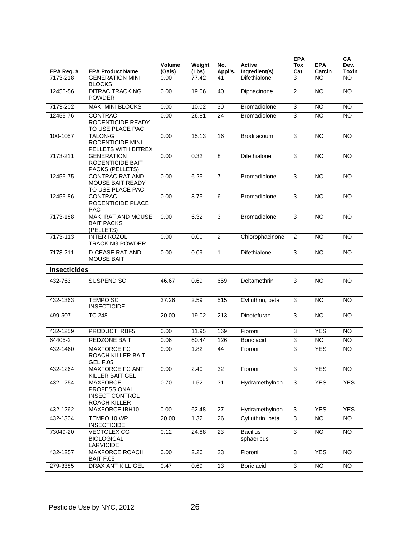| EPA Reg. #          | <b>EPA Product Name</b>                                                  | Volume<br>(Gals) | Weight<br>(Lbs) | No.<br>Appl's.  | <b>Active</b><br>Ingredient(s) | <b>EPA</b><br>Tox<br>Cat | <b>EPA</b><br>Carcin | CA<br>Dev.<br>Toxin |
|---------------------|--------------------------------------------------------------------------|------------------|-----------------|-----------------|--------------------------------|--------------------------|----------------------|---------------------|
| 7173-218            | <b>GENERATION MINI</b><br><b>BLOCKS</b>                                  | 0.00             | 77.42           | 41              | Difethialone                   | 3                        | <b>NO</b>            | NO.                 |
| 12455-56            | <b>DITRAC TRACKING</b><br><b>POWDER</b>                                  | 0.00             | 19.06           | 40              | Diphacinone                    | $\overline{c}$           | <b>NO</b>            | <b>NO</b>           |
| 7173-202            | <b>MAKI MINI BLOCKS</b>                                                  | 0.00             | 10.02           | 30              | <b>Bromadiolone</b>            | 3                        | <b>NO</b>            | <b>NO</b>           |
| 12455-76            | <b>CONTRAC</b><br>RODENTICIDE READY<br>TO USE PLACE PAC                  | 0.00             | 26.81           | 24              | Bromadiolone                   | 3                        | <b>NO</b>            | <b>NO</b>           |
| 100-1057            | <b>TALON-G</b><br><b>RODENTICIDE MINI-</b><br>PELLETS WITH BITREX        | 0.00             | 15.13           | 16              | Brodifacoum                    | $\overline{3}$           | <b>NO</b>            | <b>NO</b>           |
| 7173-211            | <b>GENERATION</b><br>RODENTICIDE BAIT<br>PACKS (PELLETS)                 | 0.00             | 0.32            | 8               | Difethialone                   | 3                        | <b>NO</b>            | <b>NO</b>           |
| 12455-75            | <b>CONTRAC RAT AND</b><br><b>MOUSE BAIT READY</b><br>TO USE PLACE PAC    | 0.00             | 6.25            | $\overline{7}$  | <b>Bromadiolone</b>            | 3                        | <b>NO</b>            | <b>NO</b>           |
| 12455-86            | <b>CONTRAC</b><br>RODENTICIDE PLACE<br><b>PAC</b>                        | 0.00             | 8.75            | 6               | <b>Bromadiolone</b>            | 3                        | <b>NO</b>            | <b>NO</b>           |
| 7173-188            | MAKI RAT AND MOUSE<br><b>BAIT PACKS</b><br>(PELLETS)                     | 0.00             | 6.32            | 3               | Bromadiolone                   | 3                        | <b>NO</b>            | <b>NO</b>           |
| 7173-113            | <b>INTER ROZOL</b><br><b>TRACKING POWDER</b>                             | 0.00             | 0.00            | $\mathbf{2}$    | Chlorophacinone                | $\overline{2}$           | <b>NO</b>            | <b>NO</b>           |
| 7173-211            | <b>D-CEASE RAT AND</b><br><b>MOUSE BAIT</b>                              | 0.00             | 0.09            | $\mathbf{1}$    | Difethialone                   | 3                        | <b>NO</b>            | <b>NO</b>           |
| <b>Insecticides</b> |                                                                          |                  |                 |                 |                                |                          |                      |                     |
| 432-763             | SUSPEND SC                                                               | 46.67            | 0.69            | 659             | Deltamethrin                   | 3                        | <b>NO</b>            | <b>NO</b>           |
| 432-1363            | <b>TEMPO SC</b><br><b>INSECTICIDE</b>                                    | 37.26            | 2.59            | 515             | Cyfluthrin, beta               | $\overline{3}$           | <b>NO</b>            | <b>NO</b>           |
| 499-507             | <b>TC 248</b>                                                            | 20.00            | 19.02           | 213             | Dinotefuran                    | 3                        | <b>NO</b>            | <b>NO</b>           |
| 432-1259            | PRODUCT: RBF5                                                            | 0.00             | 11.95           | 169             | Fipronil                       | 3                        | <b>YES</b>           | <b>NO</b>           |
| 64405-2             | <b>REDZONE BAIT</b>                                                      | 0.06             | 60.44           | 126             | Boric acid                     | 3                        | <b>NO</b>            | $\overline{NO}$     |
| 432-1460            | <b>MAXFORCE FC</b><br>ROACH KILLER BAIT<br><b>GEL F.05</b>               | 0.00             | 1.82            | 44              | Fipronil                       | 3                        | <b>YES</b>           | <b>NO</b>           |
| 432-1264            | <b>MAXFORCE FC ANT</b><br>KILLER BAIT GEL                                | 0.00             | 2.40            | 32              | Fipronil                       | 3                        | <b>YES</b>           | $\overline{NO}$     |
| 432-1254            | <b>MAXFORCE</b><br>PROFESSIONAL<br><b>INSECT CONTROL</b><br>ROACH KILLER | 0.70             | 1.52            | 31              | Hydramethylnon                 | $\overline{3}$           | <b>YES</b>           | <b>YES</b>          |
| 432-1262            | MAXFORCE IBH10                                                           | 0.00             | 62.48           | 27              | Hydramethylnon                 | $\overline{3}$           | <b>YES</b>           | <b>YES</b>          |
| 432-1304            | TEMPO 10 WP<br><b>INSECTICIDE</b>                                        | 20.00            | 1.32            | 26              | Cyfluthrin, beta               | 3                        | <b>NO</b>            | <b>NO</b>           |
| 73049-20            | <b>VECTOLEX CG</b><br><b>BIOLOGICAL</b><br>LARVICIDE                     | 0.12             | 24.88           | 23              | <b>Bacillus</b><br>sphaericus  | 3                        | <b>NO</b>            | <b>NO</b>           |
| 432-1257            | MAXFORCE ROACH<br>BAIT F.05                                              | 0.00             | 2.26            | 23              | Fipronil                       | 3                        | <b>YES</b>           | <b>NO</b>           |
| 279-3385            | <b>DRAX ANT KILL GEL</b>                                                 | 0.47             | 0.69            | $\overline{13}$ | Boric acid                     | $\overline{3}$           | $\overline{NO}$      | $\overline{10}$     |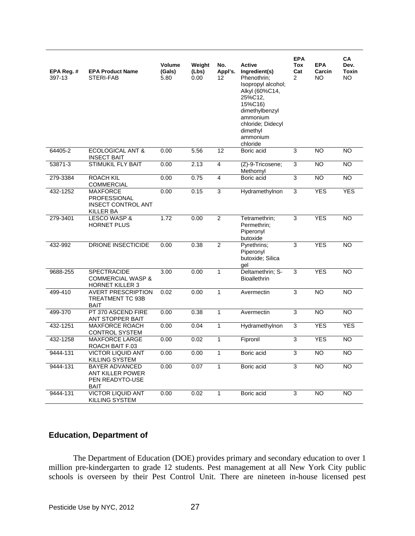| EPA Reg. #<br>397-13 | <b>EPA Product Name</b><br>STERI-FAB                                             | Volume<br>(Gals)<br>5.80 | Weight<br>(Lbs)<br>0.00 | No.<br>Appl's.<br>12 | <b>Active</b><br>Ingredient(s)<br>Phenothrin;<br>Isopropyl alcohol;<br>Alkyl (60%C14,<br>25%C12.<br>15%C16)<br>dimethylbenzyl<br>ammonium<br>chloride: Didecyl<br>dimethyl<br>ammonium<br>chloride | <b>EPA</b><br>Tox<br>Cat<br>$\overline{2}$ | <b>EPA</b><br>Carcin<br>NO. | CA<br>Dev.<br><b>Toxin</b><br>NO. |
|----------------------|----------------------------------------------------------------------------------|--------------------------|-------------------------|----------------------|----------------------------------------------------------------------------------------------------------------------------------------------------------------------------------------------------|--------------------------------------------|-----------------------------|-----------------------------------|
| 64405-2              | <b>ECOLOGICAL ANT &amp;</b><br><b>INSECT BAIT</b>                                | 0.00                     | 5.56                    | 12                   | Boric acid                                                                                                                                                                                         | 3                                          | $\overline{NO}$             | <b>NO</b>                         |
| 53871-3              | <b>STIMUKIL FLY BAIT</b>                                                         | 0.00                     | 2.13                    | $\overline{4}$       | (Z)-9-Tricosene;<br>Methomyl                                                                                                                                                                       | 3                                          | <b>NO</b>                   | <b>NO</b>                         |
| 279-3384             | <b>ROACH KIL</b><br><b>COMMERCIAL</b>                                            | 0.00                     | 0.75                    | $\overline{4}$       | Boric acid                                                                                                                                                                                         | 3                                          | <b>NO</b>                   | <b>NO</b>                         |
| 432-1252             | <b>MAXFORCE</b><br><b>PROFESSIONAL</b><br><b>INSECT CONTROL ANT</b><br>KILLER BA | 0.00                     | 0.15                    | 3                    | Hydramethylnon                                                                                                                                                                                     | $\overline{3}$                             | <b>YES</b>                  | <b>YES</b>                        |
| 279-3401             | <b>LESCO WASP &amp;</b><br><b>HORNET PLUS</b>                                    | 1.72                     | 0.00                    | $\overline{2}$       | Tetramethrin;<br>Permethrin:<br>Piperonyl<br>butoxide                                                                                                                                              | 3                                          | <b>YES</b>                  | <b>NO</b>                         |
| 432-992              | DRIONE INSECTICIDE                                                               | 0.00                     | 0.38                    | $\overline{2}$       | Pyrethrins;<br>Piperonyl<br>butoxide; Silica<br>gel                                                                                                                                                | 3                                          | <b>YES</b>                  | <b>NO</b>                         |
| 9688-255             | <b>SPECTRACIDE</b><br><b>COMMERCIAL WASP &amp;</b><br><b>HORNET KILLER 3</b>     | 3.00                     | 0.00                    | $\mathbf{1}$         | Deltamethrin; S-<br><b>Bioallethrin</b>                                                                                                                                                            | 3                                          | <b>YES</b>                  | <b>NO</b>                         |
| 499-410              | <b>AVERT PRESCRIPTION</b><br>TREATMENT TC 93B<br><b>BAIT</b>                     | 0.02                     | 0.00                    | $\mathbf{1}$         | Avermectin                                                                                                                                                                                         | 3                                          | <b>NO</b>                   | <b>NO</b>                         |
| 499-370              | PT 370 ASCEND FIRE<br>ANT STOPPER BAIT                                           | 0.00                     | 0.38                    | $\mathbf{1}$         | Avermectin                                                                                                                                                                                         | 3                                          | <b>NO</b>                   | <b>NO</b>                         |
| 432-1251             | <b>MAXFORCE ROACH</b><br><b>CONTROL SYSTEM</b>                                   | 0.00                     | 0.04                    | $\mathbf{1}$         | Hydramethylnon                                                                                                                                                                                     | 3                                          | <b>YES</b>                  | <b>YES</b>                        |
| 432-1258             | <b>MAXFORCE LARGE</b><br>ROACH BAIT F.03                                         | 0.00                     | 0.02                    | $\mathbf{1}$         | Fipronil                                                                                                                                                                                           | 3                                          | <b>YES</b>                  | <b>NO</b>                         |
| 9444-131             | <b>VICTOR LIQUID ANT</b><br>KILLING SYSTEM                                       | 0.00                     | 0.00                    | $\mathbf{1}$         | Boric acid                                                                                                                                                                                         | $\overline{3}$                             | <b>NO</b>                   | NO.                               |
| 9444-131             | <b>BAYER ADVANCED</b><br><b>ANT KILLER POWER</b><br>PEN READYTO-USE<br>BAIT      | 0.00                     | 0.07                    | $\mathbf{1}$         | Boric acid                                                                                                                                                                                         | 3                                          | <b>NO</b>                   | NO.                               |
| 9444-131             | <b>VICTOR LIQUID ANT</b><br>KILLING SYSTEM                                       | 0.00                     | 0.02                    | $\mathbf{1}$         | Boric acid                                                                                                                                                                                         | 3                                          | <b>NO</b>                   | <b>NO</b>                         |

## **Education, Department of**

 The Department of Education (DOE) provides primary and secondary education to over 1 million pre-kindergarten to grade 12 students. Pest management at all New York City public schools is overseen by their Pest Control Unit. There are nineteen in-house licensed pest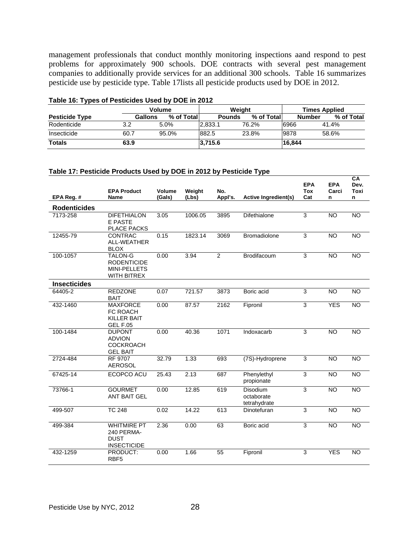management professionals that conduct monthly monitoring inspections aand respond to pest problems for approximately 900 schools. DOE contracts with several pest management companies to additionally provide services for an additional 300 schools. Table 16 summarizes pesticide use by pesticide type. Table 17lists all pesticide products used by DOE in 2012.

| - -                   |         | <b>Volume</b> |               | Weight      |               | <b>Times Applied</b> |
|-----------------------|---------|---------------|---------------|-------------|---------------|----------------------|
| <b>Pesticide Type</b> | Gallons | % of Total    | <b>Pounds</b> | % of Totall | <b>Number</b> | % of Total           |
| Rodenticide           | 3.2     | 5.0%          | 2.833.1       | 76.2%       | 6966          | 41.4%                |
| Insecticide           | 60.7    | 95.0%         | 882.5         | 23.8%       | 9878          | 58.6%                |
| <b>Totals</b>         | 63.9    |               | 3,715.6       |             | 16,844        |                      |

#### **Table 16: Types of Pesticides Used by DOE in 2012**

#### **Table 17: Pesticide Products Used by DOE in 2012 by Pesticide Type**

| EPA Reg. #          | <b>EPA Product</b><br>Name                                            | <b>Volume</b><br>(Gals) | Weight<br>(Lbs) | No.<br>Appl's. | Active Ingredient(s)                   | <b>EPA</b><br><b>Tox</b><br>Cat | <b>EPA</b><br>Carci<br>n | <b>CA</b><br>Dev.<br>Toxi<br>n |
|---------------------|-----------------------------------------------------------------------|-------------------------|-----------------|----------------|----------------------------------------|---------------------------------|--------------------------|--------------------------------|
| <b>Rodenticides</b> |                                                                       |                         |                 |                |                                        |                                 |                          |                                |
| 7173-258            | <b>DIFETHIALON</b><br>E PASTE<br><b>PLACE PACKS</b>                   | 3.05                    | 1006.05         | 3895           | Difethialone                           | 3                               | <b>NO</b>                | <b>NO</b>                      |
| 12455-79            | <b>CONTRAC</b><br>ALL-WEATHER<br><b>BLOX</b>                          | 0.15                    | 1823.14         | 3069           | Bromadiolone                           | 3                               | <b>NO</b>                | <b>NO</b>                      |
| 100-1057            | <b>TALON-G</b><br><b>RODENTICIDE</b><br>MINI-PELLETS<br>WITH BITREX   | 0.00                    | 3.94            | $\overline{2}$ | Brodifacoum                            | 3                               | N <sub>O</sub>           | N <sub>O</sub>                 |
| <b>Insecticides</b> |                                                                       |                         |                 |                |                                        |                                 |                          |                                |
| 64405-2             | <b>REDZONE</b><br><b>BAIT</b>                                         | 0.07                    | 721.57          | 3873           | Boric acid                             | 3                               | <b>NO</b>                | <b>NO</b>                      |
| 432-1460            | <b>MAXFORCE</b><br>FC ROACH<br><b>KILLER BAIT</b><br><b>GEL F.05</b>  | 0.00                    | 87.57           | 2162           | Fipronil                               | $\overline{3}$                  | <b>YES</b>               | <b>NO</b>                      |
| 100-1484            | <b>DUPONT</b><br><b>ADVION</b><br><b>COCKROACH</b><br><b>GEL BAIT</b> | 0.00                    | 40.36           | 1071           | Indoxacarb                             | 3                               | <b>NO</b>                | <b>NO</b>                      |
| 2724-484            | RF 9707<br><b>AEROSOL</b>                                             | 32.79                   | 1.33            | 693            | $(7S)$ -Hydroprene                     | 3                               | <b>NO</b>                | <b>NO</b>                      |
| 67425-14            | ECOPCO ACU                                                            | 25.43                   | 2.13            | 687            | Phenylethyl<br>propionate              | 3                               | <b>NO</b>                | NO                             |
| 73766-1             | <b>GOURMET</b><br><b>ANT BAIT GEL</b>                                 | 0.00                    | 12.85           | 619            | Disodium<br>octaborate<br>tetrahydrate | $\overline{3}$                  | N <sub>O</sub>           | <b>NO</b>                      |
| 499-507             | <b>TC 248</b>                                                         | 0.02                    | 14.22           | 613            | Dinotefuran                            | 3                               | <b>NO</b>                | <b>NO</b>                      |
| 499-384             | <b>WHITMIRE PT</b><br>240 PERMA-<br><b>DUST</b><br><b>INSECTICIDE</b> | 2.36                    | 0.00            | 63             | Boric acid                             | 3                               | <b>NO</b>                | <b>NO</b>                      |
| 432-1259            | PRODUCT:<br>RBF <sub>5</sub>                                          | 0.00                    | 1.66            | 55             | Fipronil                               | 3                               | <b>YES</b>               | <b>NO</b>                      |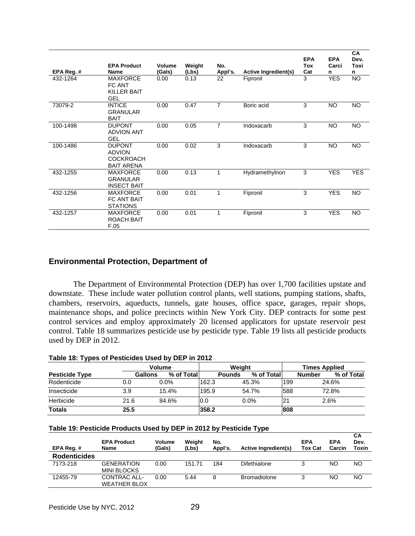|                        | <b>EPA Product</b>                                                           | <b>Volume</b>  | Weight        | No.            |                                         | <b>EPA</b><br>Tox | <b>EPA</b><br>Carci | CA<br>Dev.<br>Toxi |
|------------------------|------------------------------------------------------------------------------|----------------|---------------|----------------|-----------------------------------------|-------------------|---------------------|--------------------|
| EPA Reg. #<br>432-1264 | <b>Name</b><br><b>MAXFORCE</b><br>FC ANT<br><b>KILLER BAIT</b><br><b>GEL</b> | (Gals)<br>0.00 | (Lbs)<br>0.13 | Appl's.<br>22  | <b>Active Ingredient(s)</b><br>Fipronil | Cat<br>3          | n<br><b>YES</b>     | n<br><b>NO</b>     |
| 73079-2                | <b>INTICE</b><br>GRANULAR<br><b>BAIT</b>                                     | 0.00           | 0.47          | $\overline{7}$ | Boric acid                              | 3                 | <b>NO</b>           | NO.                |
| 100-1498               | <b>DUPONT</b><br><b>ADVION ANT</b><br><b>GEL</b>                             | 0.00           | 0.05          | $\overline{7}$ | Indoxacarb                              | 3                 | <b>NO</b>           | <b>NO</b>          |
| 100-1486               | <b>DUPONT</b><br><b>ADVION</b><br><b>COCKROACH</b><br><b>BAIT ARENA</b>      | 0.00           | 0.02          | 3              | Indoxacarb                              | 3                 | <b>NO</b>           | <b>NO</b>          |
| 432-1255               | <b>MAXFORCE</b><br><b>GRANULAR</b><br><b>INSECT BAIT</b>                     | 0.00           | 0.13          | 1              | Hydramethylnon                          | 3                 | <b>YES</b>          | <b>YES</b>         |
| 432-1256               | <b>MAXFORCE</b><br>FC ANT BAIT<br><b>STATIONS</b>                            | 0.00           | 0.01          | 1              | Fipronil                                | 3                 | <b>YES</b>          | <b>NO</b>          |
| 432-1257               | <b>MAXFORCE</b><br><b>ROACH BAIT</b><br>F.05                                 | 0.00           | 0.01          | 1              | Fipronil                                | 3                 | <b>YES</b>          | <b>NO</b>          |

## **Environmental Protection, Department of**

 The Department of Environmental Protection (DEP) has over 1,700 facilities upstate and downstate. These include water pollution control plants, well stations, pumping stations, shafts, chambers, reservoirs, aqueducts, tunnels, gate houses, office space, garages, repair shops, maintenance shops, and police precincts within New York City. DEP contracts for some pest control services and employ approximately 20 licensed applicators for upstate reservoir pest control. Table 18 summarizes pesticide use by pesticide type. Table 19 lists all pesticide products used by DEP in 2012.

| Table 18: Types of Pesticides Used by DEP in 2012 |
|---------------------------------------------------|
|---------------------------------------------------|

|                       |      | <b>Volume</b>         |       | Weight                      |                | <b>Times Applied</b> |            |
|-----------------------|------|-----------------------|-------|-----------------------------|----------------|----------------------|------------|
| <b>Pesticide Type</b> |      | % of Total<br>Gallons |       | % of Total<br><b>Pounds</b> |                | <b>Number</b>        | % of Total |
| Rodenticide           | 0.0  | $0.0\%$               | 162.3 | 45.3%                       | 199            | 24.6%                |            |
| Insecticide           | 3.9  | 15.4%                 | 195.9 | 54.7%                       | 588            | 72.8%                |            |
| Herbicide             | 21.6 | 84.6%                 | 0.0   | $0.0\%$                     | 2 <sup>1</sup> | 2.6%                 |            |
| <b>Totals</b>         | 25.5 |                       | 358.2 |                             | 808            |                      |            |

#### **Table 19: Pesticide Products Used by DEP in 2012 by Pesticide Type**

| EPA Reg.#           | <b>EPA Product</b><br><b>Name</b>   | <b>Volume</b><br>(Gals) | Weight<br>(Lbs) | No.<br>Appl's. | Active Ingredient(s) | EPA<br><b>Tox Cat</b> | <b>EPA</b><br>Carcin | <b>CA</b><br>Dev.<br>Toxin |
|---------------------|-------------------------------------|-------------------------|-----------------|----------------|----------------------|-----------------------|----------------------|----------------------------|
| <b>Rodenticides</b> |                                     |                         |                 |                |                      |                       |                      |                            |
| 7173-218            | <b>GENERATION</b><br>MINI BLOCKS    | 0.00                    | 151.71          | 184            | Difethialone         |                       | <b>NO</b>            | NO                         |
| 12455-79            | CONTRAC ALL-<br><b>WEATHER BLOX</b> | 0.00                    | 5.44            | 8              | <b>Bromadiolone</b>  |                       | <b>NO</b>            | NΟ                         |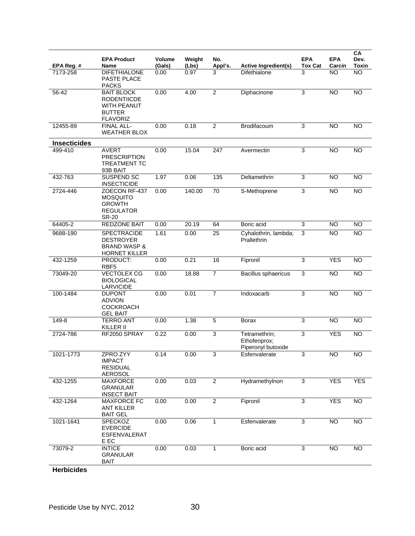| EPA Reg. #          | <b>EPA Product</b><br>Name                                                                 | Volume<br>(Gals) | Weight<br>(Lbs) | No.<br>Appl's. | <b>Active Ingredient(s)</b>                         | <b>EPA</b><br><b>Tox Cat</b> | <b>EPA</b><br>Carcin | CA<br>Dev.<br><b>Toxin</b> |
|---------------------|--------------------------------------------------------------------------------------------|------------------|-----------------|----------------|-----------------------------------------------------|------------------------------|----------------------|----------------------------|
| 7173-258            | <b>DIFETHIALONE</b><br>PASTE PLACE<br><b>PACKS</b>                                         | 0.00             | 0.97            | 3              | Difethialone                                        | 3                            | NO                   | <b>NO</b>                  |
| 56-42               | <b>BAIT BLOCK</b><br><b>RODENTIICDE</b><br>WITH PEANUT<br><b>BUTTER</b><br><b>FLAVORIZ</b> | 0.00             | 4.00            | $\overline{2}$ | Diphacinone                                         | 3                            | <b>NO</b>            | <b>NO</b>                  |
| 12455-89            | <b>FINAL ALL-</b><br><b>WEATHER BLOX</b>                                                   | 0.00             | 0.18            | $\overline{2}$ | Brodifacoum                                         | 3                            | <b>NO</b>            | <b>NO</b>                  |
| <b>Insecticides</b> |                                                                                            |                  |                 |                |                                                     |                              |                      |                            |
| 499-410             | <b>AVERT</b><br><b>PRESCRIPTION</b><br><b>TREATMENT TC</b><br>93B BAIT                     | 0.00             | 15.04           | 247            | Avermectin                                          | 3                            | <b>NO</b>            | <b>NO</b>                  |
| 432-763             | <b>SUSPEND SC</b><br><b>INSECTICIDE</b>                                                    | 1.97             | 0.06            | 135            | Deltamethrin                                        | 3                            | <b>NO</b>            | <b>NO</b>                  |
| 2724-446            | ZOECON RF-437<br><b>MOSQUITO</b><br><b>GROWTH</b><br><b>REGULATOR</b><br><b>SR-20</b>      | 0.00             | 140.00          | 70             | S-Methoprene                                        | 3                            | <b>NO</b>            | <b>NO</b>                  |
| 64405-2             | <b>REDZONE BAIT</b>                                                                        | 0.00             | 20.19           | 64             | Boric acid                                          | 3                            | <b>NO</b>            | <b>NO</b>                  |
| 9688-190            | <b>SPECTRACIDE</b><br><b>DESTROYER</b><br><b>BRAND WASP &amp;</b><br><b>HORNET KILLER</b>  | 1.61             | 0.00            | 25             | Cyhalothrin, lambda;<br>Prallethrin                 | 3                            | <b>NO</b>            | <b>NO</b>                  |
| 432-1259            | PRODUCT:<br>RBF <sub>5</sub>                                                               | 0.00             | 0.21            | 16             | Fipronil                                            | 3                            | <b>YES</b>           | <b>NO</b>                  |
| 73049-20            | <b>VECTOLEX CG</b><br><b>BIOLOGICAL</b><br><b>LARVICIDE</b>                                | 0.00             | 18.88           | $\overline{7}$ | <b>Bacillus sphaericus</b>                          | 3                            | <b>NO</b>            | <b>NO</b>                  |
| 100-1484            | <b>DUPONT</b><br><b>ADVION</b><br><b>COCKROACH</b><br><b>GEL BAIT</b>                      | 0.00             | 0.01            | $\overline{7}$ | Indoxacarb                                          | 3                            | <b>NO</b>            | <b>NO</b>                  |
| 149-8               | <b>TERRO ANT</b><br>KILLER II                                                              | 0.00             | 1.38            | 5              | <b>Borax</b>                                        | 3                            | <b>NO</b>            | <b>NO</b>                  |
| 2724-786            | RF2050 SPRAY                                                                               | 0.22             | 0.00            | $\mathsf 3$    | Tetramethrin;<br>Ethofenprox;<br>Piperonyl butoxide | 3                            | <b>YES</b>           | <b>NO</b>                  |
| 1021-1773           | ZPRO ZYY<br><b>IMPACT</b><br><b>RESIDUAL</b><br>AEROSOL                                    | 0.14             | 0.00            | 3              | Esfenvalerate                                       | 3                            | NO.                  | NO                         |
| 432-1255            | <b>MAXFORCE</b><br><b>GRANULAR</b><br><b>INSECT BAIT</b>                                   | 0.00             | 0.03            | $\overline{2}$ | Hydramethylnon                                      | 3                            | <b>YES</b>           | <b>YES</b>                 |
| 432-1264            | <b>MAXFORCE FC</b><br><b>ANT KILLER</b><br><b>BAIT GEL</b>                                 | 0.00             | 0.00            | $\overline{2}$ | Fipronil                                            | 3                            | <b>YES</b>           | <b>NO</b>                  |
| 1021-1641           | <b>SPECKOZ</b><br><b>EVERCIDE</b><br>ESFENVALERAT<br>E EC                                  | 0.00             | 0.06            | $\mathbf{1}$   | Esfenvalerate                                       | 3                            | <b>NO</b>            | <b>NO</b>                  |
| 73079-2             | <b>INTICE</b><br><b>GRANULAR</b><br><b>BAIT</b>                                            | 0.00             | 0.03            | 1              | Boric acid                                          | 3                            | <b>NO</b>            | NO                         |
| <b>Herbicides</b>   |                                                                                            |                  |                 |                |                                                     |                              |                      |                            |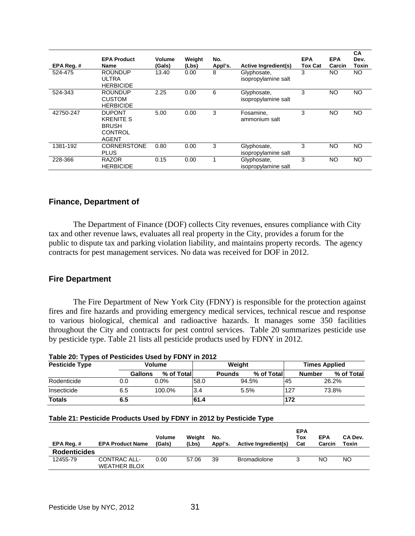| EPA Reg.# | <b>EPA Product</b><br>Name                                                   | Volume<br>(Gals) | Weight<br>(Lbs) | No.<br>Appl's. | <b>Active Ingredient(s)</b>        | <b>EPA</b><br>Tox Cat | <b>EPA</b><br>Carcin | <b>CA</b><br>Dev.<br>Toxin |
|-----------|------------------------------------------------------------------------------|------------------|-----------------|----------------|------------------------------------|-----------------------|----------------------|----------------------------|
| 524-475   | <b>ROUNDUP</b><br><b>ULTRA</b><br><b>HERBICIDE</b>                           | 13.40            | 0.00            | 8              | Glyphosate,<br>isopropylamine salt | 3                     | NO.                  | NO.                        |
| 524-343   | <b>ROUNDUP</b><br><b>CUSTOM</b><br><b>HERBICIDE</b>                          | 2.25             | 0.00            | 6              | Glyphosate,<br>isopropylamine salt | 3                     | <b>NO</b>            | <b>NO</b>                  |
| 42750-247 | <b>DUPONT</b><br><b>KRENITE S</b><br><b>BRUSH</b><br>CONTROL<br><b>AGENT</b> | 5.00             | 0.00            | 3              | Fosamine,<br>ammonium salt         | 3                     | NO                   | <b>NO</b>                  |
| 1381-192  | <b>CORNERSTONE</b><br><b>PLUS</b>                                            | 0.80             | 0.00            | 3              | Glyphosate,<br>isopropylamine salt | 3                     | NO.                  | <b>NO</b>                  |
| 228-366   | <b>RAZOR</b><br><b>HERBICIDE</b>                                             | 0.15             | 0.00            |                | Glyphosate,<br>isopropylamine salt | 3                     | NO.                  | <b>NO</b>                  |

#### **Finance, Department of**

 The Department of Finance (DOF) collects City revenues, ensures compliance with City tax and other revenue laws, evaluates all real property in the City, provides a forum for the public to dispute tax and parking violation liability, and maintains property records. The agency contracts for pest management services. No data was received for DOF in 2012.

#### **Fire Department**

 The Fire Department of New York City (FDNY) is responsible for the protection against fires and fire hazards and providing emergency medical services, technical rescue and response to various biological, chemical and radioactive hazards. It manages some 350 facilities throughout the City and contracts for pest control services. Table 20 summarizes pesticide use by pesticide type. Table 21 lists all pesticide products used by FDNY in 2012.

| <b>Pesticide Type</b> |         | <b>Volume</b> |      | Weight        |             |     | <b>Times Applied</b>        |  |  |
|-----------------------|---------|---------------|------|---------------|-------------|-----|-----------------------------|--|--|
|                       | Gallons | % of Total    |      | <b>Pounds</b> | % of Totall |     | % of Total<br><b>Number</b> |  |  |
| Rodenticide           | 0.0     | $0.0\%$       | 58.0 |               | 94.5%       | 45  | 26.2%                       |  |  |
| Insecticide           | 6.5     | 100.0%        | 3.4  | 5.5%          |             | 127 | 73.8%                       |  |  |
| <b>Totals</b>         | 6.5     |               | 61.4 |               |             | 172 |                             |  |  |

#### **Table 21: Pesticide Products Used by FDNY in 2012 by Pesticide Type**

| EPA Reg. #          | <b>EPA Product Name</b>             | <b>Volume</b><br>(Gals) | Weight<br>(Lbs) | No.<br>Appl's. | <b>Active Ingredient(s)</b> | <b>EPA</b><br>Tox<br>Cat | <b>EPA</b><br>Carcin | CA Dev.<br>Toxin |
|---------------------|-------------------------------------|-------------------------|-----------------|----------------|-----------------------------|--------------------------|----------------------|------------------|
| <b>Rodenticides</b> |                                     |                         |                 |                |                             |                          |                      |                  |
| 12455-79            | CONTRAC ALL-<br><b>WEATHER BLOX</b> | 0.00                    | 57.06           | 39             | <b>Bromadiolone</b>         |                          | NO                   | NO.              |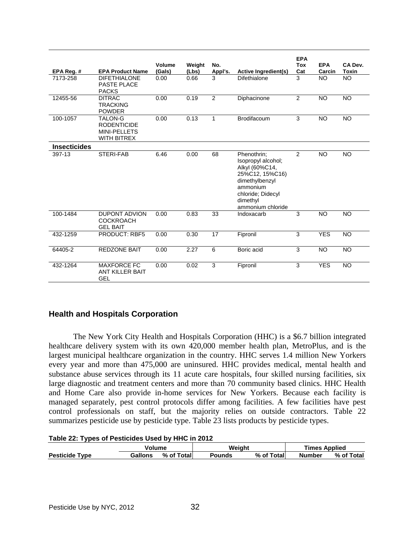| EPA Reg. #          | <b>EPA Product Name</b>                                                           | Volume<br>(Gals) | Weight<br>(Lbs) | No.<br>Appl's. | Active Ingredient(s)                                                                                                                                       | <b>EPA</b><br><b>Tox</b><br>Cat | <b>EPA</b><br>Carcin | CA Dev.<br><b>Toxin</b> |
|---------------------|-----------------------------------------------------------------------------------|------------------|-----------------|----------------|------------------------------------------------------------------------------------------------------------------------------------------------------------|---------------------------------|----------------------|-------------------------|
| 7173-258            | <b>DIFETHIALONE</b><br>PASTE PLACE<br><b>PACKS</b>                                | 0.00             | 0.66            | 3              | Difethialone                                                                                                                                               | 3                               | <b>NO</b>            | <b>NO</b>               |
| 12455-56            | <b>DITRAC</b><br><b>TRACKING</b><br><b>POWDER</b>                                 | 0.00             | 0.19            | 2              | Diphacinone                                                                                                                                                | $\overline{2}$                  | $\overline{NO}$      | <b>NO</b>               |
| 100-1057            | <b>TALON-G</b><br><b>RODENTICIDE</b><br><b>MINI-PELLETS</b><br><b>WITH BITREX</b> | 0.00             | 0.13            | $\mathbf{1}$   | <b>Brodifacoum</b>                                                                                                                                         | 3                               | <b>NO</b>            | <b>NO</b>               |
| <b>Insecticides</b> |                                                                                   |                  |                 |                |                                                                                                                                                            |                                 |                      |                         |
| 397-13              | STERI-FAB                                                                         | 6.46             | 0.00            | 68             | Phenothrin;<br>Isopropyl alcohol;<br>Alkyl (60%C14,<br>25%C12, 15%C16)<br>dimethylbenzyl<br>ammonium<br>chloride; Didecyl<br>dimethyl<br>ammonium chloride | $\overline{2}$                  | <b>NO</b>            | <b>NO</b>               |
| 100-1484            | <b>DUPONT ADVION</b><br><b>COCKROACH</b><br><b>GEL BAIT</b>                       | 0.00             | 0.83            | 33             | Indoxacarb                                                                                                                                                 | 3                               | <b>NO</b>            | <b>NO</b>               |
| 432-1259            | <b>PRODUCT: RBF5</b>                                                              | 0.00             | 0.30            | 17             | Fipronil                                                                                                                                                   | 3                               | <b>YES</b>           | <b>NO</b>               |
| 64405-2             | <b>REDZONE BAIT</b>                                                               | 0.00             | 2.27            | 6              | Boric acid                                                                                                                                                 | 3                               | $\overline{NO}$      | <b>NO</b>               |
| 432-1264            | <b>MAXFORCE FC</b><br><b>ANT KILLER BAIT</b><br><b>GEL</b>                        | 0.00             | 0.02            | 3              | Fipronil                                                                                                                                                   | 3                               | <b>YES</b>           | <b>NO</b>               |

## **Health and Hospitals Corporation**

 The New York City Health and Hospitals Corporation (HHC) is a \$6.7 billion integrated healthcare delivery system with its own 420,000 member health plan, MetroPlus, and is the largest municipal healthcare organization in the country. HHC serves 1.4 million New Yorkers every year and more than 475,000 are uninsured. HHC provides medical, mental health and substance abuse services through its 11 acute care hospitals, four skilled nursing facilities, six large diagnostic and treatment centers and more than 70 community based clinics. HHC Health and Home Care also provide in-home services for New Yorkers. Because each facility is managed separately, pest control protocols differ among facilities. A few facilities have pest control professionals on staff, but the majority relies on outside contractors. Table 22 summarizes pesticide use by pesticide type. Table 23 lists products by pesticide types.

|  |  |  |  | Table 22: Types of Pesticides Used by HHC in 2012 |
|--|--|--|--|---------------------------------------------------|
|--|--|--|--|---------------------------------------------------|

|                                 | Volume  |            | Weight |                                   | <b>Times Applied</b> |            |  |
|---------------------------------|---------|------------|--------|-----------------------------------|----------------------|------------|--|
| <b>Pesticide</b><br><b>Type</b> | Gallons | % of Total | Pounds | $%$ of $\overline{ }$<br>of Total | Number               | % of Total |  |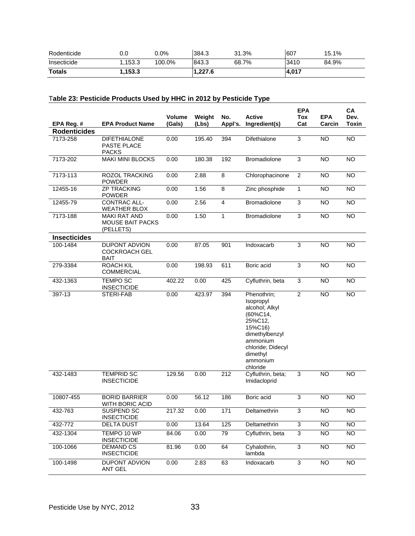| Rodenticide   | v.v    | $0.0\%$ | 384.3  | 31.3% | 607   | 15.1% |
|---------------|--------|---------|--------|-------|-------|-------|
| Insecticide   | .153.3 | 100.0%  | 843.3  | 68.7% | 3410  | 84.9% |
| <b>Totals</b> | ,153.3 |         | .227.6 |       | 4,017 |       |

## T**able 23: Pesticide Products Used by HHC in 2012 by Pesticide Type**

|                     |                                                             |                  |                 |                  |                                                                                                                                                                     | <b>EPA</b>     |                      | CA                   |
|---------------------|-------------------------------------------------------------|------------------|-----------------|------------------|---------------------------------------------------------------------------------------------------------------------------------------------------------------------|----------------|----------------------|----------------------|
| EPA Reg. #          | <b>EPA Product Name</b>                                     | Volume<br>(Gals) | Weight<br>(Lbs) | No.<br>Appl's.   | <b>Active</b><br>Ingredient(s)                                                                                                                                      | Tox<br>Cat     | <b>EPA</b><br>Carcin | Dev.<br><b>Toxin</b> |
| <b>Rodenticides</b> |                                                             |                  |                 |                  |                                                                                                                                                                     |                |                      |                      |
| 7173-258            | <b>DIFETHIALONE</b><br>PASTE PLACE<br>PACKS                 | 0.00             | 195.40          | 394              | Difethialone                                                                                                                                                        | 3              | <b>NO</b>            | <b>NO</b>            |
| 7173-202            | <b>MAKI MINI BLOCKS</b>                                     | 0.00             | 180.38          | 192              | Bromadiolone                                                                                                                                                        | 3              | <b>NO</b>            | <b>NO</b>            |
| 7173-113            | <b>ROZOL TRACKING</b><br><b>POWDER</b>                      | 0.00             | 2.88            | 8                | Chlorophacinone                                                                                                                                                     | $\overline{c}$ | <b>NO</b>            | <b>NO</b>            |
| 12455-16            | <b>ZP TRACKING</b><br><b>POWDER</b>                         | 0.00             | 1.56            | 8                | Zinc phosphide                                                                                                                                                      | $\mathbf{1}$   | <b>NO</b>            | <b>NO</b>            |
| 12455-79            | <b>CONTRAC ALL-</b><br><b>WEATHER BLOX</b>                  | 0.00             | 2.56            | $\overline{4}$   | <b>Bromadiolone</b>                                                                                                                                                 | 3              | <b>NO</b>            | <b>NO</b>            |
| 7173-188            | <b>MAKI RAT AND</b><br><b>MOUSE BAIT PACKS</b><br>(PELLETS) | 0.00             | 1.50            | $\mathbf{1}$     | <b>Bromadiolone</b>                                                                                                                                                 | 3              | <b>NO</b>            | <b>NO</b>            |
| <b>Insecticides</b> |                                                             |                  |                 |                  |                                                                                                                                                                     |                |                      |                      |
| 100-1484            | DUPONT ADVION<br><b>COCKROACH GEL</b><br>BAIT               | 0.00             | 87.05           | 901              | Indoxacarb                                                                                                                                                          | 3              | <b>NO</b>            | NO.                  |
| 279-3384            | ROACH KIL<br><b>COMMERCIAL</b>                              | 0.00             | 198.93          | 611              | Boric acid                                                                                                                                                          | 3              | <b>NO</b>            | <b>NO</b>            |
| 432-1363            | <b>TEMPO SC</b><br><b>INSECTICIDE</b>                       | 402.22           | 0.00            | 425              | Cyfluthrin, beta                                                                                                                                                    | 3              | <b>NO</b>            | <b>NO</b>            |
| 397-13              | STERI-FAB                                                   | 0.00             | 423.97          | 394              | Phenothrin;<br>Isopropyl<br>alcohol; Alkyl<br>(60%C14,<br>25%C12,<br>15%C16)<br>dimethylbenzyl<br>ammonium<br>chloride; Didecyl<br>dimethyl<br>ammonium<br>chloride | 2              | <b>NO</b>            | <b>NO</b>            |
| 432-1483            | <b>TEMPRID SC</b><br><b>INSECTICIDE</b>                     | 129.56           | 0.00            | $\overline{212}$ | Cyfluthrin, beta;<br>Imidacloprid                                                                                                                                   | $\overline{3}$ | <b>NO</b>            | <b>NO</b>            |
| 10807-455           | <b>BORID BARRIER</b><br>WITH BORIC ACID                     | 0.00             | 56.12           | 186              | Boric acid                                                                                                                                                          | 3              | <b>NO</b>            | <b>NO</b>            |
| 432-763             | <b>SUSPEND SC</b><br><b>INSECTICIDE</b>                     | 217.32           | 0.00            | $\overline{171}$ | Deltamethrin                                                                                                                                                        | 3              | $\overline{N}$       | NO                   |
| 432-772             | DELTA DUST                                                  | 0.00             | 13.64           | 125              | Deltamethrin                                                                                                                                                        | 3              | $\overline{N}$       | $\overline{N}$       |
| 432-1304            | TEMPO 10 WP<br><b>INSECTICIDE</b>                           | 84.06            | 0.00            | 79               | Cyfluthrin, beta                                                                                                                                                    | $\overline{3}$ | <b>NO</b>            | <b>NO</b>            |
| 100-1066            | <b>DEMAND CS</b><br><b>INSECTICIDE</b>                      | 81.96            | 0.00            | 64               | Cyhalothrin,<br>lambda                                                                                                                                              | $\overline{3}$ | NO                   | <b>NO</b>            |
| 100-1498            | <b>DUPONT ADVION</b><br><b>ANT GEL</b>                      | 0.00             | 2.83            | 63               | Indoxacarb                                                                                                                                                          | $\overline{3}$ | $\overline{NO}$      | $\overline{NO}$      |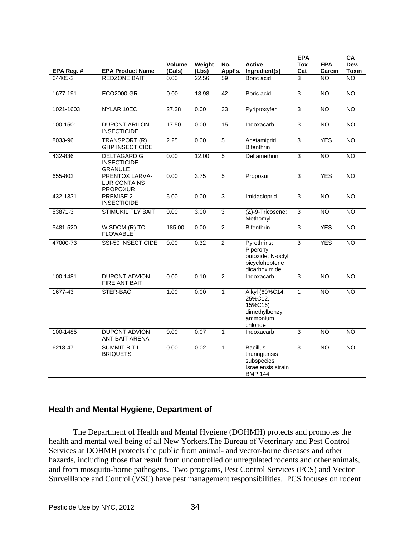| EPA Reg. # | <b>EPA Product Name</b>                                  | Volume<br>(Gals) | Weight<br>(Lbs) | No.<br>Appl's. | <b>Active</b><br>Ingredient(s)                                                         | <b>EPA</b><br>Tox<br>Cat | <b>EPA</b><br>Carcin | <b>CA</b><br>Dev.<br>Toxin |
|------------|----------------------------------------------------------|------------------|-----------------|----------------|----------------------------------------------------------------------------------------|--------------------------|----------------------|----------------------------|
| 64405-2    | <b>REDZONE BAIT</b>                                      | 0.00             | 22.56           | 59             | Boric acid                                                                             | 3                        | NO.                  | <b>NO</b>                  |
| 1677-191   | <b>ECO2000-GR</b>                                        | 0.00             | 18.98           | 42             | Boric acid                                                                             | $\overline{3}$           | <b>NO</b>            | <b>NO</b>                  |
| 1021-1603  | NYLAR 10EC                                               | 27.38            | 0.00            | 33             | Pyriproxyfen                                                                           | 3                        | <b>NO</b>            | <b>NO</b>                  |
| 100-1501   | <b>DUPONT ARILON</b><br><b>INSECTICIDE</b>               | 17.50            | 0.00            | 15             | Indoxacarb                                                                             | $\overline{3}$           | <b>NO</b>            | <b>NO</b>                  |
| 8033-96    | <b>TRANSPORT (R)</b><br><b>GHP INSECTICIDE</b>           | 2.25             | 0.00            | $\overline{5}$ | Acetamiprid;<br><b>Bifenthrin</b>                                                      | $\overline{3}$           | <b>YES</b>           | <b>NO</b>                  |
| 432-836    | <b>DELTAGARD G</b><br><b>INSECTICIDE</b><br>GRANULE      | 0.00             | 12.00           | 5              | Deltamethrin                                                                           | 3                        | <b>NO</b>            | <b>NO</b>                  |
| 655-802    | PRENTOX LARVA-<br><b>LUR CONTAINS</b><br><b>PROPOXUR</b> | 0.00             | 3.75            | $\overline{5}$ | Propoxur                                                                               | $\overline{3}$           | <b>YES</b>           | <b>NO</b>                  |
| 432-1331   | PREMISE 2<br><b>INSECTICIDE</b>                          | 5.00             | 0.00            | $\overline{3}$ | Imidacloprid                                                                           | $\overline{3}$           | <b>NO</b>            | N <sub>O</sub>             |
| 53871-3    | <b>STIMUKIL FLY BAIT</b>                                 | 0.00             | 3.00            | 3              | (Z)-9-Tricosene;<br>Methomyl                                                           | 3                        | <b>NO</b>            | <b>NO</b>                  |
| 5481-520   | WISDOM (R) TC<br><b>FLOWABLE</b>                         | 185.00           | 0.00            | $\overline{2}$ | <b>Bifenthrin</b>                                                                      | $\overline{3}$           | <b>YES</b>           | <b>NO</b>                  |
| 47000-73   | SSI-50 INSECTICIDE                                       | 0.00             | 0.32            | $\overline{2}$ | Pyrethrins;<br>Piperonyl<br>butoxide; N-octyl<br>bicycloheptene<br>dicarboximide       | 3                        | <b>YES</b>           | NO                         |
| 100-1481   | <b>DUPONT ADVION</b><br><b>FIRE ANT BAIT</b>             | 0.00             | 0.10            | $\overline{2}$ | Indoxacarb                                                                             | 3                        | <b>NO</b>            | NO.                        |
| 1677-43    | STER-BAC                                                 | 1.00             | 0.00            | $\overline{1}$ | Alkyl (60%C14,<br>25%C12,<br>15%C16)<br>dimethylbenzyl<br>ammonium<br>chloride         | $\mathbf{1}$             | <b>NO</b>            | <b>NO</b>                  |
| 100-1485   | <b>DUPONT ADVION</b><br>ANT BAIT ARENA                   | 0.00             | 0.07            | $\mathbf{1}$   | Indoxacarb                                                                             | 3                        | N <sub>O</sub>       | NO <sub>1</sub>            |
| 6218-47    | <b>SUMMIT B.T.I.</b><br><b>BRIQUETS</b>                  | 0.00             | 0.02            | 1              | <b>Bacillus</b><br>thuringiensis<br>subspecies<br>Israelensis strain<br><b>BMP 144</b> | 3                        | <b>NO</b>            | <b>NO</b>                  |

## **Health and Mental Hygiene, Department of**

 The Department of Health and Mental Hygiene (DOHMH) protects and promotes the health and mental well being of all New Yorkers.The Bureau of Veterinary and Pest Control Services at DOHMH protects the public from animal- and vector-borne diseases and other hazards, including those that result from uncontrolled or unregulated rodents and other animals, and from mosquito-borne pathogens. Two programs, Pest Control Services (PCS) and Vector Surveillance and Control (VSC) have pest management responsibilities. PCS focuses on rodent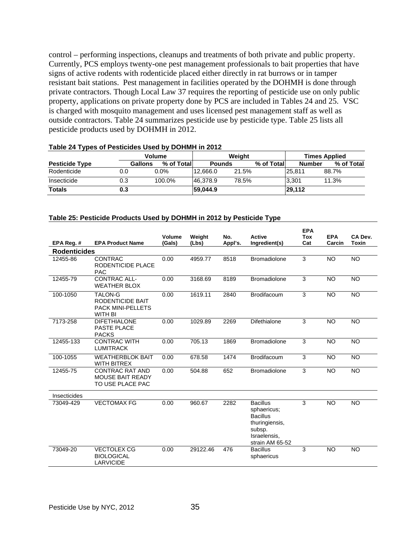control – performing inspections, cleanups and treatments of both private and public property. Currently, PCS employs twenty-one pest management professionals to bait properties that have signs of active rodents with rodenticide placed either directly in rat burrows or in tamper resistant bait stations. Pest management in facilities operated by the DOHMH is done through private contractors. Though Local Law 37 requires the reporting of pesticide use on only public property, applications on private property done by PCS are included in Tables 24 and 25. VSC is charged with mosquito management and uses licensed pest management staff as well as outside contractors. Table 24 summarizes pesticide use by pesticide type. Table 25 lists all pesticide products used by DOHMH in 2012.

| Volume                |                |             |               | Weiaht |            | <b>Times Applied</b> |            |  |
|-----------------------|----------------|-------------|---------------|--------|------------|----------------------|------------|--|
| <b>Pesticide Type</b> | <b>Gallons</b> | % of Totall | <b>Pounds</b> |        | % of Total | <b>Number</b>        | % of Total |  |
| Rodenticide           | 0.0            | $0.0\%$     | 12.666.0      | 21.5%  |            | 25.811               | 88.7%      |  |
| Insecticide           | 0.3            | 100.0%      | 46.378.9      | 78.5%  |            | 3.301                | 11.3%      |  |
| <b>Totals</b>         | 0.3            |             | 59,044.9      |        |            | 29,112               |            |  |

### **Table 24 Types of Pesticides Used by DOHMH in 2012**

#### **Table 25: Pesticide Products Used by DOHMH in 2012 by Pesticide Type**

|                     |                                                                           |                         |                 |                |                                                                                                                  | <b>EPA</b>        |                      |                  |
|---------------------|---------------------------------------------------------------------------|-------------------------|-----------------|----------------|------------------------------------------------------------------------------------------------------------------|-------------------|----------------------|------------------|
| EPA Reg. #          | <b>EPA Product Name</b>                                                   | <b>Volume</b><br>(Gals) | Weight<br>(Lbs) | No.<br>Appl's. | <b>Active</b><br>Ingredient(s)                                                                                   | <b>Tox</b><br>Cat | <b>EPA</b><br>Carcin | CA Dev.<br>Toxin |
| <b>Rodenticides</b> |                                                                           |                         |                 |                |                                                                                                                  |                   |                      |                  |
|                     |                                                                           |                         |                 |                |                                                                                                                  |                   |                      |                  |
| 12455-86            | <b>CONTRAC</b><br>RODENTICIDE PLACE<br><b>PAC</b>                         | 0.00                    | 4959.77         | 8518           | <b>Bromadiolone</b>                                                                                              | 3                 | <b>NO</b>            | <b>NO</b>        |
| 12455-79            | <b>CONTRAC ALL-</b><br><b>WEATHER BLOX</b>                                | 0.00                    | 3168.69         | 8189           | <b>Bromadiolone</b>                                                                                              | 3                 | <b>NO</b>            | <b>NO</b>        |
| 100-1050            | TALON-G<br>RODENTICIDE BAIT<br><b>PACK MINI-PELLETS</b><br><b>WITH BI</b> | 0.00                    | 1619.11         | 2840           | <b>Brodifacoum</b>                                                                                               | 3                 | <b>NO</b>            | <b>NO</b>        |
| 7173-258            | <b>DIFETHIALONE</b><br><b>PASTE PLACE</b><br><b>PACKS</b>                 | 0.00                    | 1029.89         | 2269           | Difethialone                                                                                                     | 3                 | <b>NO</b>            | NO.              |
| 12455-133           | <b>CONTRAC WITH</b><br><b>LUMITRACK</b>                                   | 0.00                    | 705.13          | 1869           | <b>Bromadiolone</b>                                                                                              | 3                 | <b>NO</b>            | <b>NO</b>        |
| 100-1055            | <b>WEATHERBLOK BAIT</b><br><b>WITH BITREX</b>                             | 0.00                    | 678.58          | 1474           | <b>Brodifacoum</b>                                                                                               | 3                 | <b>NO</b>            | <b>NO</b>        |
| 12455-75            | <b>CONTRAC RAT AND</b><br><b>MOUSE BAIT READY</b><br>TO USE PLACE PAC     | 0.00                    | 504.88          | 652            | <b>Bromadiolone</b>                                                                                              | 3                 | <b>NO</b>            | <b>NO</b>        |
| Insecticides        |                                                                           |                         |                 |                |                                                                                                                  |                   |                      |                  |
| 73049-429           | <b>VECTOMAX FG</b>                                                        | 0.00                    | 960.67          | 2282           | <b>Bacillus</b><br>sphaericus;<br><b>Bacillus</b><br>thuringiensis,<br>subsp.<br>Israelensis.<br>strain AM 65-52 | 3                 | <b>NO</b>            | <b>NO</b>        |
| 73049-20            | <b>VECTOLEX CG</b><br><b>BIOLOGICAL</b><br><b>LARVICIDE</b>               | 0.00                    | 29122.46        | 476            | <b>Bacillus</b><br>sphaericus                                                                                    | 3                 | <b>NO</b>            | <b>NO</b>        |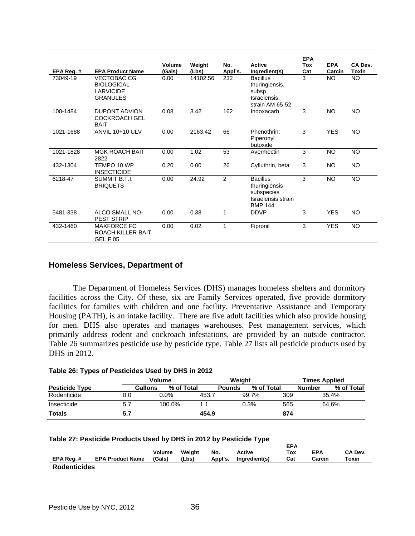| EPA Reg.# | <b>EPA Product Name</b>                                                        | Volume<br>(Gals) | Weight<br>(Lbs) | No.<br>Appl's. | <b>Active</b><br>Ingredient(s)                                                         | <b>EPA</b><br>Tox<br>Cat | <b>EPA</b><br>Carcin | CA Dev.<br>Toxin |
|-----------|--------------------------------------------------------------------------------|------------------|-----------------|----------------|----------------------------------------------------------------------------------------|--------------------------|----------------------|------------------|
| 73049-19  | <b>VECTOBAC CG</b><br><b>BIOLOGICAL</b><br><b>LARVICIDE</b><br><b>GRANULES</b> | 0.00             | 14102.56        | 232            | <b>Bacillus</b><br>thuringiensis,<br>subsp.<br>Israelensis,<br>strain AM 65-52         | 3                        | <b>NO</b>            | NO.              |
| 100-1484  | <b>DUPONT ADVION</b><br><b>COCKROACH GEL</b><br><b>BAIT</b>                    | 0.08             | 3.42            | 162            | Indoxacarb                                                                             | 3                        | <b>NO</b>            | <b>NO</b>        |
| 1021-1688 | <b>ANVIL 10+10 ULV</b>                                                         | 0.00             | 2163.42         | 66             | Phenothrin;<br>Piperonyl<br>butoxide                                                   | 3                        | <b>YES</b>           | <b>NO</b>        |
| 1021-1828 | <b>MGK ROACH BAIT</b><br>2822                                                  | 0.00             | 1.02            | 53             | Avermectin                                                                             | 3                        | <b>NO</b>            | <b>NO</b>        |
| 432-1304  | TEMPO 10 WP<br><b>INSECTICIDE</b>                                              | 0.20             | 0.00            | 26             | Cyfluthrin, beta                                                                       | 3                        | <b>NO</b>            | <b>NO</b>        |
| 6218-47   | SUMMIT B.T.I.<br><b>BRIQUETS</b>                                               | 0.00             | 24.92           | $\overline{2}$ | <b>Bacillus</b><br>thuringiensis<br>subspecies<br>Israelensis strain<br><b>BMP 144</b> | 3                        | <b>NO</b>            | NO.              |
| 5481-338  | ALCO SMALL NO-<br><b>PEST STRIP</b>                                            | 0.00             | 0.38            | 1              | <b>DDVP</b>                                                                            | 3                        | <b>YES</b>           | <b>NO</b>        |
| 432-1460  | <b>MAXFORCE FC</b><br><b>ROACH KILLER BAIT</b><br><b>GEL F.05</b>              | 0.00             | 0.02            | 1              | Fipronil                                                                               | 3                        | <b>YES</b>           | NO.              |

## **Homeless Services, Department of**

 The Department of Homeless Services (DHS) manages homeless shelters and dormitory facilities across the City. Of these, six are Family Services operated, five provide dormitory facilities for families with children and one facility, Preventative Assistance and Temporary Housing (PATH), is an intake facility. There are five adult facilities which also provide housing for men. DHS also operates and manages warehouses. Pest management services, which primarily address rodent and cockroach infestations, are provided by an outside contractor. Table 26 summarizes pesticide use by pesticide type. Table 27 lists all pesticide products used by DHS in 2012.

|  |  |  |  | Table 26: Types of Pesticides Used by DHS in 2012 |
|--|--|--|--|---------------------------------------------------|
|--|--|--|--|---------------------------------------------------|

|                       |     | <b>Volume</b>          |         | Weiaht        |            |     | <b>Times Applied</b> |            |  |
|-----------------------|-----|------------------------|---------|---------------|------------|-----|----------------------|------------|--|
| <b>Pesticide Type</b> |     | % of Totall<br>Gallons |         | <b>Pounds</b> | % of Total |     | <b>Number</b>        | % of Total |  |
| Rodenticide           | 0.0 | $0.0\%$                | 453.7   |               | 99.7%      | 309 | 35.4%                |            |  |
| Insecticide           | 5.7 | 100.0%                 | ี่ 1. เ |               | 0.3%       | 565 | 64.6%                |            |  |
| <b>Totals</b>         | 5.7 |                        | 454.9   |               |            | 874 |                      |            |  |

|  | Table 27: Pesticide Products Used by DHS in 2012 by Pesticide Type |  |  |
|--|--------------------------------------------------------------------|--|--|
|--|--------------------------------------------------------------------|--|--|

| EPA Reg.#           | <b>EPA Product Name</b> | Volume<br>(Gals) | Weiaht<br>(Lbs) | No.<br>Appl's. | Active<br>Ingredient(s) | <b>EPA</b><br>Тох<br>Cat | <b>EPA</b><br>Carcin | CA Dev.<br>Toxin |
|---------------------|-------------------------|------------------|-----------------|----------------|-------------------------|--------------------------|----------------------|------------------|
| <b>Rodenticides</b> |                         |                  |                 |                |                         |                          |                      |                  |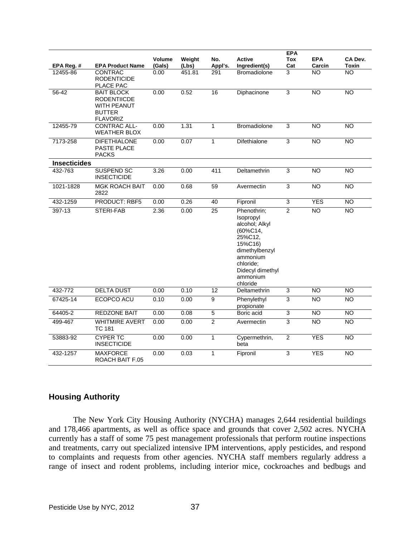|                     |                                                                                                   |                         |                 |                 |                                                                                                                                                                     | <b>EPA</b>     |                      |                         |
|---------------------|---------------------------------------------------------------------------------------------------|-------------------------|-----------------|-----------------|---------------------------------------------------------------------------------------------------------------------------------------------------------------------|----------------|----------------------|-------------------------|
| EPA Reg. #          | <b>EPA Product Name</b>                                                                           | <b>Volume</b><br>(Gals) | Weight<br>(Lbs) | No.<br>Appl's.  | <b>Active</b><br>Ingredient(s)                                                                                                                                      | Tox<br>Cat     | <b>EPA</b><br>Carcin | CA Dev.<br><b>Toxin</b> |
| 12455-86            | <b>CONTRAC</b><br><b>RODENTICIDE</b><br>PLACE PAC                                                 | 0.00                    | 451.81          | 291             | <b>Bromadiolone</b>                                                                                                                                                 | 3              | $\overline{NO}$      | $\overline{NO}$         |
| 56-42               | <b>BAIT BLOCK</b><br><b>RODENTIICDE</b><br><b>WITH PEANUT</b><br><b>BUTTER</b><br><b>FLAVORIZ</b> | 0.00                    | 0.52            | 16              | Diphacinone                                                                                                                                                         | 3              | <b>NO</b>            | <b>NO</b>               |
| 12455-79            | <b>CONTRAC ALL-</b><br><b>WEATHER BLOX</b>                                                        | 0.00                    | 1.31            | 1               | <b>Bromadiolone</b>                                                                                                                                                 | 3              | <b>NO</b>            | <b>NO</b>               |
| 7173-258            | <b>DIFETHIALONE</b><br><b>PASTE PLACE</b><br><b>PACKS</b>                                         | 0.00                    | 0.07            | 1               | Difethialone                                                                                                                                                        | 3              | <b>NO</b>            | <b>NO</b>               |
| <b>Insecticides</b> |                                                                                                   |                         |                 |                 |                                                                                                                                                                     |                |                      |                         |
| 432-763             | SUSPEND SC<br><b>INSECTICIDE</b>                                                                  | 3.26                    | 0.00            | 411             | Deltamethrin                                                                                                                                                        | 3              | <b>NO</b>            | <b>NO</b>               |
| 1021-1828           | <b>MGK ROACH BAIT</b><br>2822                                                                     | 0.00                    | 0.68            | 59              | Avermectin                                                                                                                                                          | 3              | NO                   | $\overline{NO}$         |
| 432-1259            | <b>PRODUCT: RBF5</b>                                                                              | 0.00                    | 0.26            | 40              | Fipronil                                                                                                                                                            | 3              | <b>YES</b>           | <b>NO</b>               |
| 397-13              | STERI-FAB                                                                                         | 2.36                    | 0.00            | $\overline{25}$ | Phenothrin;<br>Isopropyl<br>alcohol; Alkyl<br>(60%C14,<br>25%C12.<br>15%C16)<br>dimethylbenzyl<br>ammonium<br>chloride;<br>Didecyl dimethyl<br>ammonium<br>chloride | $\overline{2}$ | $\overline{NO}$      | $\overline{NO}$         |
| 432-772             | <b>DELTA DUST</b>                                                                                 | 0.00                    | 0.10            | 12              | Deltamethrin                                                                                                                                                        | 3              | <b>NO</b>            | $\overline{NO}$         |
| 67425-14            | ECOPCO ACU                                                                                        | 0.10                    | 0.00            | $\overline{9}$  | Phenylethyl<br>propionate                                                                                                                                           | 3              | <b>NO</b>            | <b>NO</b>               |
| 64405-2             | <b>REDZONE BAIT</b>                                                                               | 0.00                    | 0.08            | $\overline{5}$  | Boric acid                                                                                                                                                          | $\overline{3}$ | <b>NO</b>            | NO                      |
| 499-467             | <b>WHITMIRE AVERT</b><br><b>TC 181</b>                                                            | 0.00                    | 0.00            | $\overline{2}$  | Avermectin                                                                                                                                                          | $\overline{3}$ | <b>NO</b>            | <b>NO</b>               |
| 53883-92            | <b>CYPER TC</b><br><b>INSECTICIDE</b>                                                             | 0.00                    | 0.00            | $\mathbf{1}$    | Cypermethrin,<br>beta                                                                                                                                               | $\overline{2}$ | <b>YES</b>           | NO                      |
| 432-1257            | <b>MAXFORCE</b><br>ROACH BAIT F.05                                                                | 0.00                    | 0.03            | 1               | Fipronil                                                                                                                                                            | 3              | <b>YES</b>           | NO.                     |

# **Housing Authority**

 The New York City Housing Authority (NYCHA) manages 2,644 residential buildings and 178,466 apartments, as well as office space and grounds that cover 2,502 acres. NYCHA currently has a staff of some 75 pest management professionals that perform routine inspections and treatments, carry out specialized intensive IPM interventions, apply pesticides, and respond to complaints and requests from other agencies. NYCHA staff members regularly address a range of insect and rodent problems, including interior mice, cockroaches and bedbugs and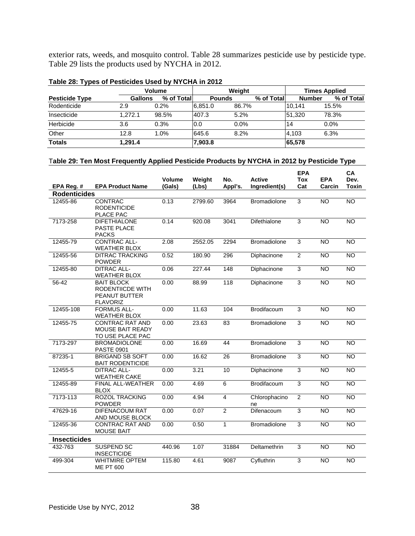exterior rats, weeds, and mosquito control. Table 28 summarizes pesticide use by pesticide type. Table 29 lists the products used by NYCHA in 2012.

| .                     |                | <b>Volume</b> |               | Weight     |               | <b>Times Applied</b> |  |  |
|-----------------------|----------------|---------------|---------------|------------|---------------|----------------------|--|--|
| <b>Pesticide Type</b> | <b>Gallons</b> | % of Total    | <b>Pounds</b> | % of Total | <b>Number</b> | % of Total           |  |  |
| Rodenticide           | 2.9            | 0.2%          | 6.851.0       | 86.7%      | 10.141        | 15.5%                |  |  |
| Insecticide           | 1.272.1        | 98.5%         | 407.3         | 5.2%       | 51.320        | 78.3%                |  |  |
| Herbicide             | 3.6            | 0.3%          | 0.0           | $0.0\%$    | 14            | $0.0\%$              |  |  |
| Other                 | 12.8           | 1.0%          | 645.6         | 8.2%       | 4.103         | 6.3%                 |  |  |
| <b>Totals</b>         | 1.291.4        |               | 7,903.8       |            | 65,578        |                      |  |  |

#### **Table 28: Types of Pesticides Used by NYCHA in 2012**

## T**able 29: Ten Most Frequently Applied Pesticide Products by NYCHA in 2012 by Pesticide Type**

|                     |                                                                           | Volume | Weight  | No.            | <b>Active</b>       | <b>EPA</b><br><b>Tox</b> | <b>EPA</b>     | <b>CA</b><br>Dev. |
|---------------------|---------------------------------------------------------------------------|--------|---------|----------------|---------------------|--------------------------|----------------|-------------------|
| EPA Reg. #          | <b>EPA Product Name</b>                                                   | (Gals) | (Lbs)   | Appl's.        | Ingredient(s)       | Cat                      | Carcin         | Toxin             |
| <b>Rodenticides</b> |                                                                           |        |         |                |                     |                          |                |                   |
| 12455-86            | <b>CONTRAC</b><br><b>RODENTICIDE</b><br>PLACE PAC                         | 0.13   | 2799.60 | 3964           | <b>Bromadiolone</b> | 3                        | <b>NO</b>      | <b>NO</b>         |
| 7173-258            | <b>DIFETHIALONE</b><br>PASTE PLACE<br><b>PACKS</b>                        | 0.14   | 920.08  | 3041           | Difethialone        | 3                        | N <sub>O</sub> | $\overline{NO}$   |
| 12455-79            | CONTRAC ALL-<br><b>WEATHER BLOX</b>                                       | 2.08   | 2552.05 | 2294           | Bromadiolone        | 3                        | <b>NO</b>      | <b>NO</b>         |
| 12455-56            | <b>DITRAC TRACKING</b><br><b>POWDER</b>                                   | 0.52   | 180.90  | 296            | Diphacinone         | $\overline{2}$           | <b>NO</b>      | <b>NO</b>         |
| 12455-80            | <b>DITRAC ALL-</b><br><b>WEATHER BLOX</b>                                 | 0.06   | 227.44  | 148            | Diphacinone         | $\overline{3}$           | <b>NO</b>      | <b>NO</b>         |
| $56 - 42$           | <b>BAIT BLOCK</b><br>RODENTIICDE WITH<br>PEANUT BUTTER<br><b>FLAVORIZ</b> | 0.00   | 88.99   | 118            | Diphacinone         | 3                        | <b>NO</b>      | <b>NO</b>         |
| 12455-108           | <b>FORMUS ALL-</b><br><b>WEATHER BLOX</b>                                 | 0.00   | 11.63   | 104            | Brodifacoum         | 3                        | <b>NO</b>      | <b>NO</b>         |
| 12455-75            | <b>CONTRAC RAT AND</b><br>MOUSE BAIT READY<br>TO USE PLACE PAC            | 0.00   | 23.63   | 83             | <b>Bromadiolone</b> | 3                        | NO             | N <sub>O</sub>    |
| 7173-297            | <b>BROMADIOLONE</b><br><b>PASTE 0901</b>                                  | 0.00   | 16.69   | 44             | <b>Bromadiolone</b> | 3                        | <b>NO</b>      | $\overline{NO}$   |
| 87235-1             | <b>BRIGAND SB SOFT</b><br><b>BAIT RODENTICIDE</b>                         | 0.00   | 16.62   | 26             | Bromadiolone        | 3                        | <b>NO</b>      | NO                |
| 12455-5             | <b>DITRAC ALL-</b><br><b>WEATHER CAKE</b>                                 | 0.00   | 3.21    | 10             | Diphacinone         | $\mathsf 3$              | <b>NO</b>      | <b>NO</b>         |
| 12455-89            | FINAL ALL-WEATHER<br><b>BLOX</b>                                          | 0.00   | 4.69    | $\overline{6}$ | Brodifacoum         | $\overline{3}$           | <b>NO</b>      | <b>NO</b>         |
| 7173-113            | <b>ROZOL TRACKING</b><br><b>POWDER</b>                                    | 0.00   | 4.94    | $\overline{4}$ | Chlorophacino<br>ne | $\overline{2}$           | <b>NO</b>      | <b>NO</b>         |
| 47629-16            | <b>DIFENACOUM RAT</b><br>AND MOUSE BLOCK                                  | 0.00   | 0.07    | $\overline{2}$ | Difenacoum          | 3                        | <b>NO</b>      | $\overline{NO}$   |
| 12455-36            | <b>CONTRAC RAT AND</b><br><b>MOUSE BAIT</b>                               | 0.00   | 0.50    | $\overline{1}$ | <b>Bromadiolone</b> | 3                        | NO             | NO <sub>1</sub>   |
| <b>Insecticides</b> |                                                                           |        |         |                |                     |                          |                |                   |
| 432-763             | <b>SUSPEND SC</b><br><b>INSECTICIDE</b>                                   | 440.96 | 1.07    | 31884          | Deltamethrin        | $\mathsf 3$              | <b>NO</b>      | <b>NO</b>         |
| 499-304             | <b>WHITMIRE OPTEM</b><br><b>ME PT 600</b>                                 | 115.80 | 4.61    | 9087           | Cyfluthrin          | 3                        | <b>NO</b>      | <b>NO</b>         |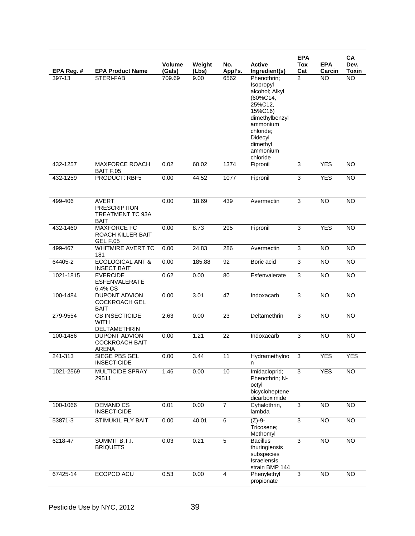| EPA Reg.# | <b>EPA Product Name</b>                                                | Volume<br>(Gals) | Weight<br>(Lbs) | No.<br>Appl's. | <b>Active</b><br>Ingredient(s)                                                                                                                                         | <b>EPA</b><br><b>Tox</b><br>Cat | <b>EPA</b><br>Carcin | CA<br>Dev.<br><b>Toxin</b> |
|-----------|------------------------------------------------------------------------|------------------|-----------------|----------------|------------------------------------------------------------------------------------------------------------------------------------------------------------------------|---------------------------------|----------------------|----------------------------|
| 397-13    | STERI-FAB                                                              | 709.69           | 9.00            | 6562           | Phenothrin;<br>Isopropyl<br>alcohol; Alkyl<br>(60%C14,<br>25%C12,<br>15%C16)<br>dimethylbenzyl<br>ammonium<br>chloride;<br>Didecyl<br>dimethyl<br>ammonium<br>chloride | $\overline{2}$                  | <b>NO</b>            | $\overline{NO}$            |
| 432-1257  | <b>MAXFORCE ROACH</b><br>BAIT F.05                                     | 0.02             | 60.02           | 1374           | Fipronil                                                                                                                                                               | 3                               | <b>YES</b>           | $\overline{NO}$            |
| 432-1259  | <b>PRODUCT: RBF5</b>                                                   | 0.00             | 44.52           | 1077           | Fipronil                                                                                                                                                               | 3                               | <b>YES</b>           | <b>NO</b>                  |
| 499-406   | <b>AVERT</b><br><b>PRESCRIPTION</b><br>TREATMENT TC 93A<br><b>BAIT</b> | 0.00             | 18.69           | 439            | Avermectin                                                                                                                                                             | 3                               | <b>NO</b>            | <b>NO</b>                  |
| 432-1460  | <b>MAXFORCE FC</b><br>ROACH KILLER BAIT<br><b>GEL F.05</b>             | 0.00             | 8.73            | 295            | Fipronil                                                                                                                                                               | $\overline{3}$                  | <b>YES</b>           | <b>NO</b>                  |
| 499-467   | <b>WHITMIRE AVERT TC</b><br>181                                        | 0.00             | 24.83           | 286            | Avermectin                                                                                                                                                             | 3                               | <b>NO</b>            | <b>NO</b>                  |
| 64405-2   | <b>ECOLOGICAL ANT &amp;</b><br><b>INSECT BAIT</b>                      | 0.00             | 185.88          | 92             | Boric acid                                                                                                                                                             | $\overline{3}$                  | <b>NO</b>            | <b>NO</b>                  |
| 1021-1815 | <b>EVERCIDE</b><br><b>ESFENVALERATE</b><br>6.4% CS                     | 0.62             | 0.00            | 80             | Esfenvalerate                                                                                                                                                          | 3                               | <b>NO</b>            | <b>NO</b>                  |
| 100-1484  | <b>DUPONT ADVION</b><br><b>COCKROACH GEL</b><br><b>BAIT</b>            | 0.00             | 3.01            | 47             | Indoxacarb                                                                                                                                                             | 3                               | <b>NO</b>            | <b>NO</b>                  |
| 279-9554  | <b>CB INSECTICIDE</b><br><b>WITH</b><br>DELTAMETHRIN                   | 2.63             | 0.00            | 23             | Deltamethrin                                                                                                                                                           | 3                               | <b>NO</b>            | <b>NO</b>                  |
| 100-1486  | <b>DUPONT ADVION</b><br><b>COCKROACH BAIT</b><br>ARENA                 | 0.00             | 1.21            | 22             | Indoxacarb                                                                                                                                                             | 3                               | <b>NO</b>            | <b>NO</b>                  |
| 241-313   | SIEGE PBS GEL<br><b>INSECTICIDE</b>                                    | 0.00             | 3.44            | 11             | Hydramethylno<br>n                                                                                                                                                     | 3                               | <b>YES</b>           | <b>YES</b>                 |
| 1021-2569 | <b>MULTICIDE SPRAY</b><br>29511                                        | 1.46             | 0.00            | 10             | Imidacloprid;<br>Phenothrin; N-<br>octyl<br>bicycloheptene<br>dicarboximide                                                                                            | $\overline{3}$                  | <b>YES</b>           | <b>NO</b>                  |
| 100-1066  | <b>DEMAND CS</b><br><b>INSECTICIDE</b>                                 | 0.01             | 0.00            | $\overline{7}$ | Cyhalothrin,<br>lambda                                                                                                                                                 | $\overline{3}$                  | <b>NO</b>            | $\overline{NO}$            |
| 53871-3   | STIMUKIL FLY BAIT                                                      | 0.00             | 40.01           | 6              | $(Z)-9-$<br>Tricosene;<br>Methomyl                                                                                                                                     | $\overline{3}$                  | NO                   | N <sub>O</sub>             |
| 6218-47   | SUMMIT B.T.I.<br><b>BRIQUETS</b>                                       | 0.03             | 0.21            | $\overline{5}$ | <b>Bacillus</b><br>thuringiensis<br>subspecies<br><b>Israelensis</b><br>strain BMP 144                                                                                 | 3                               | $\overline{NO}$      | <b>NO</b>                  |
| 67425-14  | ECOPCO ACU                                                             | 0.53             | 0.00            | 4              | Phenylethyl<br>propionate                                                                                                                                              | 3                               | NO                   | <b>NO</b>                  |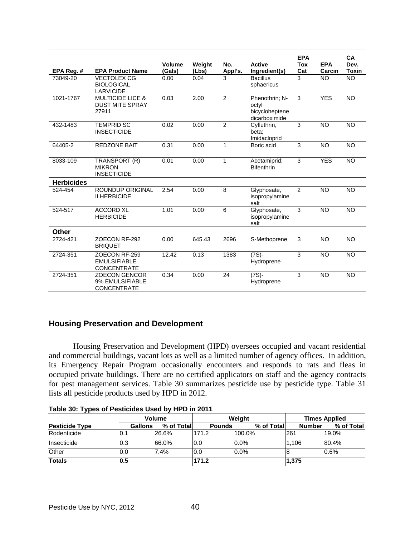| EPA Req. #        | <b>EPA Product Name</b>                                        | Volume<br>(Gals) | Weight<br>(Lbs) | No.<br>Appl's. | <b>Active</b><br>Ingredient(s)                             | <b>EPA</b><br>Tox<br>Cat | <b>EPA</b><br>Carcin | <b>CA</b><br>Dev.<br><b>Toxin</b> |
|-------------------|----------------------------------------------------------------|------------------|-----------------|----------------|------------------------------------------------------------|--------------------------|----------------------|-----------------------------------|
| 73049-20          | <b>VECTOLEX CG</b><br><b>BIOLOGICAL</b><br><b>LARVICIDE</b>    | 0.00             | 0.04            | 3              | <b>Bacillus</b><br>sphaericus                              | 3                        | <b>NO</b>            | <b>NO</b>                         |
| 1021-1767         | <b>MULTICIDE LICE &amp;</b><br><b>DUST MITE SPRAY</b><br>27911 | 0.03             | 2.00            | $\overline{2}$ | Phenothrin; N-<br>octyl<br>bicycloheptene<br>dicarboximide | 3                        | <b>YES</b>           | <b>NO</b>                         |
| 432-1483          | <b>TEMPRID SC</b><br><b>INSECTICIDE</b>                        | 0.02             | 0.00            | $\overline{2}$ | Cyfluthrin,<br>beta;<br>Imidacloprid                       | 3                        | <b>NO</b>            | <b>NO</b>                         |
| 64405-2           | <b>REDZONE BAIT</b>                                            | 0.31             | 0.00            | $\mathbf{1}$   | Boric acid                                                 | 3                        | <b>NO</b>            | <b>NO</b>                         |
| 8033-109          | TRANSPORT (R)<br><b>MIKRON</b><br><b>INSECTICIDE</b>           | 0.01             | 0.00            | $\mathbf{1}$   | Acetamiprid;<br><b>Bifenthrin</b>                          | 3                        | <b>YES</b>           | <b>NO</b>                         |
| <b>Herbicides</b> |                                                                |                  |                 |                |                                                            |                          |                      |                                   |
| 524-454           | <b>ROUNDUP ORIGINAL</b><br><b>II HERBICIDE</b>                 | 2.54             | 0.00            | 8              | Glyphosate,<br>isopropylamine<br>salt                      | 2                        | <b>NO</b>            | <b>NO</b>                         |
| 524-517           | <b>ACCORD XL</b><br><b>HERBICIDE</b>                           | 1.01             | 0.00            | 6              | Glyphosate,<br>isopropylamine<br>salt                      | 3                        | <b>NO</b>            | <b>NO</b>                         |
| <b>Other</b>      |                                                                |                  |                 |                |                                                            |                          |                      |                                   |
| 2724-421          | ZOECON RF-292<br><b>BRIQUET</b>                                | 0.00             | 645.43          | 2696           | S-Methoprene                                               | 3                        | <b>NO</b>            | <b>NO</b>                         |
| 2724-351          | ZOECON RF-259<br><b>EMULSIFIABLE</b><br><b>CONCENTRATE</b>     | 12.42            | 0.13            | 1383           | $(7S)$ -<br>Hydroprene                                     | 3                        | <b>NO</b>            | <b>NO</b>                         |
| 2724-351          | <b>ZOECON GENCOR</b><br>9% EMULSIFIABLE<br><b>CONCENTRATE</b>  | 0.34             | 0.00            | 24             | $(7S)$ -<br>Hydroprene                                     | 3                        | <b>NO</b>            | <b>NO</b>                         |

# **Housing Preservation and Development**

 Housing Preservation and Development (HPD) oversees occupied and vacant residential and commercial buildings, vacant lots as well as a limited number of agency offices. In addition, its Emergency Repair Program occasionally encounters and responds to rats and fleas in occupied private buildings. There are no certified applicators on staff and the agency contracts for pest management services. Table 30 summarizes pesticide use by pesticide type. Table 31 lists all pesticide products used by HPD in 2012.

|  |  | Table 30: Types of Pesticides Used by HPD in 2011 |
|--|--|---------------------------------------------------|
|  |  |                                                   |

|                       |                | <b>Volume</b> |               | Weight     | <b>Times Applied</b> |            |  |
|-----------------------|----------------|---------------|---------------|------------|----------------------|------------|--|
| <b>Pesticide Type</b> | <b>Gallons</b> | % of Totall   | <b>Pounds</b> | % of Total | <b>Number</b>        | % of Total |  |
| Rodenticide           | 0.1            | 26.6%         | 171.2         | 100.0%     | 261                  | 19.0%      |  |
| Insecticide           | 0.3            | 66.0%         | 0.0           | $0.0\%$    | 1.106                | 80.4%      |  |
| Other                 | 0.0            | 7.4%          | 0.0           | 0.0%       |                      | 0.6%       |  |
| <b>Totals</b>         | 0.5            |               | 171.2         |            | 1,375                |            |  |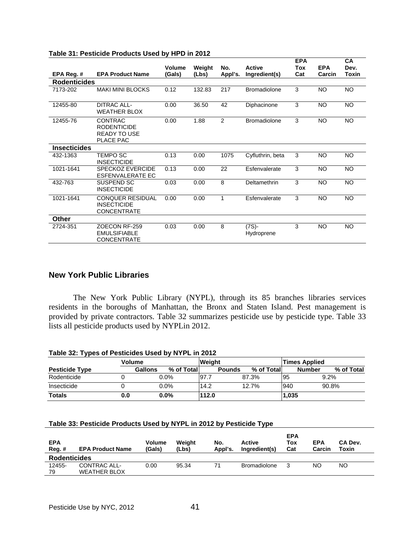|                     |                                                                   | Volume | Weight | No.          | <b>Active</b>       | <b>EPA</b><br>Tox | <b>EPA</b> | <b>CA</b><br>Dev. |
|---------------------|-------------------------------------------------------------------|--------|--------|--------------|---------------------|-------------------|------------|-------------------|
| EPA Reg. #          | <b>EPA Product Name</b>                                           | (Gals) | (Lbs)  | Appl's.      | Ingredient(s)       | Cat               | Carcin     | Toxin             |
| <b>Rodenticides</b> |                                                                   |        |        |              |                     |                   |            |                   |
| 7173-202            | <b>MAKI MINI BLOCKS</b>                                           | 0.12   | 132.83 | 217          | <b>Bromadiolone</b> | 3                 | <b>NO</b>  | <b>NO</b>         |
| 12455-80            | DITRAC ALL-<br><b>WEATHER BLOX</b>                                | 0.00   | 36.50  | 42           | Diphacinone         | 3                 | <b>NO</b>  | <b>NO</b>         |
| 12455-76            | CONTRAC<br><b>RODENTICIDE</b><br><b>READY TO USE</b><br>PLACE PAC | 0.00   | 1.88   | 2            | <b>Bromadiolone</b> | 3                 | NO.        | <b>NO</b>         |
| <b>Insecticides</b> |                                                                   |        |        |              |                     |                   |            |                   |
| 432-1363            | TEMPO SC<br><b>INSECTICIDE</b>                                    | 0.13   | 0.00   | 1075         | Cyfluthrin, beta    | 3                 | <b>NO</b>  | <b>NO</b>         |
| 1021-1641           | <b>SPECKOZ EVERCIDE</b><br>ESFENVALERATE EC                       | 0.13   | 0.00   | 22           | Esfenvalerate       | 3                 | <b>NO</b>  | <b>NO</b>         |
| 432-763             | SUSPEND SC<br><b>INSECTICIDE</b>                                  | 0.03   | 0.00   | 8            | Deltamethrin        | 3                 | <b>NO</b>  | <b>NO</b>         |
| 1021-1641           | <b>CONQUER RESIDUAL</b><br><b>INSECTICIDE</b><br>CONCENTRATE      | 0.00   | 0.00   | $\mathbf{1}$ | Esfenvalerate       | 3                 | <b>NO</b>  | <b>NO</b>         |
| Other               |                                                                   |        |        |              |                     |                   |            |                   |
| 2724-351            | ZOECON RF-259<br><b>EMULSIFIABLE</b><br><b>CONCENTRATE</b>        | 0.03   | 0.00   | 8            | (7S)-<br>Hydroprene | 3                 | <b>NO</b>  | <b>NO</b>         |

## **Table 31: Pesticide Products Used by HPD in 2012**

## **New York Public Libraries**

 The New York Public Library (NYPL), through its 85 branches libraries services residents in the boroughs of Manhattan, the Bronx and Staten Island. Pest management is provided by private contractors. Table 32 summarizes pesticide use by pesticide type. Table 33 lists all pesticide products used by NYPLin 2012.

#### **Table 32: Types of Pesticides Used by NYPL in 2012**

|                       | Volume |                |            | <b>Weight</b> |               |             |       | <b>Times Applied</b>        |
|-----------------------|--------|----------------|------------|---------------|---------------|-------------|-------|-----------------------------|
| <b>Pesticide Type</b> |        | <b>Gallons</b> | % of Total |               | <b>Pounds</b> | % of Totall |       | % of Total<br><b>Number</b> |
| Rodenticide           |        |                | $0.0\%$    | 97.           |               | 87.3%       | 195   | $9.2\%$                     |
| Insecticide           |        |                | $0.0\%$    | 14.2          |               | 12.7%       | 940   | 90.8%                       |
| <b>Totals</b>         | 0.0    |                | $0.0\%$    | 112.0         |               |             | 1,035 |                             |

#### **Table 33: Pesticide Products Used by NYPL in 2012 by Pesticide Type**

| <b>EPA</b><br>Reg.# | <b>EPA Product Name</b> | <b>Volume</b><br>(Gals) | Weight<br>(Lbs) | No.<br>Appl's. | <b>Active</b><br>Ingredient(s) | <b>EPA</b><br>Tox<br>Cat | <b>EPA</b><br>Carcin | CA Dev.<br>Toxin |  |  |
|---------------------|-------------------------|-------------------------|-----------------|----------------|--------------------------------|--------------------------|----------------------|------------------|--|--|
| <b>Rodenticides</b> |                         |                         |                 |                |                                |                          |                      |                  |  |  |
| 12455-              | CONTRAC ALL-            | 0.00                    | 95.34           | 71             | <b>Bromadiolone</b>            |                          | NΟ                   | NΟ               |  |  |
| 79                  | <b>WEATHER BLOX</b>     |                         |                 |                |                                |                          |                      |                  |  |  |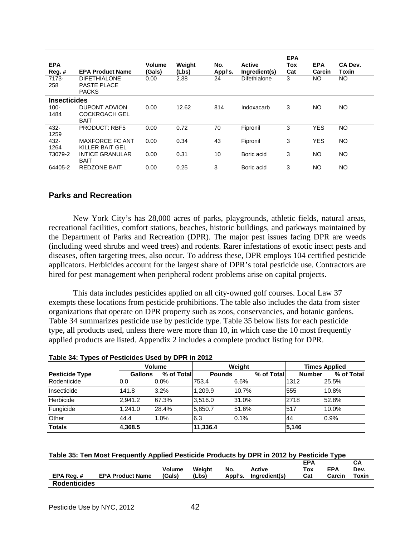| <b>EPA</b><br>Reg. #<br>7173-<br>258   | <b>EPA Product Name</b><br><b>DIFETHIALONE</b><br>PASTE PLACE<br><b>PACKS</b> | Volume<br>(Gals)<br>0.00 | Weight<br>(Lbs)<br>2.38 | No.<br>Appl's.<br>24 | <b>Active</b><br>Ingredient(s)<br>Difethialone | <b>EPA</b><br>Tox<br>Cat<br>3 | <b>EPA</b><br>Carcin<br>NO. | CA Dev.<br>Toxin<br><b>NO</b> |
|----------------------------------------|-------------------------------------------------------------------------------|--------------------------|-------------------------|----------------------|------------------------------------------------|-------------------------------|-----------------------------|-------------------------------|
| <b>Insecticides</b><br>$100 -$<br>1484 | <b>DUPONT ADVION</b><br><b>COCKROACH GEL</b><br><b>BAIT</b>                   | 0.00                     | 12.62                   | 814                  | Indoxacarb                                     | 3                             | NO.                         | NO.                           |
| 432-<br>1259                           | <b>PRODUCT: RBF5</b>                                                          | 0.00                     | 0.72                    | 70                   | Fipronil                                       | 3                             | <b>YES</b>                  | <b>NO</b>                     |
| 432-<br>1264                           | MAXFORCE FC ANT<br>KILLER BAIT GEL                                            | 0.00                     | 0.34                    | 43                   | Fipronil                                       | 3                             | <b>YES</b>                  | NO                            |
| 73079-2                                | <b>INTICE GRANULAR</b><br><b>BAIT</b>                                         | 0.00                     | 0.31                    | 10                   | Boric acid                                     | 3                             | NO.                         | NO                            |
| 64405-2                                | <b>REDZONE BAIT</b>                                                           | 0.00                     | 0.25                    | 3                    | Boric acid                                     | 3                             | NO                          | NO                            |

## **Parks and Recreation**

 New York City's has 28,000 acres of parks, playgrounds, athletic fields, natural areas, recreational facilities, comfort stations, beaches, historic buildings, and parkways maintained by the Department of Parks and Recreation (DPR). The major pest issues facing DPR are weeds (including weed shrubs and weed trees) and rodents. Rarer infestations of exotic insect pests and diseases, often targeting trees, also occur. To address these, DPR employs 104 certified pesticide applicators. Herbicides account for the largest share of DPR's total pesticide use. Contractors are hired for pest management when peripheral rodent problems arise on capital projects.

This data includes pesticides applied on all city-owned golf courses. Local Law 37 exempts these locations from pesticide prohibitions. The table also includes the data from sister organizations that operate on DPR property such as zoos, conservancies, and botanic gardens. Table 34 summarizes pesticide use by pesticide type. Table 35 below lists for each pesticide type, all products used, unless there were more than 10, in which case the 10 most frequently applied products are listed. Appendix 2 includes a complete product listing for DPR.

|                       | <b>Volume</b>  |            | Weight        | <b>Times Applied</b> |            |               |            |
|-----------------------|----------------|------------|---------------|----------------------|------------|---------------|------------|
| <b>Pesticide Type</b> | <b>Gallons</b> | % of Total | <b>Pounds</b> |                      | % of Total | <b>Number</b> | % of Total |
| Rodenticide           | 0.0            | $0.0\%$    | 753.4         | 6.6%                 |            | 1312          | 25.5%      |
| Insecticide           | 141.8          | 3.2%       | 1.209.9       | 10.7%                |            | 555           | 10.8%      |
| Herbicide             | 2.941.2        | 67.3%      | 3.516.0       | 31.0%                |            | 2718          | 52.8%      |
| Fungicide             | 1.241.0        | 28.4%      | 5.850.7       | 51.6%                |            | 517           | 10.0%      |
| Other                 | 44.4           | 1.0%       | 6.3           | 0.1%                 |            | 44            | 0.9%       |
| <b>Totals</b>         | 4,368.5        |            | 11,336.4      |                      |            | 5,146         |            |

### **Table 34: Types of Pesticides Used by DPR in 2012**

| Table 35: Ten Most Frequently Applied Pesticide Products by DPR in 2012 by Pesticide Type |  |  |
|-------------------------------------------------------------------------------------------|--|--|
|-------------------------------------------------------------------------------------------|--|--|

| EPA Req.#           | <b>EPA Product Name</b> | Volume<br>(Gals) | Weight<br>(Lbs) | No.<br>Appl's. | Active<br>Ingredient(s) | <b>EPA</b><br>Tox<br>Cat | <b>EPA</b><br>Carcin | Dev.<br>Toxin |
|---------------------|-------------------------|------------------|-----------------|----------------|-------------------------|--------------------------|----------------------|---------------|
| <b>Rodenticides</b> |                         |                  |                 |                |                         |                          |                      |               |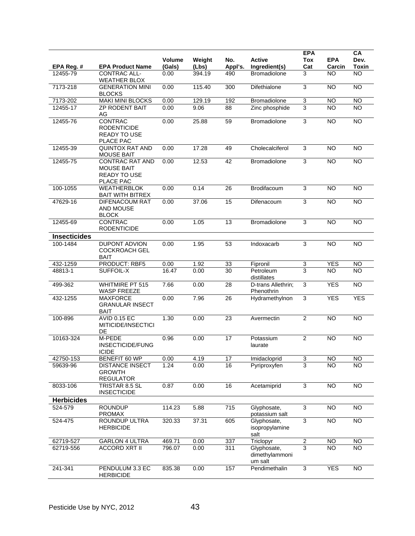| EPA Reg. #          | <b>EPA Product Name</b>                                                  | <b>Volume</b><br>(Gals) | Weight<br>(Lbs) | No.<br>Appl's.  | <b>Active</b><br>Ingredient(s)           | <b>EPA</b><br><b>Tox</b><br>Cat | <b>EPA</b><br>Carcin | CA<br>Dev.<br>Toxin |
|---------------------|--------------------------------------------------------------------------|-------------------------|-----------------|-----------------|------------------------------------------|---------------------------------|----------------------|---------------------|
| 12455-79            | CONTRAC ALL-<br><b>WEATHER BLOX</b>                                      | 0.00                    | 394.19          | 490             | <b>Bromadiolone</b>                      | 3                               | <b>NO</b>            | <b>NO</b>           |
| 7173-218            | <b>GENERATION MINI</b><br><b>BLOCKS</b>                                  | 0.00                    | 115.40          | 300             | Difethialone                             | $\overline{3}$                  | $\overline{NO}$      | <b>NO</b>           |
| 7173-202            | <b>MAKI MINI BLOCKS</b>                                                  | 0.00                    | 129.19          | 192             | Bromadiolone                             | $\ensuremath{\mathsf{3}}$       | <b>NO</b>            | <b>NO</b>           |
| 12455-17            | <b>ZP RODENT BAIT</b><br>AG                                              | 0.00                    | 9.06            | 88              | Zinc phosphide                           | 3                               | <b>NO</b>            | <b>NO</b>           |
| 12455-76            | <b>CONTRAC</b><br><b>RODENTICIDE</b><br>READY TO USE<br>PLACE PAC        | 0.00                    | 25.88           | 59              | Bromadiolone                             | $\overline{3}$                  | <b>NO</b>            | $\overline{NO}$     |
| 12455-39            | <b>QUINTOX RAT AND</b><br><b>MOUSE BAIT</b>                              | 0.00                    | 17.28           | 49              | Cholecalciferol                          | 3                               | <b>NO</b>            | <b>NO</b>           |
| 12455-75            | <b>CONTRAC RAT AND</b><br><b>MOUSE BAIT</b><br>READY TO USE<br>PLACE PAC | 0.00                    | 12.53           | 42              | Bromadiolone                             | $\overline{3}$                  | <b>NO</b>            | $\overline{NO}$     |
| 100-1055            | <b>WEATHERBLOK</b><br><b>BAIT WITH BITREX</b>                            | 0.00                    | 0.14            | 26              | Brodifacoum                              | 3                               | <b>NO</b>            | <b>NO</b>           |
| 47629-16            | DIFENACOUM RAT<br>AND MOUSE<br><b>BLOCK</b>                              | 0.00                    | 37.06           | $\overline{15}$ | Difenacoum                               | 3                               | $\overline{NO}$      | $\overline{NO}$     |
| 12455-69            | <b>CONTRAC</b><br><b>RODENTICIDE</b>                                     | 0.00                    | 1.05            | 13              | <b>Bromadiolone</b>                      | 3                               | <b>NO</b>            | <b>NO</b>           |
| <b>Insecticides</b> |                                                                          |                         |                 |                 |                                          |                                 |                      |                     |
| 100-1484            | DUPONT ADVION<br><b>COCKROACH GEL</b><br>BAIT                            | 0.00                    | 1.95            | 53              | Indoxacarb                               | 3                               | <b>NO</b>            | $\overline{NO}$     |
| 432-1259            | PRODUCT: RBF5                                                            | 0.00                    | 1.92            | 33              | Fipronil                                 | 3                               | <b>YES</b>           | <b>NO</b>           |
| 48813-1             | SUFFOIL-X                                                                | 16.47                   | 0.00            | 30              | Petroleum<br>distillates                 | 3                               | <b>NO</b>            | <b>NO</b>           |
| 499-362             | <b>WHITMIRE PT 515</b><br><b>WASP FREEZE</b>                             | 7.66                    | 0.00            | 28              | D-trans Allethrin;<br>Phenothrin         | 3                               | <b>YES</b>           | NO                  |
| 432-1255            | <b>MAXFORCE</b><br><b>GRANULAR INSECT</b><br><b>BAIT</b>                 | 0.00                    | 7.96            | $\overline{26}$ | Hydramethylnon                           | $\overline{3}$                  | <b>YES</b>           | <b>YES</b>          |
| 100-896             | <b>AVID 0.15 EC</b><br>MITICIDE/INSECTICI<br>DE                          | 1.30                    | 0.00            | 23              | Avermectin                               | $\overline{2}$                  | <b>NO</b>            | <b>NO</b>           |
| 10163-324           | M-PEDE<br>INSECTICIDE/FUNG<br><b>ICIDE</b>                               | 0.96                    | 0.00            | 17              | Potassium<br>laurate                     | $\overline{2}$                  | $\overline{NO}$      | <b>NO</b>           |
| 42750-153           | BENEFIT 60 WP                                                            | 0.00                    | 4.19            | $\overline{17}$ | Imidacloprid                             | 3                               | $\overline{10}$      | NO                  |
| 59639-96            | <b>DISTANCE INSECT</b><br><b>GROWTH</b><br><b>REGULATOR</b>              | 1.24                    | 0.00            | 16              | Pyriproxyfen                             | 3                               | NO.                  | <b>NO</b>           |
| 8033-106            | TRISTAR 8.5 SL<br><b>INSECTICIDE</b>                                     | 0.87                    | 0.00            | 16              | Acetamiprid                              | 3                               | $\overline{3}$       | NO                  |
| <b>Herbicides</b>   |                                                                          |                         |                 |                 |                                          |                                 |                      |                     |
| 524-579             | <b>ROUNDUP</b><br><b>PROMAX</b>                                          | 114.23                  | 5.88            | 715             | Glyphosate,<br>potassium salt            | $\overline{3}$                  | <b>NO</b>            | $\overline{NO}$     |
| 524-475             | ROUNDUP ULTRA<br><b>HERBICIDE</b>                                        | 320.33                  | 37.31           | 605             | Glyphosate,<br>isopropylamine<br>salt    | $\overline{3}$                  | N <sub>O</sub>       | $\overline{NO}$     |
| 62719-527           | <b>GARLON 4 ULTRA</b>                                                    | 469.71                  | 0.00            | 337             | Triclopyr                                | $\overline{2}$                  | NO                   | <b>NO</b>           |
| 62719-556           | <b>ACCORD XRT II</b>                                                     | 796.07                  | 0.00            | 311             | Glyphosate,<br>dimethylammoni<br>um salt | $\overline{3}$                  | <b>NO</b>            | <b>NO</b>           |
| 241-341             | PENDULUM 3.3 EC<br><b>HERBICIDE</b>                                      | 835.38                  | 0.00            | 157             | Pendimethalin                            | $\overline{3}$                  | <b>YES</b>           | $\overline{NO}$     |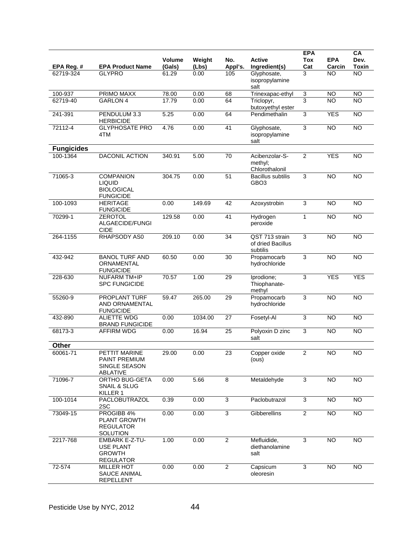| EPA Reg. #        | <b>EPA Product Name</b>                                                    | <b>Volume</b><br>(Gals) | Weight<br>(Lbs) | No.<br>Appl's.  | <b>Active</b><br>Ingredient(s)                  | <b>EPA</b><br><b>Tox</b><br>Cat | <b>EPA</b><br>Carcin | CA<br>Dev.<br>Toxin |
|-------------------|----------------------------------------------------------------------------|-------------------------|-----------------|-----------------|-------------------------------------------------|---------------------------------|----------------------|---------------------|
| 62719-324         | <b>GLYPRO</b>                                                              | 61.29                   | 0.00            | 105             | Glyphosate,<br>isopropylamine<br>salt           | 3                               | <b>NO</b>            | <b>NO</b>           |
| 100-937           | PRIMO MAXX                                                                 | 78.00                   | 0.00            | 68              | Trinexapac-ethyl                                | 3                               | <b>NO</b>            | <b>NO</b>           |
| 62719-40          | <b>GARLON 4</b>                                                            | 17.79                   | 0.00            | 64              | Triclopyr,<br>butoxyethyl ester                 | $\overline{3}$                  | <b>NO</b>            | <b>NO</b>           |
| 241-391           | PENDULUM 3.3<br><b>HERBICIDE</b>                                           | 5.25                    | 0.00            | 64              | Pendimethalin                                   | $\overline{3}$                  | <b>YES</b>           | <b>NO</b>           |
| 72112-4           | <b>GLYPHOSATE PRO</b><br>4TM                                               | 4.76                    | 0.00            | $\overline{41}$ | Glyphosate,<br>isopropylamine<br>salt           | $\overline{3}$                  | $\overline{NO}$      | N <sub>O</sub>      |
| <b>Fungicides</b> |                                                                            |                         |                 |                 |                                                 |                                 |                      |                     |
| 100-1364          | <b>DACONIL ACTION</b>                                                      | 340.91                  | 5.00            | 70              | Acibenzolar-S-<br>methyl;<br>Chlorothalonil     | $\overline{2}$                  | <b>YES</b>           | <b>NO</b>           |
| 71065-3           | <b>COMPANION</b><br><b>LIQUID</b><br><b>BIOLOGICAL</b><br><b>FUNGICIDE</b> | 304.75                  | 0.00            | $\overline{51}$ | <b>Bacillus subtilis</b><br>GBO <sub>3</sub>    | 3                               | <b>NO</b>            | $\overline{NO}$     |
| 100-1093          | <b>HERITAGE</b><br><b>FUNGICIDE</b>                                        | 0.00                    | 149.69          | 42              | Azoxystrobin                                    | 3                               | <b>NO</b>            | <b>NO</b>           |
| 70299-1           | <b>ZEROTOL</b><br>ALGAECIDE/FUNGI<br><b>CIDE</b>                           | 129.58                  | 0.00            | $\overline{41}$ | Hydrogen<br>peroxide                            | $\mathbf{1}$                    | NO                   | $\overline{NO}$     |
| 264-1155          | RHAPSODY AS0                                                               | 209.10                  | 0.00            | 34              | QST 713 strain<br>of dried Bacillus<br>subtilis | $\overline{3}$                  | <b>NO</b>            | <b>NO</b>           |
| 432-942           | <b>BANOL TURF AND</b><br>ORNAMENTAL<br><b>FUNGICIDE</b>                    | 60.50                   | 0.00            | 30              | Propamocarb<br>hydrochloride                    | $\overline{3}$                  | $\overline{NO}$      | $\overline{NO}$     |
| 228-630           | <b>NUFARM TM+IP</b><br><b>SPC FUNGICIDE</b>                                | 70.57                   | 1.00            | 29              | Iprodione;<br>Thiophanate-<br>methyl            | 3                               | <b>YES</b>           | <b>YES</b>          |
| 55260-9           | <b>PROPLANT TURF</b><br>AND ORNAMENTAL<br><b>FUNGICIDE</b>                 | 59.47                   | 265.00          | $\overline{29}$ | Propamocarb<br>hydrochloride                    | $\overline{3}$                  | $\overline{NO}$      | $\overline{NO}$     |
| 432-890           | <b>ALIETTE WDG</b><br><b>BRAND FUNGICIDE</b>                               | 0.00                    | 1034.00         | 27              | Fosetyl-Al                                      | 3                               | <b>NO</b>            | $\overline{NO}$     |
| 68173-3           | <b>AFFIRM WDG</b>                                                          | 0.00                    | 16.94           | 25              | Polyoxin D zinc<br>salt                         | 3                               | $\overline{NO}$      | $\overline{NO}$     |
| Other             |                                                                            |                         |                 |                 |                                                 |                                 |                      |                     |
| 60061-71          | PETTIT MARINE<br><b>PAINT PREMIUM</b><br>SINGLE SEASON<br>ABLATIVE         | 29.00                   | 0.00            | 23              | Copper oxide<br>(ous)                           | $\overline{2}$                  | <b>NO</b>            | <b>NO</b>           |
| 71096-7           | <b>ORTHO BUG-GETA</b><br>SNAIL & SLUG<br>KILLER 1                          | 0.00                    | 5.66            | $\overline{8}$  | Metaldehyde                                     | 3                               | $\overline{NO}$      | $\overline{NO}$     |
| 100-1014          | PACLOBUTRAZOL<br>2SC                                                       | 0.39                    | 0.00            | 3               | Paclobutrazol                                   | 3                               | <b>NO</b>            | <b>NO</b>           |
| 73049-15          | PROGIBB 4%<br><b>PLANT GROWTH</b><br><b>REGULATOR</b><br>SOLUTION          | 0.00                    | 0.00            | $\overline{3}$  | Gibberellins                                    | $\mathbf{2}$                    | <b>NO</b>            | $\overline{NO}$     |
| 2217-768          | <b>EMBARK E-Z-TU-</b><br>USE PLANT<br><b>GROWTH</b><br><b>REGULATOR</b>    | 1.00                    | 0.00            | $\overline{2}$  | Mefluidide,<br>diethanolamine<br>salt           | 3                               | <b>NO</b>            | $\overline{NO}$     |
| 72-574            | <b>MILLER HOT</b><br><b>SAUCE ANIMAL</b><br>REPELLENT                      | 0.00                    | 0.00            | $\overline{2}$  | Capsicum<br>oleoresin                           | 3                               | $\overline{N}$       | $\overline{N}$      |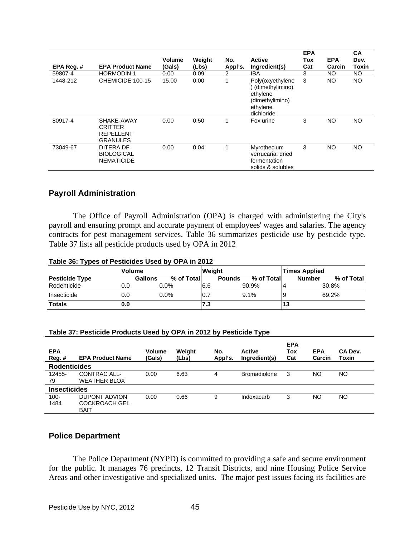| EPA Reg. # | <b>EPA Product Name</b>                                             | Volume<br>(Gals) | Weight<br>(Lbs) | No.<br>Appl's. | <b>Active</b><br>Ingredient(s)                                                               | <b>EPA</b><br>Tox<br>Cat | <b>EPA</b><br>Carcin | <b>CA</b><br>Dev.<br>Toxin |
|------------|---------------------------------------------------------------------|------------------|-----------------|----------------|----------------------------------------------------------------------------------------------|--------------------------|----------------------|----------------------------|
| 59807-4    | <b>HORMODIN1</b>                                                    | 0.00             | 0.09            | $\overline{2}$ | IBA                                                                                          | 3                        | NO                   | NO.                        |
| 1448-212   | CHEMICIDE 100-15                                                    | 15.00            | 0.00            |                | Poly(oxyethylene<br>(dimethylimino)<br>ethylene<br>(dimethylimino)<br>ethylene<br>dichloride | 3                        | NO                   | NO.                        |
| 80917-4    | SHAKE-AWAY<br><b>CRITTER</b><br><b>REPELLENT</b><br><b>GRANULES</b> | 0.00             | 0.50            |                | Fox urine                                                                                    | 3                        | NO                   | <b>NO</b>                  |
| 73049-67   | DITERA DF<br><b>BIOLOGICAL</b><br><b>NEMATICIDE</b>                 | 0.00             | 0.04            |                | Myrothecium<br>verrucaria, dried<br>fermentation<br>solids & solubles                        | 3                        | <b>NO</b>            | <b>NO</b>                  |

## **Payroll Administration**

 The Office of Payroll Administration (OPA) is charged with administering the City's payroll and ensuring prompt and accurate payment of employees' wages and salaries. The agency contracts for pest management services. Table 36 summarizes pesticide use by pesticide type. Table 37 lists all pesticide products used by OPA in 2012

|  |  |  |  | Table 36: Types of Pesticides Used by OPA in 2012 |
|--|--|--|--|---------------------------------------------------|
|--|--|--|--|---------------------------------------------------|

|                       | Volume |         |            | <b>Weight</b> |               |       |            |    | <b>Times Applied</b> |       |            |
|-----------------------|--------|---------|------------|---------------|---------------|-------|------------|----|----------------------|-------|------------|
| <b>Pesticide Type</b> |        | Gallons | % of Total |               | <b>Pounds</b> |       | % of Total |    | <b>Number</b>        |       | % of Total |
| Rodenticide           | 0.0    | $0.0\%$ |            | 6.6           |               | 90.9% |            |    |                      | 30.8% |            |
| Insecticide           | 0.0    |         | $0.0\%$    | ۵.,           |               | 9.1%  |            |    |                      | 69.2% |            |
| <b>Totals</b>         | 0.0    |         |            | 7.3           |               |       |            | 13 |                      |       |            |

#### **Table 37: Pesticide Products Used by OPA in 2012 by Pesticide Type**

| <b>EPA</b><br>Reg. # | <b>EPA Product Name</b>                              | Volume<br>(Gals) | Weight<br>(Lbs) | No.<br>Appl's. | <b>Active</b><br>Ingredient(s) | <b>EPA</b><br>Tox<br>Cat | <b>EPA</b><br>Carcin | CA Dev.<br>Toxin |
|----------------------|------------------------------------------------------|------------------|-----------------|----------------|--------------------------------|--------------------------|----------------------|------------------|
| <b>Rodenticides</b>  |                                                      |                  |                 |                |                                |                          |                      |                  |
| 12455-<br>79         | CONTRAC ALL-<br><b>WEATHER BLOX</b>                  | 0.00             | 6.63            | 4              | <b>Bromadiolone</b>            | 3                        | NO                   | NO.              |
| <b>Insecticides</b>  |                                                      |                  |                 |                |                                |                          |                      |                  |
| $100 -$<br>1484      | DUPONT ADVION<br><b>COCKROACH GEL</b><br><b>BAIT</b> | 0.00             | 0.66            | 9              | Indoxacarb                     | 3                        | NO                   | NO.              |

## **Police Department**

 The Police Department (NYPD) is committed to providing a safe and secure environment for the public. It manages 76 precincts, 12 Transit Districts, and nine Housing Police Service Areas and other investigative and specialized units. The major pest issues facing its facilities are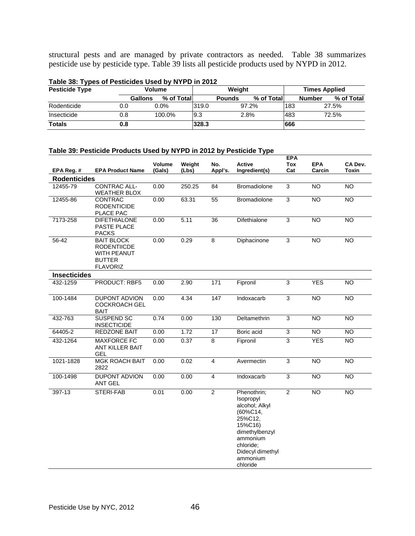structural pests and are managed by private contractors as needed. Table 38 summarizes pesticide use by pesticide type. Table 39 lists all pesticide products used by NYPD in 2012.

| <b>Pesticide Type</b> | Volume | Weiaht                       |       |                              |       | <b>Times Applied</b> |                             |  |
|-----------------------|--------|------------------------------|-------|------------------------------|-------|----------------------|-----------------------------|--|
|                       |        | % of Total<br><b>Gallons</b> |       | % of Totall<br><b>Pounds</b> |       |                      | % of Total<br><b>Number</b> |  |
| Rodenticide           | 0.0    | $0.0\%$                      | 319.0 |                              | 97.2% | 183                  | 27.5%                       |  |
| Insecticide           | 0.8    | 100.0%                       | 19.3  |                              | 2.8%  | 483                  | 72.5%                       |  |
| <b>Totals</b>         | 0.8    |                              | 328.3 |                              |       | 666                  |                             |  |

## **Table 38: Types of Pesticides Used by NYPD in 2012**

# **Table 39: Pesticide Products Used by NYPD in 2012 by Pesticide Type**

|                     |                                                                                                   |                  |                 |                 |                                                                                                                                                                     | <b>EPA</b>     |                      |                  |
|---------------------|---------------------------------------------------------------------------------------------------|------------------|-----------------|-----------------|---------------------------------------------------------------------------------------------------------------------------------------------------------------------|----------------|----------------------|------------------|
| EPA Reg. #          | <b>EPA Product Name</b>                                                                           | Volume<br>(Gals) | Weight<br>(Lbs) | No.<br>Appl's.  | Active<br>Ingredient(s)                                                                                                                                             | Tox<br>Cat     | <b>EPA</b><br>Carcin | CA Dev.<br>Toxin |
| <b>Rodenticides</b> |                                                                                                   |                  |                 |                 |                                                                                                                                                                     |                |                      |                  |
| 12455-79            | <b>CONTRAC ALL-</b><br><b>WEATHER BLOX</b>                                                        | 0.00             | 250.25          | 84              | Bromadiolone                                                                                                                                                        | 3              | <b>NO</b>            | <b>NO</b>        |
| 12455-86            | <b>CONTRAC</b><br><b>RODENTICIDE</b><br>PLACE PAC                                                 | 0.00             | 63.31           | 55              | Bromadiolone                                                                                                                                                        | $\overline{3}$ | <b>NO</b>            | <b>NO</b>        |
| 7173-258            | <b>DIFETHIALONE</b><br><b>PASTE PLACE</b><br><b>PACKS</b>                                         | 0.00             | 5.11            | 36              | Difethialone                                                                                                                                                        | 3              | <b>NO</b>            | <b>NO</b>        |
| 56-42               | <b>BAIT BLOCK</b><br><b>RODENTIICDE</b><br><b>WITH PEANUT</b><br><b>BUTTER</b><br><b>FLAVORIZ</b> | 0.00             | 0.29            | $\overline{8}$  | Diphacinone                                                                                                                                                         | $\overline{3}$ | <b>NO</b>            | $\overline{NO}$  |
| <b>Insecticides</b> |                                                                                                   |                  |                 |                 |                                                                                                                                                                     |                |                      |                  |
| 432-1259            | PRODUCT: RBF5                                                                                     | 0.00             | 2.90            | $\frac{1}{171}$ | Fipronil                                                                                                                                                            | 3              | <b>YES</b>           | <b>NO</b>        |
| 100-1484            | <b>DUPONT ADVION</b><br><b>COCKROACH GEL</b><br><b>BAIT</b>                                       | 0.00             | 4.34            | 147             | Indoxacarb                                                                                                                                                          | 3              | $\overline{NO}$      | <b>NO</b>        |
| 432-763             | SUSPEND SC<br><b>INSECTICIDE</b>                                                                  | 0.74             | 0.00            | 130             | Deltamethrin                                                                                                                                                        | $\overline{3}$ | <b>NO</b>            | $\overline{NO}$  |
| 64405-2             | <b>REDZONE BAIT</b>                                                                               | 0.00             | 1.72            | 17              | Boric acid                                                                                                                                                          | $\overline{3}$ | <b>NO</b>            | $\overline{NO}$  |
| 432-1264            | <b>MAXFORCE FC</b><br>ANT KILLER BAIT<br>GEL                                                      | 0.00             | 0.37            | 8               | Fipronil                                                                                                                                                            | 3              | <b>YES</b>           | NO               |
| 1021-1828           | <b>MGK ROACH BAIT</b><br>2822                                                                     | 0.00             | 0.02            | $\overline{4}$  | Avermectin                                                                                                                                                          | $\overline{3}$ | <b>NO</b>            | <b>NO</b>        |
| 100-1498            | <b>DUPONT ADVION</b><br><b>ANT GEL</b>                                                            | 0.00             | 0.00            | $\overline{4}$  | Indoxacarb                                                                                                                                                          | 3              | <b>NO</b>            | <b>NO</b>        |
| 397-13              | <b>STERI-FAB</b>                                                                                  | 0.01             | 0.00            | $\overline{2}$  | Phenothrin;<br>Isopropyl<br>alcohol; Alkyl<br>(60%C14,<br>25%C12,<br>15%C16)<br>dimethylbenzyl<br>ammonium<br>chloride;<br>Didecyl dimethyl<br>ammonium<br>chloride | $\overline{2}$ | <b>NO</b>            | <b>NO</b>        |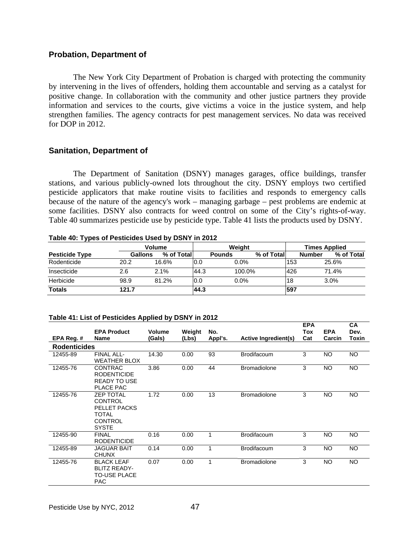## **Probation, Department of**

 The New York City Department of Probation is charged with protecting the community by intervening in the lives of offenders, holding them accountable and serving as a catalyst for positive change. In collaboration with the community and other justice partners they provide information and services to the courts, give victims a voice in the justice system, and help strengthen families. The agency contracts for pest management services. No data was received for DOP in 2012.

## **Sanitation, Department of**

 The Department of Sanitation (DSNY) manages garages, office buildings, transfer stations, and various publicly-owned lots throughout the city. DSNY employs two certified pesticide applicators that make routine visits to facilities and responds to emergency calls because of the nature of the agency's work – managing garbage – pest problems are endemic at some facilities. DSNY also contracts for weed control on some of the City's rights-of-way. Table 40 summarizes pesticide use by pesticide type. Table 41 lists the products used by DSNY.

|                       | <b>Volume</b>  |            |      | Weiaht        |            |     | <b>Times Applied</b> |            |  |
|-----------------------|----------------|------------|------|---------------|------------|-----|----------------------|------------|--|
| <b>Pesticide Type</b> | <b>Gallons</b> | % of Total |      | <b>Pounds</b> | % of Total |     | <b>Number</b>        | % of Total |  |
| Rodenticide           | 20.2           | 16.6%      | 0.0  | $0.0\%$       |            | 153 |                      | 25.6%      |  |
| Insecticide           | 2.6            | 2.1%       | 44.3 | 100.0%        |            | 426 |                      | 71.4%      |  |
| Herbicide             | 98.9           | 81.2%      | 0.0  | 0.0%          |            | 18  | 3.0%                 |            |  |
| <b>Totals</b>         | 121.7          |            | 44.3 |               |            | 597 |                      |            |  |

**Table 40: Types of Pesticides Used by DSNY in 2012** 

| Table 41: List of Pesticides Applied by DSNY in 2012 |
|------------------------------------------------------|
|------------------------------------------------------|

| EPA Reg. #          | <b>EPA Product</b><br><b>Name</b>                                                      | Volume<br>(Gals) | Weight<br>(Lbs) | No.<br>Appl's. | <b>Active Ingredient(s)</b> | <b>EPA</b><br>Tox<br>Cat | <b>EPA</b><br>Carcin | <b>CA</b><br>Dev.<br>Toxin |
|---------------------|----------------------------------------------------------------------------------------|------------------|-----------------|----------------|-----------------------------|--------------------------|----------------------|----------------------------|
| <b>Rodenticides</b> |                                                                                        |                  |                 |                |                             |                          |                      |                            |
|                     |                                                                                        |                  |                 |                |                             |                          |                      |                            |
| 12455-89            | FINAL ALL-<br>WEATHER BLOX                                                             | 14.30            | 0.00            | 93             | <b>Brodifacoum</b>          | 3                        | <b>NO</b>            | NO.                        |
| 12455-76            | CONTRAC<br><b>RODENTICIDE</b><br><b>READY TO USE</b><br>PLACE PAC                      | 3.86             | 0.00            | 44             | <b>Bromadiolone</b>         | 3                        | NO.                  | NO.                        |
| 12455-76            | <b>ZEP TOTAL</b><br>CONTROL<br>PELLET PACKS<br>TOTAL<br><b>CONTROL</b><br><b>SYSTE</b> | 1.72             | 0.00            | 13             | <b>Bromadiolone</b>         | 3                        | <b>NO</b>            | <b>NO</b>                  |
| 12455-90            | <b>FINAL</b><br><b>RODENTICIDE</b>                                                     | 0.16             | 0.00            | 1              | Brodifacoum                 | 3                        | <b>NO</b>            | <b>NO</b>                  |
| 12455-89            | JAGUAR BAIT<br><b>CHUNX</b>                                                            | 0.14             | 0.00            | 1              | <b>Brodifacoum</b>          | 3                        | <b>NO</b>            | NO.                        |
| 12455-76            | <b>BLACK LEAF</b><br><b>BLITZ READY-</b><br>TO-USE PLACE<br><b>PAC</b>                 | 0.07             | 0.00            | 1              | <b>Bromadiolone</b>         | 3                        | <b>NO</b>            | NO.                        |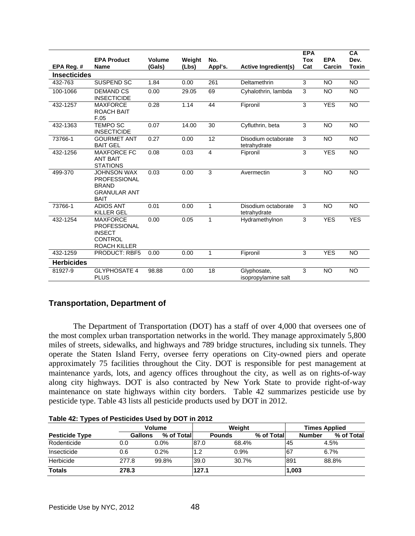|                     |                                                                                                  |                  |                 |                |                                     | <b>EPA</b> |                      | <b>CA</b>     |
|---------------------|--------------------------------------------------------------------------------------------------|------------------|-----------------|----------------|-------------------------------------|------------|----------------------|---------------|
| EPA Reg. #          | <b>EPA Product</b><br><b>Name</b>                                                                | Volume<br>(Gals) | Weight<br>(Lbs) | No.<br>Appl's. | <b>Active Ingredient(s)</b>         | Tox<br>Cat | <b>EPA</b><br>Carcin | Dev.<br>Toxin |
| <b>Insecticides</b> |                                                                                                  |                  |                 |                |                                     |            |                      |               |
| 432-763             | <b>SUSPEND SC</b>                                                                                | 1.84             | 0.00            | 261            | Deltamethrin                        | 3          | <b>NO</b>            | <b>NO</b>     |
| 100-1066            | <b>DEMAND CS</b><br><b>INSECTICIDE</b>                                                           | 0.00             | 29.05           | 69             | Cyhalothrin, lambda                 | 3          | <b>NO</b>            | <b>NO</b>     |
| 432-1257            | <b>MAXFORCE</b><br><b>ROACH BAIT</b><br>F.05                                                     | 0.28             | 1.14            | 44             | Fipronil                            | 3          | <b>YES</b>           | <b>NO</b>     |
| 432-1363            | <b>TEMPO SC</b><br><b>INSECTICIDE</b>                                                            | 0.07             | 14.00           | 30             | Cyfluthrin, beta                    | 3          | <b>NO</b>            | <b>NO</b>     |
| 73766-1             | <b>GOURMET ANT</b><br><b>BAIT GEL</b>                                                            | 0.27             | 0.00            | 12             | Disodium octaborate<br>tetrahydrate | 3          | <b>NO</b>            | <b>NO</b>     |
| 432-1256            | <b>MAXFORCE FC</b><br><b>ANT BAIT</b><br><b>STATIONS</b>                                         | 0.08             | 0.03            | $\overline{4}$ | Fipronil                            | 3          | <b>YES</b>           | <b>NO</b>     |
| 499-370             | <b>JOHNSON WAX</b><br><b>PROFESSIONAL</b><br><b>BRAND</b><br><b>GRANULAR ANT</b><br><b>BAIT</b>  | 0.03             | 0.00            | 3              | Avermectin                          | 3          | <b>NO</b>            | <b>NO</b>     |
| 73766-1             | <b>ADIOS ANT</b><br><b>KILLER GEL</b>                                                            | 0.01             | 0.00            | $\mathbf{1}$   | Disodium octaborate<br>tetrahydrate | 3          | <b>NO</b>            | <b>NO</b>     |
| 432-1254            | <b>MAXFORCE</b><br><b>PROFESSIONAL</b><br><b>INSECT</b><br><b>CONTROL</b><br><b>ROACH KILLER</b> | 0.00             | 0.05            | $\mathbf{1}$   | Hydramethylnon                      | 3          | <b>YES</b>           | <b>YES</b>    |
| 432-1259            | <b>PRODUCT: RBF5</b>                                                                             | 0.00             | 0.00            | $\mathbf{1}$   | Fipronil                            | 3          | <b>YES</b>           | NO            |
| <b>Herbicides</b>   |                                                                                                  |                  |                 |                |                                     |            |                      |               |
| 81927-9             | <b>GLYPHOSATE 4</b><br><b>PLUS</b>                                                               | 98.88            | 0.00            | 18             | Glyphosate,<br>isopropylamine salt  | 3          | <b>NO</b>            | <b>NO</b>     |

# **Transportation, Department of**

The Department of Transportation (DOT) has a staff of over 4,000 that oversees one of the most complex urban transportation networks in the world. They manage approximately 5,800 miles of streets, sidewalks, and highways and 789 bridge structures, including six tunnels. They operate the Staten Island Ferry, oversee ferry operations on City-owned piers and operate approximately 75 facilities throughout the City. DOT is responsible for pest management at maintenance yards, lots, and agency offices throughout the city, as well as on rights-of-way along city highways. DOT is also contracted by New York State to provide right-of-way maintenance on state highways within city borders. Table 42 summarizes pesticide use by pesticide type. Table 43 lists all pesticide products used by DOT in 2012.

| $1.4019 - 1 = 1.70000$ . $1.001101000$ 00000 00000 |                |               | _ _ _ _ |               |            |                      |            |  |
|----------------------------------------------------|----------------|---------------|---------|---------------|------------|----------------------|------------|--|
|                                                    |                | <b>Volume</b> |         |               |            | <b>Times Applied</b> |            |  |
| <b>Pesticide Type</b>                              | <b>Gallons</b> | % of Total    |         | <b>Pounds</b> | % of Total | <b>Number</b>        | % of Total |  |
| Rodenticide                                        | 0.0            | $0.0\%$       | 87.0    | 68.4%         |            | 145                  | 4.5%       |  |
| Insecticide                                        | 0.6            | 0.2%          |         | 0.9%          |            | <sup>67</sup>        | 6.7%       |  |
| Herbicide                                          | 277.8          | 99.8%         | 39.0    | 30.7%         |            | 891                  | 88.8%      |  |
| <b>Totals</b>                                      | 278.3          |               | 127.1   |               |            | 1,003                |            |  |

**Table 42: Types of Pesticides Used by DOT in 2012**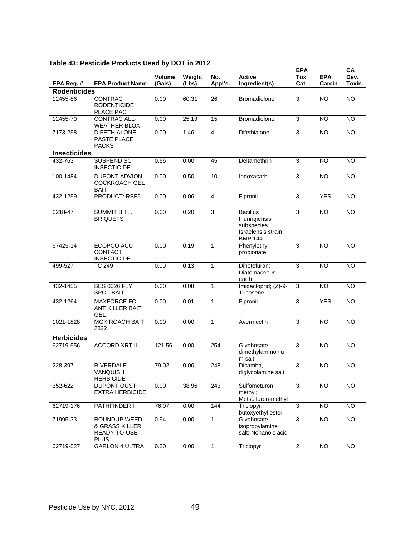|                     |                                                               |                         |                 |                |                                                                                        | <b>EPA</b>        |                      | CA                   |
|---------------------|---------------------------------------------------------------|-------------------------|-----------------|----------------|----------------------------------------------------------------------------------------|-------------------|----------------------|----------------------|
| EPA Reg. #          | <b>EPA Product Name</b>                                       | <b>Volume</b><br>(Gals) | Weight<br>(Lbs) | No.<br>Appl's. | <b>Active</b><br>Ingredient(s)                                                         | <b>Tox</b><br>Cat | <b>EPA</b><br>Carcin | Dev.<br><b>Toxin</b> |
| <b>Rodenticides</b> |                                                               |                         |                 |                |                                                                                        |                   |                      |                      |
| 12455-86            | CONTRAC<br><b>RODENTICIDE</b><br>PLACE PAC                    | 0.00                    | 60.31           | 26             | Bromadiolone                                                                           | 3                 | <b>NO</b>            | <b>NO</b>            |
| 12455-79            | <b>CONTRAC ALL-</b><br><b>WEATHER BLOX</b>                    | 0.00                    | 25.19           | 15             | Bromadiolone                                                                           | $\overline{3}$    | <b>NO</b>            | <b>NO</b>            |
| 7173-258            | <b>DIFETHIALONE</b><br>PASTE PLACE<br><b>PACKS</b>            | 0.00                    | 1.46            | $\overline{4}$ | Difethialone                                                                           | $\overline{3}$    | <b>NO</b>            | <b>NO</b>            |
| <b>Insecticides</b> |                                                               |                         |                 |                |                                                                                        |                   |                      |                      |
| 432-763             | SUSPEND SC<br><b>INSECTICIDE</b>                              | 0.56                    | 0.00            | 45             | Deltamethrin                                                                           | 3                 | <b>NO</b>            | <b>NO</b>            |
| 100-1484            | <b>DUPONT ADVION</b><br><b>COCKROACH GEL</b><br><b>BAIT</b>   | 0.00                    | 0.50            | 10             | Indoxacarb                                                                             | 3                 | NO                   | <b>NO</b>            |
| 432-1259            | <b>PRODUCT: RBF5</b>                                          | 0.00                    | 0.06            | $\overline{4}$ | Fipronil                                                                               | 3                 | <b>YES</b>           | $\overline{NO}$      |
| $6218 - 47$         | <b>SUMMIT B.T.I.</b><br><b>BRIQUETS</b>                       | 0.00                    | 0.20            | 3              | <b>Bacillus</b><br>thuringiensis<br>subspecies<br>Israelensis strain<br><b>BMP 144</b> | 3                 | $\overline{NO}$      | $\overline{NO}$      |
| 67425-14            | ECOPCO ACU<br>CONTACT<br><b>INSECTICIDE</b>                   | 0.00                    | 0.19            | $\mathbf{1}$   | Phenylethyl<br>propionate                                                              | 3                 | <b>NO</b>            | <b>NO</b>            |
| 499-527             | <b>TC 249</b>                                                 | 0.00                    | 0.13            | $\mathbf{1}$   | Dinotefuran;<br>Diatomaceous<br>earth                                                  | 3                 | <b>NO</b>            | <b>NO</b>            |
| 432-1455            | <b>BES 0026 FLY</b><br><b>SPOT BAIT</b>                       | 0.00                    | 0.08            | $\mathbf{1}$   | Imidacloprid; (Z)-9-<br>Tricosene                                                      | 3                 | $\overline{NO}$      | <b>NO</b>            |
| 432-1264            | <b>MAXFORCE FC</b><br><b>ANT KILLER BAIT</b><br><b>GEL</b>    | 0.00                    | 0.01            | $\mathbf{1}$   | Fipronil                                                                               | $\overline{3}$    | <b>YES</b>           | <b>NO</b>            |
| 1021-1828           | <b>MGK ROACH BAIT</b><br>2822                                 | 0.00                    | 0.00            | $\mathbf{1}$   | Avermectin                                                                             | 3                 | <b>NO</b>            | <b>NO</b>            |
| <b>Herbicides</b>   |                                                               |                         |                 |                |                                                                                        |                   |                      |                      |
| 62719-556           | <b>ACCORD XRT II</b>                                          | 121.56                  | 0.00            | 254            | Glyphosate,<br>dimethylammoniu<br>m salt                                               | 3                 | <b>NO</b>            | <b>NO</b>            |
| 228-397             | <b>RIVERDALE</b><br>VANQUISH<br><b>HERBICIDE</b>              | 79.02                   | 0.00            | 248            | Dicamba,<br>diglycolamine salt                                                         | 3                 | <b>NO</b>            | <b>NO</b>            |
| 352-622             | <b>DUPONT OUST</b><br><b>EXTRA HERBICIDE</b>                  | 0.00                    | 38.96           | 243            | Sulfometuron<br>methyl;<br>Metsulfuron-methyl                                          | 3                 | <b>NO</b>            | $\overline{NO}$      |
| 62719-176           | PATHFINDER II                                                 | 76.07                   | 0.00            | 144            | Triclopyr,<br>butoxyethyl ester                                                        | 3                 | $\overline{NO}$      | $\overline{NO}$      |
| 71995-33            | ROUNDUP WEED<br>& GRASS KILLER<br>READY-TO-USE<br><b>PLUS</b> | 0.94                    | 0.00            | $\mathbf{1}$   | Glyphosate,<br>isopropylamine<br>salt; Nonanoic acid                                   | $\overline{3}$    | $\overline{NO}$      | $\overline{NO}$      |
| 62719-527           | <b>GARLON 4 ULTRA</b>                                         | 0.20                    | 0.00            | $\mathbf{1}$   | Triclopyr                                                                              | $\overline{2}$    | <b>NO</b>            | NO                   |

# **Table 43: Pesticide Products Used by DOT in 2012**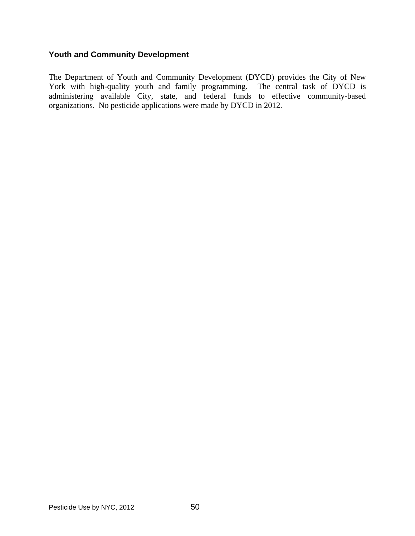# **Youth and Community Development**

The Department of Youth and Community Development (DYCD) provides the City of New York with high-quality youth and family programming. The central task of DYCD is administering available City, state, and federal funds to effective community-based organizations. No pesticide applications were made by DYCD in 2012.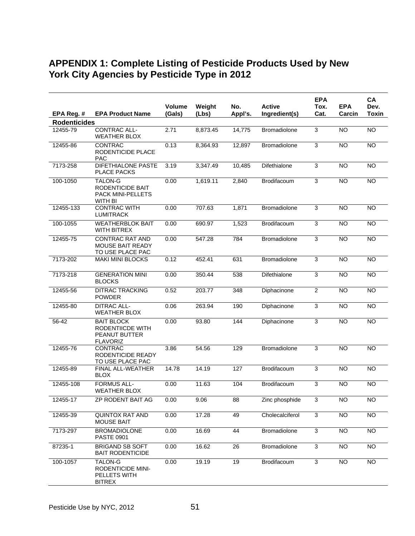# **APPENDIX 1: Complete Listing of Pesticide Products Used by New York City Agencies by Pesticide Type in 2012**

|                     |                                                                                  |                  |                 |                |                                | <b>EPA</b>     |                      | <b>CA</b>            |
|---------------------|----------------------------------------------------------------------------------|------------------|-----------------|----------------|--------------------------------|----------------|----------------------|----------------------|
| EPA Reg. #          | <b>EPA Product Name</b>                                                          | Volume<br>(Gals) | Weight<br>(Lbs) | No.<br>Appl's. | <b>Active</b><br>Ingredient(s) | Tox.<br>Cat.   | <b>EPA</b><br>Carcin | Dev.<br><b>Toxin</b> |
| <b>Rodenticides</b> |                                                                                  |                  |                 |                |                                |                |                      |                      |
| 12455-79            | <b>CONTRAC ALL-</b><br><b>WEATHER BLOX</b>                                       | 2.71             | 8,873.45        | 14,775         | <b>Bromadiolone</b>            | 3              | $\overline{NO}$      | N <sub>O</sub>       |
| 12455-86            | <b>CONTRAC</b><br>RODENTICIDE PLACE<br><b>PAC</b>                                | 0.13             | 8,364.93        | 12,897         | Bromadiolone                   | 3              | <b>NO</b>            | <b>NO</b>            |
| 7173-258            | <b>DIFETHIALONE PASTE</b><br><b>PLACE PACKS</b>                                  | 3.19             | 3.347.49        | 10,485         | Difethialone                   | 3              | <b>NO</b>            | NO                   |
| 100-1050            | <b>TALON-G</b><br>RODENTICIDE BAIT<br>PACK MINI-PELLETS<br>WITH BI               | 0.00             | 1,619.11        | 2,840          | Brodifacoum                    | $\overline{3}$ | <b>NO</b>            | <b>NO</b>            |
| 12455-133           | <b>CONTRAC WITH</b><br><b>LUMITRACK</b>                                          | 0.00             | 707.63          | 1,871          | <b>Bromadiolone</b>            | $\overline{3}$ | <b>NO</b>            | <b>NO</b>            |
| 100-1055            | <b>WEATHERBLOK BAIT</b><br>WITH BITREX                                           | 0.00             | 690.97          | 1,523          | Brodifacoum                    | 3              | <b>NO</b>            | $\overline{NO}$      |
| 12455-75            | <b>CONTRAC RAT AND</b><br><b>MOUSE BAIT READY</b><br>TO USE PLACE PAC            | 0.00             | 547.28          | 784            | <b>Bromadiolone</b>            | 3              | <b>NO</b>            | <b>NO</b>            |
| 7173-202            | <b>MAKI MINI BLOCKS</b>                                                          | 0.12             | 452.41          | 631            | <b>Bromadiolone</b>            | 3              | <b>NO</b>            | NO                   |
| 7173-218            | <b>GENERATION MINI</b><br><b>BLOCKS</b>                                          | 0.00             | 350.44          | 538            | Difethialone                   | 3              | <b>NO</b>            | NO                   |
| 12455-56            | <b>DITRAC TRACKING</b><br><b>POWDER</b>                                          | 0.52             | 203.77          | 348            | Diphacinone                    | $\overline{2}$ | <b>NO</b>            | <b>NO</b>            |
| 12455-80            | <b>DITRAC ALL-</b><br><b>WEATHER BLOX</b>                                        | 0.06             | 263.94          | 190            | Diphacinone                    | 3              | <b>NO</b>            | <b>NO</b>            |
| 56-42               | <b>BAIT BLOCK</b><br><b>RODENTIICDE WITH</b><br>PEANUT BUTTER<br><b>FLAVORIZ</b> | 0.00             | 93.80           | 144            | Diphacinone                    | $\overline{3}$ | <b>NO</b>            | $\overline{NO}$      |
| 12455-76            | <b>CONTRAC</b><br>RODENTICIDE READY<br>TO USE PLACE PAC                          | 3.86             | 54.56           | 129            | Bromadiolone                   | 3              | <b>NO</b>            | <b>NO</b>            |
| 12455-89            | FINAL ALL-WEATHER<br><b>BLOX</b>                                                 | 14.78            | 14.19           | 127            | <b>Brodifacoum</b>             | 3              | $\overline{10}$      | NO                   |
| 12455-108           | <b>FORMUS ALL-</b><br><b>WEATHER BLOX</b>                                        | 0.00             | 11.63           | 104            | Brodifacoum                    | 3              | <b>NO</b>            | <b>NO</b>            |
| 12455-17            | ZP RODENT BAIT AG                                                                | 0.00             | 9.06            | 88             | Zinc phosphide                 | 3              | NO.                  | NO.                  |
| 12455-39            | <b>QUINTOX RAT AND</b><br><b>MOUSE BAIT</b>                                      | 0.00             | 17.28           | 49             | Cholecalciferol                | $\overline{3}$ | $\overline{N}$       | NO                   |
| 7173-297            | <b>BROMADIOLONE</b><br><b>PASTE 0901</b>                                         | 0.00             | 16.69           | 44             | Bromadiolone                   | $\overline{3}$ | $\overline{NO}$      | $\overline{N}$       |
| 87235-1             | <b>BRIGAND SB SOFT</b><br><b>BAIT RODENTICIDE</b>                                | 0.00             | 16.62           | 26             | <b>Bromadiolone</b>            | $\overline{3}$ | <b>NO</b>            | $\overline{NO}$      |
| 100-1057            | <b>TALON-G</b><br><b>RODENTICIDE MINI-</b><br>PELLETS WITH<br><b>BITREX</b>      | 0.00             | 19.19           | 19             | Brodifacoum                    | $\overline{3}$ | <b>NO</b>            | <b>NO</b>            |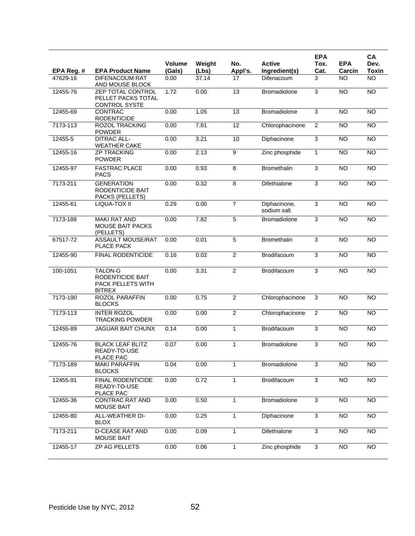|            |                                                                                 | <b>Volume</b> |                 | No.             | <b>Active</b>               | <b>EPA</b>     | <b>EPA</b>      | CA<br>Dev.      |
|------------|---------------------------------------------------------------------------------|---------------|-----------------|-----------------|-----------------------------|----------------|-----------------|-----------------|
| EPA Reg. # | <b>EPA Product Name</b>                                                         | (Gals)        | Weight<br>(Lbs) | Appl's.         | Ingredient(s)               | Tox.<br>Cat.   | Carcin          | <b>Toxin</b>    |
| 47629-16   | DIFENACOUM RAT<br>AND MOUSE BLOCK                                               | 0.00          | 37.14           | 17              | Difenacoum                  | 3              | <b>NO</b>       | <b>NO</b>       |
| 12455-76   | <b>ZEP TOTAL CONTROL</b><br>PELLET PACKS TOTAL<br><b>CONTROL SYSTE</b>          | 1.72          | 0.00            | 13              | Bromadiolone                | 3              | <b>NO</b>       | <b>NO</b>       |
| 12455-69   | <b>CONTRAC</b><br><b>RODENTICIDE</b>                                            | 0.00          | 1.05            | 13              | Bromadiolone                | 3              | <b>NO</b>       | <b>NO</b>       |
| 7173-113   | <b>ROZOL TRACKING</b><br><b>POWDER</b>                                          | 0.00          | 7.81            | $\overline{12}$ | Chlorophacinone             | $\overline{2}$ | N <sub>O</sub>  | $\overline{NO}$ |
| 12455-5    | <b>DITRAC ALL-</b><br><b>WEATHER CAKE</b>                                       | 0.00          | 3.21            | 10              | Diphacinone                 | 3              | N <sub>O</sub>  | $\overline{NO}$ |
| 12455-16   | <b>ZP TRACKING</b><br><b>POWDER</b>                                             | 0.00          | 2.13            | $\overline{9}$  | Zinc phosphide              | $\mathbf{1}$   | <b>NO</b>       | <b>NO</b>       |
| 12455-97   | <b>FASTRAC PLACE</b><br><b>PACS</b>                                             | 0.00          | 0.93            | 8               | Bromethalin                 | 3              | <b>NO</b>       | <b>NO</b>       |
| 7173-211   | <b>GENERATION</b><br>RODENTICIDE BAIT<br>PACKS (PELLETS)                        | 0.00          | 0.32            | 8               | Difethialone                | 3              | <b>NO</b>       | $\overline{NO}$ |
| 12455-61   | LIQUA-TOX II                                                                    | 0.29          | 0.00            | $\overline{7}$  | Diphacinone,<br>sodium salt | 3              | N <sub>O</sub>  | $\overline{NO}$ |
| 7173-188   | <b>MAKI RAT AND</b><br><b>MOUSE BAIT PACKS</b><br>(PELLETS)                     | 0.00          | 7.82            | 5               | Bromadiolone                | 3              | N <sub>O</sub>  | $\overline{NO}$ |
| 67517-72   | <b>ASSAULT MOUSE/RAT</b><br>PLACE PACK                                          | 0.00          | 0.01            | $\overline{5}$  | <b>Bromethalin</b>          | 3              | <b>NO</b>       | <b>NO</b>       |
| 12455-90   | <b>FINAL RODENTICIDE</b>                                                        | 0.16          | 0.02            | $\overline{2}$  | Brodifacoum                 | $\overline{3}$ | <b>NO</b>       | <b>NO</b>       |
| 100-1051   | <b>TALON-G</b><br><b>RODENTICIDE BAIT</b><br>PACK PELLETS WITH<br><b>BITREX</b> | 0.00          | 3.31            | $\overline{2}$  | Brodifacoum                 | 3              | <b>NO</b>       | <b>NO</b>       |
| 7173-190   | ROZOL PARAFFIN<br><b>BLOCKS</b>                                                 | 0.00          | 0.75            | $\overline{2}$  | Chlorophacinone             | 3              | N <sub>O</sub>  | <b>NO</b>       |
| 7173-113   | <b>INTER ROZOL</b><br><b>TRACKING POWDER</b>                                    | 0.00          | 0.00            | $\overline{2}$  | Chlorophacinone             | $\overline{2}$ | N <sub>O</sub>  | $\overline{NO}$ |
| 12455-89   | <b>JAGUAR BAIT CHUNX</b>                                                        | 0.14          | 0.00            | $\mathbf{1}$    | Brodifacoum                 | 3              | <b>NO</b>       | $\overline{NO}$ |
| 12455-76   | <b>BLACK LEAF BLITZ</b><br>READY-TO-USE<br>PLACE PAC                            | 0.07          | 0.00            | 1               | Bromadiolone                | 3              | <b>NO</b>       | <b>NO</b>       |
| 7173-189   | <b>MAKI PARAFFIN</b><br><b>BLOCKS</b>                                           | 0.04          | 0.00            | $\mathbf{1}$    | Bromadiolone                | $\overline{3}$ | <b>NO</b>       | <b>NO</b>       |
| 12455-91   | FINAL RODENTICIDE<br>READY-TO-USE<br>PLACE PAC                                  | 0.00          | 0.72            | $\mathbf{1}$    | Brodifacoum                 | $\overline{3}$ | $\overline{NO}$ | NO <sub>1</sub> |
| 12455-36   | <b>CONTRAC RAT AND</b><br><b>MOUSE BAIT</b>                                     | 0.00          | 0.50            | 1               | Bromadiolone                | $\mathbf{3}$   | <b>NO</b>       | <b>NO</b>       |
| 12455-80   | ALL-WEATHER DI-<br><b>BLOX</b>                                                  | 0.00          | 0.25            | $\mathbf{1}$    | Diphacinone                 | $\overline{3}$ | $\overline{NO}$ | $\overline{NO}$ |
| 7173-211   | <b>D-CEASE RAT AND</b><br><b>MOUSE BAIT</b>                                     | 0.00          | 0.09            | $\mathbf{1}$    | Difethialone                | $\overline{3}$ | NO              | $\overline{NO}$ |
| 12455-17   | ZP AG PELLETS                                                                   | 0.00          | 0.06            | $\mathbf{1}$    | Zinc phosphide              | 3              | <b>NO</b>       | NO              |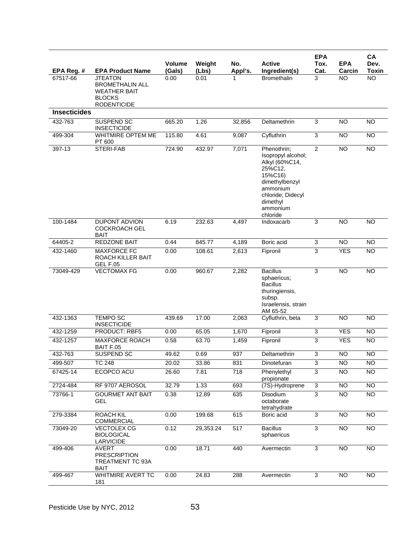| EPA Reg. #          | <b>EPA Product Name</b>                                                                                | <b>Volume</b><br>(Gals) | Weight<br>(Lbs) | No.<br>Appl's. | <b>Active</b><br>Ingredient(s)                                                                                                                                   | <b>EPA</b><br>Tox.<br>Cat. | <b>EPA</b><br>Carcin | CA<br>Dev.<br>Toxin |
|---------------------|--------------------------------------------------------------------------------------------------------|-------------------------|-----------------|----------------|------------------------------------------------------------------------------------------------------------------------------------------------------------------|----------------------------|----------------------|---------------------|
| 67517-66            | <b>JTEATON</b><br><b>BROMETHALIN ALL</b><br><b>WEATHER BAIT</b><br><b>BLOCKS</b><br><b>RODENTICIDE</b> | 0.00                    | 0.01            | 1              | <b>Bromethalin</b>                                                                                                                                               | 3                          | <b>NO</b>            | <b>NO</b>           |
| <b>Insecticides</b> |                                                                                                        |                         |                 |                |                                                                                                                                                                  |                            |                      |                     |
| 432-763             | SUSPEND SC<br><b>INSECTICIDE</b>                                                                       | 665.20                  | 1.26            | 32,856         | Deltamethrin                                                                                                                                                     | 3                          | <b>NO</b>            | <b>NO</b>           |
| 499-304             | WHITMIRE OPTEM ME<br>PT 600                                                                            | 115.80                  | 4.61            | 9.087          | Cyfluthrin                                                                                                                                                       | 3                          | <b>NO</b>            | <b>NO</b>           |
| 397-13              | <b>STERI-FAB</b>                                                                                       | 724.90                  | 432.97          | 7,071          | Phenothrin;<br>Isopropyl alcohol;<br>Alkyl (60%C14,<br>25%C12,<br>15%C16)<br>dimethylbenzyl<br>ammonium<br>chloride: Didecyl<br>dimethyl<br>ammonium<br>chloride | $\overline{2}$             | <b>NO</b>            | $\overline{NO}$     |
| 100-1484            | <b>DUPONT ADVION</b><br><b>COCKROACH GEL</b><br><b>BAIT</b>                                            | 6.19                    | 232.63          | 4,497          | Indoxacarb                                                                                                                                                       | 3                          | <b>NO</b>            | <b>NO</b>           |
| 64405-2             | REDZONE BAIT                                                                                           | 0.44                    | 845.77          | 4,189          | Boric acid                                                                                                                                                       | 3                          | $\overline{NO}$      | NO                  |
| 432-1460            | <b>MAXFORCE FC</b><br>ROACH KILLER BAIT<br><b>GEL F.05</b>                                             | 0.00                    | 108.61          | 2,613          | Fipronil                                                                                                                                                         | 3                          | <b>YES</b>           | <b>NO</b>           |
| 73049-429           | <b>VECTOMAX FG</b>                                                                                     | 0.00                    | 960.67          | 2,282          | <b>Bacillus</b><br>sphaericus;<br><b>Bacillus</b><br>thuringiensis,<br>subsp.<br>Israelensis, strain<br>AM 65-52                                                 | 3                          | <b>NO</b>            | $\overline{NO}$     |
| 432-1363            | <b>TEMPO SC</b><br><b>INSECTICIDE</b>                                                                  | 439.69                  | 17.00           | 2,063          | Cyfluthrin, beta                                                                                                                                                 | 3                          | <b>NO</b>            | <b>NO</b>           |
| 432-1259            | PRODUCT: RBF5                                                                                          | 0.00                    | 65.05           | 1,670          | Fipronil                                                                                                                                                         | $\overline{3}$             | <b>YES</b>           | <b>NO</b>           |
| 432-1257            | <b>MAXFORCE ROACH</b><br>BAIT F.05                                                                     | 0.58                    | 63.70           | 1,459          | Fipronil                                                                                                                                                         | 3                          | <b>YES</b>           | <b>NO</b>           |
| 432-763             | <b>SUSPEND SC</b>                                                                                      | 49.62                   | 0.69            | 937            | Deltamethrin                                                                                                                                                     | 3                          | <b>NO</b>            | <b>NO</b>           |
| 499-507             | <b>TC 248</b>                                                                                          | 20.02                   | 33.86           | 831            | Dinotefuran                                                                                                                                                      | $\overline{3}$             | <b>NO</b>            | NO                  |
| 67425-14            | ECOPCO ACU                                                                                             | 26.60                   | 7.81            | 718            | Phenylethyl<br>propionate                                                                                                                                        | $\overline{3}$             | <b>NO</b>            | <b>NO</b>           |
| 2724-484            | RF 9707 AEROSOL                                                                                        | 32.79                   | 1.33            | 693            | (7S)-Hydroprene                                                                                                                                                  | 3                          | $\overline{N}$       | <b>NO</b>           |
| 73766-1             | <b>GOURMET ANT BAIT</b><br>GEL                                                                         | 0.38                    | 12.89           | 635            | Disodium<br>octaborate<br>tetrahydrate                                                                                                                           | $\overline{3}$             | $\overline{NO}$      | $\overline{NO}$     |
| 279-3384            | <b>ROACH KIL</b><br><b>COMMERCIAL</b>                                                                  | 0.00                    | 199.68          | 615            | Boric acid                                                                                                                                                       | 3                          | <b>NO</b>            | <b>NO</b>           |
| 73049-20            | <b>VECTOLEX CG</b><br><b>BIOLOGICAL</b><br>LARVICIDE                                                   | 0.12                    | 29,353.24       | 517            | <b>Bacillus</b><br>sphaericus                                                                                                                                    | 3                          | NO                   | $\overline{NO}$     |
| 499-406             | AVERT<br><b>PRESCRIPTION</b><br>TREATMENT TC 93A<br><b>BAIT</b>                                        | 0.00                    | 18.71           | 440            | Avermectin                                                                                                                                                       | $\overline{\omega}$        | $\overline{NO}$      | $\overline{NO}$     |
| 499-467             | WHITMIRE AVERT TC<br>181                                                                               | 0.00                    | 24.83           | 288            | Avermectin                                                                                                                                                       | 3                          | <b>NO</b>            | $\overline{NO}$     |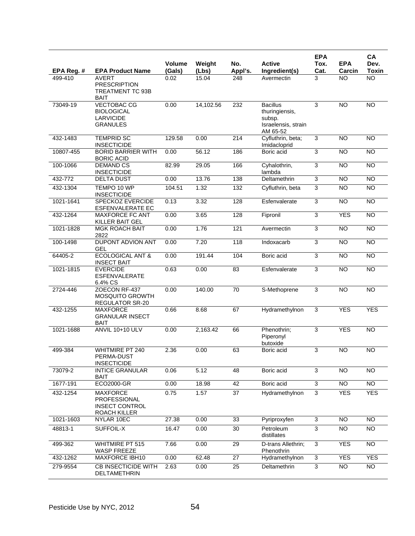|                       |                                                                                |                |                |                |                                                                                | <b>EPA</b>     |                     | CA                        |
|-----------------------|--------------------------------------------------------------------------------|----------------|----------------|----------------|--------------------------------------------------------------------------------|----------------|---------------------|---------------------------|
|                       |                                                                                | <b>Volume</b>  | Weight         | No.            | <b>Active</b>                                                                  | Tox.           | <b>EPA</b>          | Dev.                      |
| EPA Reg. #<br>499-410 | <b>EPA Product Name</b><br><b>AVERT</b>                                        | (Gals)<br>0.02 | (Lbs)<br>15.04 | Appl's.<br>248 | Ingredient(s)<br>Avermectin                                                    | Cat.<br>3      | Carcin<br><b>NO</b> | <b>Toxin</b><br><b>NO</b> |
|                       | <b>PRESCRIPTION</b><br>TREATMENT TC 93B<br><b>BAIT</b>                         |                |                |                |                                                                                |                |                     |                           |
| 73049-19              | <b>VECTOBAC CG</b><br><b>BIOLOGICAL</b><br><b>LARVICIDE</b><br><b>GRANULES</b> | 0.00           | 14,102.56      | 232            | <b>Bacillus</b><br>thuringiensis,<br>subsp.<br>Israelensis, strain<br>AM 65-52 | 3              | <b>NO</b>           | <b>NO</b>                 |
| 432-1483              | <b>TEMPRID SC</b><br><b>INSECTICIDE</b>                                        | 129.58         | 0.00           | 214            | Cyfluthrin, beta;<br>Imidacloprid                                              | $\overline{3}$ | <b>NO</b>           | $\overline{NO}$           |
| 10807-455             | <b>BORID BARRIER WITH</b><br><b>BORIC ACID</b>                                 | 0.00           | 56.12          | 186            | Boric acid                                                                     | 3              | <b>NO</b>           | <b>NO</b>                 |
| 100-1066              | <b>DEMAND CS</b><br><b>INSECTICIDE</b>                                         | 82.99          | 29.05          | 166            | Cyhalothrin,<br>lambda                                                         | 3              | <b>NO</b>           | <b>NO</b>                 |
| 432-772               | <b>DELTA DUST</b>                                                              | 0.00           | 13.76          | 138            | Deltamethrin                                                                   | $\overline{3}$ | <b>NO</b>           | <b>NO</b>                 |
| 432-1304              | TEMPO 10 WP<br><b>INSECTICIDE</b>                                              | 104.51         | 1.32           | 132            | Cyfluthrin, beta                                                               | $\overline{3}$ | $\overline{NO}$     | N <sub>O</sub>            |
| 1021-1641             | <b>SPECKOZ EVERCIDE</b><br>ESFENVALERATE EC                                    | 0.13           | 3.32           | 128            | Esfenvalerate                                                                  | 3              | <b>NO</b>           | $\overline{NO}$           |
| 432-1264              | <b>MAXFORCE FC ANT</b><br><b>KILLER BAIT GEL</b>                               | 0.00           | 3.65           | 128            | Fipronil                                                                       | $\overline{3}$ | <b>YES</b>          | $\overline{NO}$           |
| 1021-1828             | <b>MGK ROACH BAIT</b><br>2822                                                  | 0.00           | 1.76           | 121            | Avermectin                                                                     | 3              | <b>NO</b>           | <b>NO</b>                 |
| 100-1498              | <b>DUPONT ADVION ANT</b><br><b>GEL</b>                                         | 0.00           | 7.20           | 118            | Indoxacarb                                                                     | $\overline{3}$ | <b>NO</b>           | $\overline{NO}$           |
| 64405-2               | <b>ECOLOGICAL ANT &amp;</b><br><b>INSECT BAIT</b>                              | 0.00           | 191.44         | 104            | Boric acid                                                                     | $\overline{3}$ | $\overline{NO}$     | $\overline{NO}$           |
| 1021-1815             | <b>EVERCIDE</b><br><b>ESFENVALERATE</b><br>6.4% CS                             | 0.63           | 0.00           | 83             | Esfenvalerate                                                                  | $\overline{3}$ | <b>NO</b>           | <b>NO</b>                 |
| 2724-446              | ZOECON RF-437<br><b>MOSQUITO GROWTH</b><br><b>REGULATOR SR-20</b>              | 0.00           | 140.00         | 70             | S-Methoprene                                                                   | 3              | $\overline{NO}$     | $\overline{NO}$           |
| 432-1255              | <b>MAXFORCE</b><br><b>GRANULAR INSECT</b><br>BAIT                              | 0.66           | 8.68           | 67             | Hydramethylnon                                                                 | $\overline{3}$ | <b>YES</b>          | <b>YES</b>                |
| 1021-1688             | <b>ANVIL 10+10 ULV</b>                                                         | 0.00           | 2,163.42       | 66             | Phenothrin;<br>Piperonyl<br>butoxide                                           | 3              | <b>YES</b>          | NO                        |
| 499-384               | <b>WHITMIRE PT 240</b><br>PERMA-DUST<br><b>INSECTICIDE</b>                     | 2.36           | 0.00           | 63             | Boric acid                                                                     | 3              | $\overline{NO}$     | $\overline{NO}$           |
| 73079-2               | <b>INTICE GRANULAR</b><br>BAIT                                                 | 0.06           | 5.12           | 48             | Boric acid                                                                     | 3              | $\overline{NO}$     | <b>NO</b>                 |
| 1677-191              | ECO2000-GR                                                                     | 0.00           | 18.98          | 42             | Boric acid                                                                     | $\overline{3}$ | $\overline{NO}$     | NO <sub>1</sub>           |
| 432-1254              | <b>MAXFORCE</b><br>PROFESSIONAL<br><b>INSECT CONTROL</b><br>ROACH KILLER       | 0.75           | 1.57           | 37             | Hydramethylnon                                                                 | $\overline{3}$ | <b>YES</b>          | <b>YES</b>                |
| 1021-1603             | NYLAR 10EC                                                                     | 27.38          | 0.00           | 33             | Pyriproxyfen                                                                   | 3              | <b>NO</b>           | <b>NO</b>                 |
| 48813-1               | SUFFOIL-X                                                                      | 16.47          | 0.00           | 30             | Petroleum<br>distillates                                                       | $\overline{3}$ | <b>NO</b>           | <b>NO</b>                 |
| 499-362               | <b>WHITMIRE PT 515</b><br>WASP FREEZE                                          | 7.66           | 0.00           | 29             | D-trans Allethrin;<br>Phenothrin                                               | 3              | <b>YES</b>          | $\overline{NO}$           |
| 432-1262              | MAXFORCE IBH10                                                                 | 0.00           | 62.48          | 27             | Hydramethylnon                                                                 | 3              | <b>YES</b>          | <b>YES</b>                |
| 279-9554              | <b>CB INSECTICIDE WITH</b><br>DELTAMETHRIN                                     | 2.63           | 0.00           | 25             | Deltamethrin                                                                   | 3              | $\overline{NO}$     | <b>NO</b>                 |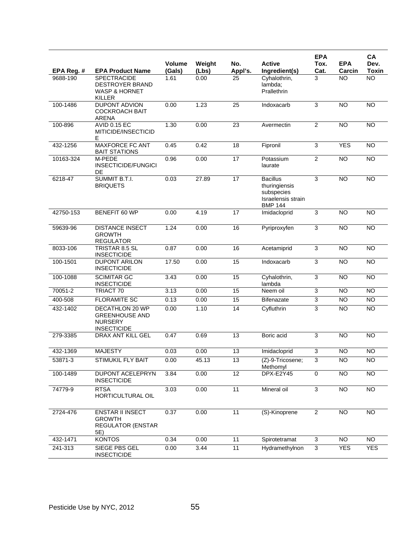|            |                                                                                    |                  |                 |                 |                                                                                        | <b>EPA</b>     |                      | CA                   |
|------------|------------------------------------------------------------------------------------|------------------|-----------------|-----------------|----------------------------------------------------------------------------------------|----------------|----------------------|----------------------|
| EPA Reg. # | <b>EPA Product Name</b>                                                            | Volume<br>(Gals) | Weight<br>(Lbs) | No.<br>Appl's.  | <b>Active</b><br>Ingredient(s)                                                         | Tox.<br>Cat.   | <b>EPA</b><br>Carcin | Dev.<br><b>Toxin</b> |
| 9688-190   | <b>SPECTRACIDE</b><br><b>DESTROYER BRAND</b><br><b>WASP &amp; HORNET</b><br>KILLER | 1.61             | 0.00            | 25              | Cyhalothrin,<br>lambda:<br>Prallethrin                                                 | 3              | <b>NO</b>            | $\overline{NO}$      |
| 100-1486   | <b>DUPONT ADVION</b><br><b>COCKROACH BAIT</b><br><b>ARENA</b>                      | 0.00             | 1.23            | 25              | Indoxacarb                                                                             | 3              | <b>NO</b>            | <b>NO</b>            |
| 100-896    | <b>AVID 0.15 EC</b><br>MITICIDE/INSECTICID<br>Е                                    | 1.30             | 0.00            | 23              | Avermectin                                                                             | $\overline{2}$ | <b>NO</b>            | <b>NO</b>            |
| 432-1256   | <b>MAXFORCE FC ANT</b><br><b>BAIT STATIONS</b>                                     | 0.45             | 0.42            | 18              | Fipronil                                                                               | 3              | <b>YES</b>           | <b>NO</b>            |
| 10163-324  | M-PEDE<br><b>INSECTICIDE/FUNGICI</b><br>DE                                         | 0.96             | 0.00            | 17              | Potassium<br>laurate                                                                   | $\overline{2}$ | <b>NO</b>            | N <sub>O</sub>       |
| 6218-47    | SUMMIT B.T.I.<br><b>BRIQUETS</b>                                                   | 0.03             | 27.89           | $\overline{17}$ | <b>Bacillus</b><br>thuringiensis<br>subspecies<br>Israelensis strain<br><b>BMP 144</b> | 3              | $\overline{NO}$      | NO                   |
| 42750-153  | <b>BENEFIT 60 WP</b>                                                               | 0.00             | 4.19            | 17              | Imidacloprid                                                                           | 3              | <b>NO</b>            | <b>NO</b>            |
| 59639-96   | <b>DISTANCE INSECT</b><br><b>GROWTH</b><br><b>REGULATOR</b>                        | 1.24             | 0.00            | 16              | Pyriproxyfen                                                                           | $\overline{3}$ | $\overline{10}$      | NO                   |
| 8033-106   | TRISTAR 8.5 SL<br><b>INSECTICIDE</b>                                               | 0.87             | 0.00            | 16              | Acetamiprid                                                                            | $\overline{3}$ | NO                   | <b>NO</b>            |
| 100-1501   | <b>DUPONT ARILON</b><br><b>INSECTICIDE</b>                                         | 17.50            | 0.00            | 15              | Indoxacarb                                                                             | 3              | <b>NO</b>            | <b>NO</b>            |
| 100-1088   | <b>SCIMITAR GC</b><br><b>INSECTICIDE</b>                                           | 3.43             | 0.00            | 15              | Cyhalothrin,<br>lambda                                                                 | 3              | <b>NO</b>            | <b>NO</b>            |
| 70051-2    | TRIACT 70                                                                          | 3.13             | 0.00            | 15              | Neem oil                                                                               | 3              | <b>NO</b>            | $\overline{NO}$      |
| 400-508    | <b>FLORAMITE SC</b>                                                                | 0.13             | 0.00            | 15              | <b>Bifenazate</b>                                                                      | 3              | <b>NO</b>            | <b>NO</b>            |
| 432-1402   | DECATHLON 20 WP<br><b>GREENHOUSE AND</b><br><b>NURSERY</b><br><b>INSECTICIDE</b>   | 0.00             | 1.10            | 14              | Cyfluthrin                                                                             | 3              | <b>NO</b>            | $\overline{NO}$      |
| 279-3385   | DRAX ANT KILL GEL                                                                  | 0.47             | 0.69            | 13              | Boric acid                                                                             | 3              | <b>NO</b>            | <b>NO</b>            |
| 432-1369   | <b>MAJESTY</b>                                                                     | 0.03             | 0.00            | 13              | Imidacloprid                                                                           | 3              | <b>NO</b>            | <b>NO</b>            |
| 53871-3    | STIMUKIL FLY BAIT                                                                  | 0.00             | 45.13           | 13              | (Z)-9-Tricosene;<br>Methomyl                                                           | 3              | <b>NO</b>            | <b>NO</b>            |
| 100-1489   | <b>DUPONT ACELEPRYN</b><br><b>INSECTICIDE</b>                                      | 3.84             | 0.00            | 12              | <b>DPX-E2Y45</b>                                                                       | $\overline{0}$ | NO                   | <b>NO</b>            |
| 74779-9    | <b>RTSA</b><br><b>HORTICULTURAL OIL</b>                                            | 3.03             | 0.00            | $\overline{11}$ | Mineral oil                                                                            | $\overline{3}$ | <b>NO</b>            | <b>NO</b>            |
| 2724-476   | <b>ENSTAR II INSECT</b><br><b>GROWTH</b><br><b>REGULATOR (ENSTAR</b><br>5E)        | 0.37             | 0.00            | $\overline{11}$ | (S)-Kinoprene                                                                          | $\overline{2}$ | $\overline{N}$       | <b>NO</b>            |
| 432-1471   | <b>KONTOS</b>                                                                      | 0.34             | 0.00            | 11              | Spirotetramat                                                                          | $\overline{3}$ | $\overline{NO}$      | $\overline{NO}$      |
| 241-313    | SIEGE PBS GEL<br><b>INSECTICIDE</b>                                                | 0.00             | 3.44            | $\overline{11}$ | Hydramethylnon                                                                         | $\mathbf{3}$   | <b>YES</b>           | <b>YES</b>           |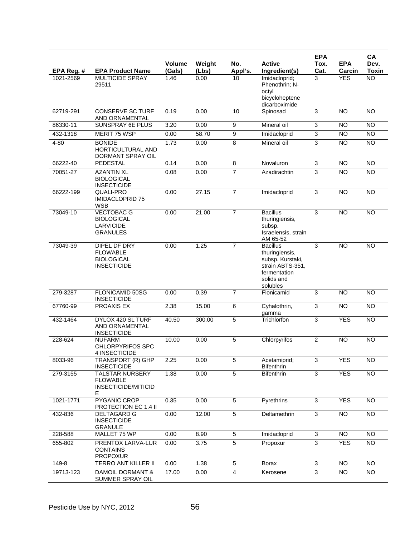|                         |                                                                               | Volume         | Weight        | No.             | <b>Active</b>                                                                                                       | <b>EPA</b><br>Tox.        | <b>EPA</b>           | CA<br>Dev.                |
|-------------------------|-------------------------------------------------------------------------------|----------------|---------------|-----------------|---------------------------------------------------------------------------------------------------------------------|---------------------------|----------------------|---------------------------|
| EPA Reg. #<br>1021-2569 | <b>EPA Product Name</b><br><b>MULTICIDE SPRAY</b><br>29511                    | (Gals)<br>1.46 | (Lbs)<br>0.00 | Appl's.<br>10   | Ingredient(s)<br>Imidacloprid;<br>Phenothrin; N-<br>octyl<br>bicycloheptene<br>dicarboximide                        | Cat.<br>3                 | Carcin<br><b>YES</b> | <b>Toxin</b><br><b>NO</b> |
| 62719-291               | <b>CONSERVE SC TURF</b><br>AND ORNAMENTAL                                     | 0.19           | 0.00          | 10              | Spinosad                                                                                                            | 3                         | <b>NO</b>            | <b>NO</b>                 |
| 86330-11                | SUNSPRAY 6E PLUS                                                              | 3.20           | 0.00          | $\overline{9}$  | Mineral oil                                                                                                         | $\ensuremath{\mathsf{3}}$ | <b>NO</b>            | <b>NO</b>                 |
| 432-1318                | <b>MERIT 75 WSP</b>                                                           | 0.00           | 58.70         | $\overline{9}$  | Imidacloprid                                                                                                        | $\overline{3}$            | <b>NO</b>            | <b>NO</b>                 |
| $4 - 80$                | <b>BONIDE</b><br><b>HORTICULTURAL AND</b><br>DORMANT SPRAY OIL                | 1.73           | 0.00          | 8               | Mineral oil                                                                                                         | 3                         | <b>NO</b>            | <b>NO</b>                 |
| 66222-40                | <b>PEDESTAL</b>                                                               | 0.14           | 0.00          | $\overline{8}$  | Novaluron                                                                                                           | 3                         | <b>NO</b>            | <b>NO</b>                 |
| 70051-27                | <b>AZANTIN XL</b><br><b>BIOLOGICAL</b><br><b>INSECTICIDE</b>                  | 0.08           | 0.00          | 7               | Azadirachtin                                                                                                        | 3                         | <b>NO</b>            | <b>NO</b>                 |
| 66222-199               | QUALI-PRO<br><b>IMIDACLOPRID 75</b><br><b>WSB</b>                             | 0.00           | 27.15         | $\overline{7}$  | Imidacloprid                                                                                                        | 3                         | <b>NO</b>            | <b>NO</b>                 |
| 73049-10                | <b>VECTOBAC G</b><br><b>BIOLOGICAL</b><br><b>LARVICIDE</b><br><b>GRANULES</b> | 0.00           | 21.00         | $\overline{7}$  | <b>Bacillus</b><br>thuringiensis,<br>subsp.<br>Israelensis, strain<br>AM 65-52                                      | 3                         | $\overline{NO}$      | NO                        |
| 73049-39                | DIPEL DF DRY<br><b>FLOWABLE</b><br><b>BIOLOGICAL</b><br><b>INSECTICIDE</b>    | 0.00           | 1.25          | $\overline{7}$  | <b>Bacillus</b><br>thuringiensis,<br>subsp. Kurstaki,<br>strain ABTS-351,<br>fermentation<br>solids and<br>solubles | 3                         | <b>NO</b>            | NO                        |
| 279-3287                | FLONICAMID 50SG<br><b>INSECTICIDE</b>                                         | 0.00           | 0.39          | $\overline{7}$  | Flonicamid                                                                                                          | $\overline{3}$            | <b>NO</b>            | <b>NO</b>                 |
| 67760-99                | PROAXIS EX                                                                    | 2.38           | 15.00         | $6\overline{6}$ | Cyhalothrin,<br>gamma                                                                                               | 3                         | <b>NO</b>            | <b>NO</b>                 |
| 432-1464                | DYLOX 420 SL TURF<br>AND ORNAMENTAL<br><b>INSECTICIDE</b>                     | 40.50          | 300.00        | $\overline{5}$  | Trichlorfon                                                                                                         | 3                         | <b>YES</b>           | <b>NO</b>                 |
| 228-624                 | <b>NUFARM</b><br><b>CHLORPYRIFOS SPC</b><br>4 INSECTICIDE                     | 10.00          | 0.00          | 5               | Chlorpyrifos                                                                                                        | $\overline{2}$            | <b>NO</b>            | <b>NO</b>                 |
| 8033-96                 | TRANSPORT (R) GHP<br><b>INSECTICIDE</b>                                       | 2.25           | 0.00          | 5               | Acetamiprid;<br>Bifenthrin                                                                                          | 3                         | <b>YES</b>           | <b>NO</b>                 |
| 279-3155                | <b>TALSTAR NURSERY</b><br><b>FLOWABLE</b><br>INSECTICIDE/MITICID<br>Е         | 1.38           | 0.00          | $\overline{5}$  | <b>Bifenthrin</b>                                                                                                   | $\overline{3}$            | <b>YES</b>           | <b>NO</b>                 |
| 1021-1771               | PYGANIC CROP<br>PROTECTION EC 1.4 II                                          | 0.35           | 0.00          | 5               | Pyrethrins                                                                                                          | 3                         | <b>YES</b>           | <b>NO</b>                 |
| 432-836                 | <b>DELTAGARD G</b><br><b>INSECTICIDE</b><br><b>GRANULE</b>                    | 0.00           | 12.00         | $\overline{5}$  | Deltamethrin                                                                                                        | $\overline{3}$            | <b>NO</b>            | <b>NO</b>                 |
| 228-588                 | MALLET 75 WP                                                                  | 0.00           | 8.90          | 5               | Imidacloprid                                                                                                        | $\mathbf{3}$              | <b>NO</b>            | NO                        |
| 655-802                 | <b>PRENTOX LARVA-LUR</b><br><b>CONTAINS</b><br><b>PROPOXUR</b>                | 0.00           | 3.75          | $\overline{5}$  | Propoxur                                                                                                            | $\overline{3}$            | <b>YES</b>           | <b>NO</b>                 |
| 149-8                   | TERRO ANT KILLER II                                                           | 0.00           | 1.38          | 5               | Borax                                                                                                               | 3                         | <b>NO</b>            | <b>NO</b>                 |
| 19713-123               | DAMOIL DORMANT &<br>SUMMER SPRAY OIL                                          | 17.00          | 0.00          | 4               | Kerosene                                                                                                            | $\overline{3}$            | $\overline{10}$      | $\overline{NO}$           |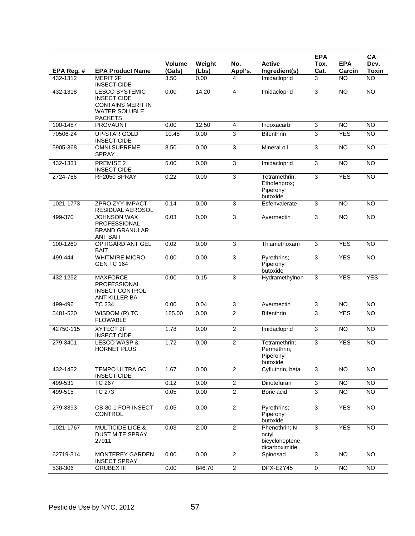|             |                                                                                                                   |                         |                 |                           |                                                            | <b>EPA</b>                |                      | CA                   |
|-------------|-------------------------------------------------------------------------------------------------------------------|-------------------------|-----------------|---------------------------|------------------------------------------------------------|---------------------------|----------------------|----------------------|
| EPA Reg. #  | <b>EPA Product Name</b>                                                                                           | <b>Volume</b><br>(Gals) | Weight<br>(Lbs) | No.<br>Appl's.            | <b>Active</b><br>Ingredient(s)                             | Tox.<br>Cat.              | <b>EPA</b><br>Carcin | Dev.<br><b>Toxin</b> |
| 432-1312    | <b>MERIT 2F</b>                                                                                                   | 3.50                    | 0.00            | 4                         | Imidacloprid                                               | 3                         | <b>NO</b>            | <b>NO</b>            |
|             | <b>INSECTICIDE</b>                                                                                                |                         |                 |                           |                                                            |                           |                      |                      |
| 432-1318    | <b>LESCO SYSTEMIC</b><br><b>INSECTICIDE</b><br><b>CONTAINS MERIT IN</b><br><b>WATER SOLUBLE</b><br><b>PACKETS</b> | 0.00                    | 14.20           | $\overline{4}$            | Imidacloprid                                               | 3                         | <b>NO</b>            | <b>NO</b>            |
| 100-1487    | <b>PROVAUNT</b>                                                                                                   | 0.00                    | 12.50           | 4                         | Indoxacarb                                                 | 3                         | N <sub>O</sub>       | <b>NO</b>            |
| 70506-24    | <b>UP-STAR GOLD</b><br><b>INSECTICIDE</b>                                                                         | 10.48                   | 0.00            | $\overline{3}$            | <b>Bifenthrin</b>                                          | 3                         | <b>YES</b>           | <b>NO</b>            |
| 5905-368    | <b>OMNI SUPREME</b><br><b>SPRAY</b>                                                                               | 8.50                    | 0.00            | 3                         | Mineral oil                                                | 3                         | <b>NO</b>            | <b>NO</b>            |
| 432-1331    | PREMISE 2<br><b>INSECTICIDE</b>                                                                                   | 5.00                    | 0.00            | $\overline{3}$            | Imidacloprid                                               | 3                         | <b>NO</b>            | <b>NO</b>            |
| 2724-786    | RF2050 SPRAY                                                                                                      | 0.22                    | 0.00            | 3                         | Tetramethrin;<br>Ethofenprox;<br>Piperonyl<br>butoxide     | 3                         | <b>YES</b>           | <b>NO</b>            |
| 1021-1773   | <b>ZPRO ZYY IMPACT</b><br>RESIDUAL AEROSOL                                                                        | 0.14                    | 0.00            | 3                         | Esfenvalerate                                              | 3                         | <b>NO</b>            | <b>NO</b>            |
| 499-370     | <b>JOHNSON WAX</b><br>PROFESSIONAL<br><b>BRAND GRANULAR</b><br>ANT BAIT                                           | 0.03                    | 0.00            | 3                         | Avermectin                                                 | 3                         | <b>NO</b>            | <b>NO</b>            |
| 100-1260    | OPTIGARD ANT GEL<br><b>BAIT</b>                                                                                   | 0.02                    | 0.00            | $\overline{3}$            | Thiamethoxam                                               | 3                         | <b>YES</b>           | <b>NO</b>            |
| 499-444     | <b>WHITMIRE MICRO-</b><br><b>GEN TC 164</b>                                                                       | 0.00                    | 0.00            | $\overline{3}$            | Pyrethrins;<br>Piperonyl<br>butoxide                       | 3                         | <b>YES</b>           | <b>NO</b>            |
| 432-1252    | <b>MAXFORCE</b><br>PROFESSIONAL<br><b>INSECT CONTROL</b><br>ANT KILLER BA                                         | 0.00                    | 0.15            | 3                         | Hydramethylnon                                             | 3                         | <b>YES</b>           | <b>YES</b>           |
| 499-496     | <b>TC 234</b>                                                                                                     | 0.00                    | 0.04            | $\ensuremath{\mathsf{3}}$ | Avermectin                                                 | $\ensuremath{\mathsf{3}}$ | <b>NO</b>            | <b>NO</b>            |
| 5481-520    | WISDOM (R) TC<br><b>FLOWABLE</b>                                                                                  | 185.00                  | 0.00            | $\overline{2}$            | <b>Bifenthrin</b>                                          | 3                         | <b>YES</b>           | <b>NO</b>            |
| 42750-115   | XYTECT <sub>2F</sub><br><b>INSECTICIDE</b>                                                                        | 1.78                    | 0.00            | $\overline{2}$            | Imidacloprid                                               | 3                         | <b>NO</b>            | <b>NO</b>            |
| 279-3401    | <b>LESCO WASP &amp;</b><br><b>HORNET PLUS</b>                                                                     | 1.72                    | 0.00            | $\overline{2}$            | Tetramethrin;<br>Permethrin:<br>Piperonyl<br>butoxide      | 3                         | <b>YES</b>           | <b>NO</b>            |
| 432-1452    | TEMPO ULTRA GC<br><b>INSECTICIDE</b>                                                                              | 1.67                    | 0.00            | $\overline{2}$            | Cyfluthrin, beta                                           | 3                         | <b>NO</b>            | <b>NO</b>            |
| 499-531     | <b>TC 267</b>                                                                                                     | 0.12                    | 0.00            | $\overline{2}$            | Dinotefuran                                                | $\overline{3}$            | N <sub>O</sub>       | N <sub>O</sub>       |
| $499 - 515$ | <b>TC 273</b>                                                                                                     | 0.05                    | 0.00            | $\overline{2}$            | Boric acid                                                 | $\overline{3}$            | $\overline{NO}$      | $\overline{10}$      |
| 279-3393    | CB-80-1 FOR INSECT<br>CONTROL                                                                                     | 0.05                    | 0.00            | $\overline{2}$            | Pyrethrins;<br>Piperonyl<br>butoxide                       | $\overline{3}$            | <b>YES</b>           | $\overline{NO}$      |
| 1021-1767   | <b>MULTICIDE LICE &amp;</b><br><b>DUST MITE SPRAY</b><br>27911                                                    | 0.03                    | 2.00            | $\overline{2}$            | Phenothrin; N-<br>octyl<br>bicycloheptene<br>dicarboximide | $\overline{3}$            | <b>YES</b>           | $\overline{NO}$      |
| 62719-314   | MONTEREY GARDEN<br><b>INSECT SPRAY</b>                                                                            | 0.00                    | 0.00            | $\overline{2}$            | Spinosad                                                   | $\mathfrak{S}$            | <b>NO</b>            | <b>NO</b>            |
| 538-306     | <b>GRUBEX III</b>                                                                                                 | 0.00                    | 846.70          | $\overline{2}$            | DPX-E2Y45                                                  | $\overline{0}$            | $\overline{NO}$      | NO                   |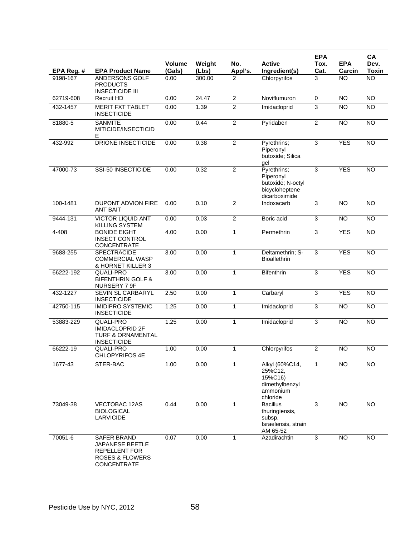|            |                                                                                                     |                  |                 |                |                                                                                  | <b>EPA</b>     |                      | CA                   |
|------------|-----------------------------------------------------------------------------------------------------|------------------|-----------------|----------------|----------------------------------------------------------------------------------|----------------|----------------------|----------------------|
| EPA Reg. # | <b>EPA Product Name</b>                                                                             | Volume<br>(Gals) | Weight<br>(Lbs) | No.<br>Appl's. | <b>Active</b><br>Ingredient(s)                                                   | Tox.<br>Cat.   | <b>EPA</b><br>Carcin | Dev.<br><b>Toxin</b> |
| 9198-167   | ANDERSONS GOLF<br><b>PRODUCTS</b><br><b>INSECTICIDE III</b>                                         | 0.00             | 300.00          | 2              | Chlorpyrifos                                                                     | 3              | <b>NO</b>            | <b>NO</b>            |
| 62719-608  | Recruit HD                                                                                          | 0.00             | 24.47           | $\overline{2}$ | Noviflumuron                                                                     | $\mathbf 0$    | <b>NO</b>            | NO                   |
| 432-1457   | <b>MERIT FXT TABLET</b><br><b>INSECTICIDE</b>                                                       | 0.00             | 1.39            | $\overline{c}$ | Imidacloprid                                                                     | 3              | <b>NO</b>            | <b>NO</b>            |
| 81880-5    | <b>SANMITE</b><br>MITICIDE/INSECTICID<br>Е                                                          | 0.00             | 0.44            | $\overline{2}$ | Pyridaben                                                                        | $\overline{c}$ | N <sub>O</sub>       | $\overline{NO}$      |
| 432-992    | DRIONE INSECTICIDE                                                                                  | 0.00             | 0.38            | $\overline{2}$ | Pyrethrins;<br>Piperonyl<br>butoxide; Silica<br>qel                              | 3              | <b>YES</b>           | $\overline{NO}$      |
| 47000-73   | <b>SSI-50 INSECTICIDE</b>                                                                           | 0.00             | 0.32            | $\overline{2}$ | Pyrethrins;<br>Piperonyl<br>butoxide; N-octyl<br>bicycloheptene<br>dicarboximide | 3              | <b>YES</b>           | $\overline{NO}$      |
| 100-1481   | DUPONT ADVION FIRE<br><b>ANT BAIT</b>                                                               | 0.00             | 0.10            | $\overline{2}$ | Indoxacarb                                                                       | 3              | N <sub>O</sub>       | $\overline{NO}$      |
| 9444-131   | <b>VICTOR LIQUID ANT</b><br>KILLING SYSTEM                                                          | 0.00             | 0.03            | $\overline{2}$ | Boric acid                                                                       | 3              | <b>NO</b>            | $\overline{NO}$      |
| 4-408      | <b>BONIDE EIGHT</b><br><b>INSECT CONTROL</b><br>CONCENTRATE                                         | 4.00             | 0.00            | 1              | Permethrin                                                                       | 3              | <b>YES</b>           | $\overline{NO}$      |
| 9688-255   | SPECTRACIDE<br><b>COMMERCIAL WASP</b><br>& HORNET KILLER 3                                          | 3.00             | 0.00            | $\mathbf{1}$   | Deltamethrin; S-<br><b>Bioallethrin</b>                                          | 3              | <b>YES</b>           | $\overline{NO}$      |
| 66222-192  | <b>QUALI-PRO</b><br><b>BIFENTHRIN GOLF &amp;</b><br>NURSERY 7 9F                                    | 3.00             | 0.00            | $\mathbf{1}$   | <b>Bifenthrin</b>                                                                | 3              | <b>YES</b>           | <b>NO</b>            |
| 432-1227   | <b>SEVIN SL CARBARYL</b><br><b>INSECTICIDE</b>                                                      | 2.50             | 0.00            | $\mathbf{1}$   | Carbaryl                                                                         | 3              | <b>YES</b>           | <b>NO</b>            |
| 42750-115  | <b>IMIDIPRO SYSTEMIC</b><br><b>INSECTICIDE</b>                                                      | 1.25             | 0.00            | 1              | Imidacloprid                                                                     | 3              | <b>NO</b>            | $\overline{NO}$      |
| 53883-229  | QUALI-PRO<br><b>IMIDACLOPRID 2F</b><br><b>TURF &amp; ORNAMENTAL</b><br><b>INSECTICIDE</b>           | 1.25             | 0.00            | 1              | Imidacloprid                                                                     | $\overline{3}$ | $\overline{NO}$      | $\overline{NO}$      |
| 66222-19   | QUALI-PRO<br>CHLOPYRIFOS 4E                                                                         | 1.00             | 0.00            | 1              | Chlorpyrifos                                                                     | $\overline{2}$ | $\overline{NO}$      | $\overline{NO}$      |
| 1677-43    | STER-BAC                                                                                            | 1.00             | 0.00            | 1              | Alkyl (60%C14,<br>25%C12,<br>15%C16)<br>dimethylbenzyl<br>ammonium<br>chloride   | 1              | <b>NO</b>            | <b>NO</b>            |
| 73049-38   | VECTOBAC 12AS<br><b>BIOLOGICAL</b><br><b>LARVICIDE</b>                                              | 0.44             | 0.00            | 1              | <b>Bacillus</b><br>thuringiensis,<br>subsp.<br>Israelensis, strain<br>AM 65-52   | 3              | <b>NO</b>            | <b>NO</b>            |
| 70051-6    | SAFER BRAND<br>JAPANESE BEETLE<br><b>REPELLENT FOR</b><br><b>ROSES &amp; FLOWERS</b><br>CONCENTRATE | 0.07             | 0.00            |                | Azadirachtin                                                                     | 3              | <b>NO</b>            | <b>NO</b>            |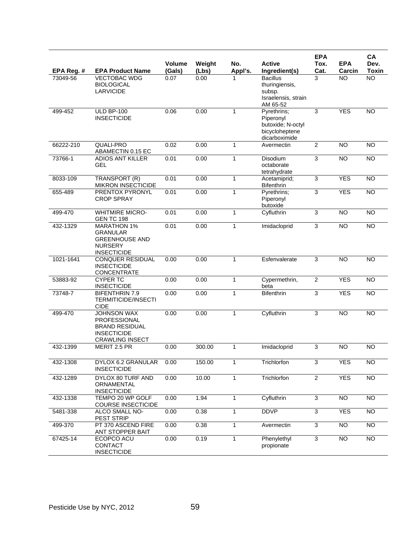|            |                                                                                                                    | Volume | Weight | No.          | <b>Active</b>                                                                    | <b>EPA</b><br>Tox. | <b>EPA</b>     | CA<br>Dev.      |
|------------|--------------------------------------------------------------------------------------------------------------------|--------|--------|--------------|----------------------------------------------------------------------------------|--------------------|----------------|-----------------|
| EPA Reg. # | <b>EPA Product Name</b>                                                                                            | (Gals) | (Lbs)  | Appl's.      | Ingredient(s)                                                                    | Cat.               | Carcin         | <b>Toxin</b>    |
| 73049-56   | <b>VECTOBAC WDG</b><br><b>BIOLOGICAL</b><br><b>LARVICIDE</b>                                                       | 0.07   | 0.00   |              | <b>Bacillus</b><br>thuringiensis,<br>subsp.<br>Israelensis, strain<br>AM 65-52   | 3                  | <b>NO</b>      | $\overline{NO}$ |
| 499-452    | <b>ULD BP-100</b><br><b>INSECTICIDE</b>                                                                            | 0.06   | 0.00   |              | Pyrethrins;<br>Piperonyl<br>butoxide; N-octyl<br>bicycloheptene<br>dicarboximide | 3                  | <b>YES</b>     | <b>NO</b>       |
| 66222-210  | QUALI-PRO<br>ABAMECTIN 0.15 EC                                                                                     | 0.02   | 0.00   | 1            | Avermectin                                                                       | $\overline{2}$     | <b>NO</b>      | <b>NO</b>       |
| 73766-1    | <b>ADIOS ANT KILLER</b><br><b>GEL</b>                                                                              | 0.01   | 0.00   | 1            | Disodium<br>octaborate<br>tetrahydrate                                           | 3                  | <b>NO</b>      | <b>NO</b>       |
| 8033-109   | TRANSPORT (R)<br><b>MIKRON INSECTICIDE</b>                                                                         | 0.01   | 0.00   | $\mathbf{1}$ | Acetamiprid;<br><b>Bifenthrin</b>                                                | 3                  | <b>YES</b>     | NO              |
| 655-489    | PRENTOX PYRONYL<br><b>CROP SPRAY</b>                                                                               | 0.01   | 0.00   | 1            | Pyrethrins;<br>Piperonyl<br>butoxide                                             | 3                  | <b>YES</b>     | <b>NO</b>       |
| 499-470    | <b>WHITMIRE MICRO-</b><br><b>GEN TC 198</b>                                                                        | 0.01   | 0.00   | $\mathbf{1}$ | Cyfluthrin                                                                       | 3                  | N <sub>O</sub> | $\overline{NO}$ |
| 432-1329   | <b>MARATHON 1%</b><br><b>GRANULAR</b><br><b>GREENHOUSE AND</b><br><b>NURSERY</b><br><b>INSECTICIDE</b>             | 0.01   | 0.00   | 1            | Imidacloprid                                                                     | $\overline{3}$     | <b>NO</b>      | $\overline{NO}$ |
| 1021-1641  | <b>CONQUER RESIDUAL</b><br><b>INSECTICIDE</b><br><b>CONCENTRATE</b>                                                | 0.00   | 0.00   | 1            | Esfenvalerate                                                                    | 3                  | <b>NO</b>      | <b>NO</b>       |
| 53883-92   | <b>CYPER TC</b><br><b>INSECTICIDE</b>                                                                              | 0.00   | 0.00   | $\mathbf{1}$ | Cypermethrin,<br>beta                                                            | $\overline{2}$     | <b>YES</b>     | <b>NO</b>       |
| 73748-7    | <b>BIFENTHRIN 7.9</b><br><b>TERMITICIDE/INSECTI</b><br><b>CIDE</b>                                                 | 0.00   | 0.00   | $\mathbf{1}$ | <b>Bifenthrin</b>                                                                | 3                  | <b>YES</b>     | <b>NO</b>       |
| 499-470    | <b>JOHNSON WAX</b><br><b>PROFESSIONAL</b><br><b>BRAND RESIDUAL</b><br><b>INSECTICIDE</b><br><b>CRAWLING INSECT</b> | 0.00   | 0.00   | $\mathbf{1}$ | Cyfluthrin                                                                       | 3                  | <b>NO</b>      | <b>NO</b>       |
| 432-1399   | MERIT 2.5 PR                                                                                                       | 0.00   | 300.00 | 1            | Imidacloprid                                                                     | 3                  | <b>NO</b>      | <b>NO</b>       |
| 432-1308   | DYLOX 6.2 GRANULAR<br><b>INSECTICIDE</b>                                                                           | 0.00   | 150.00 | 1            | Trichlorfon                                                                      | 3                  | <b>YES</b>     | <b>NO</b>       |
| 432-1289   | DYLOX 80 TURF AND<br>ORNAMENTAL<br><b>INSECTICIDE</b>                                                              | 0.00   | 10.00  | $\mathbf{1}$ | Trichlorfon                                                                      | $\overline{2}$     | <b>YES</b>     | $\overline{NO}$ |
| 432-1338   | TEMPO 20 WP GOLF<br><b>COURSE INSECTICIDE</b>                                                                      | 0.00   | 1.94   | $\mathbf{1}$ | Cyfluthrin                                                                       | $\overline{3}$     | $\overline{N}$ | <b>NO</b>       |
| 5481-338   | ALCO SMALL NO-<br>PEST STRIP                                                                                       | 0.00   | 0.38   | $\mathbf{1}$ | <b>DDVP</b>                                                                      | $\overline{3}$     | <b>YES</b>     | $\overline{NO}$ |
| 499-370    | PT 370 ASCEND FIRE<br>ANT STOPPER BAIT                                                                             | 0.00   | 0.38   | 1            | Avermectin                                                                       | 3                  | <b>NO</b>      | <b>NO</b>       |
| 67425-14   | ECOPCO ACU<br>CONTACT<br><b>INSECTICIDE</b>                                                                        | 0.00   | 0.19   | $\mathbf{1}$ | Phenylethyl<br>propionate                                                        | $\overline{3}$     | <b>NO</b>      | $\overline{NO}$ |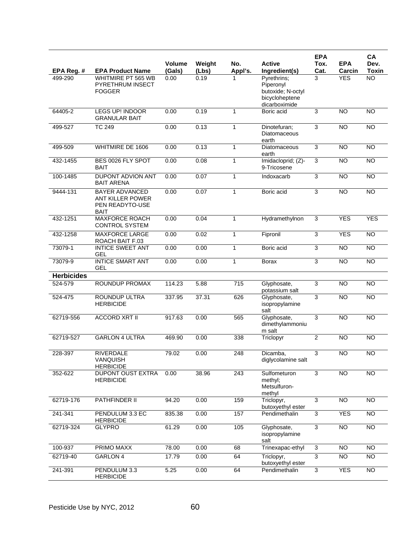|                   |                                                                             |                         |                 |                |                                                                                  | <b>EPA</b>     |                      | CA                   |
|-------------------|-----------------------------------------------------------------------------|-------------------------|-----------------|----------------|----------------------------------------------------------------------------------|----------------|----------------------|----------------------|
| EPA Reg. #        | <b>EPA Product Name</b>                                                     | <b>Volume</b><br>(Gals) | Weight<br>(Lbs) | No.<br>Appl's. | <b>Active</b><br>Ingredient(s)                                                   | Tox.<br>Cat.   | <b>EPA</b><br>Carcin | Dev.<br><b>Toxin</b> |
| 499-290           | WHITMIRE PT 565 WB<br><b>PYRETHRUM INSECT</b><br><b>FOGGER</b>              | 0.00                    | 0.19            |                | Pyrethrins;<br>Piperonyl<br>butoxide; N-octyl<br>bicycloheptene<br>dicarboximide | 3              | <b>YES</b>           | $\overline{NO}$      |
| 64405-2           | <b>LEGS UP! INDOOR</b><br><b>GRANULAR BAIT</b>                              | 0.00                    | 0.19            | 1              | Boric acid                                                                       | 3              | <b>NO</b>            | <b>NO</b>            |
| 499-527           | <b>TC 249</b>                                                               | 0.00                    | 0.13            | $\mathbf{1}$   | Dinotefuran;<br>Diatomaceous<br>earth                                            | 3              | $\overline{NO}$      | $\overline{NO}$      |
| 499-509           | WHITMIRE DE 1606                                                            | 0.00                    | 0.13            | 1              | Diatomaceous<br>earth                                                            | 3              | <b>NO</b>            | <b>NO</b>            |
| 432-1455          | BES 0026 FLY SPOT<br><b>BAIT</b>                                            | 0.00                    | 0.08            | 1              | Imidacloprid; (Z)-<br>9-Tricosene                                                | 3              | <b>NO</b>            | $\overline{NO}$      |
| 100-1485          | DUPONT ADVION ANT<br><b>BAIT ARENA</b>                                      | 0.00                    | 0.07            | 1              | Indoxacarb                                                                       | 3              | $\overline{NO}$      | $\overline{NO}$      |
| 9444-131          | <b>BAYER ADVANCED</b><br>ANT KILLER POWER<br>PEN READYTO-USE<br><b>BAIT</b> | 0.00                    | 0.07            | $\mathbf{1}$   | Boric acid                                                                       | 3              | <b>NO</b>            | <b>NO</b>            |
| 432-1251          | <b>MAXFORCE ROACH</b><br><b>CONTROL SYSTEM</b>                              | 0.00                    | 0.04            | 1              | Hydramethylnon                                                                   | 3              | <b>YES</b>           | <b>YES</b>           |
| 432-1258          | <b>MAXFORCE LARGE</b><br>ROACH BAIT F.03                                    | 0.00                    | 0.02            | 1              | Fipronil                                                                         | 3              | <b>YES</b>           | <b>NO</b>            |
| 73079-1           | <b>INTICE SWEET ANT</b><br>GEL                                              | 0.00                    | 0.00            | $\mathbf{1}$   | Boric acid                                                                       | $\overline{3}$ | $\overline{NO}$      | $\overline{NO}$      |
| 73079-9           | <b>INTICE SMART ANT</b><br><b>GEL</b>                                       | 0.00                    | 0.00            | $\mathbf{1}$   | <b>Borax</b>                                                                     | 3              | $\overline{NO}$      | $\overline{NO}$      |
| <b>Herbicides</b> |                                                                             |                         |                 |                |                                                                                  |                |                      |                      |
| 524-579           | <b>ROUNDUP PROMAX</b>                                                       | 114.23                  | 5.88            | 715            | Glyphosate,<br>potassium salt                                                    | 3              | <b>NO</b>            | <b>NO</b>            |
| 524-475           | <b>ROUNDUP ULTRA</b><br><b>HERBICIDE</b>                                    | 337.95                  | 37.31           | 626            | Glyphosate,<br>isopropylamine<br>salt                                            | 3              | <b>NO</b>            | N <sub>O</sub>       |
| 62719-556         | <b>ACCORD XRT II</b>                                                        | 917.63                  | 0.00            | 565            | Glyphosate,<br>dimethylammoniu<br>m salt                                         | 3              | NO                   | NO                   |
| 62719-527         | <b>GARLON 4 ULTRA</b>                                                       | 469.90                  | 0.00            | 338            | Triclopyr                                                                        | $\overline{2}$ | <b>NO</b>            | <b>NO</b>            |
| 228-397           | RIVERDALE<br>VANQUISH<br><b>HERBICIDE</b>                                   | 79.02                   | 0.00            | 248            | Dicamba,<br>diglycolamine salt                                                   | 3              | <b>NO</b>            | <b>NO</b>            |
| 352-622           | <b>DUPONT OUST EXTRA</b><br><b>HERBICIDE</b>                                | 0.00                    | 38.96           | 243            | Sulfometuron<br>methyl;<br>Metsulfuron-<br>methyl                                | $\mathbf{3}$   | <b>NO</b>            | <b>NO</b>            |
| 62719-176         | PATHFINDER II                                                               | 94.20                   | 0.00            | 159            | Triclopyr,<br>butoxyethyl ester                                                  | $\overline{3}$ | NO                   | <b>NO</b>            |
| 241-341           | PENDULUM 3.3 EC<br><b>HERBICIDE</b>                                         | 835.38                  | 0.00            | 157            | Pendimethalin                                                                    | $\overline{3}$ | <b>YES</b>           | $\overline{NO}$      |
| 62719-324         | <b>GLYPRO</b>                                                               | 61.29                   | 0.00            | 105            | Glyphosate,<br>isopropylamine<br>salt                                            | $\overline{3}$ | <b>NO</b>            | <b>NO</b>            |
| 100-937           | PRIMO MAXX                                                                  | 78.00                   | 0.00            | 68             | Trinexapac-ethyl                                                                 | $\overline{3}$ | $\overline{NO}$      | $\overline{NO}$      |
| 62719-40          | <b>GARLON 4</b>                                                             | 17.79                   | 0.00            | 64             | Triclopyr,<br>butoxyethyl ester                                                  | 3              | <b>NO</b>            | <b>NO</b>            |
| 241-391           | PENDULUM 3.3<br><b>HERBICIDE</b>                                            | 5.25                    | 0.00            | 64             | Pendimethalin                                                                    | 3              | <b>YES</b>           | $\overline{NO}$      |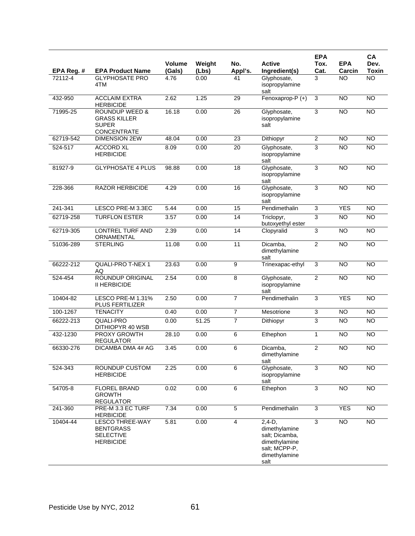|            |                                                                                        |                  |                 |                | <b>Active</b>                                                                                          | <b>EPA</b>     |                      | CA<br>Dev.      |
|------------|----------------------------------------------------------------------------------------|------------------|-----------------|----------------|--------------------------------------------------------------------------------------------------------|----------------|----------------------|-----------------|
| EPA Reg. # | <b>EPA Product Name</b>                                                                | Volume<br>(Gals) | Weight<br>(Lbs) | No.<br>Appl's. | Ingredient(s)                                                                                          | Tox.<br>Cat.   | <b>EPA</b><br>Carcin | <b>Toxin</b>    |
| 72112-4    | <b>GLYPHOSATE PRO</b><br>4TM                                                           | 4.76             | 0.00            | 41             | Glyphosate,<br>isopropylamine<br>salt                                                                  | 3              | <b>NO</b>            | <b>NO</b>       |
| 432-950    | <b>ACCLAIM EXTRA</b><br><b>HERBICIDE</b>                                               | 2.62             | 1.25            | 29             | Fenoxaprop-P (+)                                                                                       | 3              | <b>NO</b>            | <b>NO</b>       |
| 71995-25   | <b>ROUNDUP WEED &amp;</b><br><b>GRASS KILLER</b><br><b>SUPER</b><br><b>CONCENTRATE</b> | 16.18            | 0.00            | 26             | Glyphosate,<br>isopropylamine<br>salt                                                                  | 3              | <b>NO</b>            | $\overline{NO}$ |
| 62719-542  | <b>DIMENSION 2EW</b>                                                                   | 48.04            | 0.00            | 23             | Dithiopyr                                                                                              | $\overline{2}$ | <b>NO</b>            | NO              |
| 524-517    | <b>ACCORD XL</b><br><b>HERBICIDE</b>                                                   | 8.09             | 0.00            | 20             | Glyphosate,<br>isopropylamine<br>salt                                                                  | 3              | <b>NO</b>            | <b>NO</b>       |
| 81927-9    | <b>GLYPHOSATE 4 PLUS</b>                                                               | 98.88            | 0.00            | 18             | Glyphosate,<br>isopropylamine<br>salt                                                                  | 3              | <b>NO</b>            | <b>NO</b>       |
| 228-366    | <b>RAZOR HERBICIDE</b>                                                                 | 4.29             | 0.00            | 16             | Glyphosate,<br>isopropylamine<br>salt                                                                  | $\overline{3}$ | NO                   | $\overline{NO}$ |
| 241-341    | LESCO PRE-M 3.3EC                                                                      | 5.44             | 0.00            | 15             | Pendimethalin                                                                                          | 3              | <b>YES</b>           | <b>NO</b>       |
| 62719-258  | <b>TURFLON ESTER</b>                                                                   | 3.57             | 0.00            | 14             | Triclopyr,<br>butoxyethyl ester                                                                        | 3              | <b>NO</b>            | <b>NO</b>       |
| 62719-305  | LONTREL TURF AND<br>ORNAMENTAL                                                         | 2.39             | 0.00            | 14             | Clopyralid                                                                                             | 3              | N <sub>O</sub>       | $\overline{NO}$ |
| 51036-289  | <b>STERLING</b>                                                                        | 11.08            | 0.00            | 11             | Dicamba,<br>dimethylamine<br>salt                                                                      | $\overline{2}$ | N <sub>O</sub>       | $\overline{NO}$ |
| 66222-212  | <b>QUALI-PRO T-NEX 1</b><br>AQ                                                         | 23.63            | 0.00            | 9              | Trinexapac-ethyl                                                                                       | 3              | <b>NO</b>            | <b>NO</b>       |
| 524-454    | ROUNDUP ORIGINAL<br><b>II HERBICIDE</b>                                                | 2.54             | 0.00            | 8              | Glyphosate,<br>isopropylamine<br>salt                                                                  | $\overline{2}$ | <b>NO</b>            | <b>NO</b>       |
| 10404-82   | LESCO PRE-M 1.31%<br>PLUS FERTILIZER                                                   | 2.50             | 0.00            | $\overline{7}$ | Pendimethalin                                                                                          | 3              | <b>YES</b>           | <b>NO</b>       |
| 100-1267   | <b>TENACITY</b>                                                                        | 0.40             | 0.00            | $\overline{7}$ | Mesotrione                                                                                             | $\overline{3}$ | <b>NO</b>            | <b>NO</b>       |
| 66222-213  | QUALI-PRO<br>DITHIOPYR 40 WSB                                                          | 0.00             | 51.25           | $\overline{7}$ | Dithiopyr                                                                                              | 3              | N <sub>O</sub>       | $\overline{NO}$ |
| 432-1230   | PROXY GROWTH<br><b>REGULATOR</b>                                                       | 28.10            | 0.00            | 6              | Ethephon                                                                                               | 1              | <b>NO</b>            | <b>NO</b>       |
| 66330-276  | DICAMBA DMA 4# AG                                                                      | 3.45             | 0.00            | 6              | Dicamba,<br>dimethylamine<br>salt                                                                      | $\overline{2}$ | N <sub>O</sub>       | $\overline{NO}$ |
| 524-343    | ROUNDUP CUSTOM<br><b>HERBICIDE</b>                                                     | 2.25             | 0.00            | 6              | Glyphosate,<br>isopropylamine<br>salt                                                                  | 3              | <b>NO</b>            | <b>NO</b>       |
| 54705-8    | <b>FLOREL BRAND</b><br><b>GROWTH</b><br><b>REGULATOR</b>                               | 0.02             | 0.00            | 6              | Ethephon                                                                                               | 3              | <b>NO</b>            | <b>NO</b>       |
| 241-360    | PRE-M 3.3 EC TURF<br><b>HERBICIDE</b>                                                  | 7.34             | 0.00            | 5              | Pendimethalin                                                                                          | 3              | <b>YES</b>           | <b>NO</b>       |
| 10404-44   | <b>LESCO THREE-WAY</b><br><b>BENTGRASS</b><br><b>SELECTIVE</b><br><b>HERBICIDE</b>     | 5.81             | 0.00            | $\overline{4}$ | $2,4-D,$<br>dimethylamine<br>salt; Dicamba,<br>dimethylamine<br>salt; MCPP-P,<br>dimethylamine<br>salt | $\overline{3}$ | $\overline{NO}$      | NO              |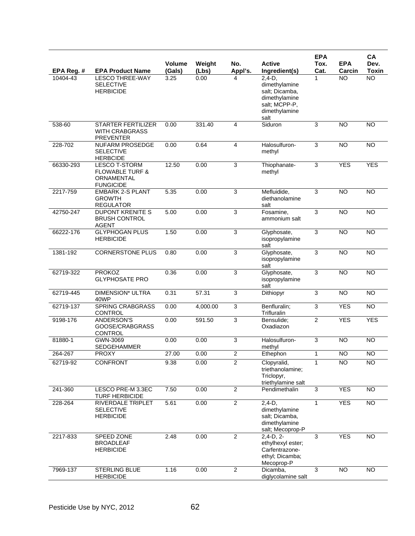|            |                                                                                      | Volume            |                 | No.            | <b>Active</b>                                                                                          | <b>EPA</b><br>Tox. | <b>EPA</b>      | CA<br>Dev.      |
|------------|--------------------------------------------------------------------------------------|-------------------|-----------------|----------------|--------------------------------------------------------------------------------------------------------|--------------------|-----------------|-----------------|
| EPA Reg. # | <b>EPA Product Name</b>                                                              | (Gals)            | Weight<br>(Lbs) | Appl's.        | Ingredient(s)                                                                                          | Cat.               | Carcin          | <b>Toxin</b>    |
| 10404-43   | <b>LESCO THREE-WAY</b><br><b>SELECTIVE</b><br><b>HERBICIDE</b>                       | 3.25              | 0.00            | 4              | $2,4-D,$<br>dimethylamine<br>salt; Dicamba,<br>dimethylamine<br>salt; MCPP-P,<br>dimethylamine<br>salt | 1                  | <b>NO</b>       | $\overline{NO}$ |
| 538-60     | <b>STARTER FERTILIZER</b><br><b>WITH CRABGRASS</b><br><b>PREVENTER</b>               | 0.00              | 331.40          | $\overline{4}$ | Siduron                                                                                                | 3                  | <b>NO</b>       | <b>NO</b>       |
| 228-702    | NUFARM PROSEDGE<br><b>SELECTIVE</b><br><b>HERBCIDE</b>                               | 0.00              | 0.64            | $\overline{4}$ | Halosulfuron-<br>methyl                                                                                | 3                  | <b>NO</b>       | <b>NO</b>       |
| 66330-293  | <b>LESCO T-STORM</b><br><b>FLOWABLE TURF &amp;</b><br>ORNAMENTAL<br><b>FUNGICIDE</b> | 12.50             | 0.00            | 3              | Thiophanate-<br>methyl                                                                                 | 3                  | <b>YES</b>      | <b>YES</b>      |
| 2217-759   | <b>EMBARK 2-S PLANT</b><br><b>GROWTH</b><br><b>REGULATOR</b>                         | 5.35              | 0.00            | 3              | Mefluidide,<br>diethanolamine<br>salt                                                                  | 3                  | <b>NO</b>       | <b>NO</b>       |
| 42750-247  | <b>DUPONT KRENITE S</b><br><b>BRUSH CONTROL</b><br><b>AGENT</b>                      | 5.00              | 0.00            | $\overline{3}$ | Fosamine.<br>ammonium salt                                                                             | 3                  | N <sub>O</sub>  | $\overline{NO}$ |
| 66222-176  | <b>GLYPHOGAN PLUS</b><br><b>HERBICIDE</b>                                            | 1.50              | 0.00            | 3              | Glyphosate,<br>isopropylamine<br>salt                                                                  | 3                  | <b>NO</b>       | <b>NO</b>       |
| 1381-192   | <b>CORNERSTONE PLUS</b>                                                              | 0.80              | 0.00            | $\overline{3}$ | Glyphosate,<br>isopropylamine<br>salt                                                                  | $\overline{3}$     | N <sub>O</sub>  | N <sub>O</sub>  |
| 62719-322  | <b>PROKOZ</b><br><b>GLYPHOSATE PRO</b>                                               | 0.36              | 0.00            | 3              | Glyphosate,<br>isopropylamine<br>salt                                                                  | 3                  | <b>NO</b>       | <b>NO</b>       |
| 62719-445  | DIMENSION* ULTRA<br>40WP                                                             | 0.31              | 57.31           | $\overline{3}$ | Dithiopyr                                                                                              | $\overline{3}$     | N <sub>O</sub>  | $\overline{NO}$ |
| 62719-137  | <b>SPRING CRABGRASS</b><br><b>CONTROL</b>                                            | 0.00              | 4,000.00        | 3              | Benfluralin;<br>Trifluralin                                                                            | 3                  | <b>YES</b>      | <b>NO</b>       |
| 9198-176   | ANDERSON'S<br>GOOSE/CRABGRASS<br><b>CONTROL</b>                                      | 0.00              | 591.50          | $\overline{3}$ | Bensulide;<br>Oxadiazon                                                                                | 2                  | <b>YES</b>      | <b>YES</b>      |
| 81880-1    | GWN-3069<br><b>SEDGEHAMMER</b>                                                       | 0.00              | 0.00            | 3              | Halosulfuron-<br>methyl                                                                                | 3                  | <b>NO</b>       | <b>NO</b>       |
| 264-267    | <b>PROXY</b>                                                                         | $\frac{1}{27.00}$ | 0.00            | $\mathfrak{p}$ | Ethephon                                                                                               | 1                  | $\overline{NO}$ | $\overline{NO}$ |
| 62719-92   | CONFRONT                                                                             | 9.38              | 0.00            | $\overline{2}$ | Clopyralid,<br>triethanolamine;<br>Triclopyr,<br>triethylamine salt                                    | $\mathbf{1}$       | <b>NO</b>       | <b>NO</b>       |
| 241-360    | LESCO PRE-M 3.3EC<br><b>TURF HERBICIDE</b>                                           | 7.50              | 0.00            | $\overline{c}$ | Pendimethalin                                                                                          | 3                  | <b>YES</b>      | $\overline{NO}$ |
| 228-264    | RIVERDALE TRIPLET<br><b>SELECTIVE</b><br><b>HERBICIDE</b>                            | 5.61              | 0.00            | $\overline{2}$ | $2,4-D,$<br>dimethylamine<br>salt; Dicamba,<br>dimethylamine<br>salt; Mecoprop-P                       | $\mathbf{1}$       | <b>YES</b>      | NO              |
| 2217-833   | SPEED ZONE<br><b>BROADLEAF</b><br><b>HERBICIDE</b>                                   | 2.48              | 0.00            | $\overline{2}$ | $2,4-D, 2-$<br>ethylhexyl ester;<br>Carfentrazone-<br>ethyl; Dicamba;<br>Mecoprop-P                    | 3                  | <b>YES</b>      | $\overline{NO}$ |
| 7969-137   | <b>STERLING BLUE</b><br><b>HERBICIDE</b>                                             | 1.16              | 0.00            | $\overline{c}$ | Dicamba,<br>diglycolamine salt                                                                         | 3                  | $\overline{N}$  | $\overline{NO}$ |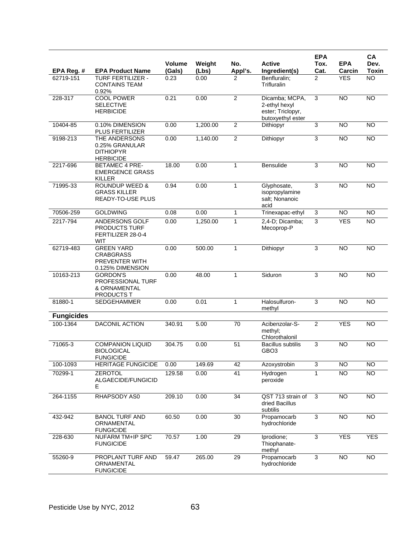|                         |                                                                                      |                |               |                |                                                                           | <b>EPA</b>             |                      | CA                        |
|-------------------------|--------------------------------------------------------------------------------------|----------------|---------------|----------------|---------------------------------------------------------------------------|------------------------|----------------------|---------------------------|
|                         |                                                                                      | <b>Volume</b>  | Weight        | No.            | <b>Active</b>                                                             | Tox.                   | <b>EPA</b>           | Dev.                      |
| EPA Reg. #<br>62719-151 | <b>EPA Product Name</b><br><b>TURF FERTILIZER -</b><br><b>CONTAINS TEAM</b><br>0.92% | (Gals)<br>0.23 | (Lbs)<br>0.00 | Appl's.<br>2   | Ingredient(s)<br>Benfluralin;<br>Trifluralin                              | Cat.<br>$\overline{2}$ | Carcin<br><b>YES</b> | <b>Toxin</b><br><b>NO</b> |
| 228-317                 | <b>COOL POWER</b><br><b>SELECTIVE</b><br><b>HERBICIDE</b>                            | 0.21           | 0.00          | $\overline{2}$ | Dicamba: MCPA.<br>2-ethyl hexyl<br>ester; Triclopyr,<br>butoxyethyl ester | 3                      | NO                   | NO                        |
| 10404-85                | 0.10% DIMENSION<br><b>PLUS FERTILIZER</b>                                            | 0.00           | 1,200.00      | $\mathbf{2}$   | Dithiopyr                                                                 | 3                      | <b>NO</b>            | <b>NO</b>                 |
| 9198-213                | THE ANDERSONS<br>0.25% GRANULAR<br><b>DITHIOPYR</b><br><b>HERBICIDE</b>              | 0.00           | 1,140.00      | $\overline{2}$ | Dithiopyr                                                                 | $\overline{3}$         | <b>NO</b>            | <b>NO</b>                 |
| 2217-696                | <b>BETAMEC 4 PRE-</b><br><b>EMERGENCE GRASS</b><br><b>KILLER</b>                     | 18.00          | 0.00          | $\mathbf{1}$   | Bensulide                                                                 | 3                      | <b>NO</b>            | <b>NO</b>                 |
| 71995-33                | <b>ROUNDUP WEED &amp;</b><br><b>GRASS KILLER</b><br>READY-TO-USE PLUS                | 0.94           | 0.00          | $\mathbf{1}$   | Glyphosate,<br>isopropylamine<br>salt; Nonanoic<br>acid                   | 3                      | <b>NO</b>            | <b>NO</b>                 |
| 70506-259               | <b>GOLDWING</b>                                                                      | 0.08           | 0.00          | $\mathbf{1}$   | Trinexapac-ethyl                                                          | 3                      | <b>NO</b>            | $\overline{NO}$           |
| 2217-794                | <b>ANDERSONS GOLF</b><br>PRODUCTS TURF<br>FERTILIZER 28-0-4<br><b>WIT</b>            | 0.00           | 1,250.00      | $\mathbf{1}$   | 2,4-D; Dicamba;<br>Mecoprop-P                                             | $\overline{3}$         | <b>YES</b>           | <b>NO</b>                 |
| 62719-483               | <b>GREEN YARD</b><br><b>CRABGRASS</b><br>PREVENTER WITH<br>0.125% DIMENSION          | 0.00           | 500.00        | $\mathbf{1}$   | Dithiopyr                                                                 | $\overline{3}$         | <b>NO</b>            | $\overline{NO}$           |
| 10163-213               | <b>GORDON'S</b><br>PROFESSIONAL TURF<br>& ORNAMENTAL<br><b>PRODUCTS T</b>            | 0.00           | 48.00         | $\mathbf{1}$   | Siduron                                                                   | 3                      | <b>NO</b>            | <b>NO</b>                 |
| 81880-1                 | <b>SEDGEHAMMER</b>                                                                   | 0.00           | 0.01          | $\mathbf{1}$   | Halosulfuron-<br>methyl                                                   | 3                      | <b>NO</b>            | NO                        |
| <b>Fungicides</b>       |                                                                                      |                |               |                |                                                                           |                        |                      |                           |
| 100-1364                | <b>DACONIL ACTION</b>                                                                | 340.91         | 5.00          | 70             | Acibenzolar-S-<br>methyl;<br>Chlorothalonil                               | $\overline{2}$         | <b>YES</b>           | <b>NO</b>                 |
| 71065-3                 | <b>COMPANION LIQUID</b><br><b>BIOLOGICAL</b><br><b>FUNGICIDE</b>                     | 304.75         | 0.00          | 51             | <b>Bacillus subtilis</b><br>GBO <sub>3</sub>                              | 3                      | <b>NO</b>            | <b>NO</b>                 |
| 100-1093                | <b>HERITAGE FUNGICIDE</b>                                                            | 0.00           | 149.69        | 42             | Azoxystrobin                                                              | $\overline{3}$         | N <sub>O</sub>       | <b>NO</b>                 |
| 70299-1                 | <b>ZEROTOL</b><br>ALGAECIDE/FUNGICID<br>Е                                            | 129.58         | 0.00          | 41             | Hydrogen<br>peroxide                                                      | $\mathbf{1}$           | <b>NO</b>            | <b>NO</b>                 |
| 264-1155                | RHAPSODY AS0                                                                         | 209.10         | 0.00          | 34             | QST 713 strain of<br>dried Bacillus<br>subtilis                           | 3                      | <b>NO</b>            | <b>NO</b>                 |
| 432-942                 | <b>BANOL TURF AND</b><br>ORNAMENTAL<br><b>FUNGICIDE</b>                              | 60.50          | 0.00          | 30             | Propamocarb<br>hydrochloride                                              | $\overline{3}$         | <b>NO</b>            | <b>NO</b>                 |
| 228-630                 | <b>NUFARM TM+IP SPC</b><br><b>FUNGICIDE</b>                                          | 70.57          | 1.00          | 29             | Iprodione;<br>Thiophanate-<br>methyl                                      | $\overline{3}$         | <b>YES</b>           | <b>YES</b>                |
| 55260-9                 | PROPLANT TURF AND<br>ORNAMENTAL<br><b>FUNGICIDE</b>                                  | 59.47          | 265.00        | 29             | Propamocarb<br>hydrochloride                                              | 3                      | NO <sub>1</sub>      | <b>NO</b>                 |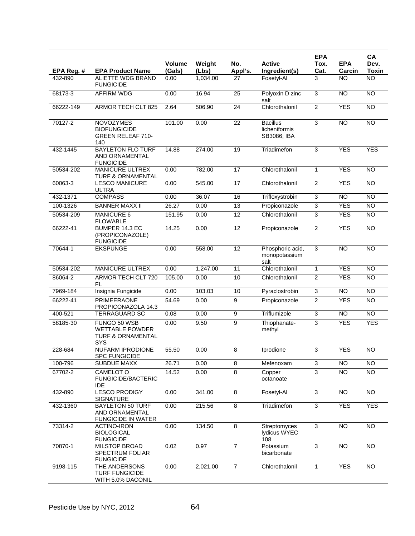|            |                                                                                      |                         |                 |                 |                                                 | <b>EPA</b>     |                      | <b>CA</b>            |
|------------|--------------------------------------------------------------------------------------|-------------------------|-----------------|-----------------|-------------------------------------------------|----------------|----------------------|----------------------|
| EPA Reg. # | <b>EPA Product Name</b>                                                              | <b>Volume</b><br>(Gals) | Weight<br>(Lbs) | No.<br>Appl's.  | <b>Active</b><br>Ingredient(s)                  | Tox.<br>Cat.   | <b>EPA</b><br>Carcin | Dev.<br><b>Toxin</b> |
| 432-890    | ALIETTE WDG BRAND<br><b>FUNGICIDE</b>                                                | 0.00                    | 1,034.00        | 27              | Fosetyl-Al                                      | 3              | NO                   | <b>NO</b>            |
| 68173-3    | <b>AFFIRM WDG</b>                                                                    | 0.00                    | 16.94           | 25              | Polyoxin D zinc<br>salt                         | 3              | <b>NO</b>            | $\overline{NO}$      |
| 66222-149  | <b>ARMOR TECH CLT 825</b>                                                            | 2.64                    | 506.90          | $\overline{24}$ | Chlorothalonil                                  | $\overline{c}$ | <b>YES</b>           | $\overline{NO}$      |
| 70127-2    | <b>NOVOZYMES</b><br><b>BIOFUNGICIDE</b><br><b>GREEN RELEAF 710-</b><br>140           | 101.00                  | 0.00            | 22              | <b>Bacillus</b><br>licheniformis<br>SB3086; IBA | 3              | N <sub>O</sub>       | <b>NO</b>            |
| 432-1445   | <b>BAYLETON FLO TURF</b><br>AND ORNAMENTAL<br><b>FUNGICIDE</b>                       | 14.88                   | 274.00          | 19              | Triadimefon                                     | 3              | <b>YES</b>           | <b>YES</b>           |
| 50534-202  | <b>MANICURE ULTREX</b><br>TURF & ORNAMENTAL                                          | 0.00                    | 782.00          | 17              | Chlorothalonil                                  | $\mathbf{1}$   | <b>YES</b>           | $\overline{NO}$      |
| 60063-3    | <b>LESCO MANICURE</b><br>ULTRA                                                       | 0.00                    | 545.00          | 17              | Chlorothalonil                                  | $\overline{2}$ | <b>YES</b>           | <b>NO</b>            |
| 432-1371   | <b>COMPASS</b>                                                                       | 0.00                    | 36.07           | 16              | Trifloxystrobin                                 | 3              | <b>NO</b>            | $\overline{NO}$      |
| 100-1326   | <b>BANNER MAXX II</b>                                                                | 26.27                   | 0.00            | 13              | Propiconazole                                   | 3              | <b>YES</b>           | <b>NO</b>            |
| 50534-209  | <b>MANICURE 6</b><br><b>FLOWABLE</b>                                                 | 151.95                  | 0.00            | 12              | Chlorothalonil                                  | 3              | <b>YES</b>           | $\overline{NO}$      |
| 66222-41   | BUMPER 14.3 EC<br>(PROPICONAZOLE)<br><b>FUNGICIDE</b>                                | 14.25                   | 0.00            | 12              | Propiconazole                                   | $\overline{2}$ | <b>YES</b>           | <b>NO</b>            |
| 70644-1    | <b>EKSPUNGE</b>                                                                      | 0.00                    | 558.00          | 12              | Phosphoric acid,<br>monopotassium<br>salt       | 3              | <b>NO</b>            | <b>NO</b>            |
| 50534-202  | <b>MANICURE ULTREX</b>                                                               | 0.00                    | 1,247.00        | $\overline{11}$ | Chlorothalonil                                  | $\mathbf{1}$   | <b>YES</b>           | $\overline{NO}$      |
| 86064-2    | ARMOR TECH CLT 720<br>FL                                                             | 105.00                  | 0.00            | 10              | Chlorothalonil                                  | $\overline{2}$ | <b>YES</b>           | <b>NO</b>            |
| 7969-184   | Insignia Fungicide                                                                   | 0.00                    | 103.03          | 10              | Pyraclostrobin                                  | 3              | <b>NO</b>            | <b>NO</b>            |
| 66222-41   | <b>PRIMEERAONE</b><br>PROPICONAZOLA 14.3                                             | 54.69                   | 0.00            | 9               | Propiconazole                                   | $\overline{2}$ | <b>YES</b>           | <b>NO</b>            |
| 400-521    | <b>TERRAGUARD SC</b>                                                                 | 0.08                    | 0.00            | 9               | Triflumizole                                    | 3              | N <sub>O</sub>       | N <sub>O</sub>       |
| 58185-30   | FUNGO 50 WSB<br><b>WETTABLE POWDER</b><br><b>TURF &amp; ORNAMENTAL</b><br><b>SYS</b> | 0.00                    | 9.50            | 9               | Thiophanate-<br>methyl                          | 3              | <b>YES</b>           | <b>YES</b>           |
| 228-684    | <b>NUFARM IPRODIONE</b><br><b>SPC FUNGICIDE</b>                                      | 55.50                   | 0.00            | 8               | Iprodione                                       | 3              | <b>YES</b>           | $\overline{NO}$      |
| 100-796    | <b>SUBDUE MAXX</b>                                                                   | 26.71                   | 0.00            | $\overline{8}$  | Mefenoxam                                       | $\overline{3}$ | $\overline{NO}$      | $\overline{NO}$      |
| 67702-2    | CAMELOT O<br>FUNGICIDE/BACTERIC<br>IDE                                               | 14.52                   | 0.00            | $\overline{8}$  | Copper<br>octanoate                             | $\overline{3}$ | <b>NO</b>            | $\overline{NO}$      |
| 432-890    | <b>LESCO PRODIGY</b><br><b>SIGNATURE</b>                                             | 0.00                    | 341.00          | 8               | Fosetyl-Al                                      | $\mathbf{3}$   | <b>NO</b>            | $\overline{NO}$      |
| 432-1360   | <b>BAYLETON 50 TURF</b><br>AND ORNAMENTAL<br><b>FUNGICIDE IN WATER</b>               | 0.00                    | 215.56          | $\overline{8}$  | Triadimefon                                     | $\overline{3}$ | <b>YES</b>           | <b>YES</b>           |
| 73314-2    | <b>ACTINO-IRON</b><br><b>BIOLOGICAL</b><br><b>FUNGICIDE</b>                          | 0.00                    | 134.50          | $\overline{8}$  | Streptomyces<br>lydicus WYEC<br>108             | $\overline{3}$ | $\overline{NO}$      | $\overline{NO}$      |
| 70870-1    | <b>MILSTOP BROAD</b><br><b>SPECTRUM FOLIAR</b><br><b>FUNGICIDE</b>                   | 0.02                    | 0.97            | $\overline{7}$  | Potassium<br>bicarbonate                        | $\overline{3}$ | NO                   | NO <sub>1</sub>      |
| 9198-115   | THE ANDERSONS<br><b>TURF FUNGICIDE</b><br>WITH 5.0% DACONIL                          | 0.00                    | 2,021.00        | $\overline{7}$  | Chlorothalonil                                  | 1              | <b>YES</b>           | <b>NO</b>            |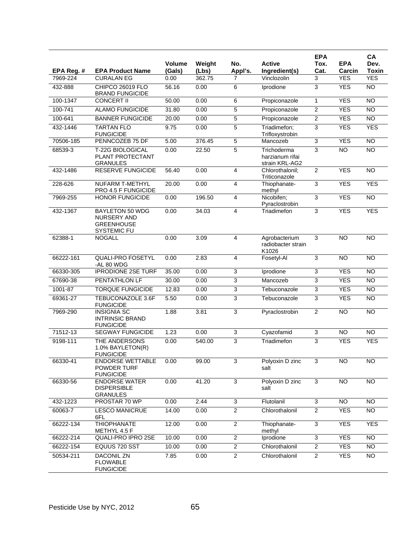|            |                                                                                  |                         |                 |                |                                                  | <b>EPA</b>     |                      | CA                   |
|------------|----------------------------------------------------------------------------------|-------------------------|-----------------|----------------|--------------------------------------------------|----------------|----------------------|----------------------|
| EPA Reg. # | <b>EPA Product Name</b>                                                          | <b>Volume</b><br>(Gals) | Weight<br>(Lbs) | No.<br>Appl's. | <b>Active</b><br>Ingredient(s)                   | Tox.<br>Cat.   | <b>EPA</b><br>Carcin | Dev.<br><b>Toxin</b> |
| 7969-224   | <b>CURALAN EG</b>                                                                | 0.00                    | 362.75          | 7              | Vinclozolin                                      | 3              | <b>YES</b>           | <b>YES</b>           |
| 432-888    | CHIPCO 26019 FLO<br><b>BRAND FUNGICIDE</b>                                       | 56.16                   | 0.00            | 6              | Iprodione                                        | 3              | <b>YES</b>           | <b>NO</b>            |
| 100-1347   | <b>CONCERT II</b>                                                                | 50.00                   | 0.00            | 6              | Propiconazole                                    | 1              | <b>YES</b>           | <b>NO</b>            |
| 100-741    | <b>ALAMO FUNGICIDE</b>                                                           | 31.80                   | 0.00            | 5              | Propiconazole                                    | $\overline{2}$ | <b>YES</b>           | NO                   |
| 100-641    | <b>BANNER FUNGICIDE</b>                                                          | 20.00                   | 0.00            | 5              | Propiconazole                                    | $\overline{c}$ | <b>YES</b>           | $\overline{10}$      |
| 432-1446   | <b>TARTAN FLO</b><br><b>FUNGICIDE</b>                                            | 9.75                    | 0.00            | 5              | Triadimefon;<br>Trifloxystrobin                  | 3              | <b>YES</b>           | <b>YES</b>           |
| 70506-185  | PENNCOZEB 75 DF                                                                  | 5.00                    | 376.45          | 5              | Mancozeb                                         | 3              | <b>YES</b>           | NO                   |
| 68539-3    | T-22G BIOLOGICAL<br>PLANT PROTECTANT<br><b>GRANULES</b>                          | 0.00                    | 22.50           | 5              | Trichoderma<br>harzianum rifai<br>strain KRL-AG2 | 3              | <b>NO</b>            | <b>NO</b>            |
| 432-1486   | <b>RESERVE FUNGICIDE</b>                                                         | 56.40                   | 0.00            | 4              | Chlorothalonil;<br>Triticonazole                 | $\overline{2}$ | <b>YES</b>           | <b>NO</b>            |
| 228-626    | <b>NUFARM T-METHYL</b><br>PRO 4.5 F FUNGICIDE                                    | 20.00                   | 0.00            | 4              | Thiophanate-<br>methyl                           | 3              | <b>YES</b>           | <b>YES</b>           |
| 7969-255   | <b>HONOR FUNGICIDE</b>                                                           | 0.00                    | 196.50          | 4              | Nicobifen;<br>Pyraclostrobin                     | 3              | <b>YES</b>           | NO                   |
| 432-1367   | <b>BAYLETON 50 WDG</b><br><b>NURSERY AND</b><br><b>GREENHOUSE</b><br>SYSTEMIC FU | 0.00                    | 34.03           | 4              | Triadimefon                                      | 3              | <b>YES</b>           | <b>YES</b>           |
| 62388-1    | <b>NOGALL</b>                                                                    | 0.00                    | 3.09            | 4              | Agrobacterium<br>radiobacter strain<br>K1026     | 3              | <b>NO</b>            | NO                   |
| 66222-161  | <b>QUALI-PRO FOSETYL</b><br>-AL 80 WDG                                           | 0.00                    | 2.83            | 4              | Fosetyl-Al                                       | 3              | <b>NO</b>            | $\overline{10}$      |
| 66330-305  | <b>IPRODIONE 2SE TURF</b>                                                        | 35.00                   | 0.00            | 3              | Iprodione                                        | 3              | <b>YES</b>           | NO                   |
| 67690-38   | PENTATHLON LF                                                                    | 30.00                   | 0.00            | 3              | Mancozeb                                         | 3              | <b>YES</b>           | <b>NO</b>            |
| 1001-87    | <b>TORQUE FUNGICIDE</b>                                                          | 12.83                   | 0.00            | $\overline{3}$ | Tebuconazole                                     | 3              | <b>YES</b>           | <b>NO</b>            |
| 69361-27   | <b>TEBUCONAZOLE 3.6F</b><br><b>FUNGICIDE</b>                                     | 5.50                    | 0.00            | 3              | Tebuconazole                                     | 3              | <b>YES</b>           | <b>NO</b>            |
| 7969-290   | <b>INSIGNIA SC</b><br><b>INTRINSIC BRAND</b><br><b>FUNGICIDE</b>                 | 1.88                    | 3.81            | 3              | Pyraclostrobin                                   | $\overline{2}$ | <b>NO</b>            | <b>NO</b>            |
| 71512-13   | <b>SEGWAY FUNGICIDE</b>                                                          | 1.23                    | 0.00            | 3              | Cyazofamid                                       | 3              | <b>NO</b>            | <b>NO</b>            |
| 9198-111   | THE ANDERSONS<br>1.0% BAYLETON(R)<br><b>FUNGICIDE</b>                            | 0.00                    | 540.00          | 3              | Triadimefon                                      | 3              | <b>YES</b>           | <b>YES</b>           |
| 66330-41   | <b>ENDORSE WETTABLE</b><br>POWDER TURF<br><b>FUNGICIDE</b>                       | 0.00                    | 99.00           | 3              | Polyoxin D zinc<br>salt                          | $\overline{3}$ | <b>NO</b>            | <b>NO</b>            |
| 66330-56   | <b>ENDORSE WATER</b><br><b>DISPERSIBLE</b><br><b>GRANULES</b>                    | 0.00                    | 41.20           | 3              | Polyoxin D zinc<br>salt                          | 3              | <b>NO</b>            | <b>NO</b>            |
| 432-1223   | PROSTAR 70 WP                                                                    | 0.00                    | 2.44            | 3              | Flutolanil                                       | 3              | <b>NO</b>            | <b>NO</b>            |
| 60063-7    | <b>LESCO MANICRUE</b><br>6FL                                                     | 14.00                   | 0.00            | $\overline{2}$ | Chlorothalonil                                   | $\overline{2}$ | <b>YES</b>           | <b>NO</b>            |
| 66222-134  | <b>THIOPHANATE</b><br>METHYL 4.5 F                                               | 12.00                   | 0.00            | 2              | Thiophanate-<br>methyl                           | 3              | <b>YES</b>           | <b>YES</b>           |
| 66222-214  | QUALI-PRO IPRO 2SE                                                               | 10.00                   | 0.00            | $\overline{2}$ | Iprodione                                        | 3              | <b>YES</b>           | <b>NO</b>            |
| 66222-154  | EQUUS 720 SST                                                                    | 10.00                   | 0.00            | $\overline{2}$ | Chlorothalonil                                   | $\overline{2}$ | <b>YES</b>           | <b>NO</b>            |
| 50534-211  | <b>DACONIL ZN</b><br><b>FLOWABLE</b><br><b>FUNGICIDE</b>                         | 7.85                    | 0.00            | $\overline{2}$ | Chlorothalonil                                   | $\overline{2}$ | <b>YES</b>           | $\overline{NO}$      |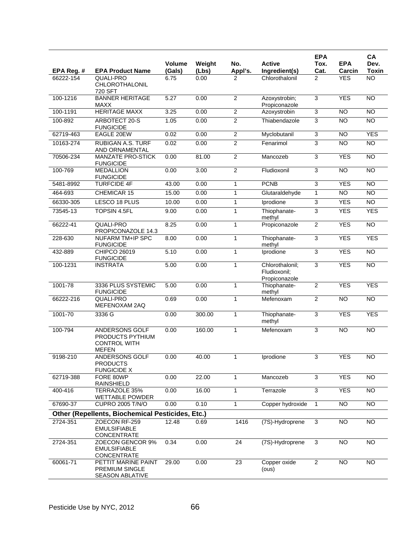|            |                                                                           | <b>Volume</b> | Weight | No.            | <b>Active</b>                                    | <b>EPA</b><br>Tox.        | <b>EPA</b>      | CA<br>Dev.      |
|------------|---------------------------------------------------------------------------|---------------|--------|----------------|--------------------------------------------------|---------------------------|-----------------|-----------------|
| EPA Reg. # | <b>EPA Product Name</b>                                                   | (Gals)        | (Lbs)  | Appl's.        | Ingredient(s)                                    | Cat.                      | Carcin          | Toxin           |
| 66222-154  | <b>QUALI-PRO</b><br><b>CHLOROTHALONIL</b><br>720 SFT                      | 6.75          | 0.00   | 2              | Chlorothalonil                                   | $\overline{2}$            | <b>YES</b>      | <b>NO</b>       |
| 100-1216   | <b>BANNER HERITAGE</b><br>MAXX                                            | 5.27          | 0.00   | $\overline{2}$ | Azoxystrobin;<br>Propiconazole                   | 3                         | <b>YES</b>      | <b>NO</b>       |
| 100-1191   | <b>HERITAGE MAXX</b>                                                      | 3.25          | 0.00   | $\overline{2}$ | Azoxystrobin                                     | $\overline{3}$            | <b>NO</b>       | NO              |
| 100-892    | ARBOTECT 20-S<br><b>FUNGICIDE</b>                                         | 1.05          | 0.00   | 2              | Thiabendazole                                    | 3                         | <b>NO</b>       | <b>NO</b>       |
| 62719-463  | EAGLE 20EW                                                                | 0.02          | 0.00   | $\overline{c}$ | Myclobutanil                                     | 3                         | NO              | <b>YES</b>      |
| 10163-274  | <b>RUBIGAN A.S. TURF</b><br>AND ORNAMENTAL                                | 0.02          | 0.00   | $\overline{2}$ | Fenarimol                                        | 3                         | $\overline{NO}$ | $\overline{NO}$ |
| 70506-234  | <b>MANZATE PRO-STICK</b><br><b>FUNGICIDE</b>                              | 0.00          | 81.00  | 2              | Mancozeb                                         | 3                         | <b>YES</b>      | <b>NO</b>       |
| 100-769    | <b>MEDALLION</b><br><b>FUNGICIDE</b>                                      | 0.00          | 3.00   | $\overline{2}$ | Fludioxonil                                      | 3                         | NO              | NO              |
| 5481-8992  | <b>TURFCIDE 4F</b>                                                        | 43.00         | 0.00   | $\mathbf{1}$   | <b>PCNB</b>                                      | 3                         | <b>YES</b>      | <b>NO</b>       |
| 464-693    | <b>CHEMICAR 15</b>                                                        | 15.00         | 0.00   | 1              | Glutaraldehyde                                   | $\mathbf{1}$              | <b>NO</b>       | <b>NO</b>       |
| 66330-305  | LESCO 18 PLUS                                                             | 10.00         | 0.00   | 1              | Iprodione                                        | $\ensuremath{\mathsf{3}}$ | <b>YES</b>      | <b>NO</b>       |
| 73545-13   | <b>TOPSIN 4.5FL</b>                                                       | 9.00          | 0.00   | $\mathbf{1}$   | Thiophanate-<br>methyl                           | $\overline{3}$            | <b>YES</b>      | <b>YES</b>      |
| 66222-41   | <b>QUALI-PRO</b><br>PROPICONAZOLE 14.3                                    | 8.25          | 0.00   | $\mathbf{1}$   | Propiconazole                                    | $\overline{2}$            | <b>YES</b>      | N <sub>O</sub>  |
| 228-630    | <b>NUFARM TM+IP SPC</b><br><b>FUNGICIDE</b>                               | 8.00          | 0.00   | $\mathbf{1}$   | Thiophanate-<br>methyl                           | 3                         | <b>YES</b>      | <b>YES</b>      |
| 432-889    | CHIPCO 26019<br><b>FUNGICIDE</b>                                          | 5.10          | 0.00   | $\mathbf{1}$   | Iprodione                                        | 3                         | <b>YES</b>      | $\overline{NO}$ |
| 100-1231   | <b>INSTRATA</b>                                                           | 5.00          | 0.00   | $\mathbf{1}$   | Chlorothalonil;<br>Fludioxonil:<br>Propiconazole | 3                         | <b>YES</b>      | <b>NO</b>       |
| 1001-78    | 3336 PLUS SYSTEMIC<br><b>FUNGICIDE</b>                                    | 5.00          | 0.00   | $\mathbf{1}$   | Thiophanate-<br>methyl                           | $\overline{2}$            | <b>YES</b>      | <b>YES</b>      |
| 66222-216  | <b>QUALI-PRO</b><br>MEFENOXAM 2AQ                                         | 0.69          | 0.00   | $\mathbf{1}$   | Mefenoxam                                        | $\overline{c}$            | N <sub>O</sub>  | NO              |
| 1001-70    | 3336 G                                                                    | 0.00          | 300.00 | $\mathbf{1}$   | Thiophanate-<br>methyl                           | 3                         | <b>YES</b>      | <b>YES</b>      |
| 100-794    | ANDERSONS GOLF<br>PRODUCTS PYTHIUM<br><b>CONTROL WITH</b><br><b>MEFEN</b> | 0.00          | 160.00 | $\mathbf{1}$   | Mefenoxam                                        | 3                         | N <sub>O</sub>  | <b>NO</b>       |
| 9198-210   | ANDERSONS GOLF<br><b>PRODUCTS</b><br><b>FUNGICIDE X</b>                   | 0.00          | 40.00  | 1              | Iprodione                                        | 3                         | <b>YES</b>      | <b>NO</b>       |
| 62719-388  | FORE 80WP<br>RAINSHIELD                                                   | 0.00          | 22.00  | 1              | Mancozeb                                         | 3                         | <b>YES</b>      | <b>NO</b>       |
| 400-416    | TERRAZOLE 35%<br><b>WETTABLE POWDER</b>                                   | 0.00          | 16.00  | $\mathbf{1}$   | Terrazole                                        | $\overline{3}$            | <b>YES</b>      | <b>NO</b>       |
| 67690-37   | <b>CUPRO 2005 T/N/O</b>                                                   | 0.00          | 0.10   | 1              | Copper hydroxide                                 | 1                         | <b>NO</b>       | N <sub>O</sub>  |
|            | <b>Other (Repellents, Biochemical Pesticides, Etc.)</b>                   |               |        |                |                                                  |                           |                 |                 |
| 2724-351   | ZOECON RF-259<br><b>EMULSIFIABLE</b><br>CONCENTRATE                       | 12.48         | 0.69   | 1416           | (7S)-Hydroprene                                  | 3                         | <b>NO</b>       | <b>NO</b>       |
| 2724-351   | ZOECON GENCOR 9%<br><b>EMULSIFIABLE</b><br>CONCENTRATE                    | 0.34          | 0.00   | 24             | (7S)-Hydroprene                                  | 3                         | <b>NO</b>       | N <sub>O</sub>  |
| 60061-71   | PETTIT MARINE PAINT<br>PREMIUM SINGLE<br>SEASON ABLATIVE                  | 29.00         | 0.00   | 23             | Copper oxide<br>(ous)                            | $\boldsymbol{2}$          | <b>NO</b>       | <b>NO</b>       |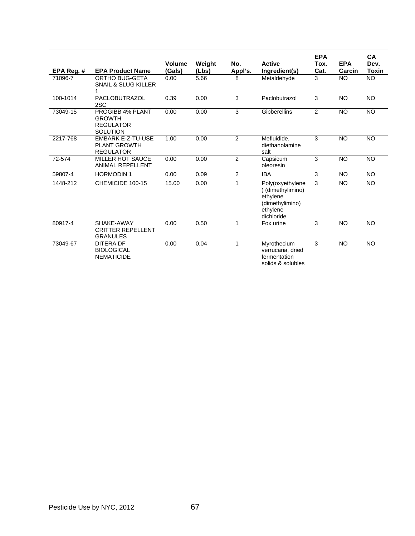| EPA Req. # | <b>EPA Product Name</b>                                                  | <b>Volume</b><br>(Gals) | Weight<br>(Lbs) | No.<br>Appl's. | <b>Active</b><br>Ingredient(s)                                                                 | <b>EPA</b><br>Tox.<br>Cat. | <b>EPA</b><br>Carcin | CА<br>Dev.<br>Toxin |
|------------|--------------------------------------------------------------------------|-------------------------|-----------------|----------------|------------------------------------------------------------------------------------------------|----------------------------|----------------------|---------------------|
| 71096-7    | <b>ORTHO BUG-GETA</b><br><b>SNAIL &amp; SLUG KILLER</b><br>1             | 0.00                    | 5.66            | 8              | Metaldehyde                                                                                    | 3                          | <b>NO</b>            | <b>NO</b>           |
| 100-1014   | <b>PACLOBUTRAZOL</b><br>2SC                                              | 0.39                    | 0.00            | 3              | Paclobutrazol                                                                                  | 3                          | <b>NO</b>            | <b>NO</b>           |
| 73049-15   | PROGIBB 4% PLANT<br><b>GROWTH</b><br><b>REGULATOR</b><br><b>SOLUTION</b> | 0.00                    | 0.00            | 3              | Gibberellins                                                                                   | $\overline{2}$             | <b>NO</b>            | <b>NO</b>           |
| 2217-768   | <b>EMBARK E-Z-TU-USE</b><br><b>PLANT GROWTH</b><br><b>REGULATOR</b>      | 1.00                    | 0.00            | 2              | Mefluidide,<br>diethanolamine<br>salt                                                          | 3                          | <b>NO</b>            | <b>NO</b>           |
| 72-574     | <b>MILLER HOT SAUCE</b><br><b>ANIMAL REPELLENT</b>                       | 0.00                    | 0.00            | $\overline{2}$ | Capsicum<br>oleoresin                                                                          | 3                          | <b>NO</b>            | <b>NO</b>           |
| 59807-4    | <b>HORMODIN1</b>                                                         | 0.00                    | 0.09            | $\overline{2}$ | <b>IBA</b>                                                                                     | 3                          | <b>NO</b>            | <b>NO</b>           |
| 1448-212   | CHEMICIDE 100-15                                                         | 15.00                   | 0.00            | $\mathbf{1}$   | Poly(oxyethylene<br>) (dimethylimino)<br>ethylene<br>(dimethylimino)<br>ethylene<br>dichloride | 3                          | <b>NO</b>            | <b>NO</b>           |
| 80917-4    | SHAKE-AWAY<br><b>CRITTER REPELLENT</b><br><b>GRANULES</b>                | 0.00                    | 0.50            | 1              | Fox urine                                                                                      | 3                          | <b>NO</b>            | <b>NO</b>           |
| 73049-67   | <b>DITERA DF</b><br><b>BIOLOGICAL</b><br><b>NEMATICIDE</b>               | 0.00                    | 0.04            | $\mathbf{1}$   | Myrothecium<br>verrucaria, dried<br>fermentation<br>solids & solubles                          | 3                          | <b>NO</b>            | <b>NO</b>           |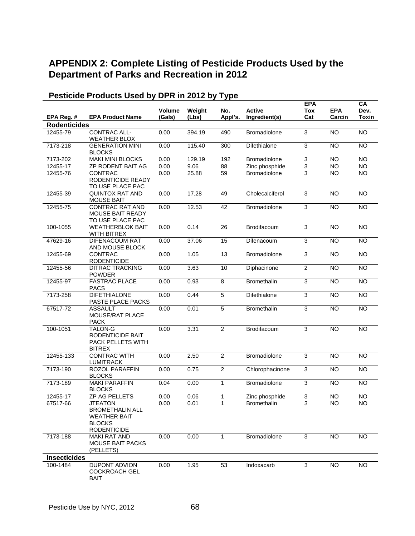# **APPENDIX 2: Complete Listing of Pesticide Products Used by the Department of Parks and Recreation in 2012**

|                      |                                                                                                        |                         |                 |                |                                       | <b>EPA</b>                                  |                        | CA                     |
|----------------------|--------------------------------------------------------------------------------------------------------|-------------------------|-----------------|----------------|---------------------------------------|---------------------------------------------|------------------------|------------------------|
| EPA Reg. #           | <b>EPA Product Name</b>                                                                                | <b>Volume</b><br>(Gals) | Weight<br>(Lbs) | No.<br>Appl's. | <b>Active</b><br>Ingredient(s)        | <b>Tox</b><br>Cat                           | <b>EPA</b><br>Carcin   | Dev.<br><b>Toxin</b>   |
| <b>Rodenticides</b>  |                                                                                                        |                         |                 |                |                                       |                                             |                        |                        |
| 12455-79             | CONTRAC ALL-                                                                                           | 0.00                    | 394.19          | 490            | Bromadiolone                          | 3                                           | $\overline{NO}$        | <b>NO</b>              |
|                      | <b>WEATHER BLOX</b>                                                                                    |                         |                 |                |                                       |                                             |                        |                        |
| 7173-218             | <b>GENERATION MINI</b>                                                                                 | 0.00                    | 115.40          | 300            | Difethialone                          | 3                                           | <b>NO</b>              | <b>NO</b>              |
|                      | <b>BLOCKS</b>                                                                                          |                         |                 |                |                                       |                                             |                        |                        |
| 7173-202<br>12455-17 | <b>MAKI MINI BLOCKS</b><br>ZP RODENT BAIT AG                                                           | 0.00                    | 129.19          | 192            | Bromadiolone                          | 3                                           | <b>NO</b><br><b>NO</b> | <b>NO</b><br><b>NO</b> |
| 12455-76             | CONTRAC                                                                                                | 0.00<br>0.00            | 9.06<br>25.88   | 88<br>59       | Zinc phosphide<br><b>Bromadiolone</b> | $\ensuremath{\mathsf{3}}$<br>$\overline{3}$ | <b>NO</b>              | $\overline{NO}$        |
|                      | RODENTICIDE READY<br>TO USE PLACE PAC                                                                  |                         |                 |                |                                       |                                             |                        |                        |
| 12455-39             | <b>QUINTOX RAT AND</b><br><b>MOUSE BAIT</b>                                                            | 0.00                    | 17.28           | 49             | Cholecalciferol                       | 3                                           | <b>NO</b>              | <b>NO</b>              |
| 12455-75             | <b>CONTRAC RAT AND</b><br>MOUSE BAIT READY<br>TO USE PLACE PAC                                         | 0.00                    | 12.53           | 42             | Bromadiolone                          | 3                                           | <b>NO</b>              | <b>NO</b>              |
| 100-1055             | <b>WEATHERBLOK BAIT</b><br><b>WITH BITREX</b>                                                          | 0.00                    | 0.14            | 26             | Brodifacoum                           | 3                                           | <b>NO</b>              | <b>NO</b>              |
| 47629-16             | <b>DIFENACOUM RAT</b><br>AND MOUSE BLOCK                                                               | 0.00                    | 37.06           | 15             | Difenacoum                            | $\overline{3}$                              | <b>NO</b>              | <b>NO</b>              |
| 12455-69             | CONTRAC<br><b>RODENTICIDE</b>                                                                          | 0.00                    | 1.05            | 13             | Bromadiolone                          | 3                                           | N <sub>O</sub>         | $\overline{NO}$        |
| 12455-56             | <b>DITRAC TRACKING</b><br><b>POWDER</b>                                                                | 0.00                    | 3.63            | 10             | Diphacinone                           | $\boldsymbol{2}$                            | <b>NO</b>              | $\overline{NO}$        |
| 12455-97             | <b>FASTRAC PLACE</b><br><b>PACS</b>                                                                    | 0.00                    | 0.93            | $\overline{8}$ | <b>Bromethalin</b>                    | $\overline{3}$                              | <b>NO</b>              | <b>NO</b>              |
| 7173-258             | <b>DIFETHIALONE</b><br>PASTE PLACE PACKS                                                               | 0.00                    | 0.44            | 5              | Difethialone                          | 3                                           | N <sub>O</sub>         | N <sub>O</sub>         |
| 67517-72             | <b>ASSAULT</b><br>MOUSE/RAT PLACE<br><b>PACK</b>                                                       | 0.00                    | 0.01            | 5              | Bromethalin                           | 3                                           | <b>NO</b>              | <b>NO</b>              |
| 100-1051             | <b>TALON-G</b><br>RODENTICIDE BAIT<br>PACK PELLETS WITH<br><b>BITREX</b>                               | 0.00                    | 3.31            | 2              | Brodifacoum                           | $\overline{3}$                              | N <sub>O</sub>         | <b>NO</b>              |
| 12455-133            | <b>CONTRAC WITH</b><br><b>LUMITRACK</b>                                                                | 0.00                    | 2.50            | $\overline{2}$ | <b>Bromadiolone</b>                   | 3                                           | <b>NO</b>              | $\overline{NO}$        |
| 7173-190             | ROZOL PARAFFIN<br><b>BLOCKS</b>                                                                        | 0.00                    | 0.75            | $\overline{2}$ | Chlorophacinone                       | 3                                           | <b>NO</b>              | <b>NO</b>              |
| 7173-189             | <b>MAKI PARAFFIN</b><br><b>BLOCKS</b>                                                                  | 0.04                    | 0.00            | $\mathbf{1}$   | Bromadiolone                          | $\overline{3}$                              | <b>NO</b>              | <b>NO</b>              |
| 12455-17             | ZP AG PELLETS                                                                                          | 0.00                    | 0.06            | 1              | Zinc phosphide                        | 3                                           | $\overline{NO}$        | $\overline{NO}$        |
| 67517-66             | <b>JTEATON</b><br><b>BROMETHALIN ALL</b><br><b>WEATHER BAIT</b><br><b>BLOCKS</b><br><b>RODENTICIDE</b> | 0.00                    | 0.01            | 1              | <b>Bromethalin</b>                    | 3                                           | N <sub>O</sub>         | $\overline{NO}$        |
| 7173-188             | <b>MAKI RAT AND</b><br><b>MOUSE BAIT PACKS</b><br>(PELLETS)                                            | 0.00                    | 0.00            | 1              | Bromadiolone                          | 3                                           | <b>NO</b>              | <b>NO</b>              |
| <b>Insecticides</b>  |                                                                                                        |                         |                 |                |                                       |                                             |                        |                        |
| 100-1484             | DUPONT ADVION<br><b>COCKROACH GEL</b><br><b>BAIT</b>                                                   | 0.00                    | 1.95            | 53             | Indoxacarb                            | 3                                           | <b>NO</b>              | <b>NO</b>              |

# **Pesticide Products Used by DPR in 2012 by Type**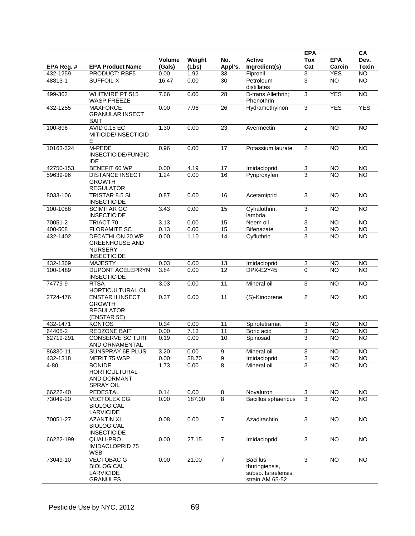|            |                                                                                         | Volume | Weight | No.             | <b>Active</b>                                                               | <b>EPA</b><br><b>Tox</b>  | <b>EPA</b>     | CA<br>Dev.      |
|------------|-----------------------------------------------------------------------------------------|--------|--------|-----------------|-----------------------------------------------------------------------------|---------------------------|----------------|-----------------|
| EPA Reg. # | <b>EPA Product Name</b>                                                                 | (Gals) | (Lbs)  | Appl's.         | Ingredient(s)                                                               | Cat                       | Carcin         | <b>Toxin</b>    |
| 432-1259   | PRODUCT: RBF5                                                                           | 0.00   | 1.92   | 33              | Fipronil                                                                    | 3                         | <b>YES</b>     | $\overline{NO}$ |
| 48813-1    | SUFFOIL-X                                                                               | 16.47  | 0.00   | 30              | Petroleum<br>distillates                                                    | 3                         | <b>NO</b>      | $\overline{10}$ |
| 499-362    | <b>WHITMIRE PT 515</b><br><b>WASP FREEZE</b>                                            | 7.66   | 0.00   | 28              | D-trans Allethrin;<br>Phenothrin                                            | 3                         | <b>YES</b>     | <b>NO</b>       |
| 432-1255   | <b>MAXFORCE</b><br><b>GRANULAR INSECT</b><br>BAIT                                       | 0.00   | 7.96   | 26              | Hydramethylnon                                                              | $\overline{3}$            | <b>YES</b>     | <b>YES</b>      |
| 100-896    | <b>AVID 0.15 EC</b><br>MITICIDE/INSECTICID<br>Е                                         | 1.30   | 0.00   | 23              | Avermectin                                                                  | $\overline{2}$            | <b>NO</b>      | $\overline{NO}$ |
| 10163-324  | M-PEDE<br>INSECTICIDE/FUNGIC<br><b>IDE</b>                                              | 0.96   | 0.00   | 17              | Potassium laurate                                                           | $\mathbf{2}$              | <b>NO</b>      | <b>NO</b>       |
| 42750-153  | BENEFIT 60 WP                                                                           | 0.00   | 4.19   | 17              | Imidacloprid                                                                | 3                         | <b>NO</b>      | <b>NO</b>       |
| 59639-96   | <b>DISTANCE INSECT</b><br><b>GROWTH</b><br><b>REGULATOR</b>                             | 1.24   | 0.00   | 16              | Pyriproxyfen                                                                | 3                         | NO             | NO.             |
| 8033-106   | TRISTAR 8.5 SL<br><b>INSECTICIDE</b>                                                    | 0.87   | 0.00   | 16              | Acetamiprid                                                                 | 3                         | <b>NO</b>      | $\overline{NO}$ |
| 100-1088   | <b>SCIMITAR GC</b><br><b>INSECTICIDE</b>                                                | 3.43   | 0.00   | 15              | Cyhalothrin,<br>lambda                                                      | $\overline{3}$            | <b>NO</b>      | <b>NO</b>       |
| 70051-2    | TRIACT 70                                                                               | 3.13   | 0.00   | 15              | Neem oil                                                                    | $\ensuremath{\mathsf{3}}$ | <b>NO</b>      | <b>NO</b>       |
| 400-508    | <b>FLORAMITE SC</b>                                                                     | 0.13   | 0.00   | 15              | <b>Bifenazate</b>                                                           | $\overline{3}$            | <b>NO</b>      | <b>NO</b>       |
| 432-1402   | <b>DECATHLON 20 WP</b><br><b>GREENHOUSE AND</b><br><b>NURSERY</b><br><b>INSECTICIDE</b> | 0.00   | 1.10   | 14              | Cyfluthrin                                                                  | 3                         | <b>NO</b>      | <b>NO</b>       |
| 432-1369   | <b>MAJESTY</b>                                                                          | 0.03   | 0.00   | 13              | Imidacloprid                                                                | 3                         | <b>NO</b>      | <b>NO</b>       |
| 100-1489   | DUPONT ACELEPRYN<br><b>INSECTICIDE</b>                                                  | 3.84   | 0.00   | 12              | DPX-E2Y45                                                                   | $\mathbf 0$               | <b>NO</b>      | <b>NO</b>       |
| 74779-9    | <b>RTSA</b><br>HORTICULTURAL OIL                                                        | 3.03   | 0.00   | 11              | Mineral oil                                                                 | 3                         | N <sub>O</sub> | $\overline{NO}$ |
| 2724-476   | <b>ENSTAR II INSECT</b><br><b>GROWTH</b><br><b>REGULATOR</b><br>(ENSTAR 5E)             | 0.37   | 0.00   | 11              | (S)-Kinoprene                                                               | $\mathbf{2}$              | <b>NO</b>      | <b>NO</b>       |
| 432-1471   | <b>KONTOS</b>                                                                           | 0.34   | 0.00   | 11              | Spirotetramat                                                               | 3                         | <b>NO</b>      | <b>NO</b>       |
| 64405-2    | <b>REDZONE BAIT</b>                                                                     | 0.00   | 7.13   | $\overline{11}$ | Boric acid                                                                  | $\overline{3}$            | NO             | $\overline{10}$ |
| 62719-291  | <b>CONSERVE SC TURF</b><br>AND ORNAMENTAL                                               | 0.19   | 0.00   | 10              | Spinosad                                                                    | 3                         | <b>NO</b>      | <b>NO</b>       |
| 86330-11   | SUNSPRAY 6F PLUS                                                                        | 3.20   | 0.00   | 9               | Mineral oil                                                                 | 3                         | <b>NO</b>      | $\overline{NO}$ |
| 432-1318   | <b>MERIT 75 WSP</b>                                                                     | 0.00   | 58.70  | 9               | Imidacloprid                                                                | 3                         | <b>NO</b>      | NO.             |
| 4-80       | <b>BONIDE</b><br><b>HORTICULTURAL</b><br>AND DORMANT<br><b>SPRAY OIL</b>                | 1.73   | 0.00   | 8               | Mineral oil                                                                 | $\overline{3}$            | <b>NO</b>      | <b>NO</b>       |
| 66222-40   | PEDESTAL                                                                                | 0.14   | 0.00   | 8               | Novaluron                                                                   | $\ensuremath{\mathsf{3}}$ | <b>NO</b>      | <b>NO</b>       |
| 73049-20   | <b>VECTOLEX CG</b><br><b>BIOLOGICAL</b><br><b>LARVICIDE</b>                             | 0.00   | 187.00 | 8               | <b>Bacillus sphaericus</b>                                                  | 3                         | <b>NO</b>      | <b>NO</b>       |
| 70051-27   | <b>AZANTIN XL</b><br><b>BIOLOGICAL</b><br><b>INSECTICIDE</b>                            | 0.08   | 0.00   | $\overline{7}$  | Azadirachtin                                                                | 3                         | <b>NO</b>      | <b>NO</b>       |
| 66222-199  | QUALI-PRO<br><b>IMIDACLOPRID 75</b><br><b>WSB</b>                                       | 0.00   | 27.15  | $\overline{7}$  | Imidacloprid                                                                | 3                         | <b>NO</b>      | <b>NO</b>       |
| 73049-10   | <b>VECTOBAC G</b><br><b>BIOLOGICAL</b><br><b>LARVICIDE</b><br><b>GRANULES</b>           | 0.00   | 21.00  | $\overline{7}$  | <b>Bacillus</b><br>thuringiensis,<br>subsp. Israelensis,<br>strain AM 65-52 | 3                         | <b>NO</b>      | <b>NO</b>       |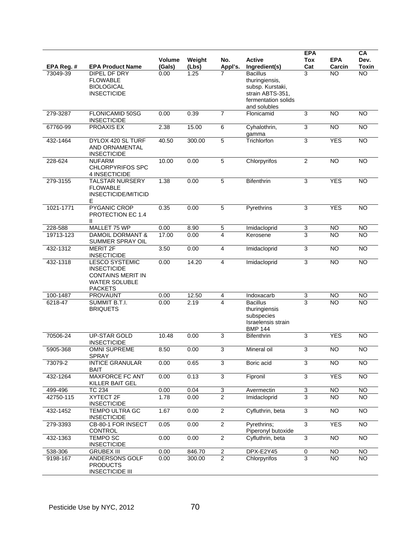| EPA Reg. # | <b>EPA Product Name</b>                                                                                           | <b>Volume</b><br>(Gals) | Weight<br>(Lbs) | No.<br>Appl's.          | <b>Active</b><br>Ingredient(s)                                                                                   | <b>EPA</b><br>Tox<br>Cat  | <b>EPA</b><br>Carcin | CA<br>Dev.<br><b>Toxin</b> |
|------------|-------------------------------------------------------------------------------------------------------------------|-------------------------|-----------------|-------------------------|------------------------------------------------------------------------------------------------------------------|---------------------------|----------------------|----------------------------|
| 73049-39   | DIPEL DF DRY<br><b>FLOWABLE</b><br><b>BIOLOGICAL</b><br><b>INSECTICIDE</b>                                        | 0.00                    | 1.25            | 7                       | <b>Bacillus</b><br>thuringiensis,<br>subsp. Kurstaki,<br>strain ABTS-351.<br>fermentation solids<br>and solubles | 3                         | <b>NO</b>            | $\overline{NO}$            |
| 279-3287   | <b>FLONICAMID 50SG</b><br><b>INSECTICIDE</b>                                                                      | 0.00                    | 0.39            | $\overline{7}$          | Flonicamid                                                                                                       | 3                         | <b>NO</b>            | <b>NO</b>                  |
| 67760-99   | PROAXIS EX                                                                                                        | 2.38                    | 15.00           | 6                       | Cyhalothrin,<br>qamma                                                                                            | 3                         | <b>NO</b>            | <b>NO</b>                  |
| 432-1464   | DYLOX 420 SL TURF<br>AND ORNAMENTAL<br><b>INSECTICIDE</b>                                                         | 40.50                   | 300.00          | 5                       | Trichlorfon                                                                                                      | 3                         | <b>YES</b>           | $\overline{NO}$            |
| 228-624    | <b>NUFARM</b><br><b>CHLORPYRIFOS SPC</b><br>4 INSECTICIDE                                                         | 10.00                   | 0.00            | $\overline{5}$          | Chlorpyrifos                                                                                                     | $\overline{2}$            | $\overline{NO}$      | <b>NO</b>                  |
| 279-3155   | <b>TALSTAR NURSERY</b><br><b>FLOWABLE</b><br><b>INSECTICIDE/MITICID</b><br>Е                                      | 1.38                    | 0.00            | $\overline{5}$          | <b>Bifenthrin</b>                                                                                                | $\overline{3}$            | <b>YES</b>           | $\overline{NO}$            |
| 1021-1771  | <b>PYGANIC CROP</b><br>PROTECTION EC 1.4<br>Ш                                                                     | 0.35                    | 0.00            | $\overline{5}$          | Pyrethrins                                                                                                       | 3                         | <b>YES</b>           | <b>NO</b>                  |
| 228-588    | MALLET 75 WP                                                                                                      | 0.00                    | 8.90            | 5                       | Imidacloprid                                                                                                     | 3                         | <b>NO</b>            | <b>NO</b>                  |
| 19713-123  | <b>DAMOIL DORMANT &amp;</b><br>SUMMER SPRAY OIL                                                                   | 17.00                   | 0.00            | 4                       | Kerosene                                                                                                         | 3                         | <b>NO</b>            | <b>NO</b>                  |
| 432-1312   | <b>MERIT 2F</b><br><b>INSECTICIDE</b>                                                                             | 3.50                    | 0.00            | $\overline{\mathbf{4}}$ | Imidacloprid                                                                                                     | $\mathsf 3$               | <b>NO</b>            | $\overline{NO}$            |
| 432-1318   | <b>LESCO SYSTEMIC</b><br><b>INSECTICIDE</b><br><b>CONTAINS MERIT IN</b><br><b>WATER SOLUBLE</b><br><b>PACKETS</b> | 0.00                    | 14.20           | $\overline{4}$          | Imidacloprid                                                                                                     | 3                         | N <sub>O</sub>       | $\overline{NO}$            |
| 100-1487   | <b>PROVAUNT</b>                                                                                                   | 0.00                    | 12.50           | $\overline{4}$          | Indoxacarb                                                                                                       | $\overline{3}$            | <b>NO</b>            | <b>NO</b>                  |
| 6218-47    | SUMMIT B.T.I.<br><b>BRIQUETS</b>                                                                                  | 0.00                    | 2.19            | 4                       | <b>Bacillus</b><br>thuringiensis<br>subspecies<br>Israelensis strain<br><b>BMP 144</b>                           | $\overline{3}$            | <b>NO</b>            | <b>NO</b>                  |
| 70506-24   | <b>UP-STAR GOLD</b><br><b>INSECTICIDE</b>                                                                         | 10.48                   | 0.00            | 3                       | <b>Bifenthrin</b>                                                                                                | 3                         | <b>YES</b>           | $\overline{NO}$            |
| 5905-368   | <b>OMNI SUPREME</b><br><b>SPRAY</b>                                                                               | 8.50                    | 0.00            | 3                       | Mineral oil                                                                                                      | 3                         | $\overline{NO}$      | $\overline{NO}$            |
| 73079-2    | <b>INTICE GRANULAR</b><br><b>BAIT</b>                                                                             | 0.00                    | 0.65            | 3                       | Boric acid                                                                                                       | 3                         | <b>NO</b>            | $\overline{NO}$            |
| 432-1264   | <b>MAXFORCE FC ANT</b><br>KILLER BAIT GEL                                                                         | 0.00                    | 0.13            | $\overline{3}$          | Fipronil                                                                                                         | 3                         | <b>YES</b>           | <b>NO</b>                  |
| 499-496    | <b>TC 234</b>                                                                                                     | 0.00                    | 0.04            | $\overline{3}$          | Avermectin                                                                                                       | $\overline{3}$            | <b>NO</b>            | <b>NO</b>                  |
| 42750-115  | XYTECT 2F<br><b>INSECTICIDE</b>                                                                                   | 1.78                    | 0.00            | $\overline{2}$          | Imidacloprid                                                                                                     | $\overline{3}$            | <b>NO</b>            | <b>NO</b>                  |
| 432-1452   | <b>TEMPO ULTRA GC</b><br><b>INSECTICIDE</b>                                                                       | 1.67                    | 0.00            | $\overline{2}$          | Cyfluthrin, beta                                                                                                 | $\ensuremath{\mathsf{3}}$ | NO                   | $\overline{NO}$            |
| 279-3393   | CB-80-1 FOR INSECT<br><b>CONTROL</b>                                                                              | 0.05                    | 0.00            | $\overline{2}$          | Pyrethrins;<br>Piperonyl butoxide                                                                                | $\overline{3}$            | <b>YES</b>           | $\overline{NO}$            |
| 432-1363   | <b>TEMPO SC</b><br><b>INSECTICIDE</b>                                                                             | 0.00                    | 0.00            | $\overline{2}$          | Cyfluthrin, beta                                                                                                 | $\overline{3}$            | <b>NO</b>            | <b>NO</b>                  |
| 538-306    | <b>GRUBEX III</b>                                                                                                 | 0.00                    | 846.70          | $\overline{c}$          | DPX-E2Y45                                                                                                        | 0                         | <b>NO</b>            | <b>NO</b>                  |
| 9198-167   | ANDERSONS GOLF<br><b>PRODUCTS</b><br><b>INSECTICIDE III</b>                                                       | 0.00                    | 300.00          | $\overline{2}$          | Chlorpyrifos                                                                                                     | 3                         | N <sub>O</sub>       | <b>NO</b>                  |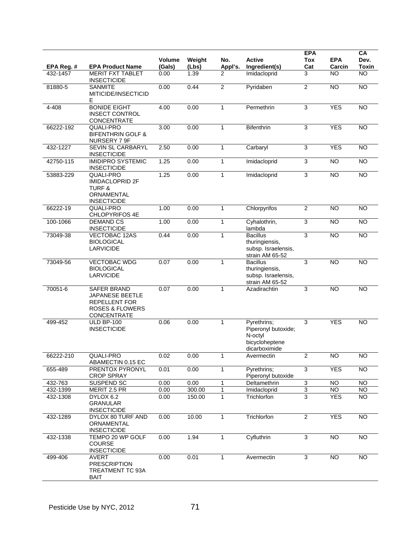| EPA Reg. # | <b>EPA Product Name</b>                                                                                           | Volume<br>(Gals) | Weight<br>(Lbs) | No.<br>Appl's. | <b>Active</b><br>Ingredient(s)                                                   | <b>EPA</b><br><b>Tox</b><br>Cat | <b>EPA</b><br>Carcin | CA<br>Dev.<br><b>Toxin</b> |
|------------|-------------------------------------------------------------------------------------------------------------------|------------------|-----------------|----------------|----------------------------------------------------------------------------------|---------------------------------|----------------------|----------------------------|
| 432-1457   | MERIT FXT TABLET<br><b>INSECTICIDE</b>                                                                            | 0.00             | 1.39            | 2              | Imidacloprid                                                                     | 3                               | <b>NO</b>            | $\overline{NO}$            |
| 81880-5    | <b>SANMITE</b><br>MITICIDE/INSECTICID<br>Е                                                                        | 0.00             | 0.44            | $\overline{2}$ | Pyridaben                                                                        | $\overline{2}$                  | <b>NO</b>            | <b>NO</b>                  |
| 4-408      | <b>BONIDE EIGHT</b><br><b>INSECT CONTROL</b><br><b>CONCENTRATE</b>                                                | 4.00             | 0.00            | $\mathbf{1}$   | Permethrin                                                                       | $\overline{3}$                  | <b>YES</b>           | $\overline{NO}$            |
| 66222-192  | QUALI-PRO<br><b>BIFENTHRIN GOLF &amp;</b><br>NURSERY 7 9F                                                         | 3.00             | 0.00            | $\mathbf{1}$   | <b>Bifenthrin</b>                                                                | 3                               | <b>YES</b>           | <b>NO</b>                  |
| 432-1227   | SEVIN SL CARBARYL<br><b>INSECTICIDE</b>                                                                           | 2.50             | 0.00            | $\mathbf{1}$   | Carbaryl                                                                         | $\ensuremath{\mathsf{3}}$       | <b>YES</b>           | $\overline{NO}$            |
| 42750-115  | <b>IMIDIPRO SYSTEMIC</b><br><b>INSECTICIDE</b>                                                                    | 1.25             | 0.00            | $\mathbf{1}$   | Imidacloprid                                                                     | $\mathsf 3$                     | N <sub>O</sub>       | $\overline{NO}$            |
| 53883-229  | QUALI-PRO<br><b>IMIDACLOPRID 2F</b><br><b>TURF &amp;</b><br>ORNAMENTAL<br><b>INSECTICIDE</b>                      | 1.25             | 0.00            | 1              | Imidacloprid                                                                     | $\overline{3}$                  | <b>NO</b>            | $\overline{NO}$            |
| 66222-19   | <b>QUALI-PRO</b><br>CHLOPYRIFOS 4E                                                                                | 1.00             | 0.00            | $\mathbf{1}$   | Chlorpyrifos                                                                     | $\overline{2}$                  | <b>NO</b>            | <b>NO</b>                  |
| 100-1066   | <b>DEMAND CS</b><br><b>INSECTICIDE</b>                                                                            | 1.00             | 0.00            | $\mathbf{1}$   | Cyhalothrin,<br>lambda                                                           | 3                               | N <sub>O</sub>       | $\overline{NO}$            |
| 73049-38   | <b>VECTOBAC 12AS</b><br><b>BIOLOGICAL</b><br><b>LARVICIDE</b>                                                     | 0.44             | 0.00            | 1              | <b>Bacillus</b><br>thuringiensis,<br>subsp. Israelensis,<br>strain AM 65-52      | 3                               | $\overline{NO}$      | <b>NO</b>                  |
| 73049-56   | <b>VECTOBAC WDG</b><br><b>BIOLOGICAL</b><br><b>LARVICIDE</b>                                                      | 0.07             | 0.00            | $\mathbf{1}$   | <b>Bacillus</b><br>thuringiensis,<br>subsp. Israelensis,<br>strain AM 65-52      | 3                               | <b>NO</b>            | $\overline{NO}$            |
| 70051-6    | <b>SAFER BRAND</b><br>JAPANESE BEETLE<br><b>REPELLENT FOR</b><br><b>ROSES &amp; FLOWERS</b><br><b>CONCENTRATE</b> | 0.07             | 0.00            | $\mathbf{1}$   | Azadirachtin<br>3                                                                |                                 | $\overline{NO}$      | <b>NO</b>                  |
| 499-452    | <b>ULD BP-100</b><br><b>INSECTICIDE</b>                                                                           | 0.06             | 0.00            | $\mathbf{1}$   | Pyrethrins;<br>Piperonyl butoxide;<br>N-octyl<br>bicycloheptene<br>dicarboximide | 3                               | <b>YES</b>           | <b>NO</b>                  |
| 66222-210  | QUALI-PRO<br>ABAMECTIN 0.15 EC                                                                                    | 0.02             | 0.00            | 1              | Avermectin                                                                       | 2                               | <b>NO</b>            | <b>NO</b>                  |
| 655-489    | PRENTOX PYRONYL<br><b>CROP SPRAY</b>                                                                              | 0.01             | 0.00            | 1              | Pyrethrins;<br>Piperonyl butoxide                                                | 3                               | <b>YES</b>           | <b>NO</b>                  |
| 432-763    | SUSPEND SC                                                                                                        | 0.00             | 0.00            | 1              | Deltamethrin                                                                     | 3                               | NO                   | <b>NO</b>                  |
| 432-1399   | MERIT 2.5 PR                                                                                                      | 0.00             | 300.00          | 1              | Imidacloprid                                                                     | 3                               | <b>NO</b>            | NO.                        |
| 432-1308   | DYLOX 6.2<br><b>GRANULAR</b><br><b>INSECTICIDE</b>                                                                | 0.00             | 150.00          | 1              | Trichlorfon                                                                      | 3                               | <b>YES</b>           | <b>NO</b>                  |
| 432-1289   | DYLOX 80 TURF AND<br>ORNAMENTAL<br><b>INSECTICIDE</b>                                                             | 0.00             | 10.00           | 1              | Trichlorfon                                                                      | $\overline{2}$                  | <b>YES</b>           | <b>NO</b>                  |
| 432-1338   | TEMPO 20 WP GOLF<br><b>COURSE</b><br><b>INSECTICIDE</b>                                                           | 0.00             | 1.94            | $\mathbf{1}$   | Cyfluthrin                                                                       | 3                               | $\overline{NO}$      | <b>NO</b>                  |
| 499-406    | <b>AVERT</b><br><b>PRESCRIPTION</b><br>TREATMENT TC 93A<br><b>BAIT</b>                                            | 0.00             | 0.01            | $\mathbf{1}$   | Avermectin                                                                       | 3                               | <b>NO</b>            | <b>NO</b>                  |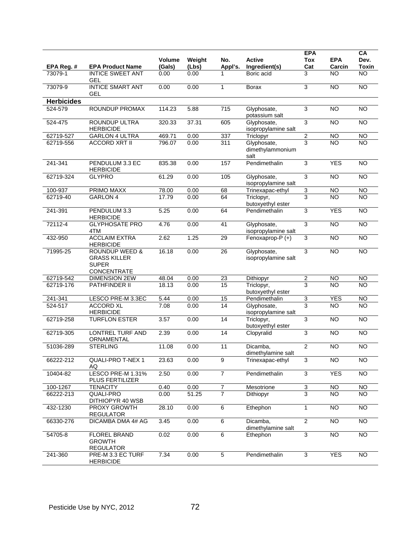|                   |                                                                                 | <b>Volume</b> | Weight | No.             | <b>Active</b>                           | <b>EPA</b><br><b>Tox</b> | <b>EPA</b>      | CA<br>Dev.      |
|-------------------|---------------------------------------------------------------------------------|---------------|--------|-----------------|-----------------------------------------|--------------------------|-----------------|-----------------|
| EPA Reg. #        | <b>EPA Product Name</b>                                                         | (Gals)        | (Lbs)  | Appl's.         | Ingredient(s)                           | Cat                      | Carcin          | Toxin           |
| 73079-1           | <b>INTICE SWEET ANT</b><br>GEL                                                  | 0.00          | 0.00   | 1               | Boric acid                              | 3                        | <b>NO</b>       | N <sub>O</sub>  |
| 73079-9           | <b>INTICE SMART ANT</b><br><b>GEL</b>                                           | 0.00          | 0.00   | $\mathbf{1}$    | <b>Borax</b>                            | 3                        | $\overline{NO}$ | $\overline{10}$ |
| <b>Herbicides</b> |                                                                                 |               |        |                 |                                         |                          |                 |                 |
| 524-579           | ROUNDUP PROMAX                                                                  | 114.23        | 5.88   | 715             | Glyphosate,<br>potassium salt           | 3                        | $\overline{NO}$ | $\overline{NO}$ |
| 524-475           | ROUNDUP ULTRA<br><b>HERBICIDE</b>                                               | 320.33        | 37.31  | 605             | Glyphosate,<br>isopropylamine salt      | 3                        | <b>NO</b>       | <b>NO</b>       |
| 62719-527         | <b>GARLON 4 ULTRA</b>                                                           | 469.71        | 0.00   | 337             | Triclopyr                               | $\overline{c}$           | <b>NO</b>       | <b>NO</b>       |
| 62719-556         | <b>ACCORD XRT II</b>                                                            | 796.07        | 0.00   | 311             | Glyphosate,<br>dimethylammonium<br>salt | 3                        | <b>NO</b>       | <b>NO</b>       |
| 241-341           | PENDULUM 3.3 EC<br><b>HERBICIDE</b>                                             | 835.38        | 0.00   | 157             | Pendimethalin                           | 3                        | <b>YES</b>      | $\overline{NO}$ |
| 62719-324         | <b>GLYPRO</b>                                                                   | 61.29         | 0.00   | 105             | Glyphosate,<br>isopropylamine salt      | $\overline{3}$           | <b>NO</b>       | <b>NO</b>       |
| 100-937           | <b>PRIMO MAXX</b>                                                               | 78.00         | 0.00   | 68              | Trinexapac-ethyl                        | $\overline{3}$           | <b>NO</b>       | NO              |
| 62719-40          | <b>GARLON 4</b>                                                                 | 17.79         | 0.00   | 64              | Triclopyr,<br>butoxyethyl ester         | 3                        | <b>NO</b>       | <b>NO</b>       |
| 241-391           | PENDULUM 3.3<br><b>HERBICIDE</b>                                                | 5.25          | 0.00   | 64              | Pendimethalin                           | 3                        | <b>YES</b>      | $\overline{NO}$ |
| 72112-4           | <b>GLYPHOSATE PRO</b><br>4TM                                                    | 4.76          | 0.00   | 41              | Glyphosate,<br>isopropylamine salt      | $\overline{3}$           | $\overline{NO}$ | $\overline{NO}$ |
| 432-950           | <b>ACCLAIM EXTRA</b><br><b>HERBICIDE</b>                                        | 2.62          | 1.25   | 29              | Fenoxaprop-P (+)                        | 3                        | <b>NO</b>       | <b>NO</b>       |
| 71995-25          | <b>ROUNDUP WEED &amp;</b><br><b>GRASS KILLER</b><br><b>SUPER</b><br>CONCENTRATE | 16.18         | 0.00   | 26              | Glyphosate,<br>isopropylamine salt      | $\overline{3}$           | <b>NO</b>       | $\overline{NO}$ |
| 62719-542         | <b>DIMENSION 2EW</b>                                                            | 48.04         | 0.00   | 23              | Dithiopyr                               | $\overline{2}$           | $\overline{NO}$ | NO              |
| 62719-176         | PATHFINDER II                                                                   | 18.13         | 0.00   | 15              | Triclopyr,<br>butoxyethyl ester         | 3                        | <b>NO</b>       | <b>NO</b>       |
| 241-341           | LESCO PRE-M 3.3EC                                                               | 5.44          | 0.00   | 15              | Pendimethalin                           | 3                        | <b>YES</b>      | <b>NO</b>       |
| 524-517           | <b>ACCORD XL</b><br><b>HERBICIDE</b>                                            | 7.08          | 0.00   | 14              | Glyphosate,<br>isopropylamine salt      | 3                        | <b>NO</b>       | <b>NO</b>       |
| 62719-258         | <b>TURFLON ESTER</b>                                                            | 3.57          | 0.00   | $\overline{14}$ | Triclopyr,<br>butoxyethyl ester         | 3                        | $\overline{NO}$ | <b>NO</b>       |
| 62719-305         | <b>LONTREL TURF AND</b><br>ORNAMENTAL                                           | 2.39          | 0.00   | 14              | Clopyralid                              | 3                        | <b>NO</b>       | $\overline{NO}$ |
| 51036-289         | <b>STERLING</b>                                                                 | 11.08         | 0.00   | 11              | Dicamba,<br>dimethylamine salt          | $\overline{c}$           | <b>NO</b>       | <b>NO</b>       |
| 66222-212         | QUALI-PRO T-NEX 1<br>AQ                                                         | 23.63         | 0.00   | 9               | Trinexapac-ethyl                        | 3                        | <b>NO</b>       | <b>NO</b>       |
| 10404-82          | LESCO PRE-M 1.31%<br>PLUS FERTILIZER                                            | 2.50          | 0.00   | $\overline{7}$  | Pendimethalin                           | $\sqrt{3}$               | <b>YES</b>      | <b>NO</b>       |
| 100-1267          | <b>TENACITY</b>                                                                 | 0.40          | 0.00   | 7               | Mesotrione                              | 3                        | <b>NO</b>       | <b>NO</b>       |
| 66222-213         | QUALI-PRO<br>DITHIOPYR 40 WSB                                                   | 0.00          | 51.25  | 7               | Dithiopyr                               | 3                        | NO.             | NO.             |
| 432-1230          | PROXY GROWTH<br><b>REGULATOR</b>                                                | 28.10         | 0.00   | $\overline{6}$  | Ethephon                                | $\mathbf{1}$             | $\overline{10}$ | $\overline{3}$  |
| 66330-276         | DICAMBA DMA 4# AG                                                               | 3.45          | 0.00   | $6\overline{6}$ | Dicamba,<br>dimethylamine salt          | $\overline{2}$           | $\overline{NO}$ | N <sub>O</sub>  |
| 54705-8           | <b>FLOREL BRAND</b><br><b>GROWTH</b><br><b>REGULATOR</b>                        | 0.02          | 0.00   | $\overline{6}$  | Ethephon                                | $\overline{3}$           | $\overline{NO}$ | $\overline{3}$  |
| 241-360           | PRE-M 3.3 EC TURF<br><b>HERBICIDE</b>                                           | 7.34          | 0.00   | 5               | Pendimethalin                           | 3                        | <b>YES</b>      | <b>NO</b>       |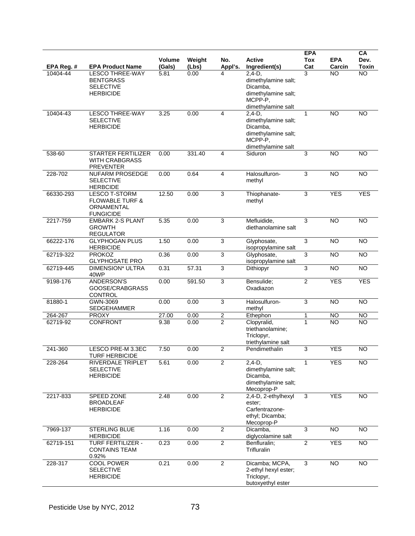|           |                                                                                             | <b>Volume</b> |                 |                         | <b>Active</b>                                                                                       | <b>EPA</b>     | <b>EPA</b>      | CA              |
|-----------|---------------------------------------------------------------------------------------------|---------------|-----------------|-------------------------|-----------------------------------------------------------------------------------------------------|----------------|-----------------|-----------------|
| EPA Reg.# | <b>EPA Product Name</b>                                                                     | (Gals)        | Weight<br>(Lbs) | No.<br>Appl's.          | Ingredient(s)                                                                                       | Tox<br>Cat     | Carcin          | Dev.<br>Toxin   |
| 10404-44  | <b>LESCO THREE-WAY</b><br><b>BENTGRASS</b><br><b>SELECTIVE</b><br><b>HERBICIDE</b>          | 5.81          | 0.00            | 4                       | $2,4-D,$<br>dimethylamine salt;<br>Dicamba,<br>dimethylamine salt;<br>MCPP-P,<br>dimethylamine salt | 3              | <b>NO</b>       | <b>NO</b>       |
| 10404-43  | <b>LESCO THREE-WAY</b><br><b>SELECTIVE</b><br><b>HERBICIDE</b>                              | 3.25          | 0.00            | 4                       | $2,4-D,$<br>dimethylamine salt;<br>Dicamba,<br>dimethylamine salt;<br>MCPP-P,<br>dimethylamine salt | $\mathbf{1}$   | <b>NO</b>       | <b>NO</b>       |
| 538-60    | <b>STARTER FERTILIZER</b><br><b>WITH CRABGRASS</b><br><b>PREVENTER</b>                      | 0.00          | 331.40          | 4                       | Siduron                                                                                             | 3              | <b>NO</b>       | <b>NO</b>       |
| 228-702   | <b>NUFARM PROSEDGE</b><br><b>SELECTIVE</b><br><b>HERBCIDE</b>                               | 0.00          | 0.64            | $\overline{\mathbf{4}}$ | Halosulfuron-<br>methyl                                                                             | 3              | $\overline{NO}$ | N <sub>O</sub>  |
| 66330-293 | <b>LESCO T-STORM</b><br><b>FLOWABLE TURF &amp;</b><br><b>ORNAMENTAL</b><br><b>FUNGICIDE</b> | 12.50         | 0.00            | $\overline{3}$          | Thiophanate-<br>methyl                                                                              | 3              | <b>YES</b>      | <b>YES</b>      |
| 2217-759  | <b>EMBARK 2-S PLANT</b><br><b>GROWTH</b><br><b>REGULATOR</b>                                | 5.35          | 0.00            | 3                       | Mefluidide,<br>diethanolamine salt                                                                  | 3              | <b>NO</b>       | <b>NO</b>       |
| 66222-176 | <b>GLYPHOGAN PLUS</b><br><b>HERBICIDE</b>                                                   | 1.50          | 0.00            | 3                       | Glyphosate,<br>isopropylamine salt                                                                  | 3              | <b>NO</b>       | <b>NO</b>       |
| 62719-322 | <b>PROKOZ</b><br><b>GLYPHOSATE PRO</b>                                                      | 0.36          | 0.00            | $\overline{3}$          | Glyphosate,<br>isopropylamine salt                                                                  | 3              | $\overline{NO}$ | N <sub>O</sub>  |
| 62719-445 | <b>DIMENSION* ULTRA</b><br>40WP                                                             | 0.31          | 57.31           | 3                       | Dithiopyr                                                                                           | 3              | <b>NO</b>       | N <sub>O</sub>  |
| 9198-176  | <b>ANDERSON'S</b><br>GOOSE/CRABGRASS<br><b>CONTROL</b>                                      | 0.00          | 591.50          | 3                       | Bensulide;<br>Oxadiazon                                                                             | 2              | <b>YES</b>      | <b>YES</b>      |
| 81880-1   | GWN-3069<br>SEDGEHAMMER                                                                     | 0.00          | 0.00            | 3                       | Halosulfuron-<br>methyl                                                                             | 3              | <b>NO</b>       | <b>NO</b>       |
| 264-267   | <b>PROXY</b>                                                                                | 27.00         | 0.00            | $\overline{\mathbf{c}}$ | Ethephon                                                                                            | 1              | <b>NO</b>       | <b>NO</b>       |
| 62719-92  | <b>CONFRONT</b>                                                                             | 9.38          | 0.00            | $\overline{2}$          | Clopyralid,<br>triethanolamine;<br>Triclopyr,<br>triethylamine salt                                 | 1              | NΟ              | <b>NO</b>       |
| 241-360   | LESCO PRE-M 3.3EC<br><b>TURF HERBICIDE</b>                                                  | 7.50          | 0.00            | $\overline{2}$          | Pendimethalin                                                                                       | 3              | <b>YES</b>      | <b>NO</b>       |
| 228-264   | RIVERDALE TRIPLET<br><b>SELECTIVE</b><br><b>HERBICIDE</b>                                   | 5.61          | 0.00            | $\overline{c}$          | $2,4-D,$<br>1<br>dimethylamine salt;<br>Dicamba,<br>dimethylamine salt;<br>Mecoprop-P               |                | <b>YES</b>      | <b>NO</b>       |
| 2217-833  | SPEED ZONE<br><b>BROADLEAF</b><br><b>HERBICIDE</b>                                          | 2.48          | 0.00            | $\overline{2}$          | 2,4-D, 2-ethylhexyl<br>ester:<br>Carfentrazone-<br>ethyl; Dicamba;<br>Mecoprop-P                    | $\overline{3}$ | <b>YES</b>      | $\overline{NO}$ |
| 7969-137  | STERLING BLUE<br><b>HERBICIDE</b>                                                           | 1.16          | 0.00            | $\overline{2}$          | Dicamba,<br>diglycolamine salt                                                                      | 3              | $\overline{NO}$ | <b>NO</b>       |
| 62719-151 | <b>TURF FERTILIZER -</b><br><b>CONTAINS TEAM</b><br>0.92%                                   | 0.23          | 0.00            | $\overline{c}$          | Benfluralin;<br>Trifluralin                                                                         | $\overline{2}$ | <b>YES</b>      | <b>NO</b>       |
| 228-317   | <b>COOL POWER</b><br><b>SELECTIVE</b><br><b>HERBICIDE</b>                                   | 0.21          | 0.00            | $\overline{2}$          | Dicamba; MCPA,<br>2-ethyl hexyl ester;<br>Triclopyr,<br>butoxyethyl ester                           | 3              | NO              | <b>NO</b>       |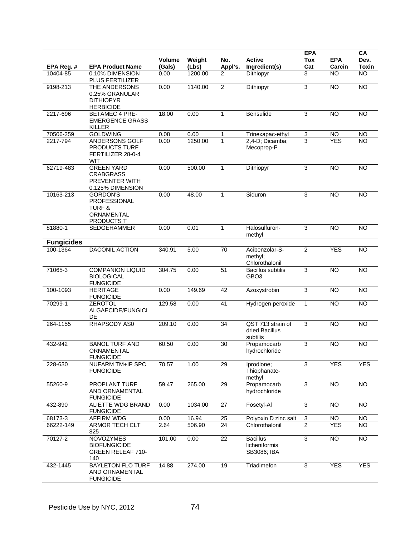|                        |                                                                                         | Volume         | Weight           | No.                       | <b>Active</b>                                   | <b>EPA</b><br><b>Tox</b> | <b>EPA</b>          | CA<br>Dev.<br><b>Toxin</b> |
|------------------------|-----------------------------------------------------------------------------------------|----------------|------------------|---------------------------|-------------------------------------------------|--------------------------|---------------------|----------------------------|
| EPA Reg. #<br>10404-85 | <b>EPA Product Name</b><br>0.10% DIMENSION<br>PLUS FERTILIZER                           | (Gals)<br>0.00 | (Lbs)<br>1200.00 | Appl's.<br>$\overline{2}$ | Ingredient(s)<br>Dithiopyr                      | Cat<br>3                 | Carcin<br><b>NO</b> | <b>NO</b>                  |
| 9198-213               | THE ANDERSONS<br>0.25% GRANULAR<br><b>DITHIOPYR</b><br><b>HERBICIDE</b>                 | 0.00           | 1140.00          | $\overline{2}$            | Dithiopyr                                       | $\mathsf 3$              | <b>NO</b>           | <b>NO</b>                  |
| 2217-696               | <b>BETAMEC 4 PRE-</b><br><b>EMERGENCE GRASS</b><br><b>KILLER</b>                        | 18.00          | 0.00             | $\mathbf{1}$              | <b>Bensulide</b>                                | $\mathsf 3$              | N <sub>O</sub>      | $\overline{NO}$            |
| 70506-259              | <b>GOLDWING</b>                                                                         | 0.08           | 0.00             | 1                         | Trinexapac-ethyl                                | 3                        | NO                  | <b>NO</b>                  |
| 2217-794               | ANDERSONS GOLF<br>PRODUCTS TURF<br>FERTILIZER 28-0-4<br><b>WIT</b>                      | 0.00           | 1250.00          | $\mathbf{1}$              | 2,4-D; Dicamba;<br>Mecoprop-P                   | $\overline{3}$           | <b>YES</b>          | <b>NO</b>                  |
| 62719-483              | <b>GREEN YARD</b><br><b>CRABGRASS</b><br>PREVENTER WITH<br>0.125% DIMENSION             | 0.00           | 500.00           | 1                         | Dithiopyr                                       | $\mathsf 3$              | <b>NO</b>           | <b>NO</b>                  |
| 10163-213              | <b>GORDON'S</b><br><b>PROFESSIONAL</b><br><b>TURF &amp;</b><br>ORNAMENTAL<br>PRODUCTS T | 0.00           | 48.00            | $\mathbf{1}$              | Siduron                                         | 3                        | N <sub>O</sub>      | $\overline{NO}$            |
| 81880-1                | SEDGEHAMMER                                                                             | 0.00           | 0.01             | $\mathbf{1}$              | Halosulfuron-<br>methyl                         | 3                        | <b>NO</b>           | <b>NO</b>                  |
| <b>Fungicides</b>      |                                                                                         |                |                  |                           |                                                 |                          |                     |                            |
| 100-1364               | <b>DACONIL ACTION</b>                                                                   | 340.91         | 5.00             | 70                        | Acibenzolar-S-<br>methyl;<br>Chlorothalonil     | 2                        | <b>YES</b>          | <b>NO</b>                  |
| 71065-3                | <b>COMPANION LIQUID</b><br><b>BIOLOGICAL</b><br><b>FUNGICIDE</b>                        | 304.75         | 0.00             | 51                        | <b>Bacillus subtilis</b><br>GBO <sub>3</sub>    | 3                        | <b>NO</b>           | <b>NO</b>                  |
| 100-1093               | <b>HERITAGE</b><br><b>FUNGICIDE</b>                                                     | 0.00           | 149.69           | 42                        | Azoxystrobin                                    | $\mathsf 3$              | <b>NO</b>           | <b>NO</b>                  |
| 70299-1                | <b>ZEROTOL</b><br>ALGAECIDE/FUNGICI<br>DE                                               | 129.58         | 0.00             | 41                        | Hydrogen peroxide                               | $\mathbf{1}$             | N <sub>O</sub>      | $\overline{NO}$            |
| 264-1155               | RHAPSODY AS0                                                                            | 209.10         | 0.00             | 34                        | QST 713 strain of<br>dried Bacillus<br>subtilis | 3                        | <b>NO</b>           | <b>NO</b>                  |
| 432-942                | <b>BANOL TURF AND</b><br>ORNAMENTAL<br><b>FUNGICIDE</b>                                 | 60.50          | 0.00             | 30                        | Propamocarb<br>hydrochloride                    | 3                        | <b>NO</b>           | <b>NO</b>                  |
| 228-630                | <b>NUFARM TM+IP SPC</b><br><b>FUNGICIDE</b>                                             | 70.57          | 1.00             | 29                        | Iprodione;<br>Thiophanate-<br>methyl            | 3                        | <b>YES</b>          | <b>YES</b>                 |
| 55260-9                | PROPLANT TURF<br>AND ORNAMENTAL<br><b>FUNGICIDE</b>                                     | 59.47          | 265.00           | $\overline{29}$           | Propamocarb<br>hydrochloride                    | $\overline{3}$           | $\overline{NO}$     | $\overline{NO}$            |
| 432-890                | ALIETTE WDG BRAND<br><b>FUNGICIDE</b>                                                   | 0.00           | 1034.00          | $\overline{27}$           | Fosetyl-Al                                      | $\overline{3}$           | $\overline{10}$     | NO                         |
| 68173-3                | <b>AFFIRM WDG</b>                                                                       | 0.00           | 16.94            | 25                        | Polyoxin D zinc salt                            | $\overline{3}$           | <b>NO</b>           | <b>NO</b>                  |
| 66222-149              | ARMOR TECH CLT<br>825                                                                   | 2.64           | 506.90           | 24                        | Chlorothalonil                                  | $\overline{2}$           | <b>YES</b>          | N <sub>O</sub>             |
| 70127-2                | <b>NOVOZYMES</b><br><b>BIOFUNGICIDE</b><br><b>GREEN RELEAF 710-</b><br>140              | 101.00         | 0.00             | 22                        | <b>Bacillus</b><br>licheniformis<br>SB3086; IBA | $\overline{3}$           | $\overline{NO}$     | $\overline{NO}$            |
| 432-1445               | <b>BAYLETON FLO TURF</b><br>AND ORNAMENTAL<br><b>FUNGICIDE</b>                          | 14.88          | 274.00           | 19                        | Triadimefon                                     | $\overline{3}$           | <b>YES</b>          | <b>YES</b>                 |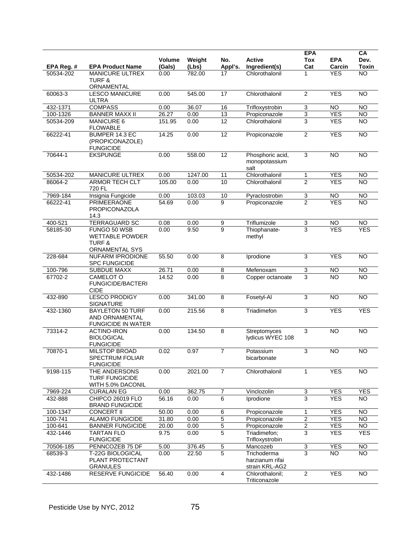|            |                                                                               |                  |                 |                 |                                                  | <b>EPA</b>                |                      | CA              |
|------------|-------------------------------------------------------------------------------|------------------|-----------------|-----------------|--------------------------------------------------|---------------------------|----------------------|-----------------|
| EPA Reg. # | <b>EPA Product Name</b>                                                       | Volume<br>(Gals) | Weight<br>(Lbs) | No.<br>Appl's.  | <b>Active</b><br>Ingredient(s)                   | <b>Tox</b><br>Cat         | <b>EPA</b><br>Carcin | Dev.<br>Toxin   |
| 50534-202  | <b>MANICURE ULTREX</b>                                                        | 0.00             | 782.00          | 17              | Chlorothalonil                                   | 1                         | <b>YES</b>           | $\overline{NO}$ |
|            | <b>TURF &amp;</b><br>ORNAMENTAL                                               |                  |                 |                 |                                                  |                           |                      |                 |
| 60063-3    | <b>LESCO MANICURE</b><br><b>ULTRA</b>                                         | 0.00             | 545.00          | 17              | Chlorothalonil                                   | $\overline{2}$            | <b>YES</b>           | <b>NO</b>       |
| 432-1371   | <b>COMPASS</b>                                                                | 0.00             | 36.07           | 16              | Trifloxystrobin                                  | $\ensuremath{\mathsf{3}}$ | <b>NO</b>            | <b>NO</b>       |
| 100-1326   | <b>BANNER MAXX II</b>                                                         | 26.27            | 0.00            | 13              | Propiconazole                                    | 3                         | <b>YES</b>           | NO              |
| 50534-209  | <b>MANICURE 6</b><br><b>FLOWABLE</b>                                          | 151.95           | 0.00            | $\overline{12}$ | Chlorothalonil                                   | $\overline{3}$            | <b>YES</b>           | $\overline{NO}$ |
| 66222-41   | BUMPER 14.3 EC<br>(PROPICONAZOLE)<br><b>FUNGICIDE</b>                         | 14.25            | 0.00            | 12              | Propiconazole                                    | $\overline{2}$            | <b>YES</b>           | <b>NO</b>       |
| 70644-1    | <b>EKSPUNGE</b>                                                               | 0.00             | 558.00          | 12              | Phosphoric acid,<br>monopotassium<br>salt        | 3                         | <b>NO</b>            | <b>NO</b>       |
| 50534-202  | <b>MANICURE ULTREX</b>                                                        | 0.00             | 1247.00         | 11              | Chlorothalonil                                   | $\mathbf{1}$              | <b>YES</b>           | NO              |
| 86064-2    | <b>ARMOR TECH CLT</b><br>720 FL                                               | 105.00           | 0.00            | 10              | Chlorothalonil                                   | $\overline{2}$            | <b>YES</b>           | <b>NO</b>       |
| 7969-184   | Insignia Fungicide                                                            | 0.00             | 103.03          | 10              | Pyraclostrobin                                   | 3                         | <b>NO</b>            | <b>NO</b>       |
| 66222-41   | <b>PRIMEERAONE</b><br>PROPICONAZOLA<br>14.3                                   | 54.69            | 0.00            | $\overline{9}$  | Propiconazole                                    | $\overline{2}$            | <b>YES</b>           | $\overline{NO}$ |
| 400-521    | <b>TERRAGUARD SC</b>                                                          | 0.08             | 0.00            | 9               | Triflumizole                                     | 3                         | <b>NO</b>            | <b>NO</b>       |
| 58185-30   | FUNGO 50 WSB<br><b>WETTABLE POWDER</b><br><b>TURF &amp;</b><br>ORNAMENTAL SYS | 0.00             | 9.50            | $\overline{9}$  | Thiophanate-<br>methyl                           | $\overline{3}$            | <b>YES</b>           | <b>YES</b>      |
| 228-684    | NUFARM IPRODIONE<br><b>SPC FUNGICIDE</b>                                      | 55.50            | 0.00            | 8               | Iprodione                                        | $\mathsf 3$               | <b>YES</b>           | <b>NO</b>       |
| 100-796    | <b>SUBDUE MAXX</b>                                                            | 26.71            | 0.00            | $\overline{8}$  | Mefenoxam                                        | $\overline{3}$            | <b>NO</b>            | <b>NO</b>       |
| 67702-2    | CAMELOT O<br><b>FUNGICIDE/BACTERI</b><br><b>CIDE</b>                          | 14.52            | 0.00            | 8               | Copper octanoate                                 | 3                         | <b>NO</b>            | <b>NO</b>       |
| 432-890    | <b>LESCO PRODIGY</b><br><b>SIGNATURE</b>                                      | 0.00             | 341.00          | $\overline{8}$  | Fosetyl-Al                                       | $\mathsf 3$               | <b>NO</b>            | <b>NO</b>       |
| 432-1360   | <b>BAYLETON 50 TURF</b><br>AND ORNAMENTAL<br><b>FUNGICIDE IN WATER</b>        | 0.00             | 215.56          | 8               | Triadimefon                                      | $\overline{3}$            | <b>YES</b>           | <b>YES</b>      |
| 73314-2    | <b>ACTINO-IRON</b><br><b>BIOLOGICAL</b><br><b>FUNGICIDE</b>                   | 0.00             | 134.50          | $\overline{8}$  | Streptomyces<br>lydicus WYEC 108                 | 3                         | <b>NO</b>            | <b>NO</b>       |
| 70870-1    | MILSTOP BROAD<br>SPECTRUM FOLIAR<br><b>FUNGICIDE</b>                          | 0.02             | 0.97            | $\overline{7}$  | Potassium<br>bicarbonate                         | 3                         | <b>NO</b>            | $\overline{NO}$ |
| 9198-115   | THE ANDERSONS<br><b>TURF FUNGICIDE</b><br>WITH 5.0% DACONIL                   | 0.00             | 2021.00         | $\overline{7}$  | Chlorothalonil                                   | $\mathbf{1}$              | <b>YES</b>           | $\overline{NO}$ |
| 7969-224   | <b>CURALAN EG</b>                                                             | 0.00             | 362.75          | 7               | Vinclozolin                                      | 3                         | <b>YES</b>           | <b>YES</b>      |
| 432-888    | CHIPCO 26019 FLO<br><b>BRAND FUNGICIDE</b>                                    | 56.16            | 0.00            | 6               | Iprodione                                        | 3                         | <b>YES</b>           | <b>NO</b>       |
| 100-1347   | <b>CONCERT II</b>                                                             | 50.00            | 0.00            | 6               | Propiconazole                                    | $\mathbf 1$               | <b>YES</b>           | <b>NO</b>       |
| 100-741    | <b>ALAMO FUNGICIDE</b>                                                        | 31.80            | 0.00            | $\,$ 5 $\,$     | Propiconazole                                    | $\boldsymbol{2}$          | <b>YES</b>           | <b>NO</b>       |
| 100-641    | <b>BANNER FUNGICIDE</b>                                                       | 20.00            | 0.00            | $\overline{5}$  | Propiconazole                                    | $\overline{2}$            | <b>YES</b>           | <b>NO</b>       |
| 432-1446   | <b>TARTAN FLO</b><br><b>FUNGICIDE</b>                                         | 9.75             | 0.00            | 5               | Triadimefon:<br>Trifloxystrobin                  | 3                         | <b>YES</b>           | <b>YES</b>      |
| 70506-185  | PENNCOZEB 75 DF                                                               | 5.00             | 376.45          | $\overline{5}$  | Mancozeb                                         | $\overline{3}$            | <b>YES</b>           | <b>NO</b>       |
| 68539-3    | <b>T-22G BIOLOGICAL</b><br>PLANT PROTECTANT<br><b>GRANULES</b>                | 0.00             | 22.50           | $\overline{5}$  | Trichoderma<br>harzianum rifai<br>strain KRL-AG2 | $\overline{3}$            | <b>NO</b>            | $\overline{NO}$ |
| 432-1486   | <b>RESERVE FUNGICIDE</b>                                                      | 56.40            | 0.00            | $\overline{4}$  | Chlorothalonil:<br>Triticonazole                 | $\overline{2}$            | <b>YES</b>           | <b>NO</b>       |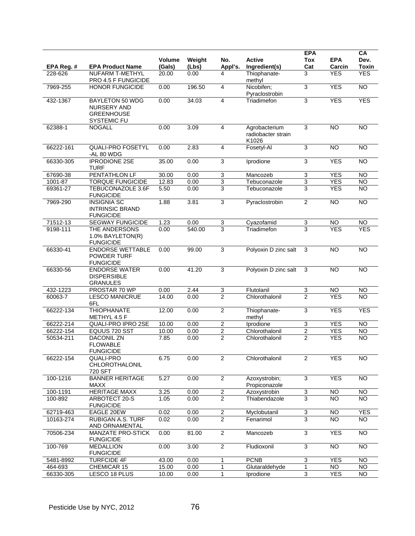|            |                                                                           |                  |                 |                           |                                              | <b>EPA</b>                |                      | CA              |
|------------|---------------------------------------------------------------------------|------------------|-----------------|---------------------------|----------------------------------------------|---------------------------|----------------------|-----------------|
| EPA Reg. # | <b>EPA Product Name</b>                                                   | Volume<br>(Gals) | Weight<br>(Lbs) | No.<br>Appl's.            | <b>Active</b><br>Ingredient(s)               | <b>Tox</b><br>Cat         | <b>EPA</b><br>Carcin | Dev.<br>Toxin   |
| 228-626    | <b>NUFARM T-METHYL</b><br>PRO 4.5 F FUNGICIDE                             | 20.00            | 0.00            | 4                         | Thiophanate-<br>methyl                       | 3                         | <b>YES</b>           | <b>YES</b>      |
| 7969-255   | <b>HONOR FUNGICIDE</b>                                                    | 0.00             | 196.50          | $\overline{4}$            | Nicobifen;<br>Pyraclostrobin                 | $\overline{3}$            | <b>YES</b>           | N <sub>O</sub>  |
| 432-1367   | <b>BAYLETON 50 WDG</b><br>NURSERY AND<br><b>GREENHOUSE</b><br>SYSTEMIC FU | 0.00             | 34.03           | $\overline{4}$            | Triadimefon                                  | 3                         | <b>YES</b>           | <b>YES</b>      |
| 62388-1    | <b>NOGALL</b>                                                             | 0.00             | 3.09            | $\overline{4}$            | Agrobacterium<br>radiobacter strain<br>K1026 | 3                         | $\overline{10}$      | <b>NO</b>       |
| 66222-161  | <b>QUALI-PRO FOSETYL</b><br>-AL 80 WDG                                    | 0.00             | 2.83            | $\overline{4}$            | Fosetyl-Al                                   | 3                         | <b>NO</b>            | $\overline{NO}$ |
| 66330-305  | <b>IPRODIONE 2SE</b><br><b>TURF</b>                                       | 35.00            | 0.00            | 3                         | Iprodione                                    | 3                         | <b>YES</b>           | $\overline{NO}$ |
| 67690-38   | PENTATHLON LF                                                             | 30.00            | 0.00            | $\ensuremath{\mathsf{3}}$ | Mancozeb                                     | $\ensuremath{\mathsf{3}}$ | <b>YES</b>           | <b>NO</b>       |
| 1001-87    | <b>TORQUE FUNGICIDE</b>                                                   | 12.83            | 0.00            | $\overline{3}$            | Tebuconazole                                 | $\overline{3}$            | <b>YES</b>           | $\overline{N}$  |
| 69361-27   | <b>TEBUCONAZOLE 3.6F</b><br><b>FUNGICIDE</b>                              | 5.50             | 0.00            | 3                         | Tebuconazole                                 | 3                         | <b>YES</b>           | $\overline{NO}$ |
| 7969-290   | <b>INSIGNIA SC</b><br><b>INTRINSIC BRAND</b><br><b>FUNGICIDE</b>          | 1.88             | 3.81            | 3                         | Pyraclostrobin                               | $\overline{2}$            | <b>NO</b>            | <b>NO</b>       |
| 71512-13   | <b>SEGWAY FUNGICIDE</b>                                                   | 1.23             | 0.00            | $\overline{3}$            | Cyazofamid                                   | $\overline{3}$            | <b>NO</b>            | <b>NO</b>       |
| 9198-111   | THE ANDERSONS<br>1.0% BAYLETON(R)<br><b>FUNGICIDE</b>                     | 0.00             | 540.00          | 3                         | Triadimefon                                  | 3                         | <b>YES</b>           | <b>YES</b>      |
| 66330-41   | <b>ENDORSE WETTABLE</b><br>POWDER TURF<br><b>FUNGICIDE</b>                | 0.00             | 99.00           | 3                         | Polyoxin D zinc salt                         | 3                         | N <sub>O</sub>       | $\overline{NO}$ |
| 66330-56   | <b>ENDORSE WATER</b><br><b>DISPERSIBLE</b><br><b>GRANULES</b>             | 0.00             | 41.20           | $\overline{3}$            | Polyoxin D zinc salt                         | 3                         | <b>NO</b>            | <b>NO</b>       |
| 432-1223   | PROSTAR 70 WP                                                             | 0.00             | 2.44            | $\ensuremath{\mathsf{3}}$ | Flutolanil                                   | 3                         | <b>NO</b>            | <b>NO</b>       |
| 60063-7    | <b>LESCO MANICRUE</b><br>6FL                                              | 14.00            | 0.00            | $\overline{2}$            | Chlorothalonil                               | 2                         | <b>YES</b>           | <b>NO</b>       |
| 66222-134  | <b>THIOPHANATE</b><br>METHYL 4.5 F                                        | 12.00            | 0.00            | $\overline{2}$            | Thiophanate-<br>methyl                       | 3                         | <b>YES</b>           | <b>YES</b>      |
| 66222-214  | QUALI-PRO IPRO 2SE                                                        | 10.00            | 0.00            | $\overline{2}$            | Iprodione                                    | $\ensuremath{\mathsf{3}}$ | <b>YES</b>           | <b>NO</b>       |
| 66222-154  | EQUUS 720 SST                                                             | 10.00            | 0.00            | $\overline{2}$            | Chlorothalonil                               | $\overline{2}$            | <b>YES</b>           | N <sub>O</sub>  |
| 50534-211  | <b>DACONIL ZN</b><br><b>FLOWABLE</b><br><b>FUNGICIDE</b>                  | 7.85             | 0.00            | $\overline{2}$            | Chlorothalonil                               | $\overline{2}$            | <b>YES</b>           | <b>NO</b>       |
| 66222-154  | QUALI-PRO<br>CHLOROTHALONIL<br>720 SFT                                    | 6.75             | 0.00            | 2                         | Chlorothalonil                               | 2                         | <b>YES</b>           | NO              |
| 100-1216   | <b>BANNER HERITAGE</b><br><b>MAXX</b>                                     | 5.27             | 0.00            | $\overline{2}$            | Azoxystrobin;<br>Propiconazole               | $\mathsf 3$               | <b>YES</b>           | <b>NO</b>       |
| 100-1191   | <b>HERITAGE MAXX</b>                                                      | 3.25             | 0.00            | $\overline{2}$            | Azoxystrobin                                 | 3                         | NO                   | NO              |
| 100-892    | ARBOTECT 20-S<br><b>FUNGICIDE</b>                                         | 1.05             | 0.00            | $\overline{2}$            | Thiabendazole                                | 3                         | <b>NO</b>            | <b>NO</b>       |
| 62719-463  | EAGLE 20EW                                                                | 0.02             | 0.00            | $\overline{2}$            | Myclobutanil                                 | 3                         | NO                   | <b>YES</b>      |
| 10163-274  | RUBIGAN A.S. TURF<br>AND ORNAMENTAL                                       | 0.02             | 0.00            | $\overline{2}$            | Fenarimol                                    | $\overline{3}$            | <b>NO</b>            | <b>NO</b>       |
| 70506-234  | <b>MANZATE PRO-STICK</b><br><b>FUNGICIDE</b>                              | 0.00             | 81.00           | $\overline{c}$            | Mancozeb                                     | $\mathsf 3$               | <b>YES</b>           | $\overline{NO}$ |
| 100-769    | <b>MEDALLION</b><br><b>FUNGICIDE</b>                                      | 0.00             | 3.00            | $\overline{2}$            | Fludioxonil                                  | $\mathsf 3$               | <b>NO</b>            | <b>NO</b>       |
| 5481-8992  | <b>TURFCIDE 4F</b>                                                        | 43.00            | 0.00            | 1                         | <b>PCNB</b>                                  | $\ensuremath{\mathsf{3}}$ | <b>YES</b>           | <b>NO</b>       |
| 464-693    | CHEMICAR 15                                                               | 15.00            | 0.00            | 1                         | Glutaraldehyde                               | 1                         | <b>NO</b>            | $\overline{10}$ |
| 66330-305  | LESCO 18 PLUS                                                             | 10.00            | 0.00            | 1                         | Iprodione                                    | $\overline{3}$            | <b>YES</b>           | $\overline{NO}$ |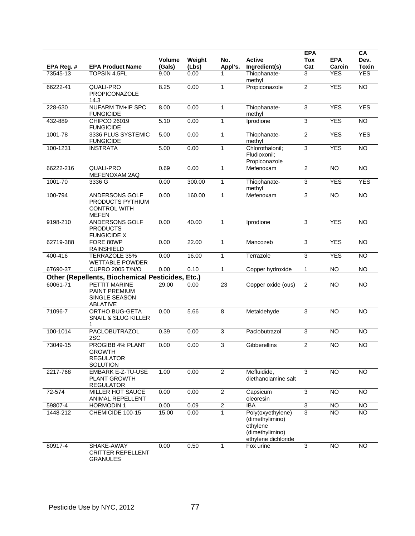|            |                                                                                  |                         |                 |                |                                                                                            | <b>EPA</b>          |                      | CA                   |
|------------|----------------------------------------------------------------------------------|-------------------------|-----------------|----------------|--------------------------------------------------------------------------------------------|---------------------|----------------------|----------------------|
| EPA Reg. # | <b>EPA Product Name</b>                                                          | <b>Volume</b><br>(Gals) | Weight<br>(Lbs) | No.<br>Appl's. | <b>Active</b><br>Ingredient(s)                                                             | Tox<br>Cat          | <b>EPA</b><br>Carcin | Dev.<br><b>Toxin</b> |
| 73545-13   | <b>TOPSIN 4.5FL</b>                                                              | 9.00                    | 0.00            | 1              | Thiophanate-<br>methyl                                                                     | 3                   | <b>YES</b>           | <b>YES</b>           |
| 66222-41   | QUALI-PRO<br>PROPICONAZOLE<br>14.3                                               | 8.25                    | 0.00            | 1              | Propiconazole                                                                              | $\overline{2}$      | <b>YES</b>           | <b>NO</b>            |
| 228-630    | <b>NUFARM TM+IP SPC</b><br><b>FUNGICIDE</b>                                      | 8.00                    | 0.00            | $\mathbf{1}$   | Thiophanate-<br>methyl                                                                     | 3                   | <b>YES</b>           | <b>YES</b>           |
| 432-889    | <b>CHIPCO 26019</b><br><b>FUNGICIDE</b>                                          | 5.10                    | 0.00            | 1              | Iprodione                                                                                  | $\overline{3}$      | <b>YES</b>           | <b>NO</b>            |
| 1001-78    | 3336 PLUS SYSTEMIC<br><b>FUNGICIDE</b>                                           | 5.00                    | 0.00            | $\mathbf{1}$   | Thiophanate-<br>methyl                                                                     | $\overline{2}$      | <b>YES</b>           | <b>YES</b>           |
| 100-1231   | <b>INSTRATA</b>                                                                  | 5.00                    | 0.00            | 1              | Chlorothalonil;<br>Fludioxonil;<br>Propiconazole                                           | $\overline{3}$      | <b>YES</b>           | <b>NO</b>            |
| 66222-216  | QUALI-PRO<br>MEFENOXAM 2AQ                                                       | 0.69                    | 0.00            | $\mathbf{1}$   | Mefenoxam                                                                                  | $\overline{2}$      | N <sub>O</sub>       | N <sub>O</sub>       |
| 1001-70    | 3336 G                                                                           | 0.00                    | 300.00          | $\mathbf{1}$   | Thiophanate-<br>methyl                                                                     | 3                   | <b>YES</b>           | <b>YES</b>           |
| 100-794    | <b>ANDERSONS GOLF</b><br>PRODUCTS PYTHIUM<br><b>CONTROL WITH</b><br><b>MEFEN</b> | 0.00                    | 160.00          | $\mathbf{1}$   | Mefenoxam                                                                                  | 3                   | N <sub>O</sub>       | NO                   |
| 9198-210   | ANDERSONS GOLF<br><b>PRODUCTS</b><br><b>FUNGICIDE X</b>                          | 0.00                    | 40.00           | 1              | Iprodione                                                                                  | $\mathsf 3$         | <b>YES</b>           | <b>NO</b>            |
| 62719-388  | FORE 80WP<br><b>RAINSHIELD</b>                                                   | 0.00                    | 22.00           | $\mathbf{1}$   | Mancozeb                                                                                   | 3                   | <b>YES</b>           | N <sub>O</sub>       |
| 400-416    | <b>TERRAZOLE 35%</b><br><b>WETTABLE POWDER</b>                                   | 0.00                    | 16.00           | $\mathbf{1}$   | Terrazole                                                                                  | 3                   | <b>YES</b>           | <b>NO</b>            |
| 67690-37   | <b>CUPRO 2005 T/N/O</b>                                                          | 0.00                    | 0.10            | $\mathbf{1}$   | Copper hydroxide                                                                           | $\mathbf{1}$        | N <sub>O</sub>       | N <sub>O</sub>       |
|            | <b>Other (Repellents, Biochemical Pesticides,</b>                                |                         | Etc.)           |                |                                                                                            |                     |                      |                      |
| 60061-71   | <b>PETTIT MARINE</b><br>PAINT PREMIUM<br>SINGLE SEASON<br>ABLATIVE               | 29.00                   | 0.00            | 23             | Copper oxide (ous)                                                                         | 2                   | <b>NO</b>            | <b>NO</b>            |
| 71096-7    | ORTHO BUG-GETA<br><b>SNAIL &amp; SLUG KILLER</b><br>1                            | 0.00                    | 5.66            | $\overline{8}$ | Metaldehyde                                                                                | 3                   | <b>NO</b>            | $\overline{NO}$      |
| 100-1014   | <b>PACLOBUTRAZOL</b><br>2SC                                                      | 0.39                    | 0.00            | $\overline{3}$ | Paclobutrazol                                                                              | $\overline{3}$      | <b>NO</b>            | <b>NO</b>            |
| 73049-15   | PROGIBB 4% PLANT<br>GROWTH<br><b>REGULATOR</b><br><b>SOLUTION</b>                | 0.00                    | 0.00            | 3              | Gibberellins                                                                               | $\overline{2}$      | <b>NO</b>            | <b>NO</b>            |
| 2217-768   | <b>EMBARK E-Z-TU-USE</b><br><b>PLANT GROWTH</b><br><b>REGULATOR</b>              | 1.00                    | 0.00            | $\overline{2}$ | Mefluidide,<br>diethanolamine salt                                                         | 3                   | <b>NO</b>            | <b>NO</b>            |
| 72-574     | <b>MILLER HOT SAUCE</b><br>ANIMAL REPELLENT                                      | 0.00                    | 0.00            | $\overline{2}$ | Capsicum<br>oleoresin                                                                      | 3                   | <b>NO</b>            | $\overline{NO}$      |
| 59807-4    | <b>HORMODIN1</b>                                                                 | 0.00                    | 0.09            | $\overline{2}$ | <b>IBA</b>                                                                                 | $\overline{\omega}$ | <b>NO</b>            | NO                   |
| 1448-212   | CHEMICIDE 100-15                                                                 | 15.00                   | 0.00            | $\mathbf{1}$   | Poly(oxyethylene)<br>(dimethylimino)<br>ethylene<br>(dimethylimino)<br>ethylene dichloride | $\overline{3}$      | <b>NO</b>            | <b>NO</b>            |
| 80917-4    | SHAKE-AWAY<br><b>CRITTER REPELLENT</b><br><b>GRANULES</b>                        | 0.00                    | 0.50            | 1              | Fox urine                                                                                  | 3                   | <b>NO</b>            | <b>NO</b>            |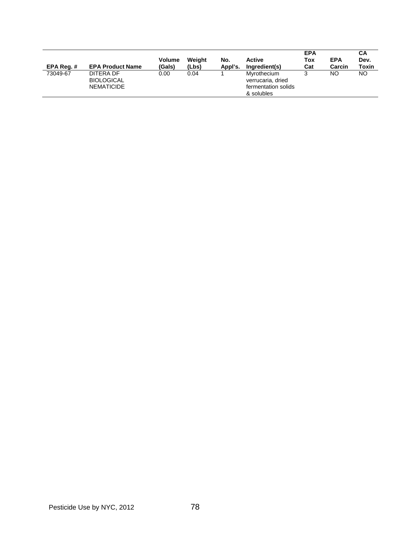| EPA Reg. $#$ | <b>EPA Product Name</b>                             | <b>Volume</b><br>(Gals) | Weiaht<br>(Lbs) | No.<br>Appl's. | <b>Active</b><br>Ingredient(s)                                        | <b>EPA</b><br>Tox<br>Cat | <b>EPA</b><br>Carcin | CА<br>Dev.<br>Toxin |
|--------------|-----------------------------------------------------|-------------------------|-----------------|----------------|-----------------------------------------------------------------------|--------------------------|----------------------|---------------------|
| 73049-67     | DITERA DF<br><b>BIOLOGICAL</b><br><b>NEMATICIDE</b> | 0.00                    | 0.04            |                | Myrothecium<br>verrucaria, dried<br>fermentation solids<br>& solubles | s.                       | NO                   | NΟ                  |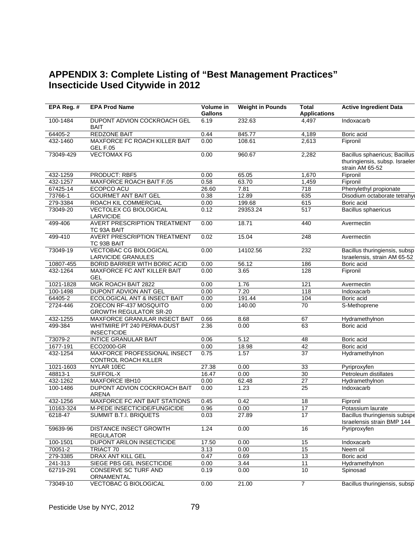## **APPENDIX 3: Complete Listing of "Best Management Practices" Insecticide Used Citywide in 2012**

| EPA Reg. # | <b>EPA Prod Name</b>                                       | Volume in<br><b>Gallons</b> | <b>Weight in Pounds</b> | <b>Total</b><br><b>Applications</b> | <b>Active Ingredient Data</b>                                                      |
|------------|------------------------------------------------------------|-----------------------------|-------------------------|-------------------------------------|------------------------------------------------------------------------------------|
| 100-1484   | DUPONT ADVION COCKROACH GEL<br><b>BAIT</b>                 | 6.19                        | 232.63                  | 4,497                               | Indoxacarb                                                                         |
| 64405-2    | <b>REDZONE BAIT</b>                                        | 0.44                        | 845.77                  | 4,189                               | Boric acid                                                                         |
| 432-1460   | <b>MAXFORCE FC ROACH KILLER BAIT</b><br><b>GEL F.05</b>    | 0.00                        | 108.61                  | 2,613                               | Fipronil                                                                           |
| 73049-429  | <b>VECTOMAX FG</b>                                         | 0.00                        | 960.67                  | 2,282                               | Bacillus sphaericus; Bacillus<br>thuringiensis, subsp. Israeler<br>strain AM 65-52 |
| 432-1259   | PRODUCT: RBF5                                              | 0.00                        | 65.05                   | 1,670                               | Fipronil                                                                           |
| 432-1257   | MAXFORCE ROACH BAIT F.05                                   | 0.58                        | 63.70                   | 1,459                               | Fipronil                                                                           |
| 67425-14   | <b>ECOPCO ACU</b>                                          | 26.60                       | 7.81                    | 718                                 | Phenylethyl propionate                                                             |
| 73766-1    | <b>GOURMET ANT BAIT GEL</b>                                | 0.38                        | 12.89                   | 635                                 | Disodium octaborate tetrahy                                                        |
| 279-3384   | ROACH KIL COMMERCIAL                                       | 0.00                        | 199.68                  | 615                                 | Boric acid                                                                         |
| 73049-20   | <b>VECTOLEX CG BIOLOGICAL</b><br>LARVICIDE                 | 0.12                        | 29353.24                | 517                                 | <b>Bacillus sphaericus</b>                                                         |
| 499-406    | <b>AVERT PRESCRIPTION TREATMENT</b><br>TC 93A BAIT         | 0.00                        | 18.71                   | 440                                 | Avermectin                                                                         |
| 499-410    | <b>AVERT PRESCRIPTION TREATMENT</b><br>TC 93B BAIT         | 0.02                        | 15.04                   | 248                                 | Avermectin                                                                         |
| 73049-19   | <b>VECTOBAC CG BIOLOGICAL</b><br><b>LARVICIDE GRANULES</b> | 0.00                        | 14102.56                | 232                                 | Bacillus thuringiensis, subsp<br>Israelensis, strain AM 65-52                      |
| 10807-455  | <b>BORID BARRIER WITH BORIC ACID</b>                       | 0.00                        | 56.12                   | 186                                 | Boric acid                                                                         |
| 432-1264   | <b>MAXFORCE FC ANT KILLER BAIT</b><br><b>GEL</b>           | 0.00                        | 3.65                    | 128                                 | Fipronil                                                                           |
| 1021-1828  | MGK ROACH BAIT 2822                                        | 0.00                        | 1.76                    | 121                                 | Avermectin                                                                         |
| 100-1498   | <b>DUPONT ADVION ANT GEL</b>                               | 0.00                        | 7.20                    | 118                                 | Indoxacarb                                                                         |
| 64405-2    | ECOLOGICAL ANT & INSECT BAIT                               | 0.00                        | 191.44                  | 104                                 | Boric acid                                                                         |
| 2724-446   | ZOECON RF-437 MOSQUITO<br><b>GROWTH REGULATOR SR-20</b>    | 0.00                        | 140.00                  | $\overline{70}$                     | S-Methoprene                                                                       |
| 432-1255   | MAXFORCE GRANULAR INSECT BAIT                              | 0.66                        | 8.68                    | 67                                  | Hydramethylnon                                                                     |
| 499-384    | WHITMIRE PT 240 PERMA-DUST<br><b>INSECTICIDE</b>           | 2.36                        | 0.00                    | 63                                  | Boric acid                                                                         |
| 73079-2    | <b>INTICE GRANULAR BAIT</b>                                | 0.06                        | 5.12                    | 48                                  | Boric acid                                                                         |
| 1677-191   | ECO2000-GR                                                 | 0.00                        | 18.98                   | 42                                  | Boric acid                                                                         |
| 432-1254   | MAXFORCE PROFESSIONAL INSECT<br>CONTROL ROACH KILLER       | 0.75                        | 1.57                    | $\overline{37}$                     | Hydramethylnon                                                                     |
| 1021-1603  | NYLAR 10EC                                                 | 27.38                       | 0.00                    | 33                                  | Pyriproxyfen                                                                       |
| 48813-1    | <b>SUFFOIL-X</b>                                           | 16.47                       | 0.00                    | 30                                  | Petroleum distillates                                                              |
| 432-1262   | <b>MAXFORCE IBH10</b>                                      | 0.00                        | 62.48                   | $\overline{27}$                     | Hydramethylnon                                                                     |
| 100-1486   | DUPONT ADVION COCKROACH BAIT<br><b>ARENA</b>               | 0.00                        | 1.23                    | 25                                  | Indoxacarb                                                                         |
| 432-1256   | MAXFORCE FC ANT BAIT STATIONS                              | 0.45                        | 0.42                    | 18                                  | Fipronil                                                                           |
| 10163-324  | M-PEDE INSECTICIDE/FUNGICIDE                               | 0.96                        | 0.00                    | 17                                  | Potassium laurate                                                                  |
| 6218-47    | SUMMIT B.T.I. BRIQUETS                                     | 0.03                        | 27.89                   | $\overline{17}$                     | Bacillus thuringiensis subspe<br>Israelensis strain BMP 144                        |
| 59639-96   | DISTANCE INSECT GROWTH<br><b>REGULATOR</b>                 | 1.24                        | 0.00                    | 16                                  | Pyriproxyfen                                                                       |
| 100-1501   | DUPONT ARILON INSECTICIDE                                  | 17.50                       | 0.00                    | 15                                  | Indoxacarb                                                                         |
| 70051-2    | TRIACT 70                                                  | 3.13                        | 0.00                    | 15                                  | Neem oil                                                                           |
| 279-3385   | DRAX ANT KILL GEL                                          | 0.47                        | 0.69                    | 13                                  | Boric acid                                                                         |
| 241-313    | SIEGE PBS GEL INSECTICIDE                                  | 0.00                        | 3.44                    | $\overline{11}$                     | Hydramethylnon                                                                     |
| 62719-291  | CONSERVE SC TURF AND<br>ORNAMENTAL                         | 0.19                        | 0.00                    | 10                                  | Spinosad                                                                           |
| 73049-10   | <b>VECTOBAC G BIOLOGICAL</b>                               | 0.00                        | 21.00                   | $\overline{7}$                      | Bacillus thuringiensis, subsp                                                      |